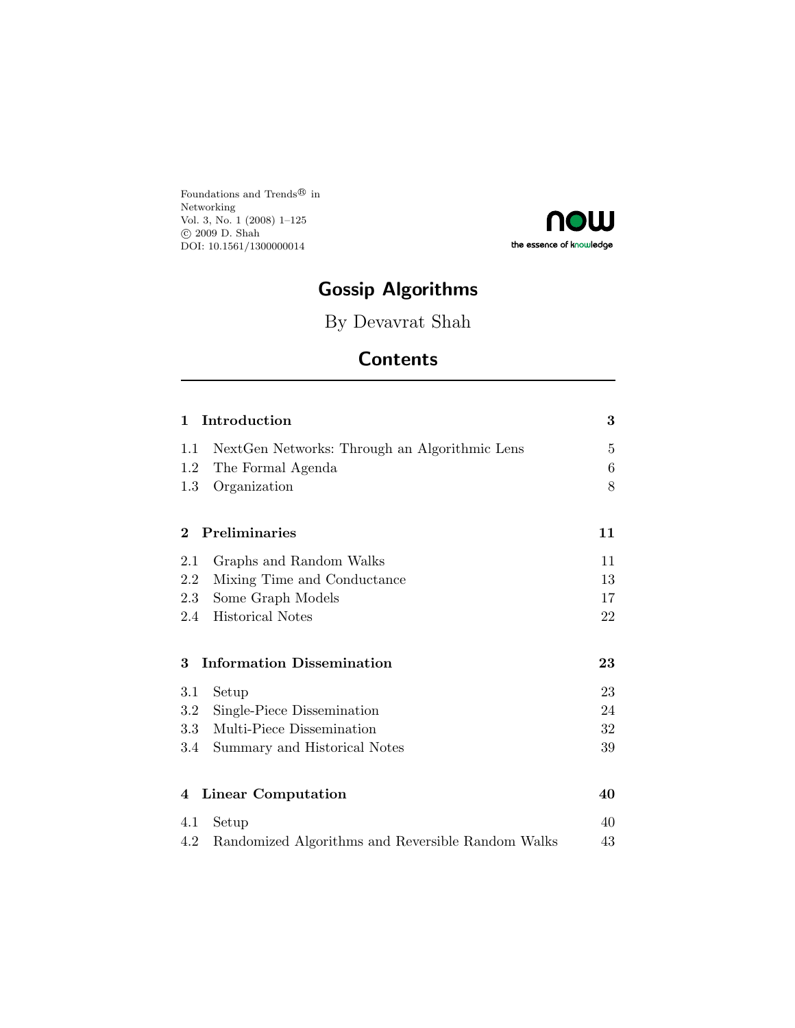Foundations and Trends $^{\circledR}$  in Networking Vol. 3, No. 1 (2008) 1–125 c 2009 D. Shah DOI: 10.1561/1300000014



# **Gossip Algorithms**

By Devavrat Shah

# **Contents**

| Introduction<br>1                                        | 3              |
|----------------------------------------------------------|----------------|
| Next Gen Networks: Through an Algorithmic Lens<br>1.1    | $\overline{5}$ |
| The Formal Agenda<br>1.2                                 | 6              |
| Organization<br>1.3                                      | 8              |
| Preliminaries<br>$\bf{2}$                                | 11             |
| 2.1<br>Graphs and Random Walks                           | 11             |
| Mixing Time and Conductance<br>2.2                       | 13             |
| Some Graph Models<br>2.3                                 | 17             |
| Historical Notes<br>2.4                                  | 22             |
| <b>Information Dissemination</b><br>3                    | 23             |
| 3.1<br>Setup                                             | 23             |
| Single-Piece Dissemination<br>3.2                        | 24             |
| Multi-Piece Dissemination<br>3.3                         | 32             |
| Summary and Historical Notes<br>3.4                      | 39             |
| <b>Linear Computation</b><br>4                           | 40             |
| 4.1<br>Setup                                             | 40             |
| 4.2<br>Randomized Algorithms and Reversible Random Walks | 43             |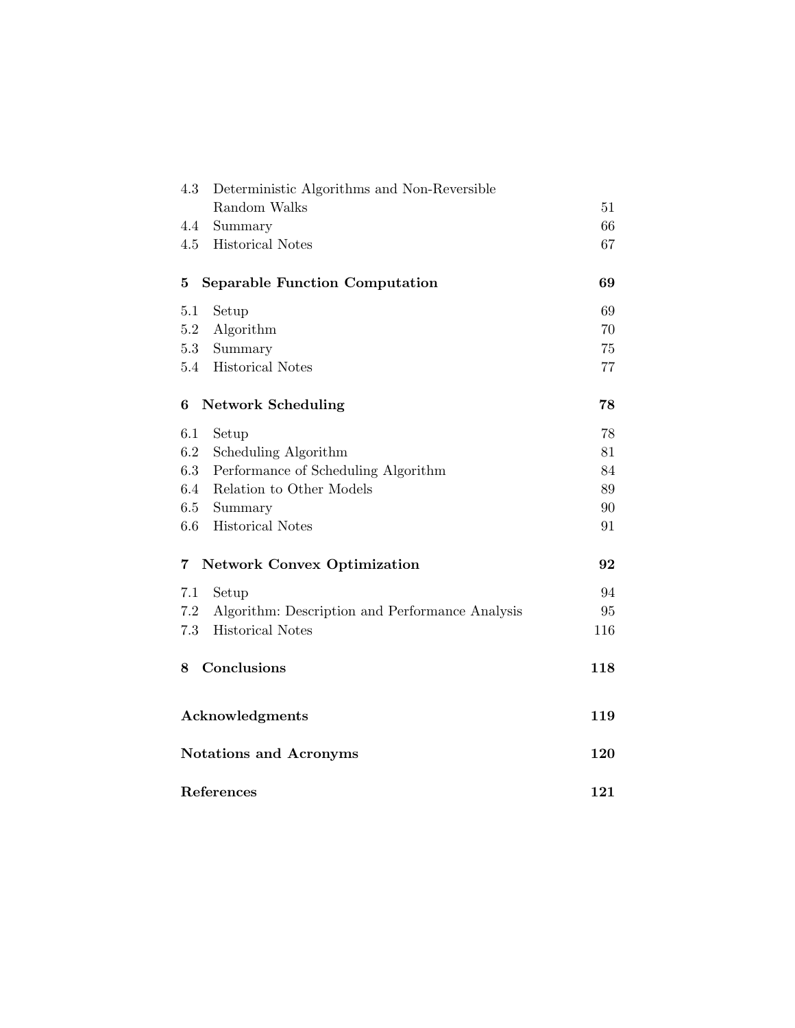| 4.3                     | Deterministic Algorithms and Non-Reversible     |     |
|-------------------------|-------------------------------------------------|-----|
|                         | Random Walks                                    | 51  |
| 4.4                     | Summary                                         | 66  |
| 4.5                     | <b>Historical Notes</b>                         | 67  |
| 5                       | <b>Separable Function Computation</b>           | 69  |
| 5.1                     | Setup                                           | 69  |
| 5.2                     | Algorithm                                       | 70  |
| 5.3                     | Summary                                         | 75  |
|                         | 5.4 Historical Notes                            | 77  |
| 6                       | <b>Network Scheduling</b>                       | 78  |
| 6.1                     | Setup                                           | 78  |
| 6.2                     | Scheduling Algorithm                            | 81  |
| 6.3                     | Performance of Scheduling Algorithm             | 84  |
| 6.4                     | Relation to Other Models                        | 89  |
| 6.5                     | Summary                                         | 90  |
| $6.6\,$                 | <b>Historical Notes</b>                         | 91  |
| $\overline{\mathbf{7}}$ | <b>Network Convex Optimization</b>              | 92  |
| 7.1                     | Setup                                           | 94  |
| 7.2                     | Algorithm: Description and Performance Analysis | 95  |
| 7.3                     | <b>Historical Notes</b>                         | 116 |
| 8                       | Conclusions                                     | 118 |
|                         | Acknowledgments                                 | 119 |
|                         | <b>Notations and Acronyms</b>                   | 120 |
|                         | References                                      | 121 |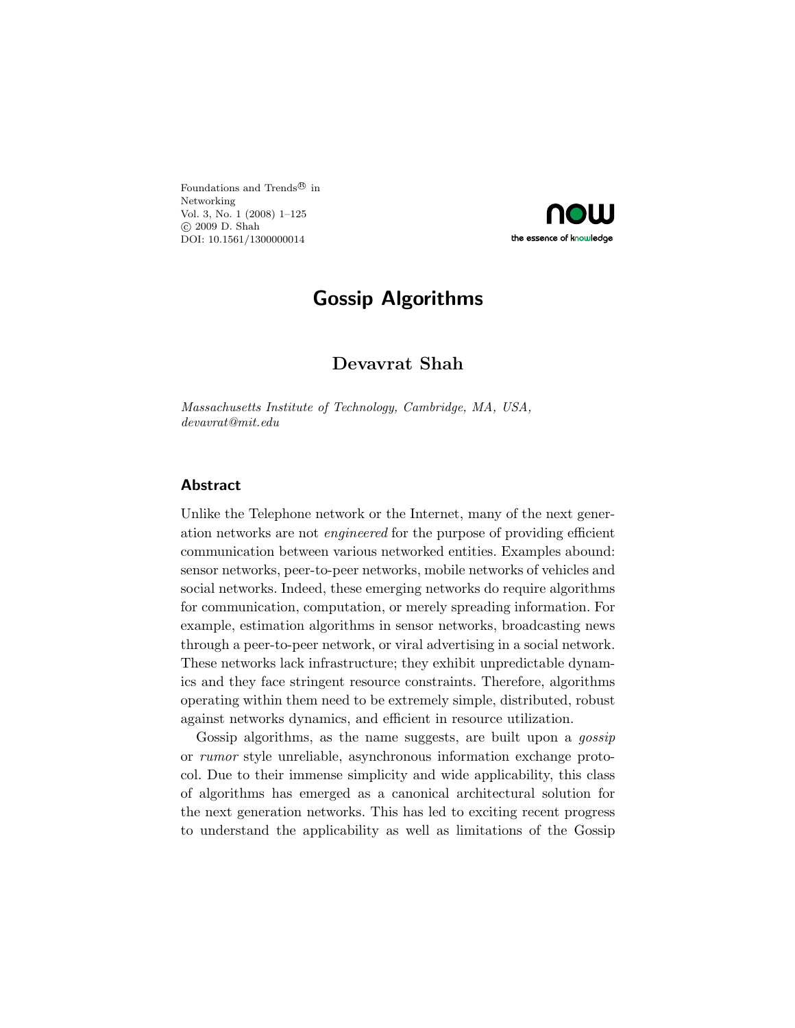Foundations and Trends $^{\textcircled{\tiny{\textregistered}}}$  in Networking Vol. 3, No. 1 (2008) 1–125 c 2009 D. Shah DOI: 10.1561/1300000014



## **Gossip Algorithms**

## **Devavrat Shah**

*Massachusetts Institute of Technology, Cambridge, MA, USA, devavrat@mit.edu*

#### **Abstract**

Unlike the Telephone network or the Internet, many of the next generation networks are not *engineered* for the purpose of providing efficient communication between various networked entities. Examples abound: sensor networks, peer-to-peer networks, mobile networks of vehicles and social networks. Indeed, these emerging networks do require algorithms for communication, computation, or merely spreading information. For example, estimation algorithms in sensor networks, broadcasting news through a peer-to-peer network, or viral advertising in a social network. These networks lack infrastructure; they exhibit unpredictable dynamics and they face stringent resource constraints. Therefore, algorithms operating within them need to be extremely simple, distributed, robust against networks dynamics, and efficient in resource utilization.

Gossip algorithms, as the name suggests, are built upon a *gossip* or *rumor* style unreliable, asynchronous information exchange protocol. Due to their immense simplicity and wide applicability, this class of algorithms has emerged as a canonical architectural solution for the next generation networks. This has led to exciting recent progress to understand the applicability as well as limitations of the Gossip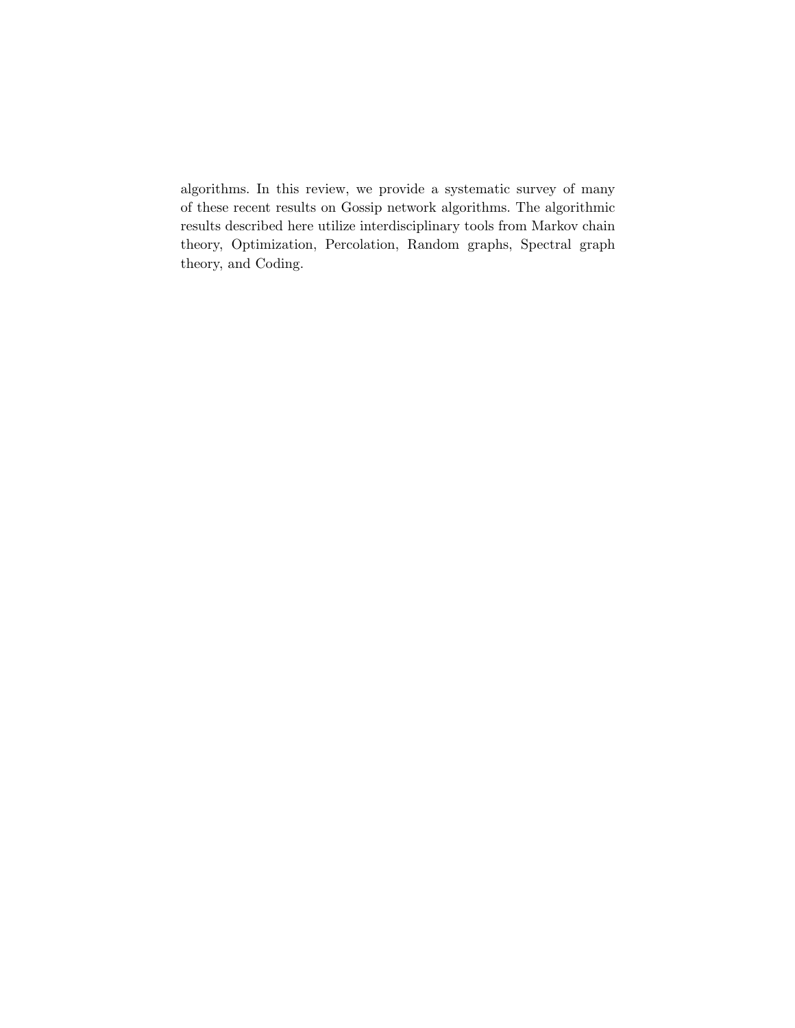algorithms. In this review, we provide a systematic survey of many of these recent results on Gossip network algorithms. The algorithmic results described here utilize interdisciplinary tools from Markov chain theory, Optimization, Percolation, Random graphs, Spectral graph theory, and Coding.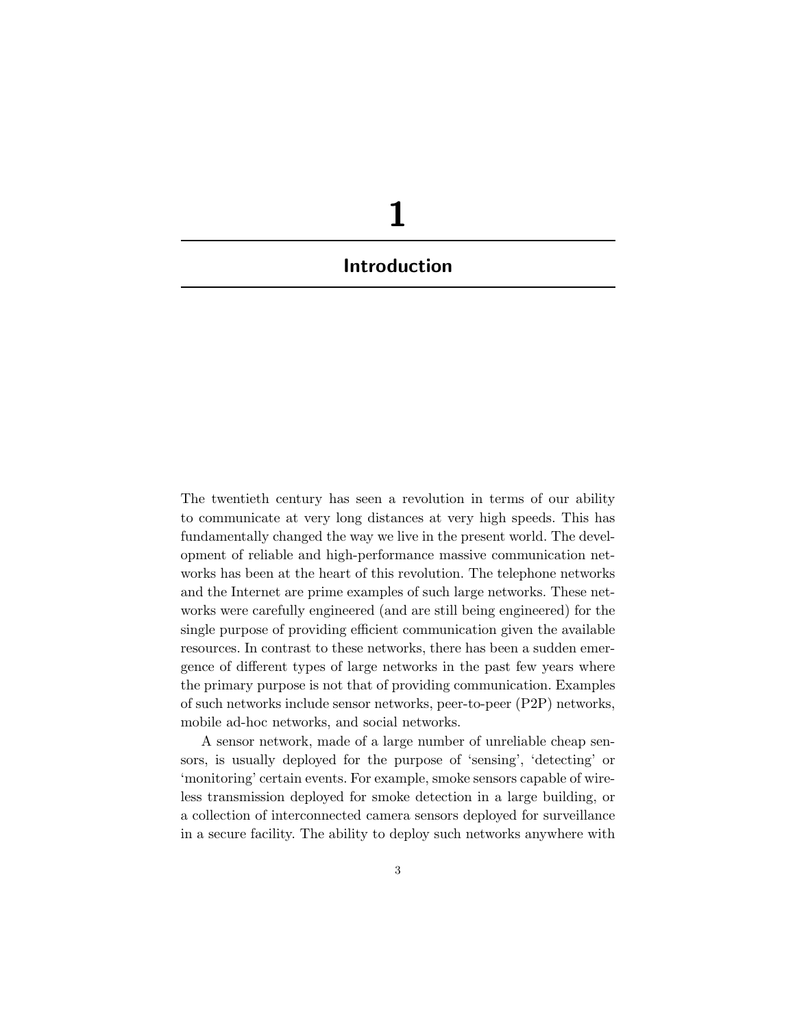# **1 Introduction**

The twentieth century has seen a revolution in terms of our ability to communicate at very long distances at very high speeds. This has fundamentally changed the way we live in the present world. The development of reliable and high-performance massive communication networks has been at the heart of this revolution. The telephone networks and the Internet are prime examples of such large networks. These networks were carefully engineered (and are still being engineered) for the single purpose of providing efficient communication given the available resources. In contrast to these networks, there has been a sudden emergence of different types of large networks in the past few years where the primary purpose is not that of providing communication. Examples of such networks include sensor networks, peer-to-peer (P2P) networks, mobile ad-hoc networks, and social networks.

A sensor network, made of a large number of unreliable cheap sensors, is usually deployed for the purpose of 'sensing', 'detecting' or 'monitoring' certain events. For example, smoke sensors capable of wireless transmission deployed for smoke detection in a large building, or a collection of interconnected camera sensors deployed for surveillance in a secure facility. The ability to deploy such networks anywhere with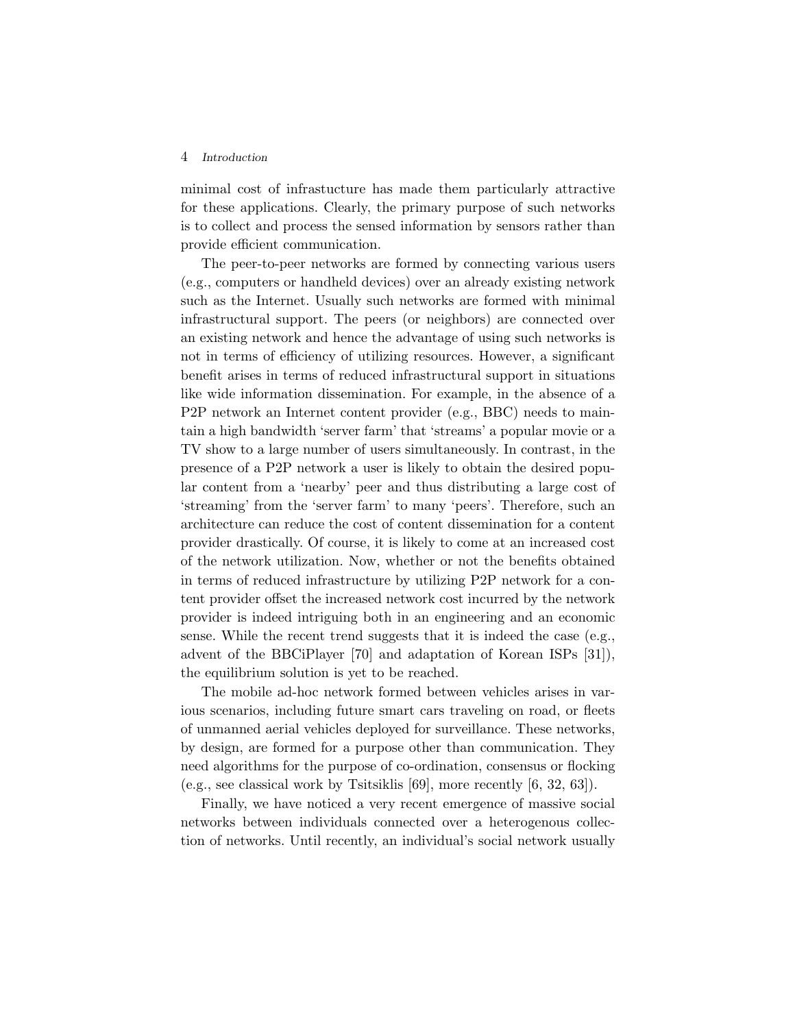#### 4 *Introduction*

minimal cost of infrastucture has made them particularly attractive for these applications. Clearly, the primary purpose of such networks is to collect and process the sensed information by sensors rather than provide efficient communication.

The peer-to-peer networks are formed by connecting various users (e.g., computers or handheld devices) over an already existing network such as the Internet. Usually such networks are formed with minimal infrastructural support. The peers (or neighbors) are connected over an existing network and hence the advantage of using such networks is not in terms of efficiency of utilizing resources. However, a significant benefit arises in terms of reduced infrastructural support in situations like wide information dissemination. For example, in the absence of a P2P network an Internet content provider (e.g., BBC) needs to maintain a high bandwidth 'server farm' that 'streams' a popular movie or a TV show to a large number of users simultaneously. In contrast, in the presence of a P2P network a user is likely to obtain the desired popular content from a 'nearby' peer and thus distributing a large cost of 'streaming' from the 'server farm' to many 'peers'. Therefore, such an architecture can reduce the cost of content dissemination for a content provider drastically. Of course, it is likely to come at an increased cost of the network utilization. Now, whether or not the benefits obtained in terms of reduced infrastructure by utilizing P2P network for a content provider offset the increased network cost incurred by the network provider is indeed intriguing both in an engineering and an economic sense. While the recent trend suggests that it is indeed the case (e.g., advent of the BBCiPlayer [70] and adaptation of Korean ISPs [31]), the equilibrium solution is yet to be reached.

The mobile ad-hoc network formed between vehicles arises in various scenarios, including future smart cars traveling on road, or fleets of unmanned aerial vehicles deployed for surveillance. These networks, by design, are formed for a purpose other than communication. They need algorithms for the purpose of co-ordination, consensus or flocking (e.g., see classical work by Tsitsiklis [69], more recently [6, 32, 63]).

Finally, we have noticed a very recent emergence of massive social networks between individuals connected over a heterogenous collection of networks. Until recently, an individual's social network usually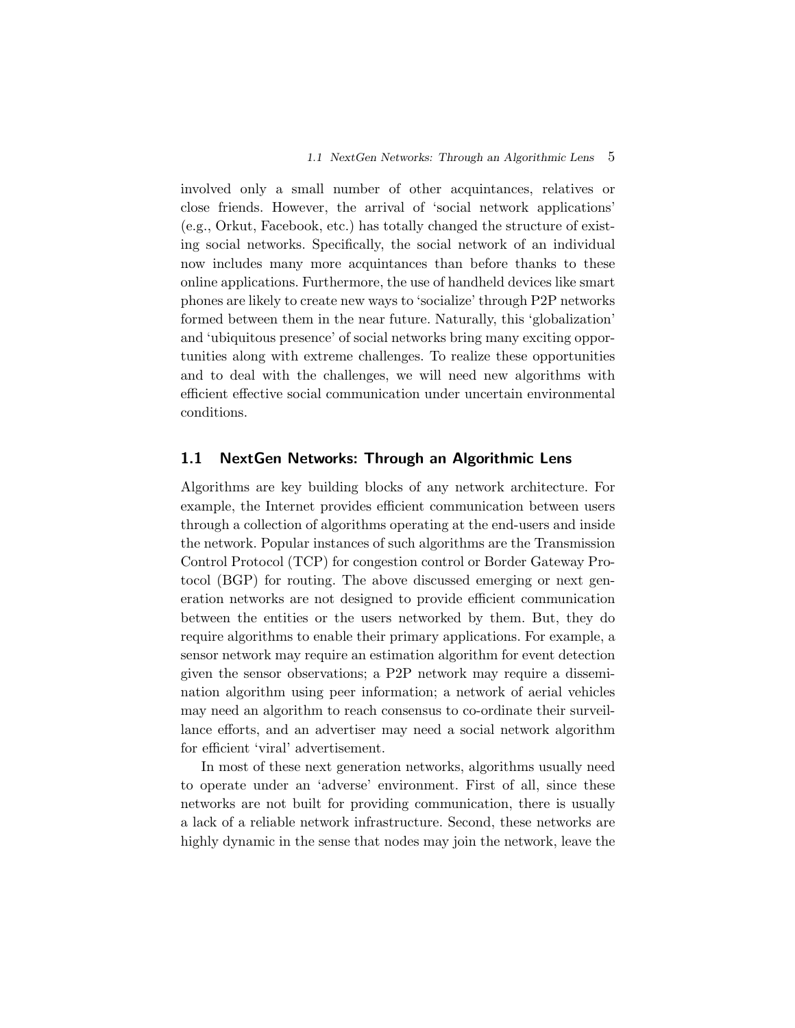involved only a small number of other acquintances, relatives or close friends. However, the arrival of 'social network applications' (e.g., Orkut, Facebook, etc.) has totally changed the structure of existing social networks. Specifically, the social network of an individual now includes many more acquintances than before thanks to these online applications. Furthermore, the use of handheld devices like smart phones are likely to create new ways to 'socialize' through P2P networks formed between them in the near future. Naturally, this 'globalization' and 'ubiquitous presence' of social networks bring many exciting opportunities along with extreme challenges. To realize these opportunities and to deal with the challenges, we will need new algorithms with efficient effective social communication under uncertain environmental conditions.

#### **1.1 NextGen Networks: Through an Algorithmic Lens**

Algorithms are key building blocks of any network architecture. For example, the Internet provides efficient communication between users through a collection of algorithms operating at the end-users and inside the network. Popular instances of such algorithms are the Transmission Control Protocol (TCP) for congestion control or Border Gateway Protocol (BGP) for routing. The above discussed emerging or next generation networks are not designed to provide efficient communication between the entities or the users networked by them. But, they do require algorithms to enable their primary applications. For example, a sensor network may require an estimation algorithm for event detection given the sensor observations; a P2P network may require a dissemination algorithm using peer information; a network of aerial vehicles may need an algorithm to reach consensus to co-ordinate their surveillance efforts, and an advertiser may need a social network algorithm for efficient 'viral' advertisement.

In most of these next generation networks, algorithms usually need to operate under an 'adverse' environment. First of all, since these networks are not built for providing communication, there is usually a lack of a reliable network infrastructure. Second, these networks are highly dynamic in the sense that nodes may join the network, leave the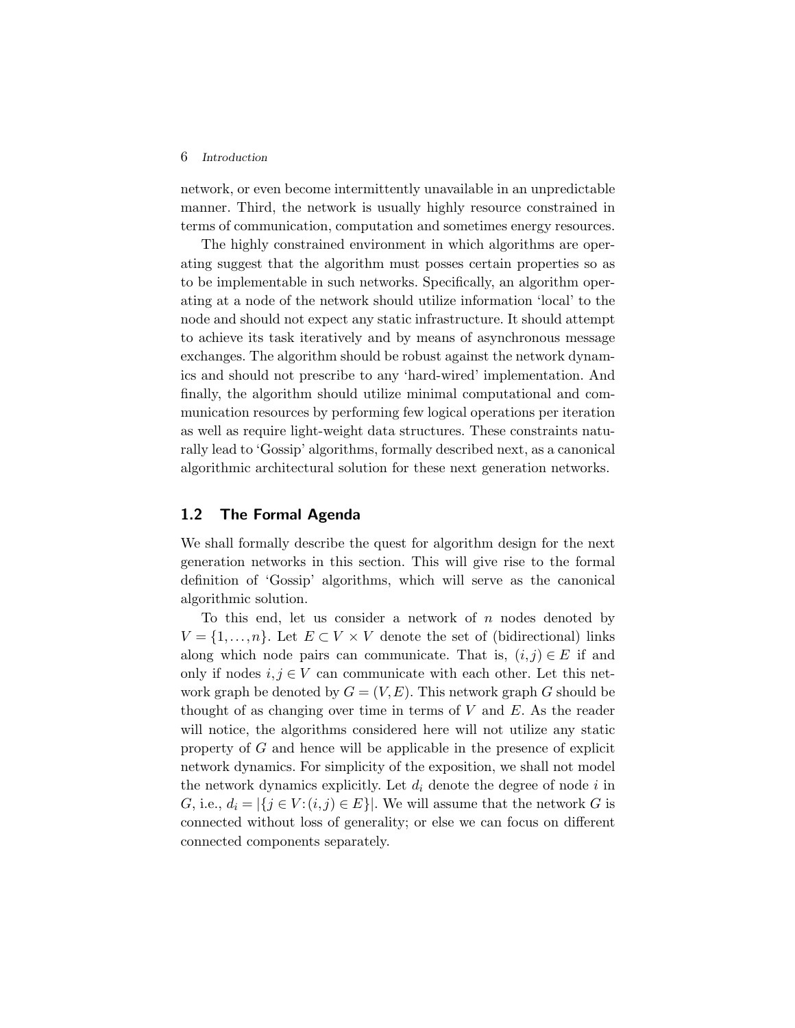#### 6 *Introduction*

network, or even become intermittently unavailable in an unpredictable manner. Third, the network is usually highly resource constrained in terms of communication, computation and sometimes energy resources.

The highly constrained environment in which algorithms are operating suggest that the algorithm must posses certain properties so as to be implementable in such networks. Specifically, an algorithm operating at a node of the network should utilize information 'local' to the node and should not expect any static infrastructure. It should attempt to achieve its task iteratively and by means of asynchronous message exchanges. The algorithm should be robust against the network dynamics and should not prescribe to any 'hard-wired' implementation. And finally, the algorithm should utilize minimal computational and communication resources by performing few logical operations per iteration as well as require light-weight data structures. These constraints naturally lead to 'Gossip' algorithms, formally described next, as a canonical algorithmic architectural solution for these next generation networks.

### **1.2 The Formal Agenda**

We shall formally describe the quest for algorithm design for the next generation networks in this section. This will give rise to the formal definition of 'Gossip' algorithms, which will serve as the canonical algorithmic solution.

To this end, let us consider a network of  $n$  nodes denoted by  $V = \{1, \ldots, n\}$ . Let  $E \subset V \times V$  denote the set of (bidirectional) links along which node pairs can communicate. That is,  $(i, j) \in E$  if and only if nodes  $i, j \in V$  can communicate with each other. Let this network graph be denoted by  $G = (V, E)$ . This network graph G should be thought of as changing over time in terms of  $V$  and  $E$ . As the reader will notice, the algorithms considered here will not utilize any static property of G and hence will be applicable in the presence of explicit network dynamics. For simplicity of the exposition, we shall not model the network dynamics explicitly. Let  $d_i$  denote the degree of node i in G, i.e.,  $d_i = |\{j \in V : (i,j) \in E\}|$ . We will assume that the network G is connected without loss of generality; or else we can focus on different connected components separately.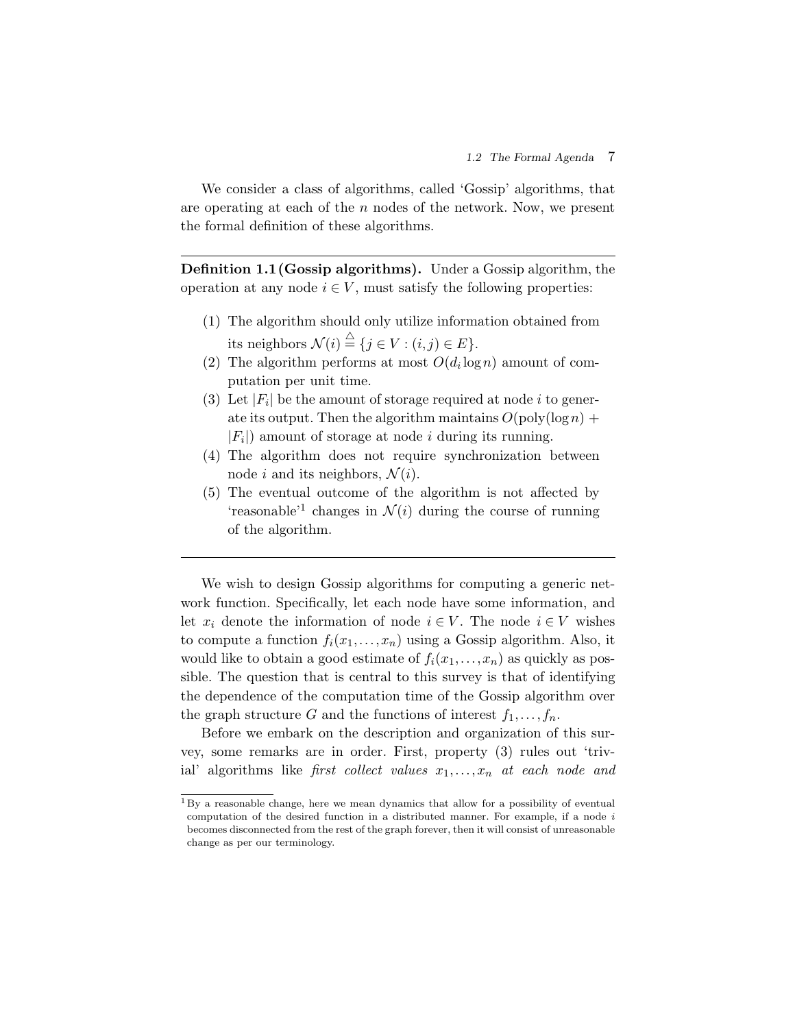We consider a class of algorithms, called 'Gossip' algorithms, that are operating at each of the  $n$  nodes of the network. Now, we present the formal definition of these algorithms.

**Definition 1.1(Gossip algorithms).** Under a Gossip algorithm, the operation at any node  $i \in V$ , must satisfy the following properties:

- (1) The algorithm should only utilize information obtained from its neighbors  $\mathcal{N}(i) \stackrel{\triangle}{=} \{j \in V : (i,j) \in E\}.$
- (2) The algorithm performs at most  $O(d_i \log n)$  amount of computation per unit time.
- (3) Let  $|F_i|$  be the amount of storage required at node i to generate its output. Then the algorithm maintains  $O(poly(\log n) +$  $|F_i|$  amount of storage at node *i* during its running.
- (4) The algorithm does not require synchronization between node i and its neighbors,  $\mathcal{N}(i)$ .
- (5) The eventual outcome of the algorithm is not affected by 'reasonable'<sup>1</sup> changes in  $\mathcal{N}(i)$  during the course of running of the algorithm.

We wish to design Gossip algorithms for computing a generic network function. Specifically, let each node have some information, and let  $x_i$  denote the information of node  $i \in V$ . The node  $i \in V$  wishes to compute a function  $f_i(x_1,...,x_n)$  using a Gossip algorithm. Also, it would like to obtain a good estimate of  $f_i(x_1,...,x_n)$  as quickly as possible. The question that is central to this survey is that of identifying the dependence of the computation time of the Gossip algorithm over the graph structure G and the functions of interest  $f_1, \ldots, f_n$ .

Before we embark on the description and organization of this survey, some remarks are in order. First, property (3) rules out 'trivial' algorithms like *first collect values*  $x_1, \ldots, x_n$  *at each node and* 

 $1_{\rm By}$  a reasonable change, here we mean dynamics that allow for a possibility of eventual computation of the desired function in a distributed manner. For example, if a node  $i$ becomes disconnected from the rest of the graph forever, then it will consist of unreasonable change as per our terminology.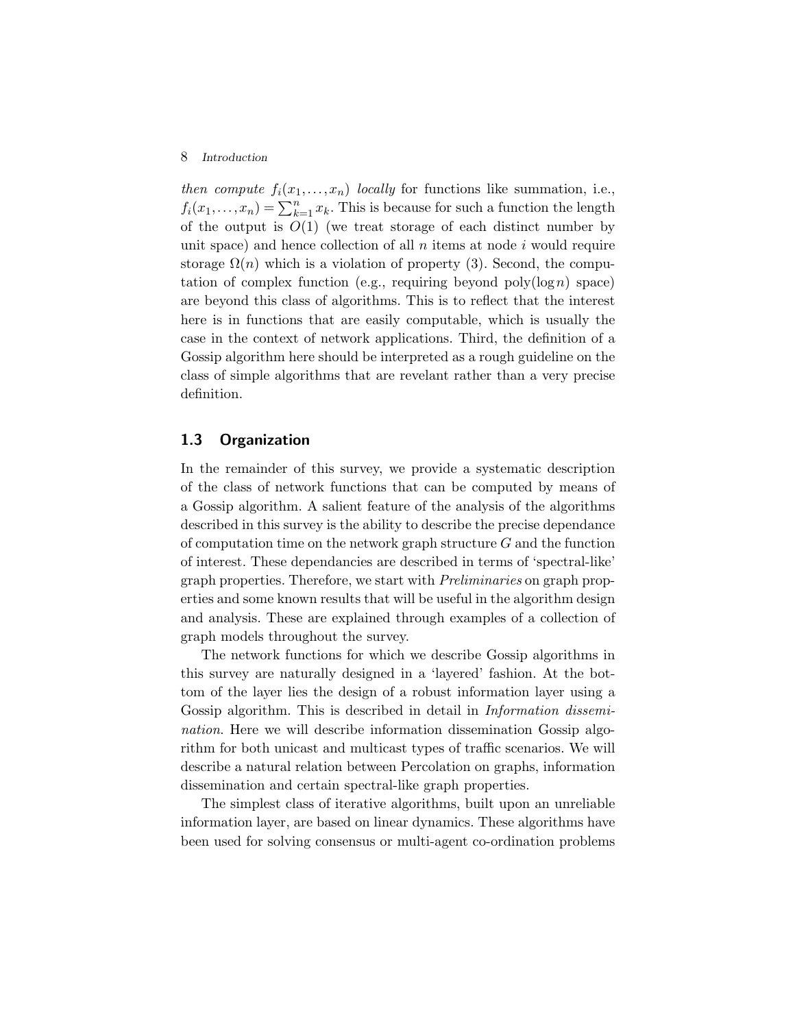#### 8 *Introduction*

*then compute*  $f_i(x_1,...,x_n)$  *locally* for functions like summation, i.e.,  $f_i(x_1,...,x_n) = \sum_{k=1}^n x_k$ . This is because for such a function the length of the output is  $O(1)$  (we treat storage of each distinct number by unit space) and hence collection of all  $n$  items at node  $i$  would require storage  $\Omega(n)$  which is a violation of property (3). Second, the computation of complex function (e.g., requiring beyond  $\text{poly}(\log n)$  space) are beyond this class of algorithms. This is to reflect that the interest here is in functions that are easily computable, which is usually the case in the context of network applications. Third, the definition of a Gossip algorithm here should be interpreted as a rough guideline on the class of simple algorithms that are revelant rather than a very precise definition.

#### **1.3 Organization**

In the remainder of this survey, we provide a systematic description of the class of network functions that can be computed by means of a Gossip algorithm. A salient feature of the analysis of the algorithms described in this survey is the ability to describe the precise dependance of computation time on the network graph structure  $G$  and the function of interest. These dependancies are described in terms of 'spectral-like' graph properties. Therefore, we start with *Preliminaries* on graph properties and some known results that will be useful in the algorithm design and analysis. These are explained through examples of a collection of graph models throughout the survey.

The network functions for which we describe Gossip algorithms in this survey are naturally designed in a 'layered' fashion. At the bottom of the layer lies the design of a robust information layer using a Gossip algorithm. This is described in detail in *Information dissemination*. Here we will describe information dissemination Gossip algorithm for both unicast and multicast types of traffic scenarios. We will describe a natural relation between Percolation on graphs, information dissemination and certain spectral-like graph properties.

The simplest class of iterative algorithms, built upon an unreliable information layer, are based on linear dynamics. These algorithms have been used for solving consensus or multi-agent co-ordination problems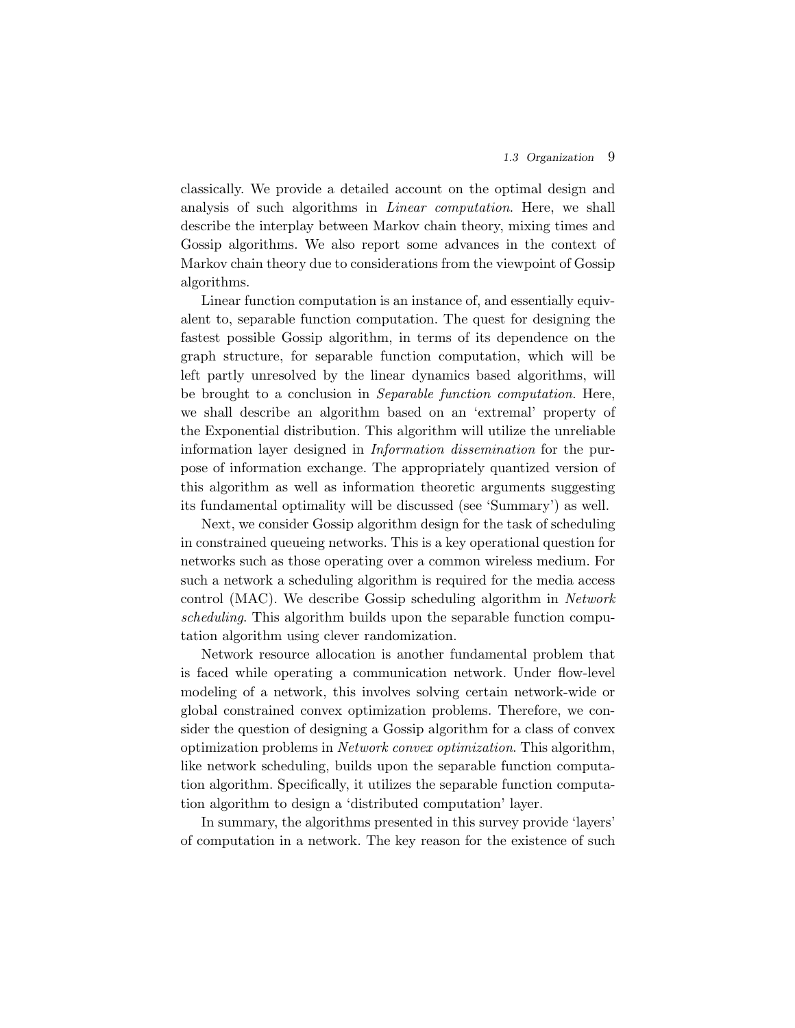classically. We provide a detailed account on the optimal design and analysis of such algorithms in *Linear computation*. Here, we shall describe the interplay between Markov chain theory, mixing times and Gossip algorithms. We also report some advances in the context of Markov chain theory due to considerations from the viewpoint of Gossip algorithms.

Linear function computation is an instance of, and essentially equivalent to, separable function computation. The quest for designing the fastest possible Gossip algorithm, in terms of its dependence on the graph structure, for separable function computation, which will be left partly unresolved by the linear dynamics based algorithms, will be brought to a conclusion in *Separable function computation*. Here, we shall describe an algorithm based on an 'extremal' property of the Exponential distribution. This algorithm will utilize the unreliable information layer designed in *Information dissemination* for the purpose of information exchange. The appropriately quantized version of this algorithm as well as information theoretic arguments suggesting its fundamental optimality will be discussed (see 'Summary') as well.

Next, we consider Gossip algorithm design for the task of scheduling in constrained queueing networks. This is a key operational question for networks such as those operating over a common wireless medium. For such a network a scheduling algorithm is required for the media access control (MAC). We describe Gossip scheduling algorithm in *Network scheduling*. This algorithm builds upon the separable function computation algorithm using clever randomization.

Network resource allocation is another fundamental problem that is faced while operating a communication network. Under flow-level modeling of a network, this involves solving certain network-wide or global constrained convex optimization problems. Therefore, we consider the question of designing a Gossip algorithm for a class of convex optimization problems in *Network convex optimization*. This algorithm, like network scheduling, builds upon the separable function computation algorithm. Specifically, it utilizes the separable function computation algorithm to design a 'distributed computation' layer.

In summary, the algorithms presented in this survey provide 'layers' of computation in a network. The key reason for the existence of such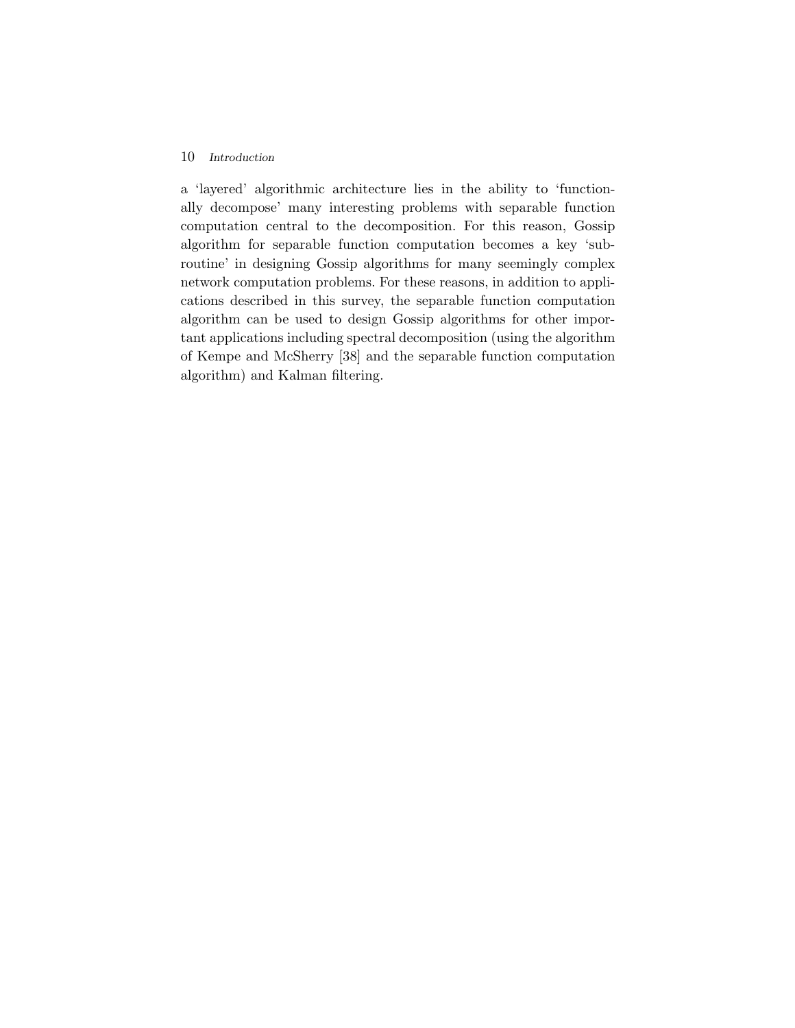#### 10 *Introduction*

a 'layered' algorithmic architecture lies in the ability to 'functionally decompose' many interesting problems with separable function computation central to the decomposition. For this reason, Gossip algorithm for separable function computation becomes a key 'subroutine' in designing Gossip algorithms for many seemingly complex network computation problems. For these reasons, in addition to applications described in this survey, the separable function computation algorithm can be used to design Gossip algorithms for other important applications including spectral decomposition (using the algorithm of Kempe and McSherry [38] and the separable function computation algorithm) and Kalman filtering.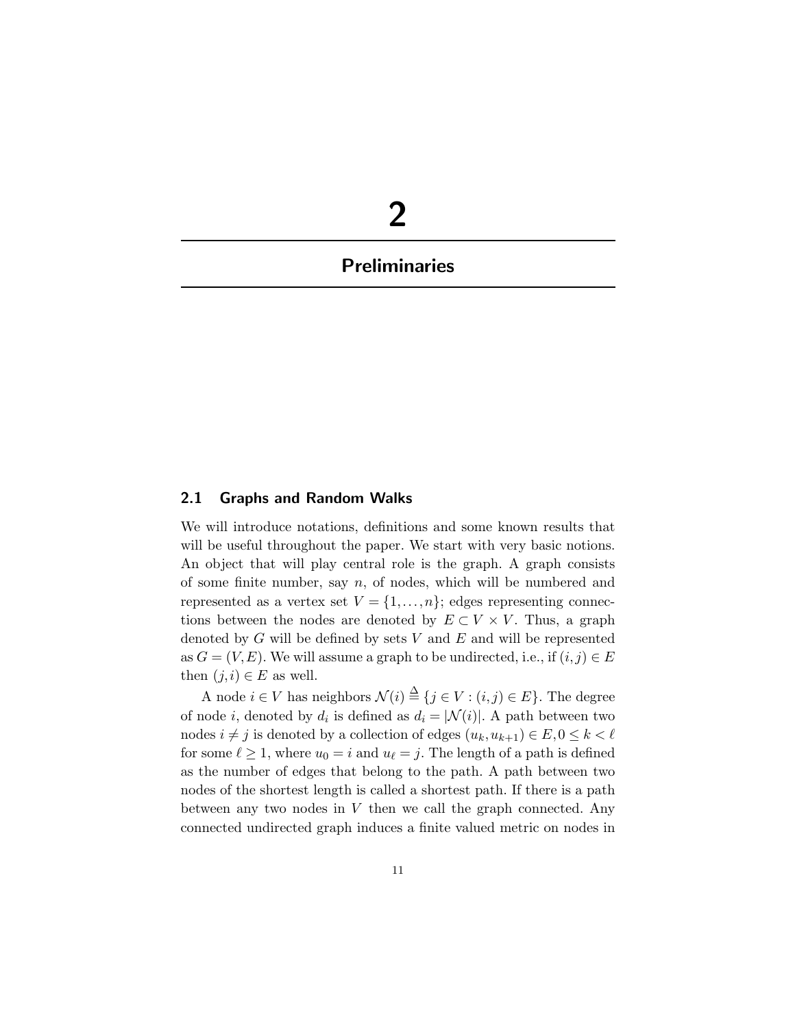# **2**

## **Preliminaries**

#### **2.1 Graphs and Random Walks**

We will introduce notations, definitions and some known results that will be useful throughout the paper. We start with very basic notions. An object that will play central role is the graph. A graph consists of some finite number, say  $n$ , of nodes, which will be numbered and represented as a vertex set  $V = \{1, \ldots, n\}$ ; edges representing connections between the nodes are denoted by  $E \subset V \times V$ . Thus, a graph denoted by  $G$  will be defined by sets  $V$  and  $E$  and will be represented as  $G = (V, E)$ . We will assume a graph to be undirected, i.e., if  $(i, j) \in E$ then  $(j, i) \in E$  as well.

A node  $i \in V$  has neighbors  $\mathcal{N}(i) \stackrel{\Delta}{=} \{j \in V : (i, j) \in E\}$ . The degree of node i, denoted by  $d_i$  is defined as  $d_i = |\mathcal{N}(i)|$ . A path between two nodes  $i \neq j$  is denoted by a collection of edges  $(u_k, u_{k+1}) \in E, 0 \leq k < \ell$ for some  $\ell \geq 1$ , where  $u_0 = i$  and  $u_{\ell} = j$ . The length of a path is defined as the number of edges that belong to the path. A path between two nodes of the shortest length is called a shortest path. If there is a path between any two nodes in  $V$  then we call the graph connected. Any connected undirected graph induces a finite valued metric on nodes in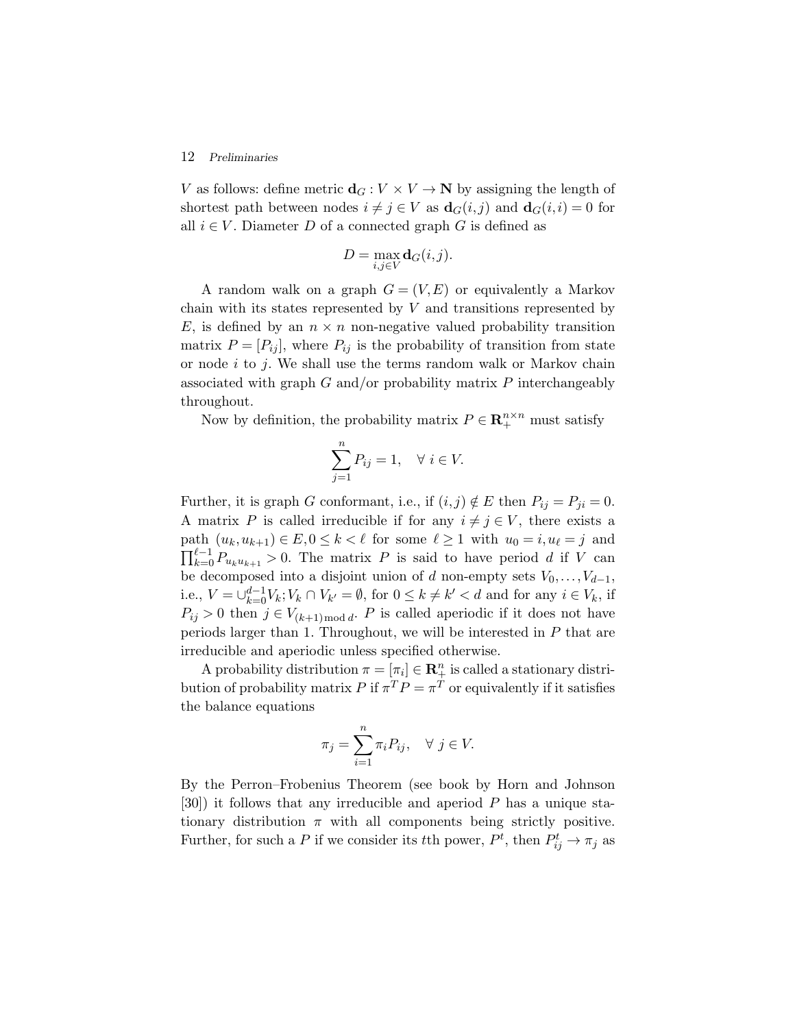#### 12 *Preliminaries*

V as follows: define metric  $\mathbf{d}_G : V \times V \to \mathbb{N}$  by assigning the length of shortest path between nodes  $i \neq j \in V$  as  $\mathbf{d}_G(i,j)$  and  $\mathbf{d}_G(i,i) = 0$  for all  $i \in V$ . Diameter D of a connected graph G is defined as

$$
D = \max_{i,j \in V} \mathbf{d}_G(i,j).
$$

A random walk on a graph  $G = (V, E)$  or equivalently a Markov chain with its states represented by  $V$  and transitions represented by E, is defined by an  $n \times n$  non-negative valued probability transition matrix  $P = [P_{ij}]$ , where  $P_{ij}$  is the probability of transition from state or node  $i$  to  $j$ . We shall use the terms random walk or Markov chain associated with graph  $G$  and/or probability matrix  $P$  interchangeably throughout.

Now by definition, the probability matrix  $P \in \mathbb{R}^{n \times n}_+$  must satisfy

$$
\sum_{j=1}^{n} P_{ij} = 1, \quad \forall \ i \in V.
$$

Further, it is graph G conformant, i.e., if  $(i, j) \notin E$  then  $P_{ij} = P_{ji} = 0$ . A matrix P is called irreducible if for any  $i \neq j \in V$ , there exists a path  $(u_k, u_{k+1}) \in E, 0 \le k < \ell$  for some  $\ell \ge 1$  with  $u_0 = i, u_\ell = j$  and  $\prod_{k=0}^{\ell-1} P_{u_k u_{k+1}} > 0$ . The matrix P is said to have period d if V can be decomposed into a disjoint union of d non-empty sets  $V_0, \ldots, V_{d-1}$ , i.e.,  $V = \bigcup_{k=0}^{d-1} V_k$ ;  $V_k \cap V_{k'} = \emptyset$ , for  $0 \le k \ne k' < d$  and for any  $i \in V_k$ , if  $P_{ij} > 0$  then  $j \in V_{(k+1) \text{ mod } d}$ . P is called aperiodic if it does not have periods larger than 1. Throughout, we will be interested in P that are irreducible and aperiodic unless specified otherwise.

A probability distribution  $\pi = [\pi_i] \in \mathbb{R}^n_+$  is called a stationary distribution of probability matrix P if  $\pi^T P = \pi^T$  or equivalently if it satisfies the balance equations

$$
\pi_j = \sum_{i=1}^n \pi_i P_{ij}, \quad \forall \ j \in V.
$$

By the Perron–Frobenius Theorem (see book by Horn and Johnson [30]) it follows that any irreducible and aperiod P has a unique stationary distribution  $\pi$  with all components being strictly positive. Further, for such a P if we consider its tth power,  $P^t$ , then  $P_{ij}^t \to \pi_j$  as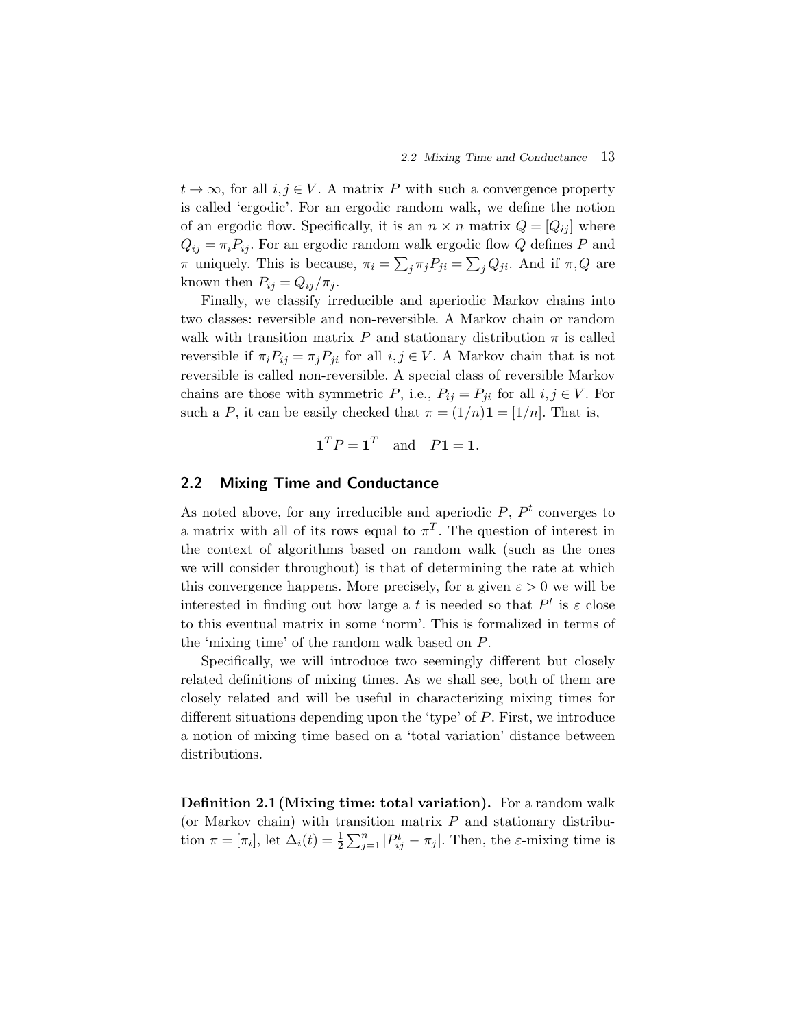$t \to \infty$ , for all  $i, j \in V$ . A matrix P with such a convergence property is called 'ergodic'. For an ergodic random walk, we define the notion of an ergodic flow. Specifically, it is an  $n \times n$  matrix  $Q = [Q_{ij}]$  where  $Q_{ij} = \pi_i P_{ij}$ . For an ergodic random walk ergodic flow Q defines P and π uniquely. This is because,  $\pi_i = \sum_j \pi_j P_{ji} = \sum_j Q_{ji}$ . And if  $\pi, Q$  are known then  $P_{ij} = Q_{ij}/\pi_j$ .

Finally, we classify irreducible and aperiodic Markov chains into two classes: reversible and non-reversible. A Markov chain or random walk with transition matrix P and stationary distribution  $\pi$  is called reversible if  $\pi_i P_{ij} = \pi_j P_{ji}$  for all  $i, j \in V$ . A Markov chain that is not reversible is called non-reversible. A special class of reversible Markov chains are those with symmetric P, i.e.,  $P_{ij} = P_{ji}$  for all  $i, j \in V$ . For such a P, it can be easily checked that  $\pi = (1/n)\mathbf{1} = [1/n]$ . That is,

$$
\mathbf{1}^T P = \mathbf{1}^T \quad \text{and} \quad P\mathbf{1} = \mathbf{1}.
$$

#### **2.2 Mixing Time and Conductance**

As noted above, for any irreducible and aperiodic  $P, P<sup>t</sup>$  converges to a matrix with all of its rows equal to  $\pi^T$ . The question of interest in the context of algorithms based on random walk (such as the ones we will consider throughout) is that of determining the rate at which this convergence happens. More precisely, for a given  $\varepsilon > 0$  we will be interested in finding out how large a t is needed so that  $P<sup>t</sup>$  is  $\varepsilon$  close to this eventual matrix in some 'norm'. This is formalized in terms of the 'mixing time' of the random walk based on P.

Specifically, we will introduce two seemingly different but closely related definitions of mixing times. As we shall see, both of them are closely related and will be useful in characterizing mixing times for different situations depending upon the 'type' of P. First, we introduce a notion of mixing time based on a 'total variation' distance between distributions.

**Definition 2.1(Mixing time: total variation).** For a random walk (or Markov chain) with transition matrix  $P$  and stationary distribution  $\pi = [\pi_i]$ , let  $\Delta_i(t) = \frac{1}{2} \sum_{j=1}^n |P_{ij}^t - \pi_j|$ . Then, the  $\varepsilon$ -mixing time is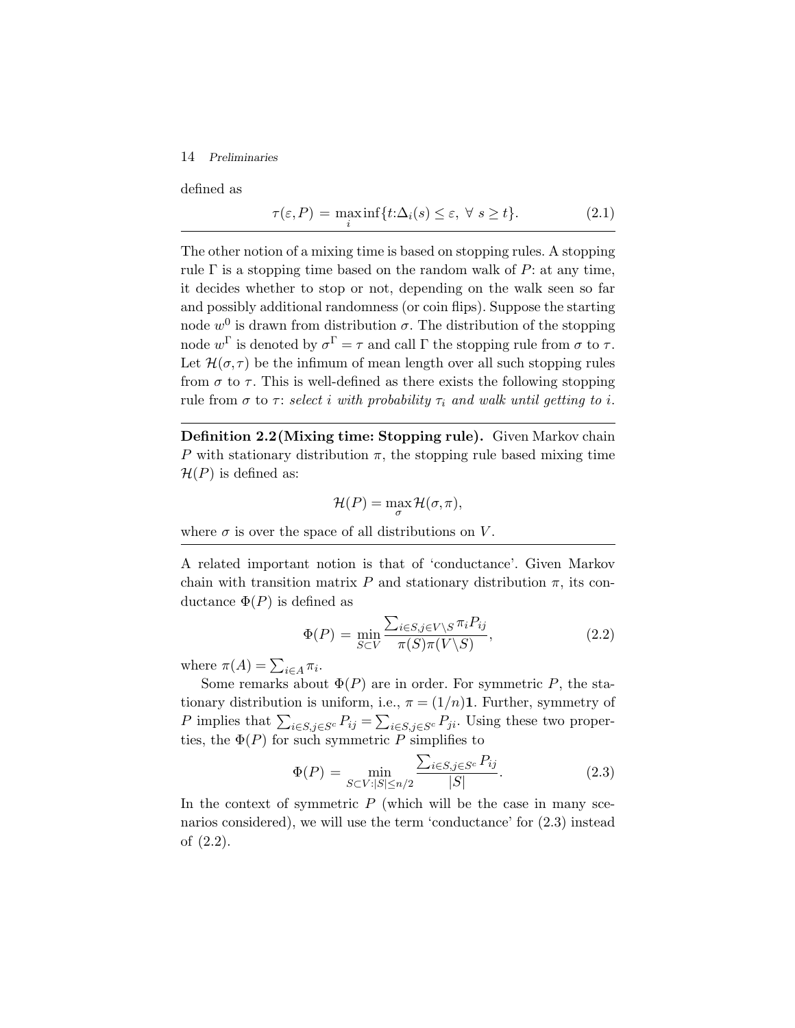#### 14 *Preliminaries*

defined as

$$
\tau(\varepsilon, P) = \max_{i} \inf \{ t : \Delta_i(s) \le \varepsilon, \ \forall \ s \ge t \}. \tag{2.1}
$$

The other notion of a mixing time is based on stopping rules. A stopping rule  $\Gamma$  is a stopping time based on the random walk of  $P$ : at any time, it decides whether to stop or not, depending on the walk seen so far and possibly additional randomness (or coin flips). Suppose the starting node  $w^0$  is drawn from distribution  $\sigma$ . The distribution of the stopping node  $w^{\Gamma}$  is denoted by  $\sigma^{\Gamma} = \tau$  and call  $\Gamma$  the stopping rule from  $\sigma$  to  $\tau$ . Let  $\mathcal{H}(\sigma, \tau)$  be the infimum of mean length over all such stopping rules from  $\sigma$  to  $\tau$ . This is well-defined as there exists the following stopping rule from  $\sigma$  to  $\tau$ : *select i with probability*  $\tau_i$  *and walk until getting to i.* 

**Definition 2.2(Mixing time: Stopping rule).** Given Markov chain P with stationary distribution  $\pi$ , the stopping rule based mixing time  $\mathcal{H}(P)$  is defined as:

$$
\mathcal{H}(P) = \max_{\sigma} \mathcal{H}(\sigma, \pi),
$$

where  $\sigma$  is over the space of all distributions on V.

A related important notion is that of 'conductance'. Given Markov chain with transition matrix P and stationary distribution  $\pi$ , its conductance  $\Phi(P)$  is defined as

$$
\Phi(P) = \min_{S \subset V} \frac{\sum_{i \in S, j \in V \setminus S} \pi_i P_{ij}}{\pi(S)\pi(V \setminus S)},\tag{2.2}
$$

where  $\pi(A) = \sum_{i \in A} \pi_i$ .

Some remarks about  $\Phi(P)$  are in order. For symmetric P, the stationary distribution is uniform, i.e.,  $\pi = (1/n)\mathbf{1}$ . Further, symmetry of P implies that  $\sum_{i \in S, j \in S^c} P_{ij} = \sum_{i \in S, j \in S^c} P_{ji}$ . Using these two properties, the  $\Phi(P)$  for such symmetric P simplifies to

$$
\Phi(P) = \min_{S \subset V : |S| \le n/2} \frac{\sum_{i \in S, j \in S^c} P_{ij}}{|S|}.
$$
\n(2.3)

In the context of symmetric  $P$  (which will be the case in many scenarios considered), we will use the term 'conductance' for (2.3) instead of (2.2).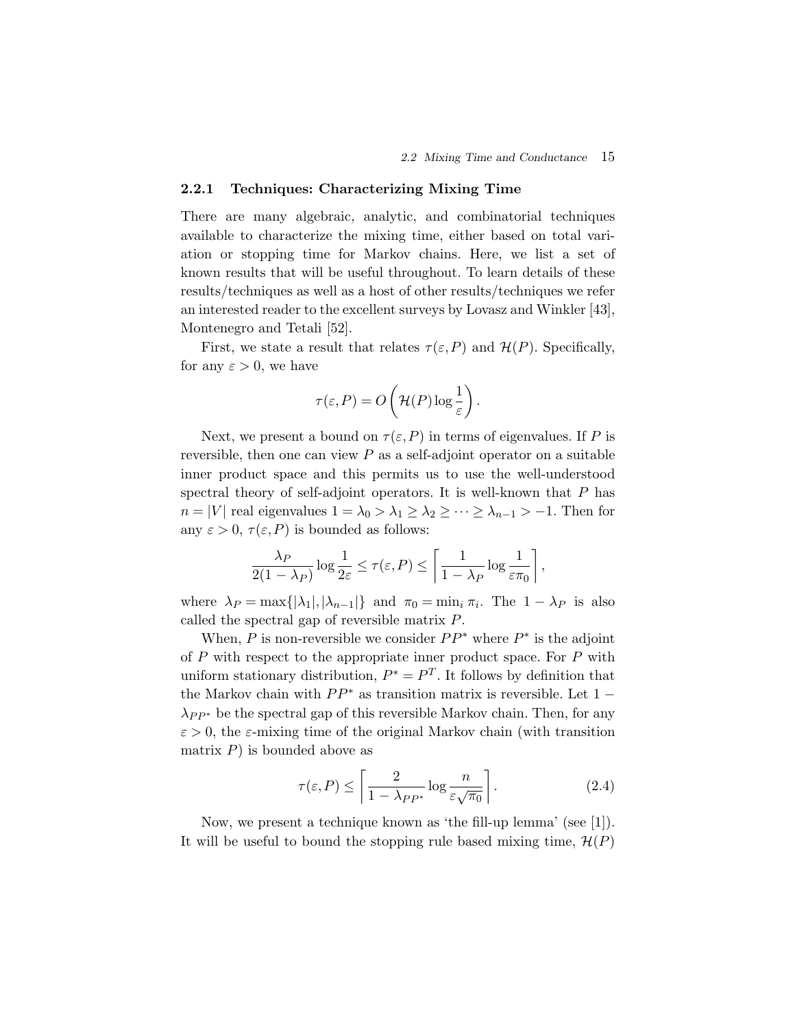#### **2.2.1 Techniques: Characterizing Mixing Time**

There are many algebraic, analytic, and combinatorial techniques available to characterize the mixing time, either based on total variation or stopping time for Markov chains. Here, we list a set of known results that will be useful throughout. To learn details of these results/techniques as well as a host of other results/techniques we refer an interested reader to the excellent surveys by Lovasz and Winkler [43], Montenegro and Tetali [52].

First, we state a result that relates  $\tau(\varepsilon,P)$  and  $\mathcal{H}(P)$ . Specifically, for any  $\varepsilon > 0$ , we have

$$
\tau(\varepsilon, P) = O\left(\mathcal{H}(P)\log\frac{1}{\varepsilon}\right).
$$

Next, we present a bound on  $\tau(\varepsilon,P)$  in terms of eigenvalues. If P is reversible, then one can view  $P$  as a self-adjoint operator on a suitable inner product space and this permits us to use the well-understood spectral theory of self-adjoint operators. It is well-known that  $P$  has  $n = |V|$  real eigenvalues  $1 = \lambda_0 > \lambda_1 \geq \lambda_2 \geq \cdots \geq \lambda_{n-1} > -1$ . Then for any  $\varepsilon > 0$ ,  $\tau(\varepsilon, P)$  is bounded as follows:

$$
\frac{\lambda_P}{2(1-\lambda_P)}\log\frac{1}{2\varepsilon}\leq \tau(\varepsilon,P)\leq \left\lceil\frac{1}{1-\lambda_P}\log\frac{1}{\varepsilon\pi_0}\right\rceil,
$$

where  $\lambda_P = \max\{|\lambda_1|, |\lambda_{n-1}|\}$  and  $\pi_0 = \min_i \pi_i$ . The  $1 - \lambda_P$  is also called the spectral gap of reversible matrix P.

When, P is non-reversible we consider  $PP^*$  where  $P^*$  is the adjoint of  $P$  with respect to the appropriate inner product space. For  $P$  with uniform stationary distribution,  $P^* = P^T$ . It follows by definition that the Markov chain with  $PP^*$  as transition matrix is reversible. Let 1 –  $\lambda_{PP*}$  be the spectral gap of this reversible Markov chain. Then, for any  $\varepsilon > 0$ , the  $\varepsilon$ -mixing time of the original Markov chain (with transition matrix  $P$ ) is bounded above as

$$
\tau(\varepsilon, P) \le \left\lceil \frac{2}{1 - \lambda_{PP^*}} \log \frac{n}{\varepsilon \sqrt{\pi_0}} \right\rceil. \tag{2.4}
$$

Now, we present a technique known as 'the fill-up lemma' (see [1]). It will be useful to bound the stopping rule based mixing time,  $\mathcal{H}(P)$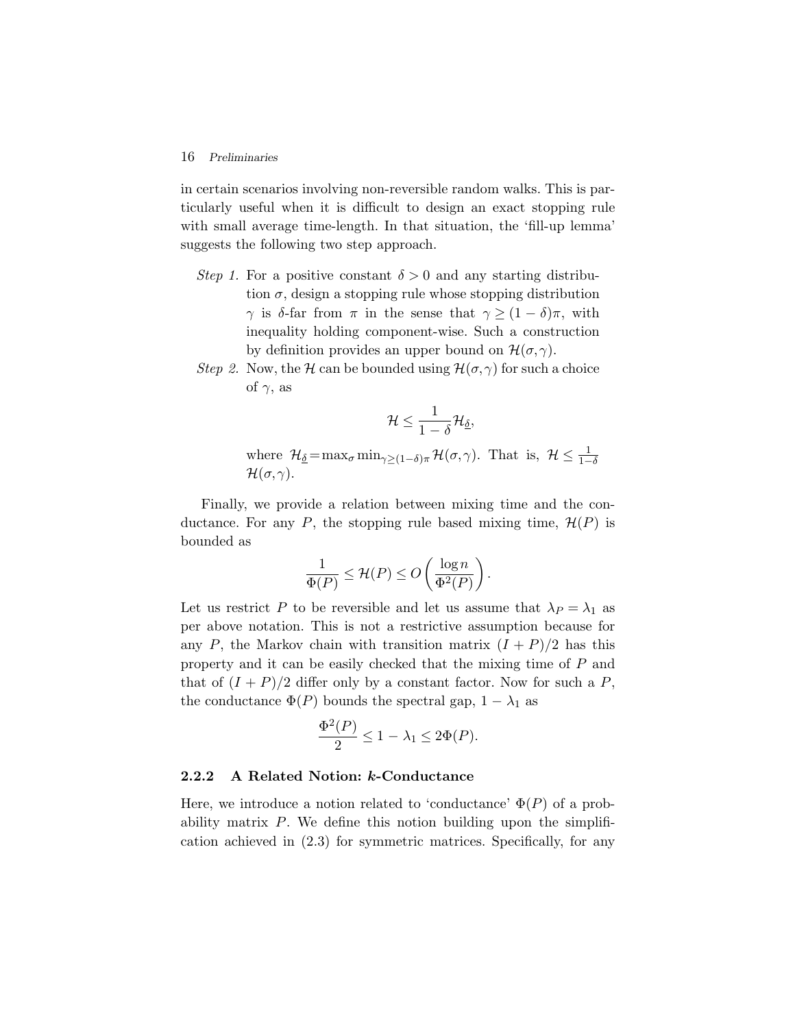#### 16 *Preliminaries*

in certain scenarios involving non-reversible random walks. This is particularly useful when it is difficult to design an exact stopping rule with small average time-length. In that situation, the 'fill-up lemma' suggests the following two step approach.

- *Step 1.* For a positive constant  $\delta > 0$  and any starting distribution  $\sigma$ , design a stopping rule whose stopping distribution  $γ$  is δ-far from π in the sense that  $γ ≥ (1 - δ)π$ , with inequality holding component-wise. Such a construction by definition provides an upper bound on  $\mathcal{H}(\sigma, \gamma)$ .
- *Step 2.* Now, the H can be bounded using  $\mathcal{H}(\sigma, \gamma)$  for such a choice of  $\gamma$ , as

$$
\mathcal{H} \leq \frac{1}{1-\delta} \mathcal{H}_{\underline{\delta}},
$$

where  $\mathcal{H}_{\underline{\delta}} = \max_{\sigma} \min_{\gamma \geq (1-\delta)\pi} \mathcal{H}(\sigma, \gamma)$ . That is,  $\mathcal{H} \leq \frac{1}{1-\delta}$  $\mathcal{H}(\sigma, \gamma)$ .

Finally, we provide a relation between mixing time and the conductance. For any P, the stopping rule based mixing time,  $\mathcal{H}(P)$  is bounded as

$$
\frac{1}{\Phi(P)} \le \mathcal{H}(P) \le O\left(\frac{\log n}{\Phi^2(P)}\right).
$$

Let us restrict P to be reversible and let us assume that  $\lambda_P = \lambda_1$  as per above notation. This is not a restrictive assumption because for any P, the Markov chain with transition matrix  $(I + P)/2$  has this property and it can be easily checked that the mixing time of P and that of  $(I + P)/2$  differ only by a constant factor. Now for such a P, the conductance  $\Phi(P)$  bounds the spectral gap,  $1 - \lambda_1$  as

$$
\frac{\Phi^2(P)}{2} \le 1 - \lambda_1 \le 2\Phi(P).
$$

#### **2.2.2 A Related Notion:** *k***-Conductance**

Here, we introduce a notion related to 'conductance'  $\Phi(P)$  of a probability matrix  $P$ . We define this notion building upon the simplification achieved in (2.3) for symmetric matrices. Specifically, for any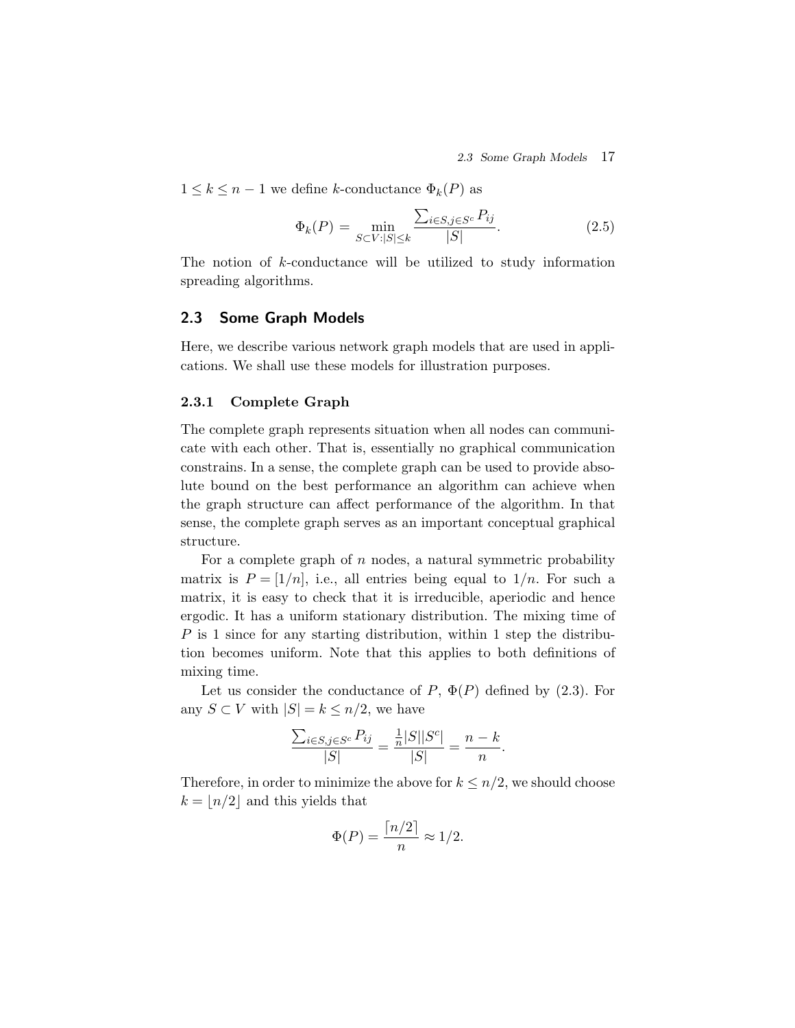*2.3 Some Graph Models* 17

 $1 \leq k \leq n-1$  we define k-conductance  $\Phi_k(P)$  as

$$
\Phi_k(P) = \min_{S \subset V : |S| \le k} \frac{\sum_{i \in S, j \in S^c} P_{ij}}{|S|}.
$$
\n(2.5)

The notion of k-conductance will be utilized to study information spreading algorithms.

#### **2.3 Some Graph Models**

Here, we describe various network graph models that are used in applications. We shall use these models for illustration purposes.

#### **2.3.1 Complete Graph**

The complete graph represents situation when all nodes can communicate with each other. That is, essentially no graphical communication constrains. In a sense, the complete graph can be used to provide absolute bound on the best performance an algorithm can achieve when the graph structure can affect performance of the algorithm. In that sense, the complete graph serves as an important conceptual graphical structure.

For a complete graph of  $n$  nodes, a natural symmetric probability matrix is  $P = \frac{1}{n}$ , i.e., all entries being equal to  $\frac{1}{n}$ . For such a matrix, it is easy to check that it is irreducible, aperiodic and hence ergodic. It has a uniform stationary distribution. The mixing time of  $P$  is 1 since for any starting distribution, within 1 step the distribution becomes uniform. Note that this applies to both definitions of mixing time.

Let us consider the conductance of  $P, \Phi(P)$  defined by  $(2.3)$ . For any  $S \subset V$  with  $|S| = k \leq n/2$ , we have

$$
\frac{\sum_{i \in S, j \in S^c} P_{ij}}{|S|} = \frac{\frac{1}{n}|S||S^c|}{|S|} = \frac{n-k}{n}.
$$

Therefore, in order to minimize the above for  $k \leq n/2$ , we should choose  $k = |n/2|$  and this yields that

$$
\Phi(P) = \frac{\lceil n/2 \rceil}{n} \approx 1/2.
$$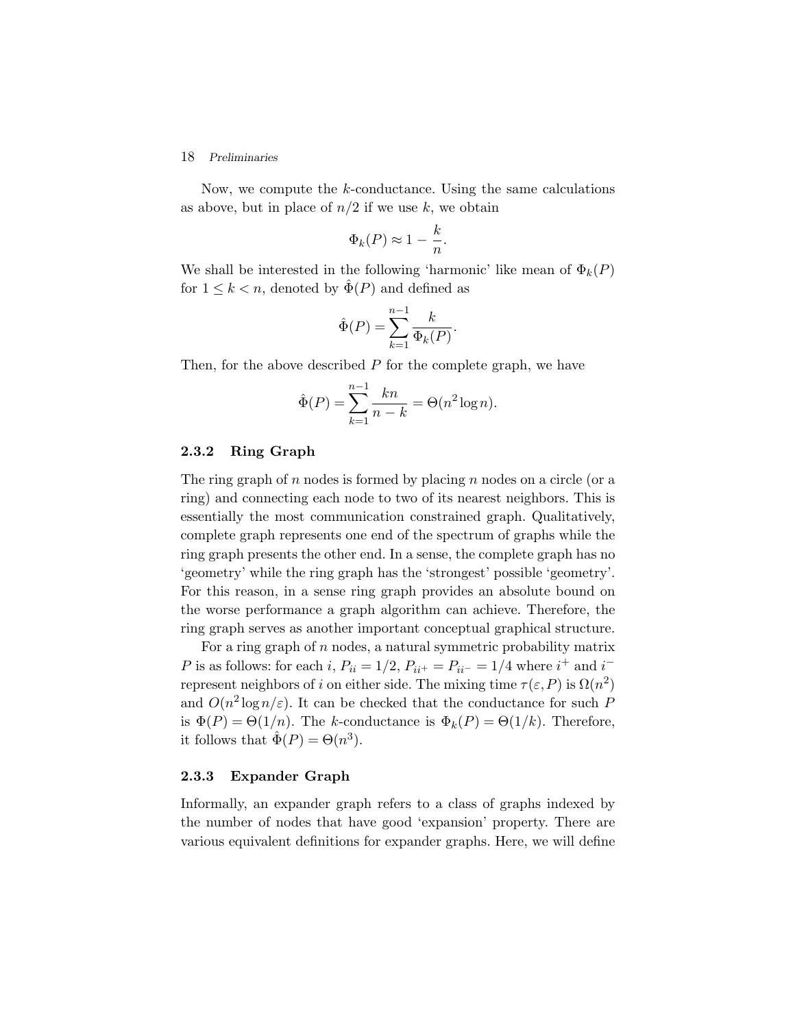#### 18 *Preliminaries*

Now, we compute the k-conductance. Using the same calculations as above, but in place of  $n/2$  if we use k, we obtain

$$
\Phi_k(P) \approx 1 - \frac{k}{n}.
$$

We shall be interested in the following 'harmonic' like mean of  $\Phi_k(P)$ for  $1 \leq k < n$ , denoted by  $\hat{\Phi}(P)$  and defined as

$$
\hat{\Phi}(P) = \sum_{k=1}^{n-1} \frac{k}{\Phi_k(P)}.
$$

Then, for the above described  $P$  for the complete graph, we have

$$
\hat{\Phi}(P) = \sum_{k=1}^{n-1} \frac{kn}{n-k} = \Theta(n^2 \log n).
$$

#### **2.3.2 Ring Graph**

The ring graph of n nodes is formed by placing n nodes on a circle (or a ring) and connecting each node to two of its nearest neighbors. This is essentially the most communication constrained graph. Qualitatively, complete graph represents one end of the spectrum of graphs while the ring graph presents the other end. In a sense, the complete graph has no 'geometry' while the ring graph has the 'strongest' possible 'geometry'. For this reason, in a sense ring graph provides an absolute bound on the worse performance a graph algorithm can achieve. Therefore, the ring graph serves as another important conceptual graphical structure.

For a ring graph of  $n$  nodes, a natural symmetric probability matrix P is as follows: for each i,  $P_{ii} = 1/2$ ,  $P_{ii^+} = P_{ii^-} = 1/4$  where  $i^+$  and  $i^$ represent neighbors of i on either side. The mixing time  $\tau(\varepsilon, P)$  is  $\Omega(n^2)$ and  $O(n^2 \log n/\varepsilon)$ . It can be checked that the conductance for such P is  $\Phi(P) = \Theta(1/n)$ . The k-conductance is  $\Phi_k(P) = \Theta(1/k)$ . Therefore, it follows that  $\tilde{\Phi}(P) = \Theta(n^3)$ .

#### **2.3.3 Expander Graph**

Informally, an expander graph refers to a class of graphs indexed by the number of nodes that have good 'expansion' property. There are various equivalent definitions for expander graphs. Here, we will define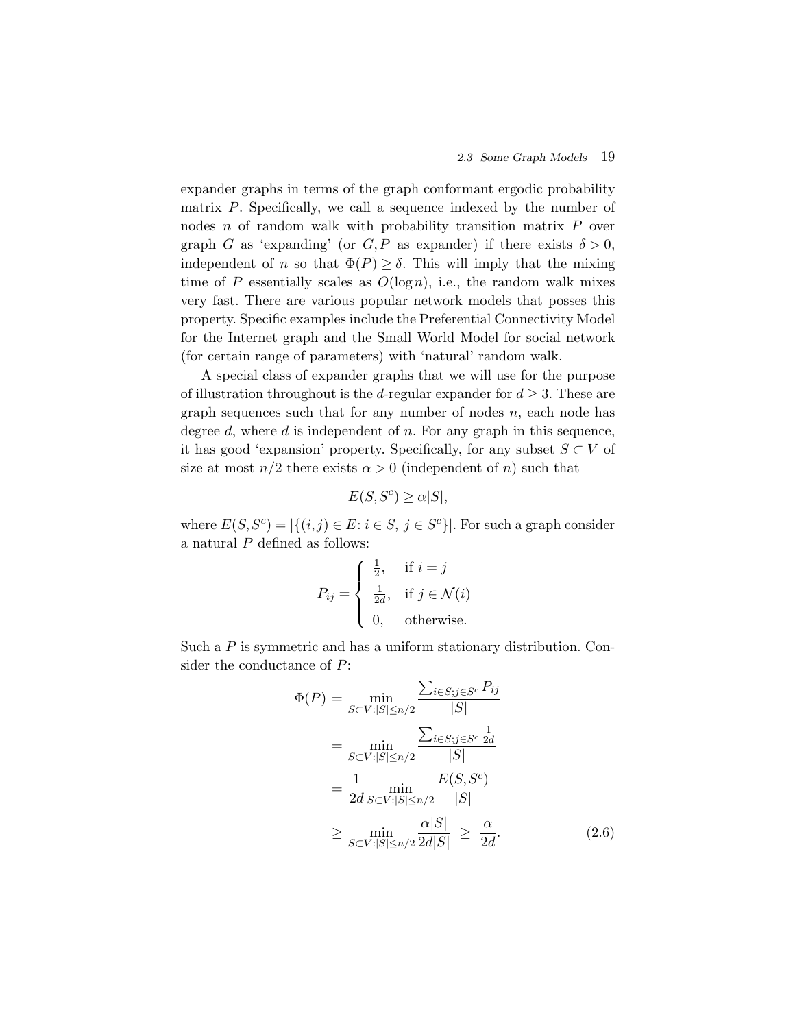expander graphs in terms of the graph conformant ergodic probability matrix  $P$ . Specifically, we call a sequence indexed by the number of nodes *n* of random walk with probability transition matrix *P* over graph G as 'expanding' (or  $G, P$  as expander) if there exists  $\delta > 0$ , independent of n so that  $\Phi(P) \geq \delta$ . This will imply that the mixing time of P essentially scales as  $O(\log n)$ , i.e., the random walk mixes very fast. There are various popular network models that posses this property. Specific examples include the Preferential Connectivity Model for the Internet graph and the Small World Model for social network (for certain range of parameters) with 'natural' random walk.

A special class of expander graphs that we will use for the purpose of illustration throughout is the d-regular expander for  $d \geq 3$ . These are graph sequences such that for any number of nodes  $n$ , each node has degree d, where d is independent of n. For any graph in this sequence, it has good 'expansion' property. Specifically, for any subset  $S \subset V$  of size at most  $n/2$  there exists  $\alpha > 0$  (independent of n) such that

$$
E(S, S^c) \ge \alpha |S|,
$$

where  $E(S, S^c) = |\{(i, j) \in E : i \in S, j \in S^c\}|$ . For such a graph consider a natural  $P$  defined as follows:

$$
P_{ij} = \begin{cases} \frac{1}{2}, & \text{if } i = j \\ \frac{1}{2d}, & \text{if } j \in \mathcal{N}(i) \\ 0, & \text{otherwise.} \end{cases}
$$

Such a P is symmetric and has a uniform stationary distribution. Consider the conductance of P:

$$
\Phi(P) = \min_{S \subset V: |S| \le n/2} \frac{\sum_{i \in S; j \in S^c} P_{ij}}{|S|}
$$
  
\n
$$
= \min_{S \subset V: |S| \le n/2} \frac{\sum_{i \in S; j \in S^c} \frac{1}{2d}}{|S|}
$$
  
\n
$$
= \frac{1}{2d} \min_{S \subset V: |S| \le n/2} \frac{E(S, S^c)}{|S|}
$$
  
\n
$$
\ge \min_{S \subset V: |S| \le n/2} \frac{\alpha|S|}{2d|S|} \ge \frac{\alpha}{2d}.
$$
 (2.6)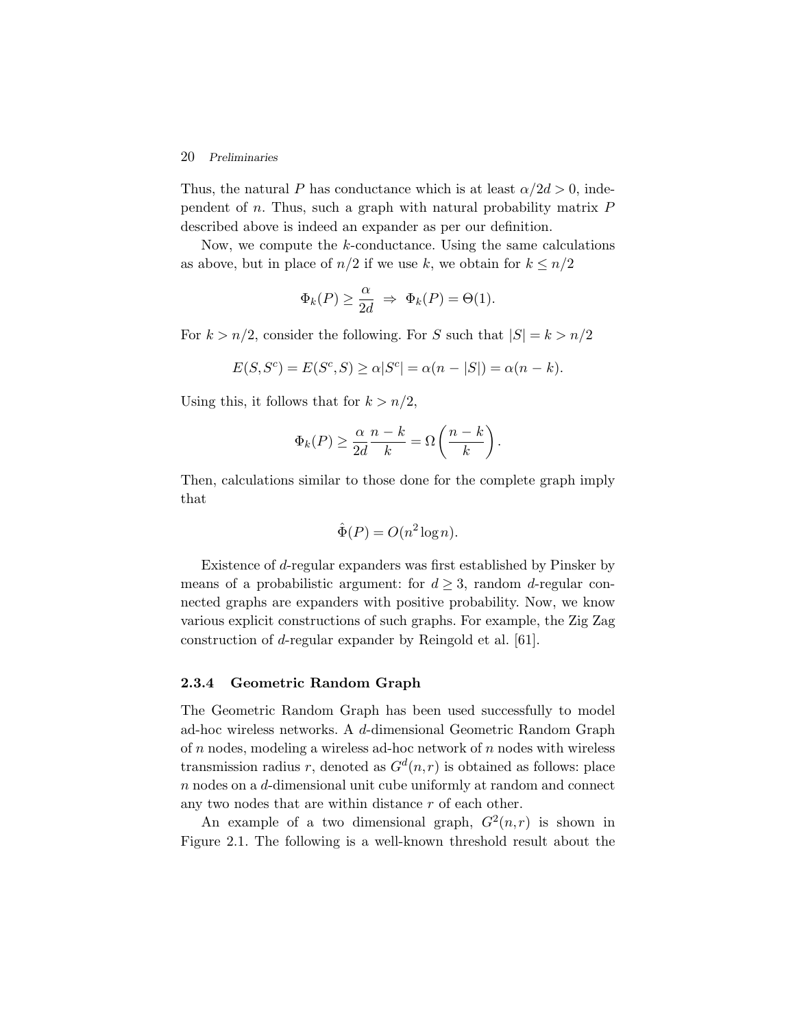#### 20 *Preliminaries*

Thus, the natural P has conductance which is at least  $\alpha/2d > 0$ , independent of  $n$ . Thus, such a graph with natural probability matrix  $P$ described above is indeed an expander as per our definition.

Now, we compute the k-conductance. Using the same calculations as above, but in place of  $n/2$  if we use k, we obtain for  $k \leq n/2$ 

$$
\Phi_k(P) \ge \frac{\alpha}{2d} \ \Rightarrow \ \Phi_k(P) = \Theta(1).
$$

For  $k > n/2$ , consider the following. For S such that  $|S| = k > n/2$ 

$$
E(S, Sc) = E(Sc, S) \ge \alpha |Sc| = \alpha (n - |S|) = \alpha (n - k).
$$

Using this, it follows that for  $k > n/2$ ,

$$
\Phi_k(P) \ge \frac{\alpha}{2d} \frac{n-k}{k} = \Omega\left(\frac{n-k}{k}\right).
$$

Then, calculations similar to those done for the complete graph imply that

$$
\hat{\Phi}(P) = O(n^2 \log n).
$$

Existence of d-regular expanders was first established by Pinsker by means of a probabilistic argument: for  $d \geq 3$ , random d-regular connected graphs are expanders with positive probability. Now, we know various explicit constructions of such graphs. For example, the Zig Zag construction of d-regular expander by Reingold et al. [61].

#### **2.3.4 Geometric Random Graph**

The Geometric Random Graph has been used successfully to model ad-hoc wireless networks. A d-dimensional Geometric Random Graph of  $n$  nodes, modeling a wireless ad-hoc network of  $n$  nodes with wireless transmission radius r, denoted as  $G^d(n,r)$  is obtained as follows: place  $n$  nodes on a  $d$ -dimensional unit cube uniformly at random and connect any two nodes that are within distance r of each other.

An example of a two dimensional graph,  $G^2(n,r)$  is shown in Figure 2.1. The following is a well-known threshold result about the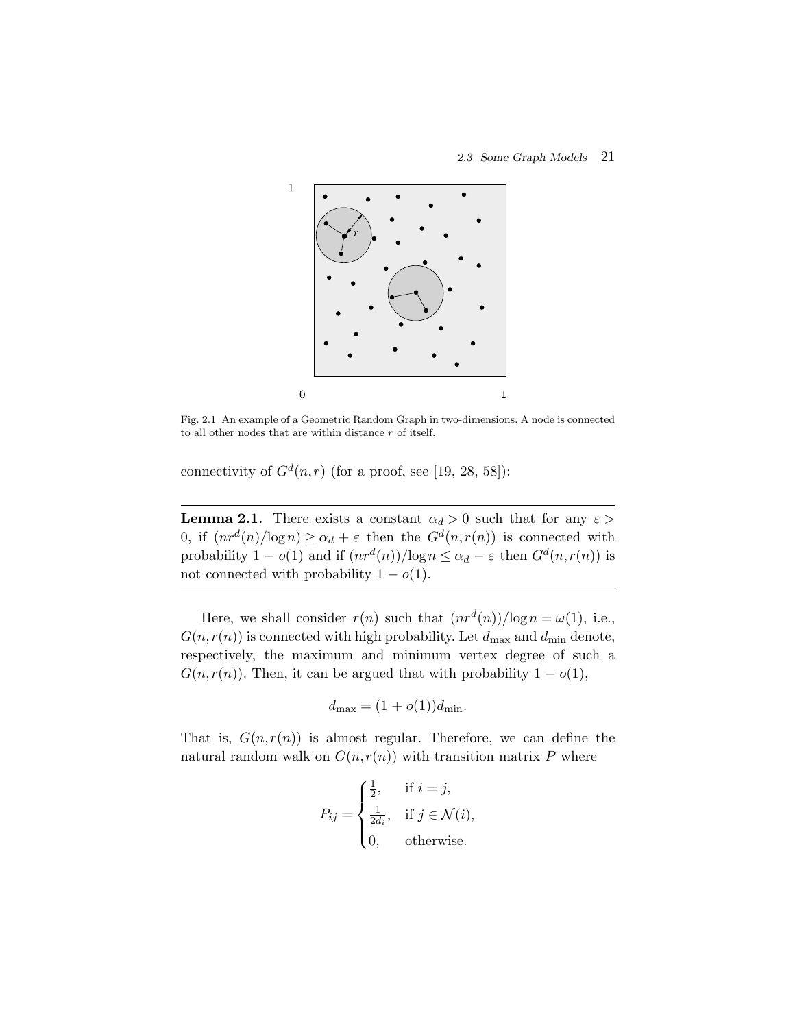

Fig. 2.1 An example of a Geometric Random Graph in two-dimensions. A node is connected to all other nodes that are within distance r of itself.

connectivity of  $G^d(n,r)$  (for a proof, see [19, 28, 58]):

**Lemma 2.1.** There exists a constant  $\alpha_d > 0$  such that for any  $\varepsilon > 0$ 0, if  $(nr^d(n)/\log n) \geq \alpha_d + \varepsilon$  then the  $G^d(n,r(n))$  is connected with probability  $1 - o(1)$  and if  $(nr^d(n)) / \log n \leq \alpha_d - \varepsilon$  then  $G^d(n, r(n))$  is not connected with probability  $1 - o(1)$ .

Here, we shall consider  $r(n)$  such that  $(nr^d(n))/\log n = \omega(1)$ , i.e.,  $G(n,r(n))$  is connected with high probability. Let  $d_{\text{max}}$  and  $d_{\text{min}}$  denote, respectively, the maximum and minimum vertex degree of such a  $G(n,r(n))$ . Then, it can be argued that with probability  $1 - o(1)$ ,

$$
d_{\max} = (1 + o(1))d_{\min}.
$$

That is,  $G(n,r(n))$  is almost regular. Therefore, we can define the natural random walk on  $G(n,r(n))$  with transition matrix P where

$$
P_{ij} = \begin{cases} \frac{1}{2}, & \text{if } i = j, \\ \frac{1}{2d_i}, & \text{if } j \in \mathcal{N}(i), \\ 0, & \text{otherwise.} \end{cases}
$$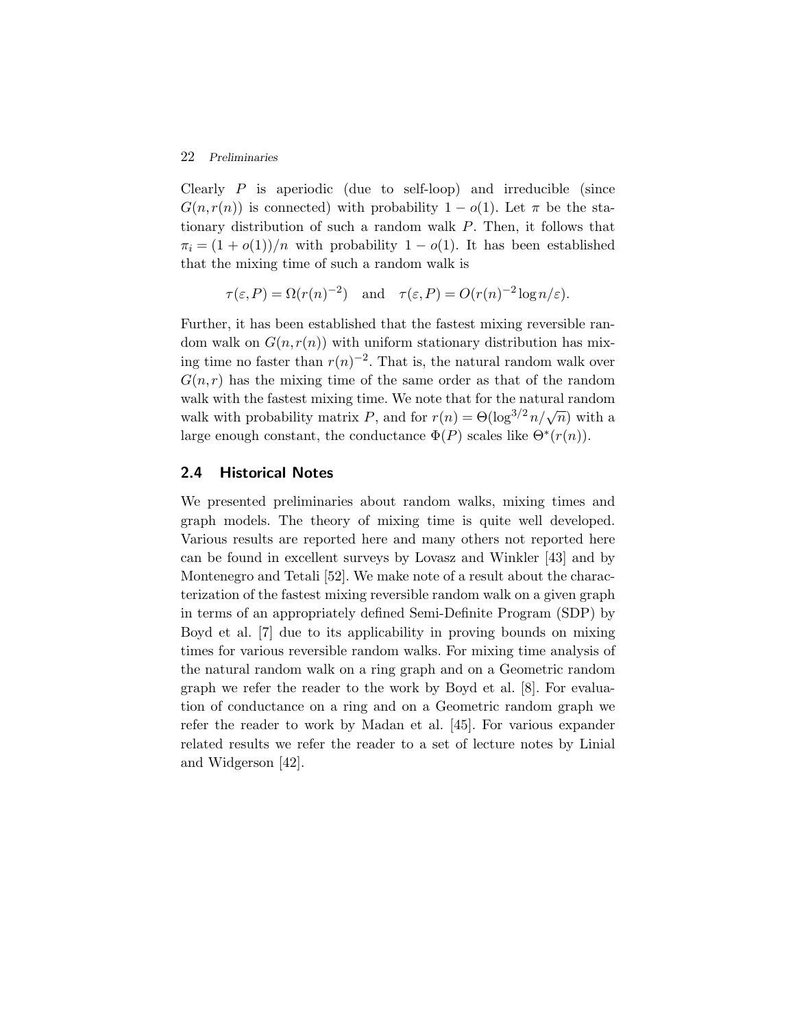#### 22 *Preliminaries*

Clearly  $P$  is aperiodic (due to self-loop) and irreducible (since  $G(n,r(n))$  is connected) with probability  $1-o(1)$ . Let  $\pi$  be the stationary distribution of such a random walk P. Then, it follows that  $\pi_i = (1 + o(1))/n$  with probability  $1 - o(1)$ . It has been established that the mixing time of such a random walk is

$$
\tau(\varepsilon, P) = \Omega(r(n)^{-2})
$$
 and  $\tau(\varepsilon, P) = O(r(n)^{-2} \log n/\varepsilon).$ 

Further, it has been established that the fastest mixing reversible random walk on  $G(n,r(n))$  with uniform stationary distribution has mixing time no faster than  $r(n)^{-2}$ . That is, the natural random walk over  $G(n,r)$  has the mixing time of the same order as that of the random walk with the fastest mixing time. We note that for the natural random walk with probability matrix P, and for  $r(n) = \Theta(\log^{3/2} n/\sqrt{n})$  with a large enough constant, the conductance  $\Phi(P)$  scales like  $\Theta^*(r(n))$ .

#### **2.4 Historical Notes**

We presented preliminaries about random walks, mixing times and graph models. The theory of mixing time is quite well developed. Various results are reported here and many others not reported here can be found in excellent surveys by Lovasz and Winkler [43] and by Montenegro and Tetali [52]. We make note of a result about the characterization of the fastest mixing reversible random walk on a given graph in terms of an appropriately defined Semi-Definite Program (SDP) by Boyd et al. [7] due to its applicability in proving bounds on mixing times for various reversible random walks. For mixing time analysis of the natural random walk on a ring graph and on a Geometric random graph we refer the reader to the work by Boyd et al. [8]. For evaluation of conductance on a ring and on a Geometric random graph we refer the reader to work by Madan et al. [45]. For various expander related results we refer the reader to a set of lecture notes by Linial and Widgerson [42].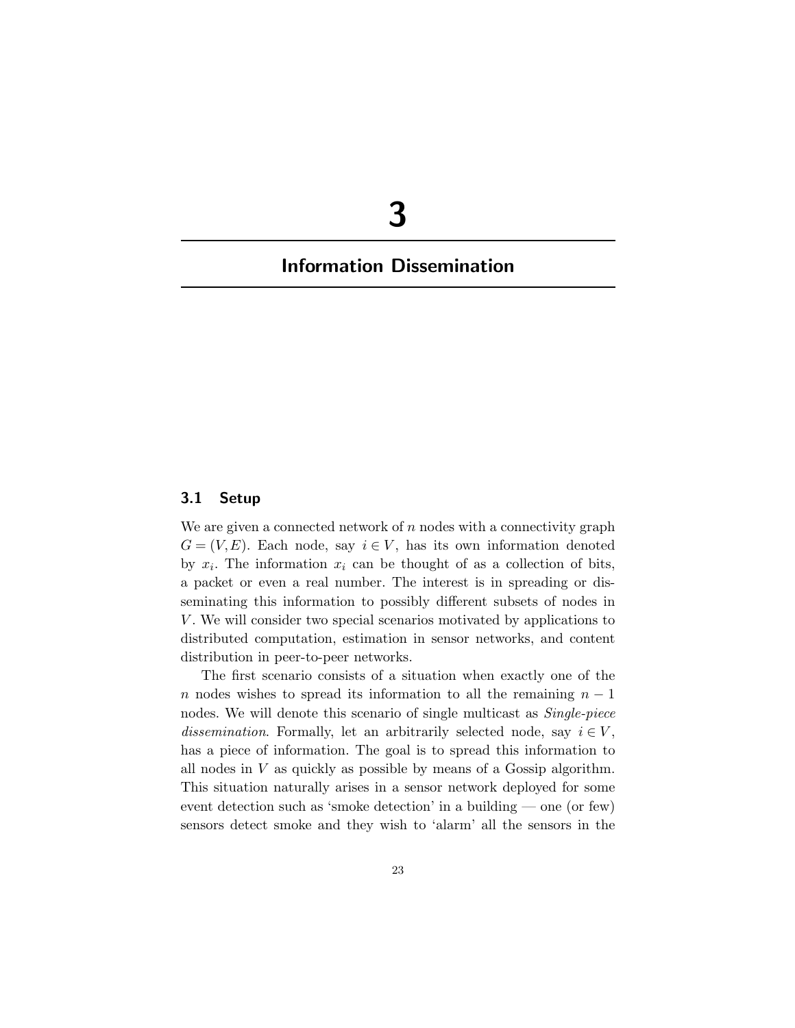# **3**

## **Information Dissemination**

#### **3.1 Setup**

We are given a connected network of  $n$  nodes with a connectivity graph  $G = (V, E)$ . Each node, say  $i \in V$ , has its own information denoted by  $x_i$ . The information  $x_i$  can be thought of as a collection of bits, a packet or even a real number. The interest is in spreading or disseminating this information to possibly different subsets of nodes in V. We will consider two special scenarios motivated by applications to distributed computation, estimation in sensor networks, and content distribution in peer-to-peer networks.

The first scenario consists of a situation when exactly one of the n nodes wishes to spread its information to all the remaining  $n-1$ nodes. We will denote this scenario of single multicast as *Single-piece dissemination*. Formally, let an arbitrarily selected node, say  $i \in V$ , has a piece of information. The goal is to spread this information to all nodes in  $V$  as quickly as possible by means of a Gossip algorithm. This situation naturally arises in a sensor network deployed for some event detection such as 'smoke detection' in a building — one (or few) sensors detect smoke and they wish to 'alarm' all the sensors in the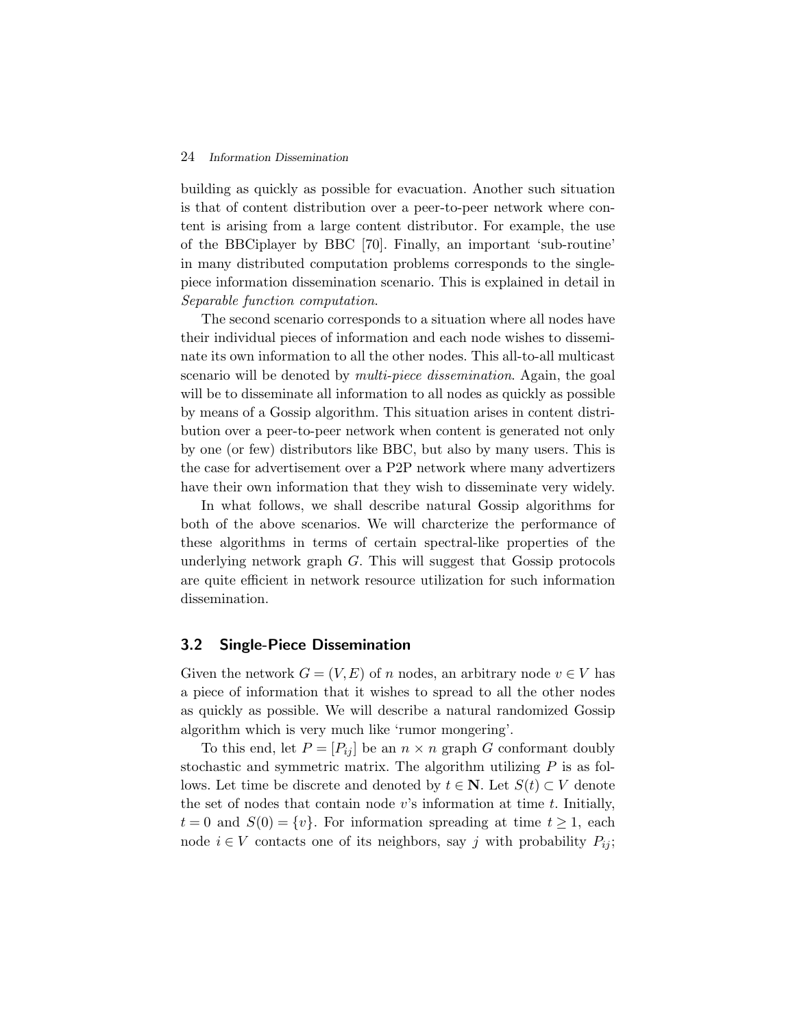#### 24 *Information Dissemination*

building as quickly as possible for evacuation. Another such situation is that of content distribution over a peer-to-peer network where content is arising from a large content distributor. For example, the use of the BBCiplayer by BBC [70]. Finally, an important 'sub-routine' in many distributed computation problems corresponds to the singlepiece information dissemination scenario. This is explained in detail in *Separable function computation*.

The second scenario corresponds to a situation where all nodes have their individual pieces of information and each node wishes to disseminate its own information to all the other nodes. This all-to-all multicast scenario will be denoted by *multi-piece dissemination*. Again, the goal will be to disseminate all information to all nodes as quickly as possible by means of a Gossip algorithm. This situation arises in content distribution over a peer-to-peer network when content is generated not only by one (or few) distributors like BBC, but also by many users. This is the case for advertisement over a P2P network where many advertizers have their own information that they wish to disseminate very widely.

In what follows, we shall describe natural Gossip algorithms for both of the above scenarios. We will charcterize the performance of these algorithms in terms of certain spectral-like properties of the underlying network graph  $G$ . This will suggest that Gossip protocols are quite efficient in network resource utilization for such information dissemination.

#### **3.2 Single-Piece Dissemination**

Given the network  $G = (V, E)$  of n nodes, an arbitrary node  $v \in V$  has a piece of information that it wishes to spread to all the other nodes as quickly as possible. We will describe a natural randomized Gossip algorithm which is very much like 'rumor mongering'.

To this end, let  $P = [P_{ij}]$  be an  $n \times n$  graph G conformant doubly stochastic and symmetric matrix. The algorithm utilizing  $P$  is as follows. Let time be discrete and denoted by  $t \in \mathbb{N}$ . Let  $S(t) \subset V$  denote the set of nodes that contain node  $v$ 's information at time  $t$ . Initially,  $t = 0$  and  $S(0) = \{v\}$ . For information spreading at time  $t \geq 1$ , each node  $i ∈ V$  contacts one of its neighbors, say j with probability  $P_{ij}$ ;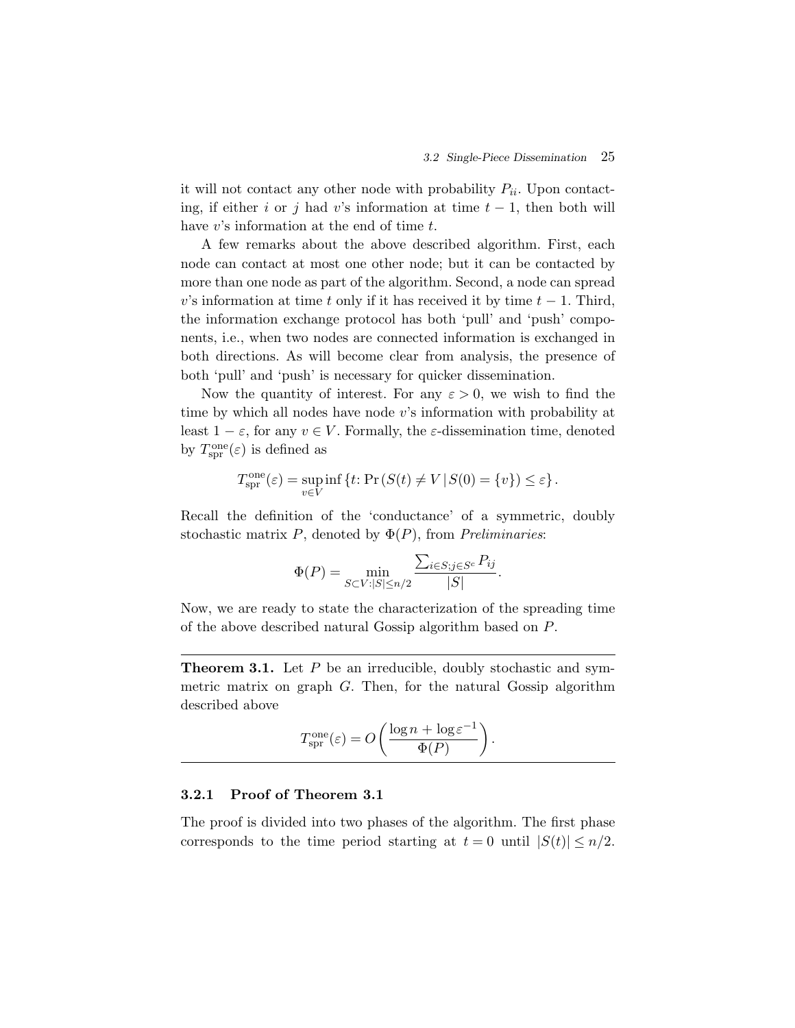it will not contact any other node with probability  $P_{ii}$ . Upon contacting, if either i or j had v's information at time  $t-1$ , then both will have  $v$ 's information at the end of time  $t$ .

A few remarks about the above described algorithm. First, each node can contact at most one other node; but it can be contacted by more than one node as part of the algorithm. Second, a node can spread v's information at time t only if it has received it by time  $t-1$ . Third, the information exchange protocol has both 'pull' and 'push' components, i.e., when two nodes are connected information is exchanged in both directions. As will become clear from analysis, the presence of both 'pull' and 'push' is necessary for quicker dissemination.

Now the quantity of interest. For any  $\varepsilon > 0$ , we wish to find the time by which all nodes have node v's information with probability at least  $1 - \varepsilon$ , for any  $v \in V$ . Formally, the  $\varepsilon$ -dissemination time, denoted by  $T_{\rm spr}^{\rm one}(\varepsilon)$  is defined as

$$
T_{\text{spr}}^{\text{one}}(\varepsilon) = \sup_{v \in V} \inf \left\{ t \colon \Pr\left( S(t) \neq V \, | \, S(0) = \{v\} \right) \leq \varepsilon \right\}.
$$

Recall the definition of the 'conductance' of a symmetric, doubly stochastic matrix P, denoted by Φ(P), from *Preliminaries*:

$$
\Phi(P) = \min_{S \subset V : |S| \le n/2} \frac{\sum_{i \in S; j \in S^c} P_{ij}}{|S|}.
$$

Now, we are ready to state the characterization of the spreading time of the above described natural Gossip algorithm based on P.

**Theorem 3.1.** Let P be an irreducible, doubly stochastic and symmetric matrix on graph G. Then, for the natural Gossip algorithm described above

$$
T_{\text{spr}}^{\text{one}}(\varepsilon) = O\left(\frac{\log n + \log \varepsilon^{-1}}{\Phi(P)}\right).
$$

#### **3.2.1 Proof of Theorem 3.1**

The proof is divided into two phases of the algorithm. The first phase corresponds to the time period starting at  $t = 0$  until  $|S(t)| \leq n/2$ .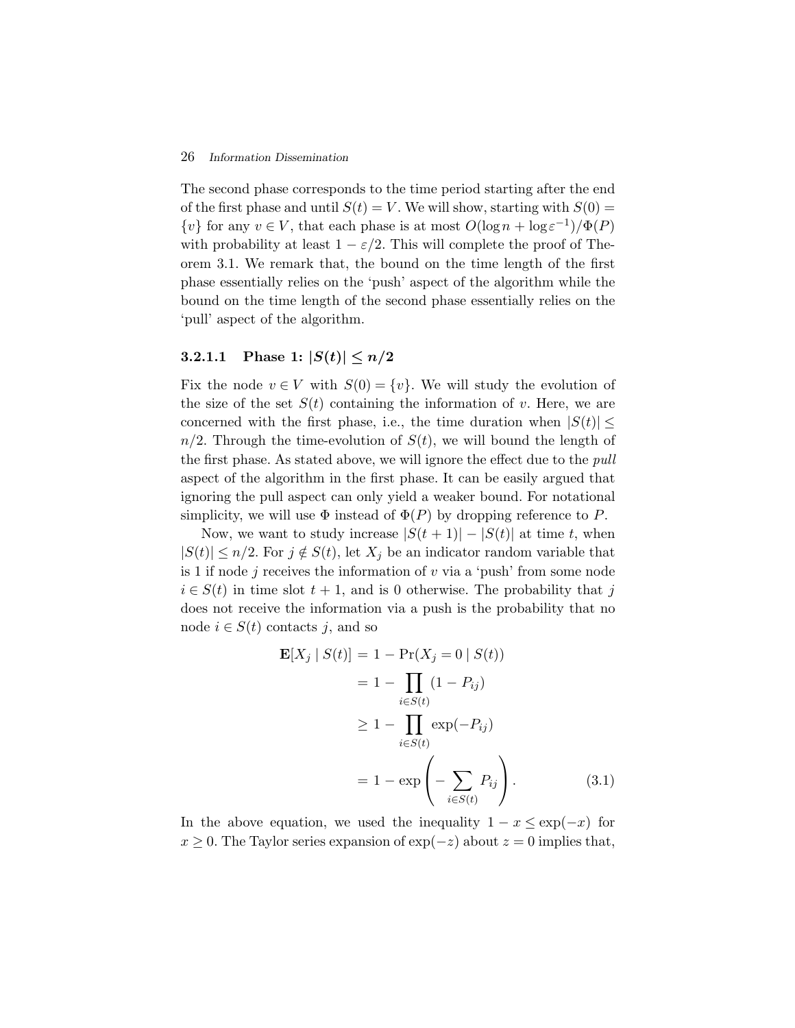#### 26 *Information Dissemination*

The second phase corresponds to the time period starting after the end of the first phase and until  $S(t) = V$ . We will show, starting with  $S(0) =$  $\{v\}$  for any  $v \in V$ , that each phase is at most  $O(\log n + \log \varepsilon^{-1})/\Phi(P)$ with probability at least  $1 - \varepsilon/2$ . This will complete the proof of Theorem 3.1. We remark that, the bound on the time length of the first phase essentially relies on the 'push' aspect of the algorithm while the bound on the time length of the second phase essentially relies on the 'pull' aspect of the algorithm.

### **3.2.1.1** Phase 1:  $|S(t)| \leq n/2$

Fix the node  $v \in V$  with  $S(0) = \{v\}$ . We will study the evolution of the size of the set  $S(t)$  containing the information of v. Here, we are concerned with the first phase, i.e., the time duration when  $|S(t)| \leq$  $n/2$ . Through the time-evolution of  $S(t)$ , we will bound the length of the first phase. As stated above, we will ignore the effect due to the *pull* aspect of the algorithm in the first phase. It can be easily argued that ignoring the pull aspect can only yield a weaker bound. For notational simplicity, we will use  $\Phi$  instead of  $\Phi(P)$  by dropping reference to P.

Now, we want to study increase  $|S(t + 1)| - |S(t)|$  at time t, when  $|S(t)| \leq n/2$ . For  $j \notin S(t)$ , let  $X_j$  be an indicator random variable that is 1 if node  $j$  receives the information of  $v$  via a 'push' from some node  $i \in S(t)$  in time slot  $t + 1$ , and is 0 otherwise. The probability that j does not receive the information via a push is the probability that no node  $i \in S(t)$  contacts j, and so

$$
\mathbf{E}[X_j | S(t)] = 1 - \Pr(X_j = 0 | S(t))
$$
  
\n
$$
= 1 - \prod_{i \in S(t)} (1 - P_{ij})
$$
  
\n
$$
\ge 1 - \prod_{i \in S(t)} \exp(-P_{ij})
$$
  
\n
$$
= 1 - \exp\left(-\sum_{i \in S(t)} P_{ij}\right).
$$
 (3.1)

In the above equation, we used the inequality  $1 - x \le \exp(-x)$  for  $x \geq 0$ . The Taylor series expansion of exp( $-z$ ) about  $z = 0$  implies that,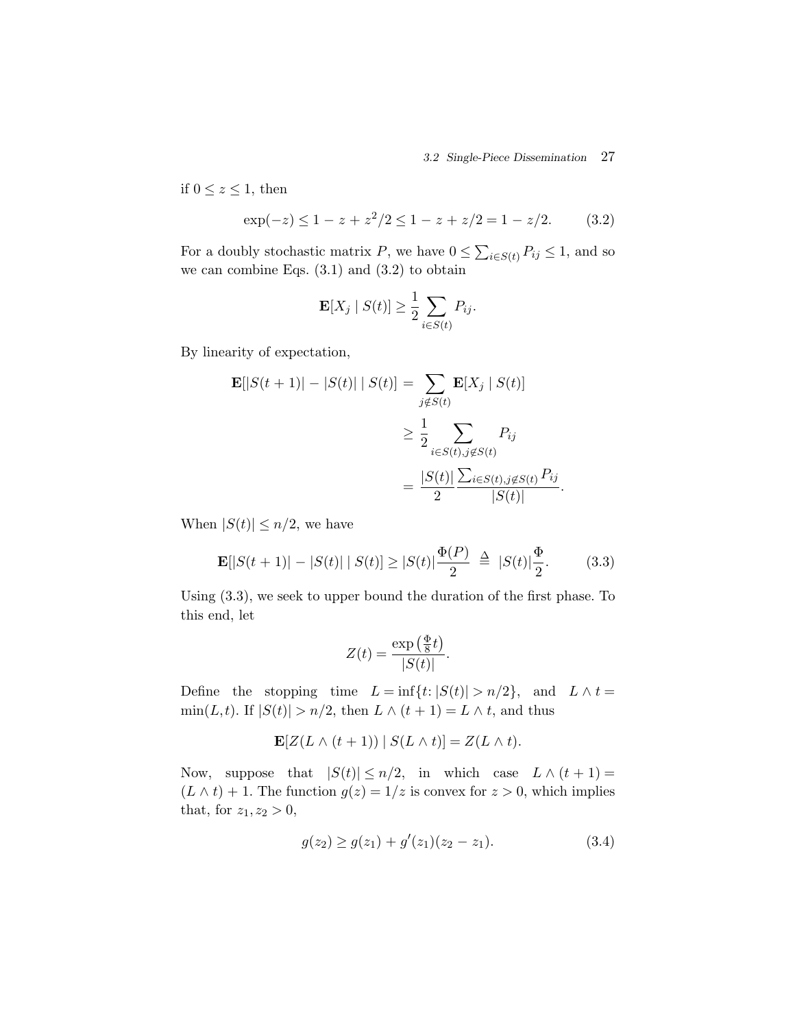*3.2 Single-Piece Dissemination* 27

if  $0 \leq z \leq 1$ , then

$$
\exp(-z) \le 1 - z + z^2/2 \le 1 - z + z/2 = 1 - z/2. \tag{3.2}
$$

For a doubly stochastic matrix P, we have  $0 \le \sum_{i \in S(t)} P_{ij} \le 1$ , and so we can combine Eqs.  $(3.1)$  and  $(3.2)$  to obtain

$$
\mathbf{E}[X_j \mid S(t)] \ge \frac{1}{2} \sum_{i \in S(t)} P_{ij}.
$$

By linearity of expectation,

$$
\mathbf{E}[|S(t+1)| - |S(t)| | S(t)] = \sum_{j \notin S(t)} \mathbf{E}[X_j | S(t)]
$$
  
\n
$$
\geq \frac{1}{2} \sum_{i \in S(t), j \notin S(t)} P_{ij}
$$
  
\n
$$
= \frac{|S(t)|}{2} \frac{\sum_{i \in S(t), j \notin S(t)} P_{ij}}{|S(t)|}.
$$

When  $|S(t)| \leq n/2$ , we have

$$
\mathbf{E}[|S(t+1)| - |S(t)| | S(t)] \ge |S(t)| \frac{\Phi(P)}{2} \triangleq |S(t)| \frac{\Phi}{2}.
$$
 (3.3)

Using (3.3), we seek to upper bound the duration of the first phase. To this end, let

$$
Z(t) = \frac{\exp\left(\frac{\Phi}{8}t\right)}{|S(t)|}.
$$

Define the stopping time  $L = \inf\{t: |S(t)| > n/2\}$ , and  $L \wedge t =$  $\min(L, t)$ . If  $|S(t)| > n/2$ , then  $L \wedge (t + 1) = L \wedge t$ , and thus

$$
\mathbf{E}[Z(L \wedge (t+1)) | S(L \wedge t)] = Z(L \wedge t).
$$

Now, suppose that  $|S(t)| \le n/2$ , in which case  $L \wedge (t+1) =$  $(L \wedge t) + 1$ . The function  $g(z) = 1/z$  is convex for  $z > 0$ , which implies that, for  $z_1, z_2 > 0$ ,

$$
g(z_2) \ge g(z_1) + g'(z_1)(z_2 - z_1). \tag{3.4}
$$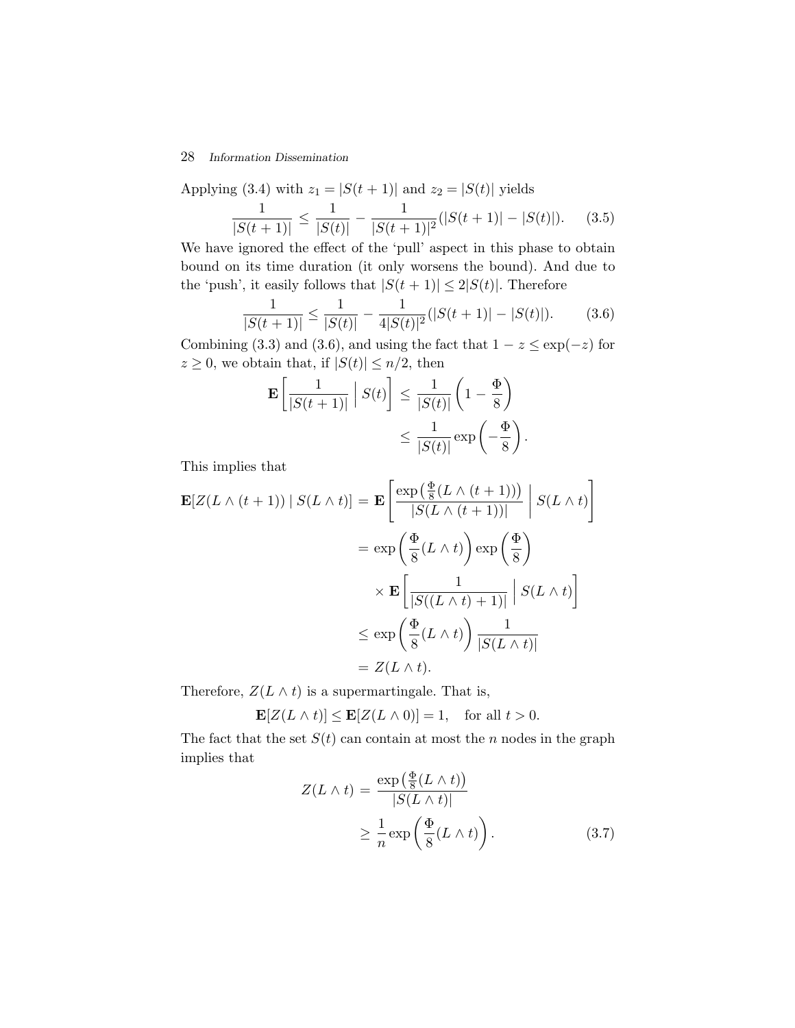#### 28 *Information Dissemination*

Applying (3.4) with  $z_1 = |S(t + 1)|$  and  $z_2 = |S(t)|$  yields  $\frac{1}{|S(t+1)|} \leq \frac{1}{|S(t+1)|}$  $\frac{1}{|S(t)|} - \frac{1}{|S(t+1)|^2}(|S(t+1)| - |S(t)|).$  (3.5)

We have ignored the effect of the 'pull' aspect in this phase to obtain bound on its time duration (it only worsens the bound). And due to the 'push', it easily follows that  $|S(t + 1)| \leq 2|S(t)|$ . Therefore

$$
\frac{1}{|S(t+1)|} \le \frac{1}{|S(t)|} - \frac{1}{4|S(t)|^2} (|S(t+1)| - |S(t)|). \tag{3.6}
$$

Combining (3.3) and (3.6), and using the fact that  $1 - z \le \exp(-z)$  for  $z \geq 0$ , we obtain that, if  $|S(t)| \leq n/2$ , then

$$
\mathbf{E}\left[\frac{1}{|S(t+1)|}\middle|S(t)\right] \le \frac{1}{|S(t)|}\left(1-\frac{\Phi}{8}\right)
$$

$$
\le \frac{1}{|S(t)|}\exp\left(-\frac{\Phi}{8}\right).
$$

This implies that

$$
\mathbf{E}[Z(L \wedge (t+1)) | S(L \wedge t)] = \mathbf{E}\left[\frac{\exp(\frac{\Phi}{8}(L \wedge (t+1)))}{|S(L \wedge (t+1))|}\middle| S(L \wedge t)\right]
$$

$$
= \exp\left(\frac{\Phi}{8}(L \wedge t)\right) \exp\left(\frac{\Phi}{8}\right)
$$

$$
\times \mathbf{E}\left[\frac{1}{|S((L \wedge t)+1)|}\middle| S(L \wedge t)\right]
$$

$$
\leq \exp\left(\frac{\Phi}{8}(L \wedge t)\right) \frac{1}{|S(L \wedge t)|}
$$

$$
= Z(L \wedge t).
$$

Therefore,  $Z(L \wedge t)$  is a supermartingale. That is,

$$
\mathbf{E}[Z(L \wedge t)] \le \mathbf{E}[Z(L \wedge 0)] = 1, \text{ for all } t > 0.
$$

The fact that the set  $S(t)$  can contain at most the n nodes in the graph implies that

$$
Z(L \wedge t) = \frac{\exp\left(\frac{\Phi}{8}(L \wedge t)\right)}{|S(L \wedge t)|} \ge \frac{1}{n} \exp\left(\frac{\Phi}{8}(L \wedge t)\right).
$$
 (3.7)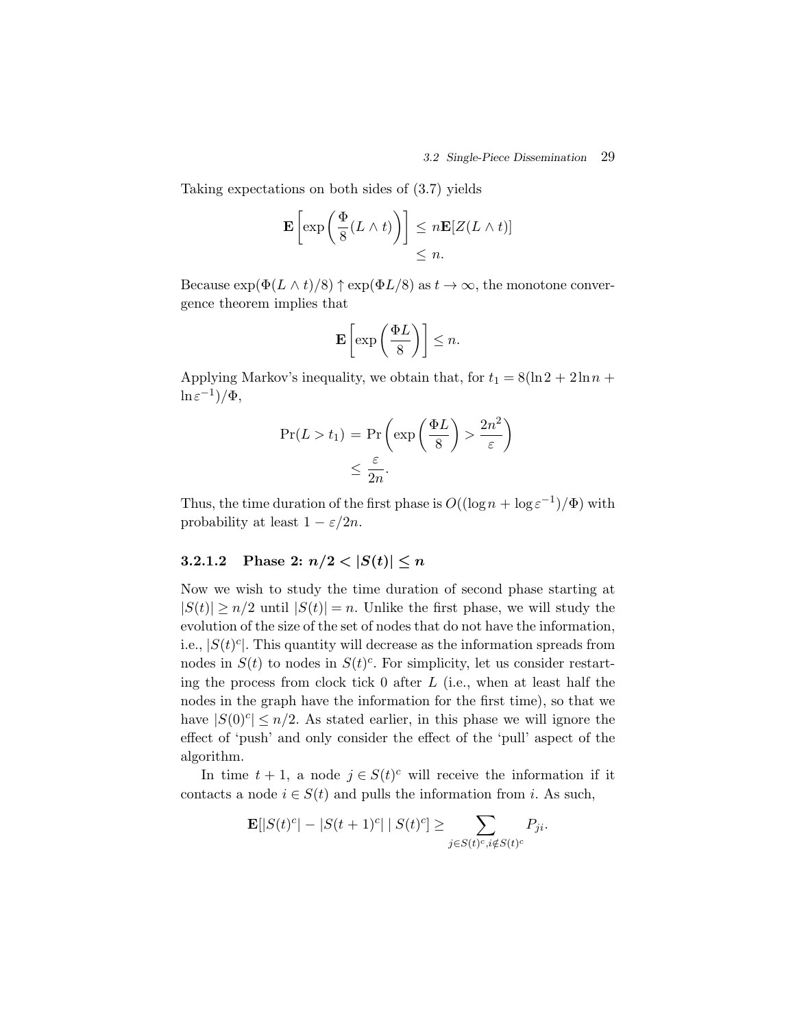Taking expectations on both sides of (3.7) yields

$$
\mathbf{E}\left[\exp\left(\frac{\Phi}{8}(L\wedge t)\right)\right] \leq n\mathbf{E}[Z(L\wedge t)]
$$
  
\$\leq n\$.

Because  $\exp(\Phi(L \wedge t)/8) \uparrow \exp(\Phi L/8)$  as  $t \to \infty$ , the monotone convergence theorem implies that

$$
\mathbf{E}\left[\exp\left(\frac{\Phi L}{8}\right)\right] \leq n.
$$

Applying Markov's inequality, we obtain that, for  $t_1 = 8(\ln 2 + 2\ln n +$  $\ln \varepsilon^{-1})/\Phi,$ 

$$
\Pr(L > t_1) = \Pr\left(\exp\left(\frac{\Phi L}{8}\right) > \frac{2n^2}{\varepsilon}\right) \le \frac{\varepsilon}{2n}.
$$

Thus, the time duration of the first phase is  $O((\log n + \log \varepsilon^{-1})/\Phi)$  with probability at least  $1 - \varepsilon/2n$ .

### **3.2.1.2** Phase 2:  $n/2 < |S(t)| \leq n$

Now we wish to study the time duration of second phase starting at  $|S(t)| \ge n/2$  until  $|S(t)| = n$ . Unlike the first phase, we will study the evolution of the size of the set of nodes that do not have the information, i.e.,  $|S(t)^c|$ . This quantity will decrease as the information spreads from nodes in  $S(t)$  to nodes in  $S(t)^c$ . For simplicity, let us consider restarting the process from clock tick  $0$  after  $L$  (i.e., when at least half the nodes in the graph have the information for the first time), so that we have  $|S(0)^c| \leq n/2$ . As stated earlier, in this phase we will ignore the effect of 'push' and only consider the effect of the 'pull' aspect of the algorithm.

In time  $t + 1$ , a node  $j \in S(t)^c$  will receive the information if it contacts a node  $i \in S(t)$  and pulls the information from i. As such,

$$
\mathbf{E}[|S(t)^c| - |S(t+1)^c| \mid S(t)^c] \ge \sum_{j \in S(t)^c, i \notin S(t)^c} P_{ji}.
$$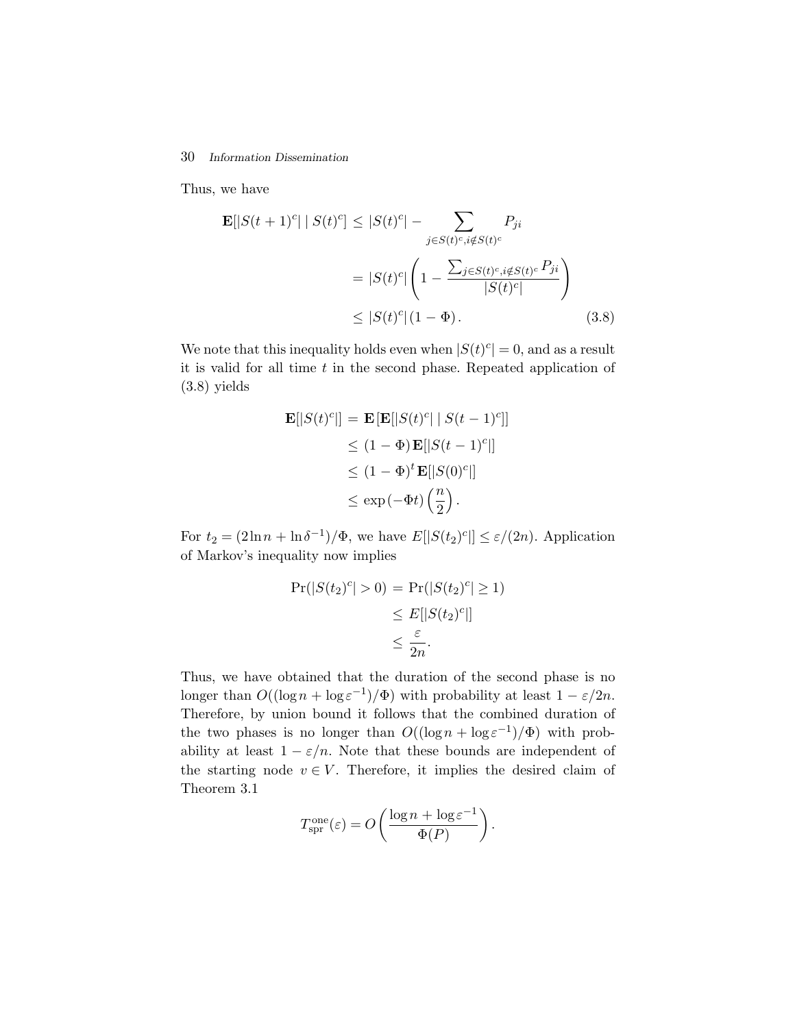#### 30 *Information Dissemination*

Thus, we have

$$
\mathbf{E}[|S(t+1)^{c}| | S(t)^{c}] \leq |S(t)^{c}| - \sum_{j \in S(t)^{c}, i \notin S(t)^{c}} P_{ji}
$$

$$
= |S(t)^{c}| \left(1 - \frac{\sum_{j \in S(t)^{c}, i \notin S(t)^{c}} P_{ji}}{|S(t)^{c}|}\right)
$$

$$
\leq |S(t)^{c}| (1 - \Phi). \tag{3.8}
$$

We note that this inequality holds even when  $|S(t)^c| = 0$ , and as a result it is valid for all time  $t$  in the second phase. Repeated application of (3.8) yields

$$
\mathbf{E}[|S(t)^c|] = \mathbf{E}[\mathbf{E}[|S(t)^c| | S(t-1)^c]]
$$
  
\n
$$
\leq (1 - \Phi) \mathbf{E}[|S(t-1)^c|]
$$
  
\n
$$
\leq (1 - \Phi)^t \mathbf{E}[|S(0)^c|]
$$
  
\n
$$
\leq \exp(-\Phi t) \left(\frac{n}{2}\right).
$$

For  $t_2 = (2 \ln n + \ln \delta^{-1})/\Phi$ , we have  $E[|S(t_2)^c|] \leq \varepsilon/(2n)$ . Application of Markov's inequality now implies

$$
\Pr(|S(t_2)^c| > 0) = \Pr(|S(t_2)^c| \ge 1) \\
\le E[|S(t_2)^c|] \\
\le \frac{\varepsilon}{2n}.
$$

Thus, we have obtained that the duration of the second phase is no longer than  $O((\log n + \log \varepsilon^{-1})/\Phi)$  with probability at least  $1 - \varepsilon/2n$ . Therefore, by union bound it follows that the combined duration of the two phases is no longer than  $O((\log n + \log \varepsilon^{-1})/\Phi)$  with probability at least  $1 - \varepsilon/n$ . Note that these bounds are independent of the starting node  $v \in V$ . Therefore, it implies the desired claim of Theorem 3.1

$$
T_{\text{spr}}^{\text{one}}(\varepsilon) = O\left(\frac{\log n + \log \varepsilon^{-1}}{\Phi(P)}\right).
$$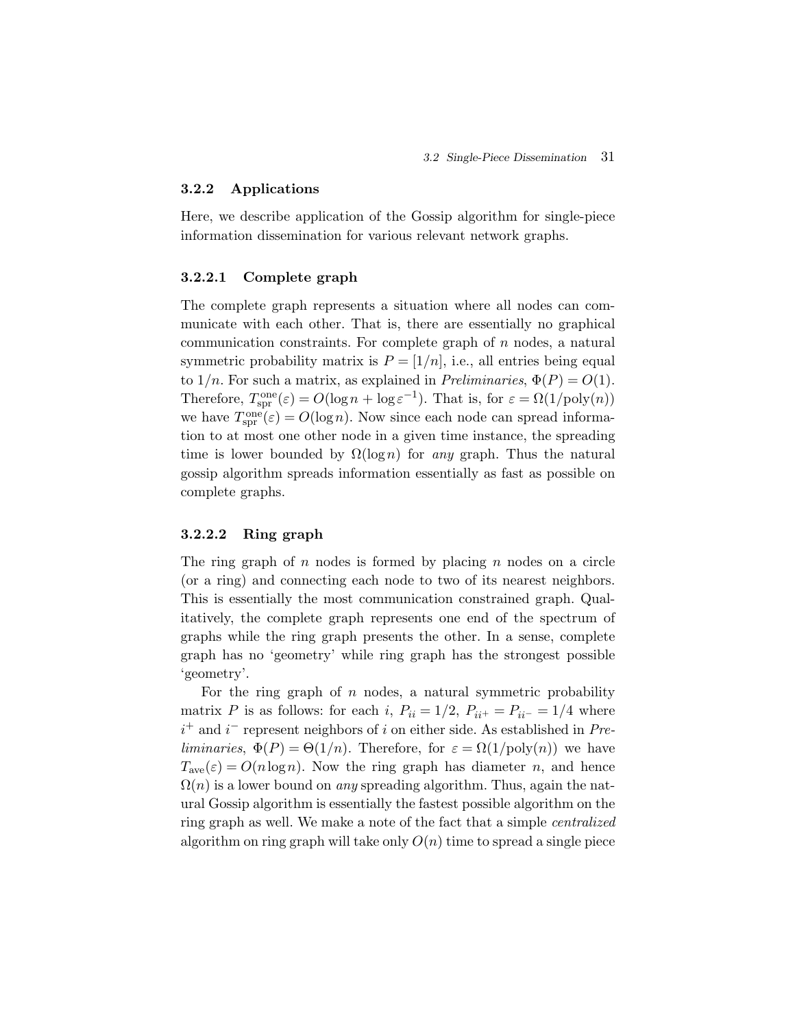#### **3.2.2 Applications**

Here, we describe application of the Gossip algorithm for single-piece information dissemination for various relevant network graphs.

#### **3.2.2.1 Complete graph**

The complete graph represents a situation where all nodes can communicate with each other. That is, there are essentially no graphical communication constraints. For complete graph of  $n$  nodes, a natural symmetric probability matrix is  $P = [1/n]$ , i.e., all entries being equal to  $1/n$ . For such a matrix, as explained in *Preliminaries*,  $\Phi(P) = O(1)$ . Therefore,  $T_{spr}^{one}(\varepsilon) = O(\log n + \log \varepsilon^{-1})$ . That is, for  $\varepsilon = \Omega(1/\text{poly}(n))$ we have  $T_{spr}^{one}(\varepsilon) = O(\log n)$ . Now since each node can spread information to at most one other node in a given time instance, the spreading time is lower bounded by Ω(logn) for *any* graph. Thus the natural gossip algorithm spreads information essentially as fast as possible on complete graphs.

#### **3.2.2.2 Ring graph**

The ring graph of  $n$  nodes is formed by placing  $n$  nodes on a circle (or a ring) and connecting each node to two of its nearest neighbors. This is essentially the most communication constrained graph. Qualitatively, the complete graph represents one end of the spectrum of graphs while the ring graph presents the other. In a sense, complete graph has no 'geometry' while ring graph has the strongest possible 'geometry'.

For the ring graph of  $n$  nodes, a natural symmetric probability matrix P is as follows: for each i,  $P_{ii} = 1/2$ ,  $P_{ii^+} = P_{ii^-} = 1/4$  where i <sup>+</sup> and i <sup>−</sup> represent neighbors of i on either side. As established in *Preliminaries*,  $\Phi(P) = \Theta(1/n)$ . Therefore, for  $\varepsilon = \Omega(1/\text{poly}(n))$  we have  $T_{\text{ave}}(\varepsilon) = O(n \log n)$ . Now the ring graph has diameter n, and hence  $\Omega(n)$  is a lower bound on *any* spreading algorithm. Thus, again the natural Gossip algorithm is essentially the fastest possible algorithm on the ring graph as well. We make a note of the fact that a simple *centralized* algorithm on ring graph will take only  $O(n)$  time to spread a single piece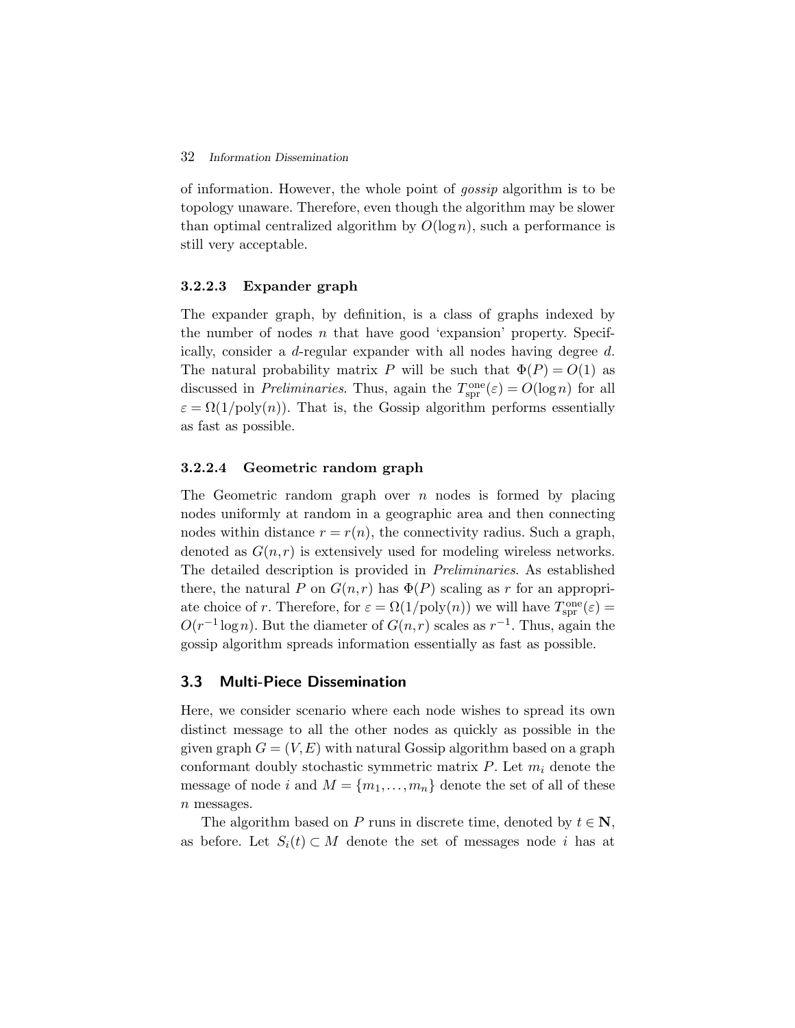#### 32 *Information Dissemination*

of information. However, the whole point of *gossip* algorithm is to be topology unaware. Therefore, even though the algorithm may be slower than optimal centralized algorithm by  $O(\log n)$ , such a performance is still very acceptable.

#### **3.2.2.3 Expander graph**

The expander graph, by definition, is a class of graphs indexed by the number of nodes  $n$  that have good 'expansion' property. Specifically, consider a d-regular expander with all nodes having degree d. The natural probability matrix P will be such that  $\Phi(P) = O(1)$  as discussed in *Preliminaries*. Thus, again the  $T_{spr}^{one}(\varepsilon) = O(\log n)$  for all  $\varepsilon = \Omega(1/\text{poly}(n))$ . That is, the Gossip algorithm performs essentially as fast as possible.

#### **3.2.2.4 Geometric random graph**

The Geometric random graph over  $n$  nodes is formed by placing nodes uniformly at random in a geographic area and then connecting nodes within distance  $r = r(n)$ , the connectivity radius. Such a graph, denoted as  $G(n,r)$  is extensively used for modeling wireless networks. The detailed description is provided in *Preliminaries*. As established there, the natural P on  $G(n,r)$  has  $\Phi(P)$  scaling as r for an appropriate choice of r. Therefore, for  $\varepsilon = \Omega(1/\text{poly}(n))$  we will have  $T_{\text{spr}}^{\text{one}}(\varepsilon) =$  $O(r^{-1} \log n)$ . But the diameter of  $G(n,r)$  scales as  $r^{-1}$ . Thus, again the gossip algorithm spreads information essentially as fast as possible.

#### **3.3 Multi-Piece Dissemination**

Here, we consider scenario where each node wishes to spread its own distinct message to all the other nodes as quickly as possible in the given graph  $G = (V, E)$  with natural Gossip algorithm based on a graph conformant doubly stochastic symmetric matrix  $P$ . Let  $m_i$  denote the message of node i and  $M = \{m_1, \ldots, m_n\}$  denote the set of all of these  $n$  messages.

The algorithm based on P runs in discrete time, denoted by  $t \in \mathbb{N}$ , as before. Let  $S_i(t) \subset M$  denote the set of messages node i has at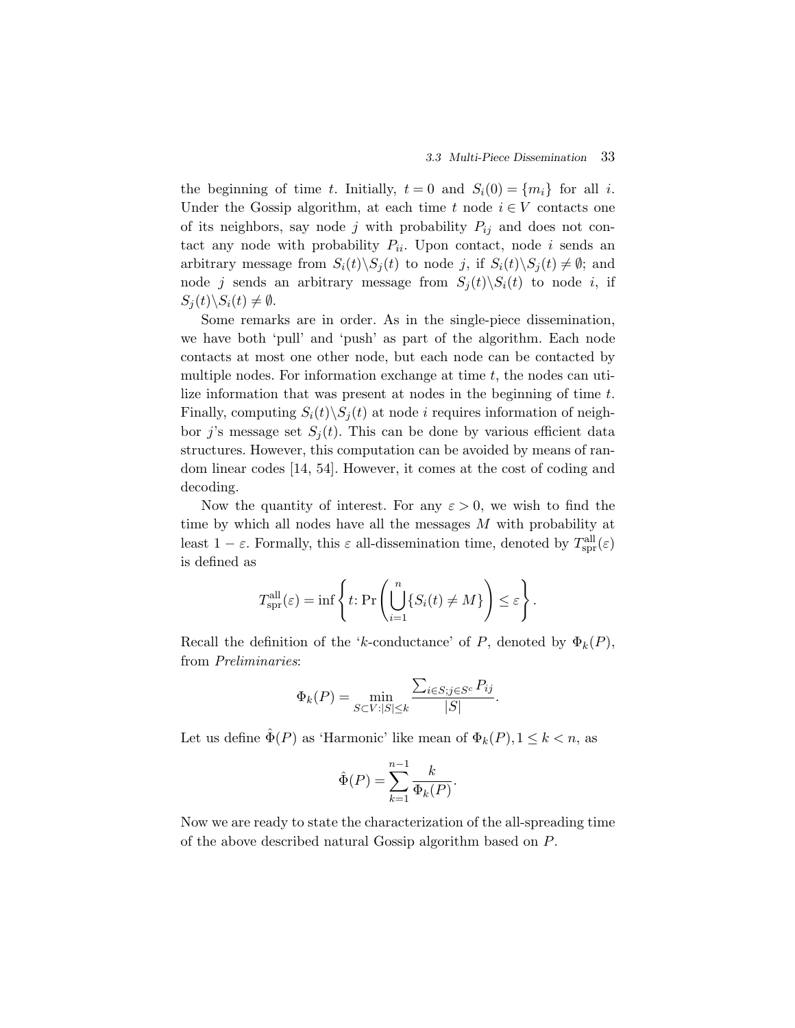the beginning of time t. Initially,  $t = 0$  and  $S_i(0) = \{m_i\}$  for all i. Under the Gossip algorithm, at each time  $t$  node  $i \in V$  contacts one of its neighbors, say node j with probability  $P_{ij}$  and does not contact any node with probability  $P_{ii}$ . Upon contact, node i sends an arbitrary message from  $S_i(t)\backslash S_j(t)$  to node j, if  $S_i(t)\backslash S_j(t) \neq \emptyset$ ; and node j sends an arbitrary message from  $S_i(t)\backslash S_i(t)$  to node i, if  $S_i(t)\backslash S_i(t) \neq \emptyset.$ 

Some remarks are in order. As in the single-piece dissemination, we have both 'pull' and 'push' as part of the algorithm. Each node contacts at most one other node, but each node can be contacted by multiple nodes. For information exchange at time  $t$ , the nodes can utilize information that was present at nodes in the beginning of time t. Finally, computing  $S_i(t)\backslash S_j(t)$  at node i requires information of neighbor j's message set  $S_i(t)$ . This can be done by various efficient data structures. However, this computation can be avoided by means of random linear codes [14, 54]. However, it comes at the cost of coding and decoding.

Now the quantity of interest. For any  $\varepsilon > 0$ , we wish to find the time by which all nodes have all the messages M with probability at least  $1 - \varepsilon$ . Formally, this  $\varepsilon$  all-dissemination time, denoted by  $T_{spr}^{all}(\varepsilon)$ is defined as

$$
T_{\text{spr}}^{\text{all}}(\varepsilon) = \inf \left\{ t \colon \Pr \left( \bigcup_{i=1}^{n} \{ S_i(t) \neq M \} \right) \leq \varepsilon \right\}.
$$

Recall the definition of the 'k-conductance' of P, denoted by  $\Phi_k(P)$ , from *Preliminaries*:

$$
\Phi_k(P) = \min_{S \subset V : |S| \le k} \frac{\sum_{i \in S; j \in S^c} P_{ij}}{|S|}.
$$

Let us define  $\hat{\Phi}(P)$  as 'Harmonic' like mean of  $\Phi_k(P), 1 \leq k < n$ , as

$$
\hat{\Phi}(P) = \sum_{k=1}^{n-1} \frac{k}{\Phi_k(P)}.
$$

Now we are ready to state the characterization of the all-spreading time of the above described natural Gossip algorithm based on P.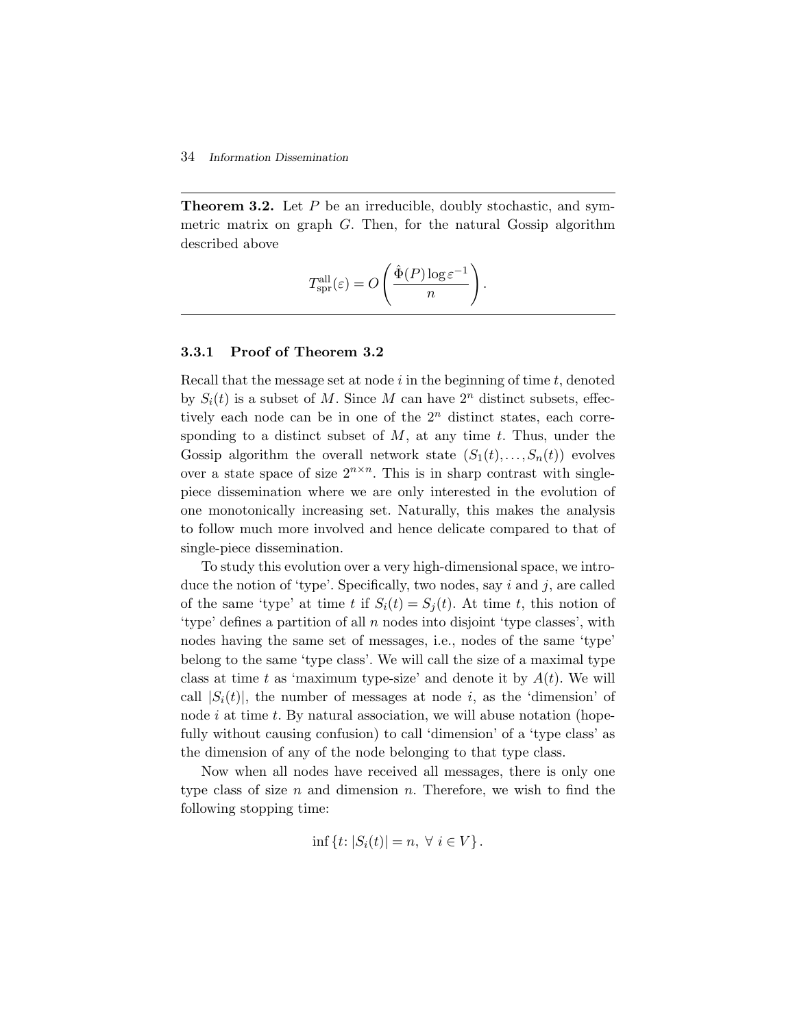#### 34 *Information Dissemination*

**Theorem 3.2.** Let P be an irreducible, doubly stochastic, and symmetric matrix on graph G. Then, for the natural Gossip algorithm described above

$$
T_{\rm spr}^{\rm all}(\varepsilon) = O\left(\frac{\hat{\Phi}(P)\log \varepsilon^{-1}}{n}\right).
$$

#### **3.3.1 Proof of Theorem 3.2**

Recall that the message set at node  $i$  in the beginning of time  $t$ , denoted by  $S_i(t)$  is a subset of M. Since M can have  $2^n$  distinct subsets, effectively each node can be in one of the  $2<sup>n</sup>$  distinct states, each corresponding to a distinct subset of  $M$ , at any time  $t$ . Thus, under the Gossip algorithm the overall network state  $(S_1(t),...,S_n(t))$  evolves over a state space of size  $2^{n \times n}$ . This is in sharp contrast with singlepiece dissemination where we are only interested in the evolution of one monotonically increasing set. Naturally, this makes the analysis to follow much more involved and hence delicate compared to that of single-piece dissemination.

To study this evolution over a very high-dimensional space, we introduce the notion of 'type'. Specifically, two nodes, say  $i$  and  $j$ , are called of the same 'type' at time t if  $S_i(t) = S_j(t)$ . At time t, this notion of 'type' defines a partition of all n nodes into disjoint 'type classes', with nodes having the same set of messages, i.e., nodes of the same 'type' belong to the same 'type class'. We will call the size of a maximal type class at time t as 'maximum type-size' and denote it by  $A(t)$ . We will call  $|S_i(t)|$ , the number of messages at node i, as the 'dimension' of node i at time t. By natural association, we will abuse notation (hopefully without causing confusion) to call 'dimension' of a 'type class' as the dimension of any of the node belonging to that type class.

Now when all nodes have received all messages, there is only one type class of size  $n$  and dimension  $n$ . Therefore, we wish to find the following stopping time:

$$
\inf\left\{t: |S_i(t)| = n, \ \forall \ i \in V\right\}.
$$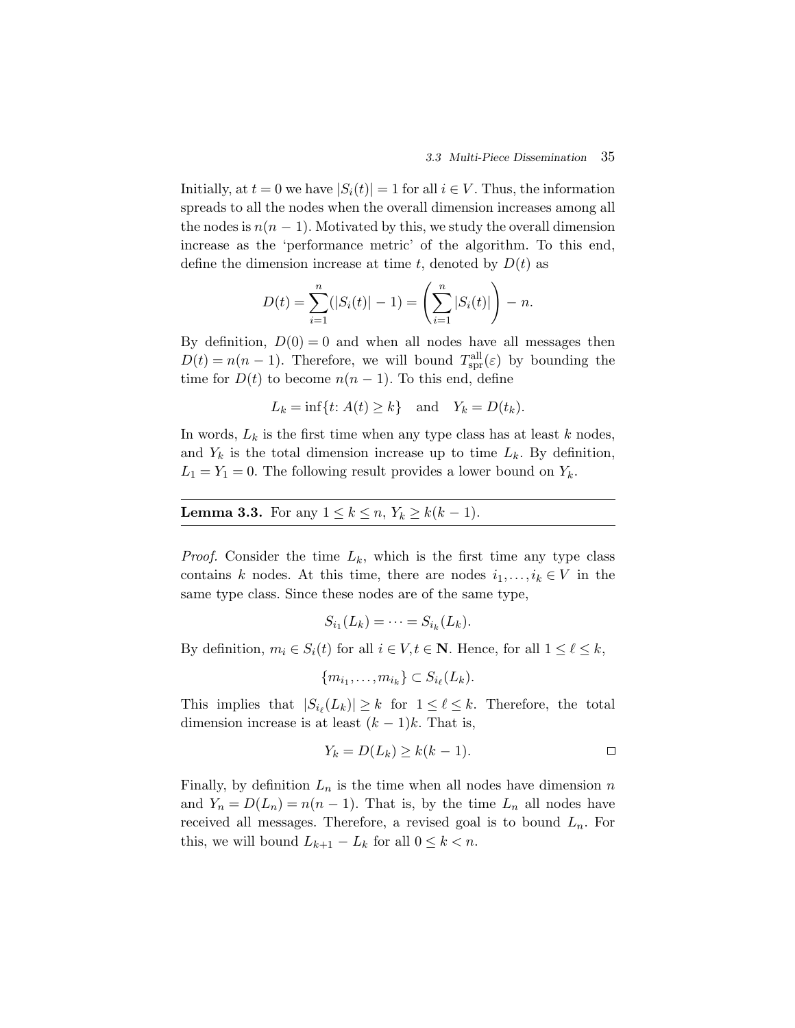Initially, at  $t = 0$  we have  $|S_i(t)| = 1$  for all  $i \in V$ . Thus, the information spreads to all the nodes when the overall dimension increases among all the nodes is  $n(n-1)$ . Motivated by this, we study the overall dimension increase as the 'performance metric' of the algorithm. To this end, define the dimension increase at time t, denoted by  $D(t)$  as

$$
D(t) = \sum_{i=1}^{n} (|S_i(t)| - 1) = \left(\sum_{i=1}^{n} |S_i(t)|\right) - n.
$$

By definition,  $D(0) = 0$  and when all nodes have all messages then  $D(t) = n(n-1)$ . Therefore, we will bound  $T_{spr}^{all}(\varepsilon)$  by bounding the time for  $D(t)$  to become  $n(n-1)$ . To this end, define

$$
L_k = \inf\{t: A(t) \ge k\} \quad \text{and} \quad Y_k = D(t_k).
$$

In words,  $L_k$  is the first time when any type class has at least k nodes, and  $Y_k$  is the total dimension increase up to time  $L_k$ . By definition,  $L_1 = Y_1 = 0$ . The following result provides a lower bound on  $Y_k$ .

**Lemma 3.3.** For any  $1 \le k \le n$ ,  $Y_k \ge k(k-1)$ .

*Proof.* Consider the time  $L_k$ , which is the first time any type class contains k nodes. At this time, there are nodes  $i_1, \ldots, i_k \in V$  in the same type class. Since these nodes are of the same type,

$$
S_{i_1}(L_k)=\cdots=S_{i_k}(L_k).
$$

By definition,  $m_i \in S_i(t)$  for all  $i \in V, t \in \mathbb{N}$ . Hence, for all  $1 \leq \ell \leq k$ ,

$$
\{m_{i_1},\ldots,m_{i_k}\}\subset S_{i_\ell}(L_k).
$$

This implies that  $|S_{i_{\ell}}(L_k)| \geq k$  for  $1 \leq \ell \leq k$ . Therefore, the total dimension increase is at least  $(k-1)k$ . That is,

$$
Y_k = D(L_k) \ge k(k-1).
$$

Finally, by definition  $L_n$  is the time when all nodes have dimension  $n$ and  $Y_n = D(L_n) = n(n-1)$ . That is, by the time  $L_n$  all nodes have received all messages. Therefore, a revised goal is to bound  $L_n$ . For this, we will bound  $L_{k+1} - L_k$  for all  $0 \leq k < n$ .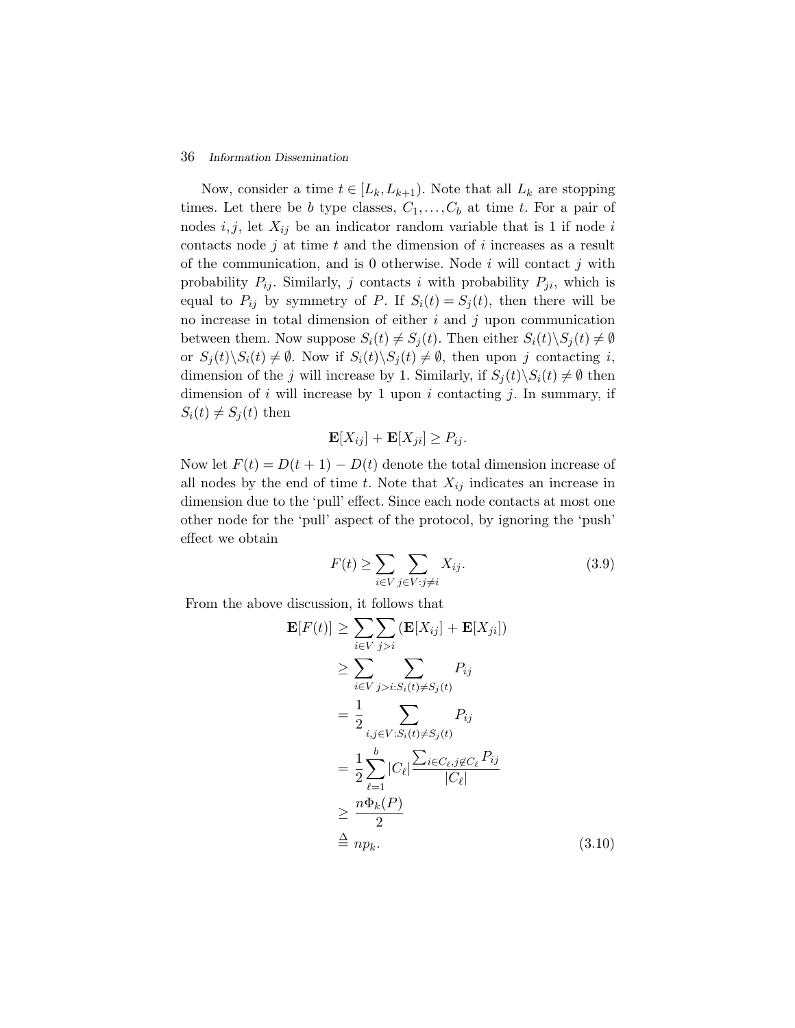#### 36 *Information Dissemination*

Now, consider a time  $t \in [L_k, L_{k+1})$ . Note that all  $L_k$  are stopping times. Let there be b type classes,  $C_1, \ldots, C_b$  at time t. For a pair of nodes  $i, j$ , let  $X_{ij}$  be an indicator random variable that is 1 if node i contacts node  $j$  at time  $t$  and the dimension of  $i$  increases as a result of the communication, and is 0 otherwise. Node  $i$  will contact  $j$  with probability  $P_{ij}$ . Similarly, j contacts i with probability  $P_{ji}$ , which is equal to  $P_{ij}$  by symmetry of P. If  $S_i(t) = S_j(t)$ , then there will be no increase in total dimension of either  $i$  and  $j$  upon communication between them. Now suppose  $S_i(t) \neq S_j(t)$ . Then either  $S_i(t) \setminus S_j(t) \neq \emptyset$ or  $S_i(t)\S_i(t) \neq \emptyset$ . Now if  $S_i(t)\S_i(t) \neq \emptyset$ , then upon j contacting i, dimension of the j will increase by 1. Similarly, if  $S_i(t)\S_i(t) \neq \emptyset$  then dimension of i will increase by 1 upon i contacting j. In summary, if  $S_i(t) \neq S_j(t)$  then

$$
\mathbf{E}[X_{ij}] + \mathbf{E}[X_{ji}] \ge P_{ij}.
$$

Now let  $F(t) = D(t + 1) - D(t)$  denote the total dimension increase of all nodes by the end of time t. Note that  $X_{ij}$  indicates an increase in dimension due to the 'pull' effect. Since each node contacts at most one other node for the 'pull' aspect of the protocol, by ignoring the 'push' effect we obtain

$$
F(t) \ge \sum_{i \in V} \sum_{j \in V: j \ne i} X_{ij}.\tag{3.9}
$$

From the above discussion, it follows that

$$
\mathbf{E}[F(t)] \geq \sum_{i \in V} \sum_{j>i} (\mathbf{E}[X_{ij}] + \mathbf{E}[X_{ji}])
$$
  
\n
$$
\geq \sum_{i \in V} \sum_{j>i:S_i(t) \neq S_j(t)} P_{ij}
$$
  
\n
$$
= \frac{1}{2} \sum_{i,j \in V: S_i(t) \neq S_j(t)} P_{ij}
$$
  
\n
$$
= \frac{1}{2} \sum_{\ell=1}^{b} |C_{\ell}| \frac{\sum_{i \in C_{\ell}, j \notin C_{\ell}} P_{ij}}{|C_{\ell}|}
$$
  
\n
$$
\geq \frac{n \Phi_k(P)}{2}
$$
  
\n
$$
\stackrel{\Delta}{=} np_k.
$$
 (3.10)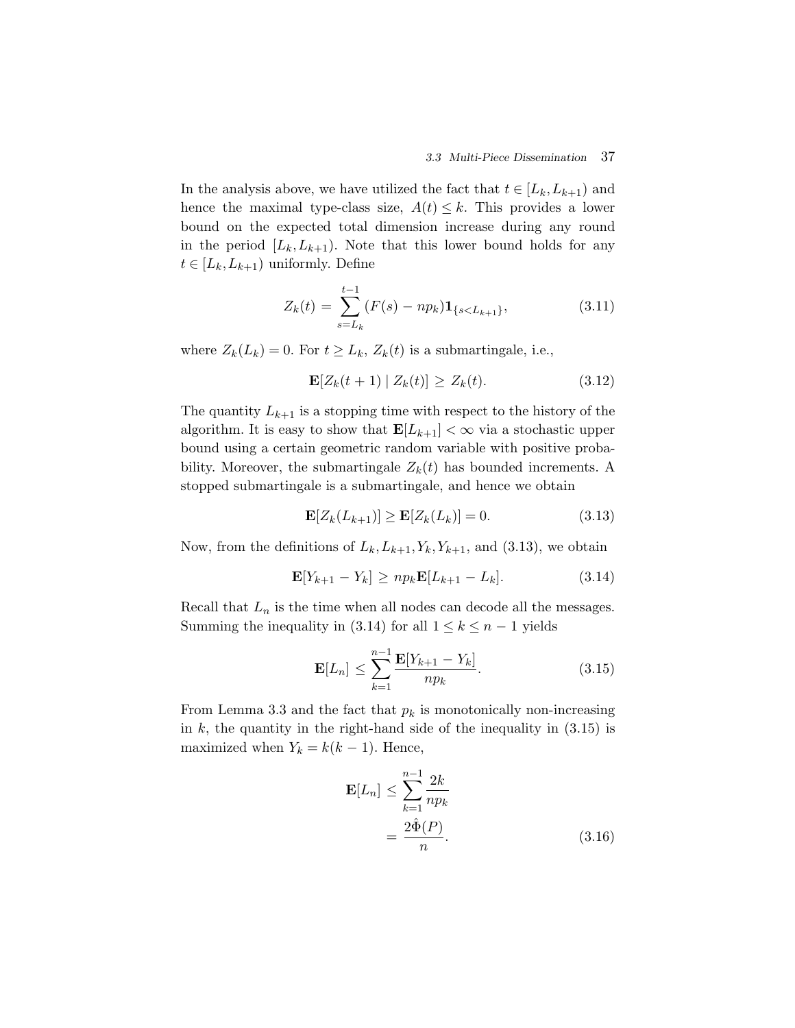In the analysis above, we have utilized the fact that  $t \in [L_k, L_{k+1})$  and hence the maximal type-class size,  $A(t) \leq k$ . This provides a lower bound on the expected total dimension increase during any round in the period  $[L_k, L_{k+1})$ . Note that this lower bound holds for any  $t \in [L_k, L_{k+1})$  uniformly. Define

$$
Z_k(t) = \sum_{s=L_k}^{t-1} (F(s) - np_k) \mathbf{1}_{\{s < L_{k+1}\}},\tag{3.11}
$$

where  $Z_k(L_k) = 0$ . For  $t \ge L_k$ ,  $Z_k(t)$  is a submartingale, i.e.,

$$
\mathbf{E}[Z_k(t+1) | Z_k(t)] \ge Z_k(t). \tag{3.12}
$$

The quantity  $L_{k+1}$  is a stopping time with respect to the history of the algorithm. It is easy to show that  $\mathbf{E}[L_{k+1}] < \infty$  via a stochastic upper bound using a certain geometric random variable with positive probability. Moreover, the submartingale  $Z_k(t)$  has bounded increments. A stopped submartingale is a submartingale, and hence we obtain

$$
\mathbf{E}[Z_k(L_{k+1})] \ge \mathbf{E}[Z_k(L_k)] = 0.
$$
\n(3.13)

Now, from the definitions of  $L_k, L_{k+1}, Y_k, Y_{k+1}$ , and (3.13), we obtain

$$
\mathbf{E}[Y_{k+1} - Y_k] \ge np_k \mathbf{E}[L_{k+1} - L_k]. \tag{3.14}
$$

Recall that  $L_n$  is the time when all nodes can decode all the messages. Summing the inequality in (3.14) for all  $1 \leq k \leq n-1$  yields

$$
\mathbf{E}[L_n] \le \sum_{k=1}^{n-1} \frac{\mathbf{E}[Y_{k+1} - Y_k]}{np_k}.
$$
 (3.15)

From Lemma 3.3 and the fact that  $p_k$  is monotonically non-increasing in  $k$ , the quantity in the right-hand side of the inequality in  $(3.15)$  is maximized when  $Y_k = k(k-1)$ . Hence,

$$
\mathbf{E}[L_n] \le \sum_{k=1}^{n-1} \frac{2k}{np_k}
$$

$$
= \frac{2\hat{\Phi}(P)}{n}.
$$
(3.16)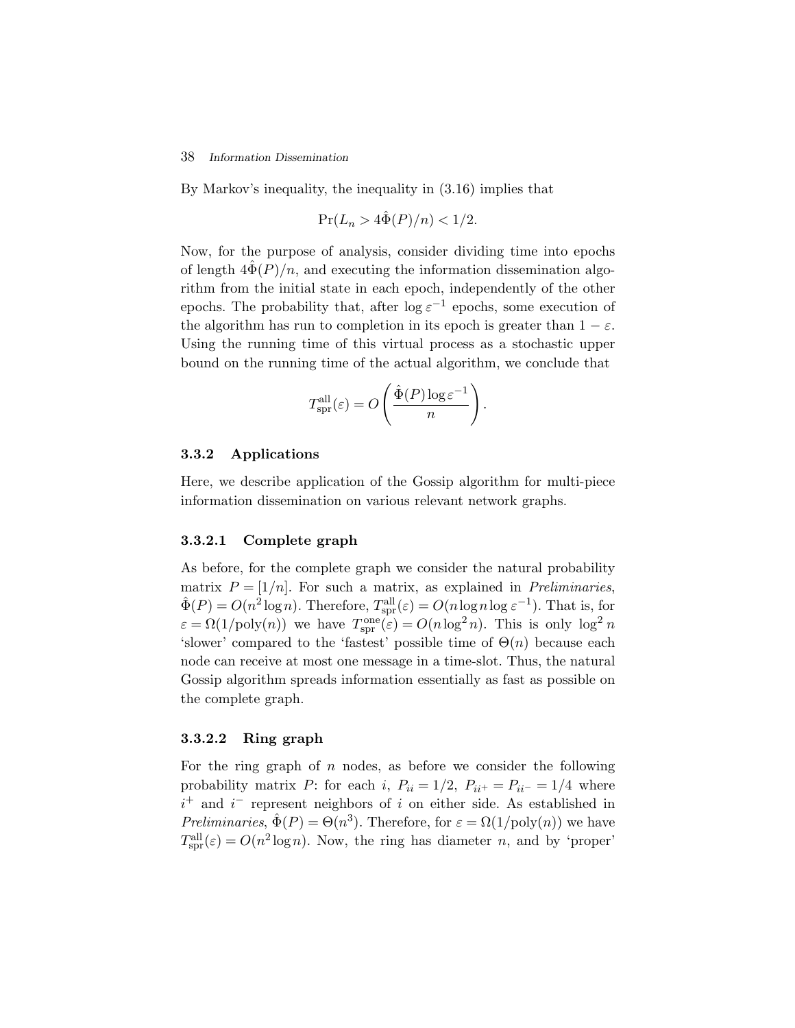#### 38 *Information Dissemination*

By Markov's inequality, the inequality in (3.16) implies that

$$
\Pr(L_n > 4\tilde{\Phi}(P)/n) < 1/2.
$$

Now, for the purpose of analysis, consider dividing time into epochs of length  $4\ddot{\Phi}(P)/n$ , and executing the information dissemination algorithm from the initial state in each epoch, independently of the other epochs. The probability that, after  $\log \varepsilon^{-1}$  epochs, some execution of the algorithm has run to completion in its epoch is greater than  $1 - \varepsilon$ . Using the running time of this virtual process as a stochastic upper bound on the running time of the actual algorithm, we conclude that

$$
T_{\text{spr}}^{\text{all}}(\varepsilon) = O\left(\frac{\hat{\Phi}(P)\log \varepsilon^{-1}}{n}\right).
$$

#### **3.3.2 Applications**

Here, we describe application of the Gossip algorithm for multi-piece information dissemination on various relevant network graphs.

#### **3.3.2.1 Complete graph**

As before, for the complete graph we consider the natural probability matrix  $P = \frac{1}{n}$ . For such a matrix, as explained in *Preliminaries*,  $\hat{\Phi}(P) = O(n^2 \log n)$ . Therefore,  $T_{spr}^{\text{all}}(\varepsilon) = O(n \log n \log \varepsilon^{-1})$ . That is, for  $\varepsilon = \Omega(1/\text{poly}(n))$  we have  $T_{\text{spr}}^{\text{one}}(\varepsilon) = O(n \log^2 n)$ . This is only  $\log^2 n$ 'slower' compared to the 'fastest' possible time of  $\Theta(n)$  because each node can receive at most one message in a time-slot. Thus, the natural Gossip algorithm spreads information essentially as fast as possible on the complete graph.

#### **3.3.2.2 Ring graph**

For the ring graph of  $n$  nodes, as before we consider the following probability matrix P: for each i,  $P_{ii} = 1/2$ ,  $P_{ii^+} = P_{ii^-} = 1/4$  where  $i^+$  and  $i^-$  represent neighbors of i on either side. As established in *Preliminaries*,  $\hat{\Phi}(P) = \Theta(n^3)$ . Therefore, for  $\varepsilon = \Omega(1/\text{poly}(n))$  we have  $T_{\text{spr}}^{\text{all}}(\varepsilon) = O(n^2 \log n)$ . Now, the ring has diameter n, and by 'proper'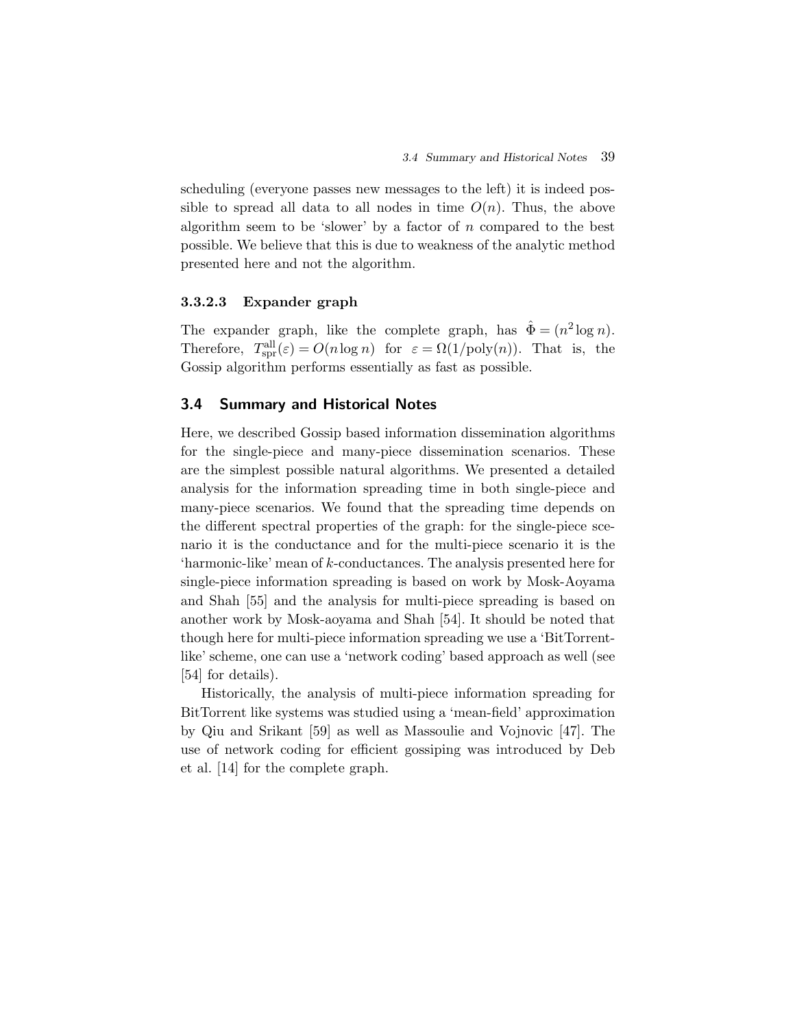scheduling (everyone passes new messages to the left) it is indeed possible to spread all data to all nodes in time  $O(n)$ . Thus, the above algorithm seem to be 'slower' by a factor of  $n$  compared to the best possible. We believe that this is due to weakness of the analytic method presented here and not the algorithm.

#### **3.3.2.3 Expander graph**

The expander graph, like the complete graph, has  $\hat{\Phi} = (n^2 \log n)$ . Therefore,  $T_{spr}^{all}(\varepsilon) = O(n \log n)$  for  $\varepsilon = \Omega(1/\text{poly}(n))$ . That is, the Gossip algorithm performs essentially as fast as possible.

#### **3.4 Summary and Historical Notes**

Here, we described Gossip based information dissemination algorithms for the single-piece and many-piece dissemination scenarios. These are the simplest possible natural algorithms. We presented a detailed analysis for the information spreading time in both single-piece and many-piece scenarios. We found that the spreading time depends on the different spectral properties of the graph: for the single-piece scenario it is the conductance and for the multi-piece scenario it is the 'harmonic-like' mean of k-conductances. The analysis presented here for single-piece information spreading is based on work by Mosk-Aoyama and Shah [55] and the analysis for multi-piece spreading is based on another work by Mosk-aoyama and Shah [54]. It should be noted that though here for multi-piece information spreading we use a 'BitTorrentlike' scheme, one can use a 'network coding' based approach as well (see [54] for details).

Historically, the analysis of multi-piece information spreading for BitTorrent like systems was studied using a 'mean-field' approximation by Qiu and Srikant [59] as well as Massoulie and Vojnovic [47]. The use of network coding for efficient gossiping was introduced by Deb et al. [14] for the complete graph.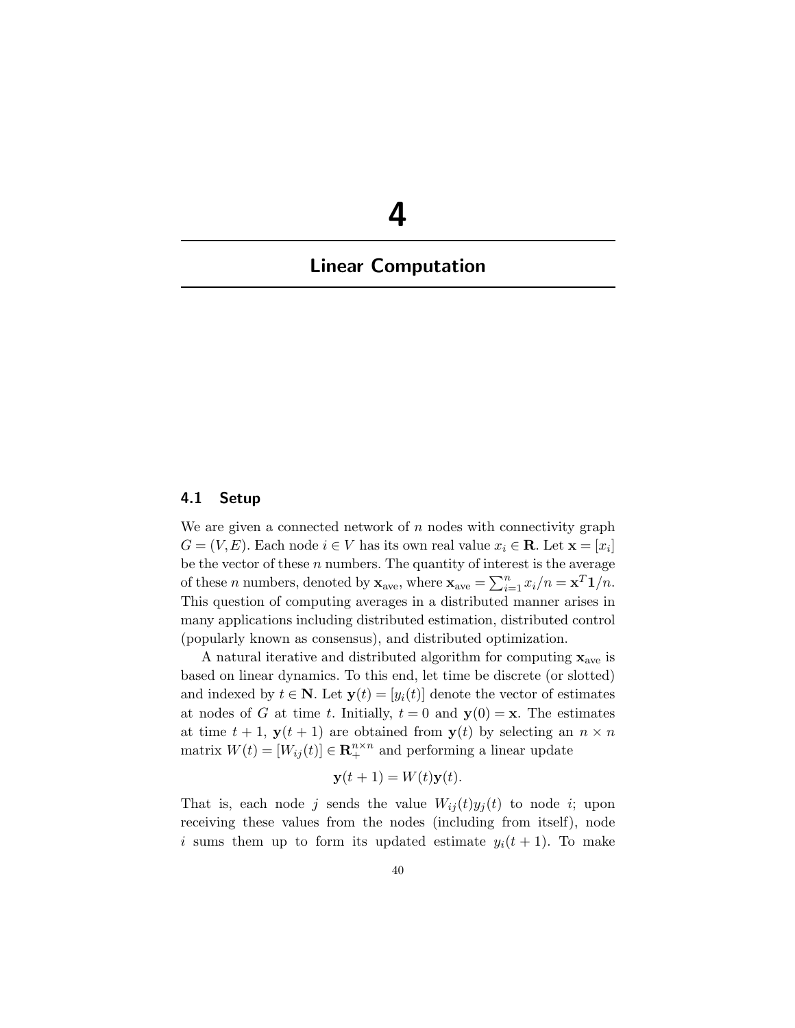# **4**

# **Linear Computation**

#### **4.1 Setup**

We are given a connected network of  $n$  nodes with connectivity graph  $G = (V, E)$ . Each node  $i \in V$  has its own real value  $x_i \in \mathbf{R}$ . Let  $\mathbf{x} = [x_i]$ be the vector of these  $n$  numbers. The quantity of interest is the average of these *n* numbers, denoted by  $\mathbf{x}_{ave}$ , where  $\mathbf{x}_{ave} = \sum_{i=1}^{n} x_i/n = \mathbf{x}^T \mathbf{1}/n$ . This question of computing averages in a distributed manner arises in many applications including distributed estimation, distributed control (popularly known as consensus), and distributed optimization.

A natural iterative and distributed algorithm for computing **x**ave is based on linear dynamics. To this end, let time be discrete (or slotted) and indexed by  $t \in \mathbb{N}$ . Let  $\mathbf{y}(t)=[y_i(t)]$  denote the vector of estimates at nodes of G at time t. Initially,  $t = 0$  and  $y(0) = x$ . The estimates at time  $t + 1$ ,  $y(t + 1)$  are obtained from  $y(t)$  by selecting an  $n \times n$ matrix  $W(t)=[W_{ij}(t)] \in \mathbb{R}^{n \times n}_{+}$  and performing a linear update

$$
\mathbf{y}(t+1) = W(t)\mathbf{y}(t).
$$

That is, each node j sends the value  $W_{ij}(t)y_i(t)$  to node i; upon receiving these values from the nodes (including from itself), node i sums them up to form its updated estimate  $y_i(t + 1)$ . To make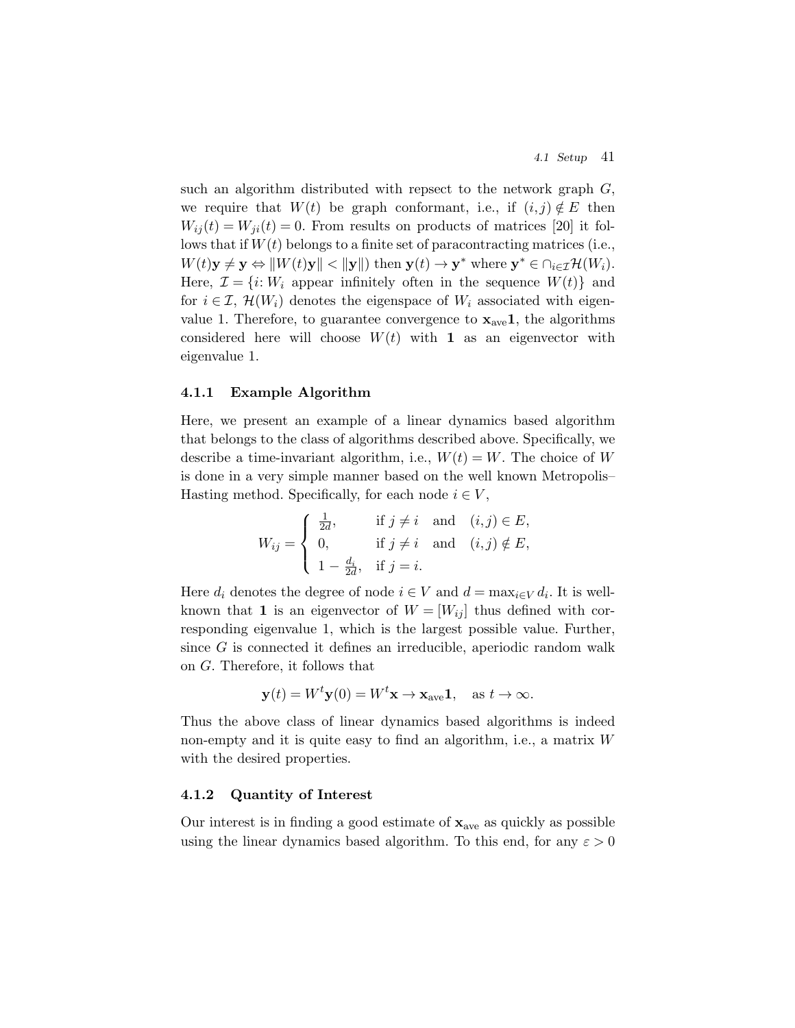such an algorithm distributed with repsect to the network graph  $G$ , we require that  $W(t)$  be graph conformant, i.e., if  $(i, j) \notin E$  then  $W_{ii}(t) = W_{ii}(t) = 0$ . From results on products of matrices [20] it follows that if  $W(t)$  belongs to a finite set of paracontracting matrices (i.e.,  $W(t)\mathbf{y} \neq \mathbf{y} \Leftrightarrow \|W(t)\mathbf{y}\| < \|\mathbf{y}\|$ ) then  $\mathbf{y}(t) \to \mathbf{y}^*$  where  $\mathbf{y}^* \in \bigcap_{i \in \mathcal{I}} \mathcal{H}(W_i)$ . Here,  $\mathcal{I} = \{i : W_i$  appear infinitely often in the sequence  $W(t)$  and for  $i \in \mathcal{I}$ ,  $\mathcal{H}(W_i)$  denotes the eigenspace of  $W_i$  associated with eigenvalue 1. Therefore, to guarantee convergence to  $\mathbf{x}_{\text{ave}}\mathbf{1}$ , the algorithms considered here will choose  $W(t)$  with **1** as an eigenvector with eigenvalue 1.

#### **4.1.1 Example Algorithm**

Here, we present an example of a linear dynamics based algorithm that belongs to the class of algorithms described above. Specifically, we describe a time-invariant algorithm, i.e.,  $W(t) = W$ . The choice of W is done in a very simple manner based on the well known Metropolis– Hasting method. Specifically, for each node  $i \in V$ ,

$$
W_{ij} = \begin{cases} \frac{1}{2d}, & \text{if } j \neq i \quad \text{and} \quad (i,j) \in E, \\ 0, & \text{if } j \neq i \quad \text{and} \quad (i,j) \notin E, \\ 1 - \frac{d_i}{2d}, & \text{if } j = i. \end{cases}
$$

Here  $d_i$  denotes the degree of node  $i \in V$  and  $d = \max_{i \in V} d_i$ . It is wellknown that **1** is an eigenvector of  $W = [W_{ij}]$  thus defined with corresponding eigenvalue 1, which is the largest possible value. Further, since G is connected it defines an irreducible, aperiodic random walk on G. Therefore, it follows that

$$
\mathbf{y}(t) = W^t \mathbf{y}(0) = W^t \mathbf{x} \to \mathbf{x}_{\text{ave}} \mathbf{1}, \quad \text{as } t \to \infty.
$$

Thus the above class of linear dynamics based algorithms is indeed non-empty and it is quite easy to find an algorithm, i.e., a matrix W with the desired properties.

#### **4.1.2 Quantity of Interest**

Our interest is in finding a good estimate of  $\mathbf{x}_{\text{ave}}$  as quickly as possible using the linear dynamics based algorithm. To this end, for any  $\varepsilon > 0$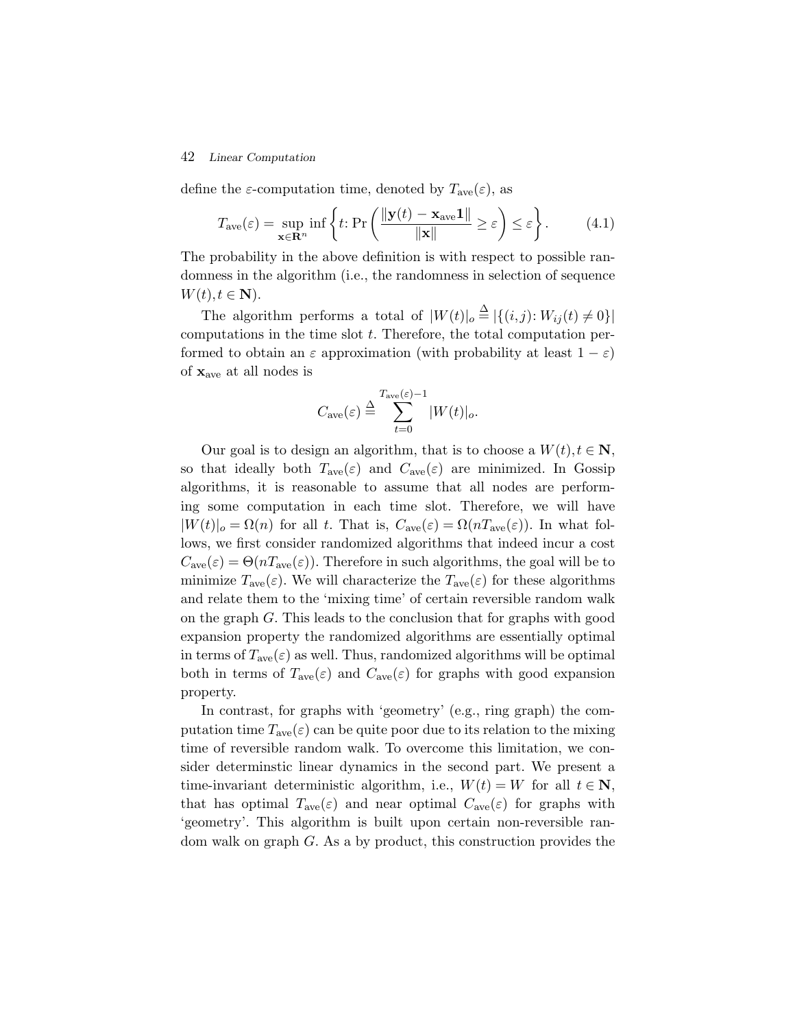define the  $\varepsilon$ -computation time, denoted by  $T_{ave}(\varepsilon)$ , as

$$
T_{\text{ave}}(\varepsilon) = \sup_{\mathbf{x} \in \mathbf{R}^n} \inf \left\{ t : \Pr\left( \frac{\|\mathbf{y}(t) - \mathbf{x}_{\text{ave}} \mathbf{1}\|}{\|\mathbf{x}\|} \ge \varepsilon \right) \le \varepsilon \right\}.
$$
 (4.1)

The probability in the above definition is with respect to possible randomness in the algorithm (i.e., the randomness in selection of sequence  $W(t), t \in \mathbf{N}$ ).

The algorithm performs a total of  $|W(t)|_o \stackrel{\Delta}{=} |\{(i,j): W_{ij}(t) \neq 0\}|$ computations in the time slot  $t$ . Therefore, the total computation performed to obtain an  $\varepsilon$  approximation (with probability at least  $1 - \varepsilon$ ) of **x**ave at all nodes is

$$
C_{\rm ave}(\varepsilon)\stackrel{\Delta}{=}\sum_{t=0}^{{\cal T}_{\rm ave}(\varepsilon)-1}|W(t)|_o.
$$

Our goal is to design an algorithm, that is to choose a  $W(t)$ ,  $t \in \mathbb{N}$ , so that ideally both  $T_{ave}(\varepsilon)$  and  $C_{ave}(\varepsilon)$  are minimized. In Gossip algorithms, it is reasonable to assume that all nodes are performing some computation in each time slot. Therefore, we will have  $|W(t)|_o = \Omega(n)$  for all t. That is,  $C_{ave}(\varepsilon) = \Omega(nT_{ave}(\varepsilon))$ . In what follows, we first consider randomized algorithms that indeed incur a cost  $C_{\text{ave}}(\varepsilon) = \Theta(nT_{\text{ave}}(\varepsilon))$ . Therefore in such algorithms, the goal will be to minimize  $T_{\text{ave}}(\varepsilon)$ . We will characterize the  $T_{\text{ave}}(\varepsilon)$  for these algorithms and relate them to the 'mixing time' of certain reversible random walk on the graph G. This leads to the conclusion that for graphs with good expansion property the randomized algorithms are essentially optimal in terms of  $T_{ave}(\varepsilon)$  as well. Thus, randomized algorithms will be optimal both in terms of  $T_{ave}(\varepsilon)$  and  $C_{ave}(\varepsilon)$  for graphs with good expansion property.

In contrast, for graphs with 'geometry' (e.g., ring graph) the computation time  $T_{ave}(\varepsilon)$  can be quite poor due to its relation to the mixing time of reversible random walk. To overcome this limitation, we consider determinstic linear dynamics in the second part. We present a time-invariant deterministic algorithm, i.e.,  $W(t) = W$  for all  $t \in \mathbb{N}$ , that has optimal  $T_{ave}(\varepsilon)$  and near optimal  $C_{ave}(\varepsilon)$  for graphs with 'geometry'. This algorithm is built upon certain non-reversible random walk on graph G. As a by product, this construction provides the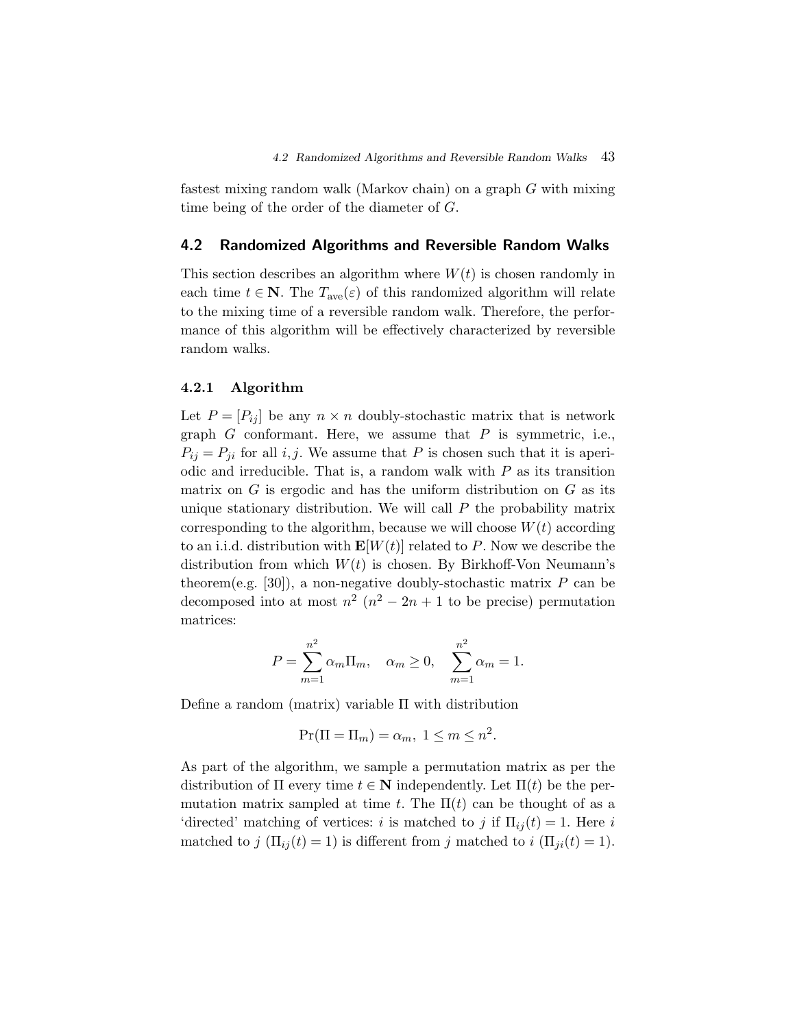fastest mixing random walk (Markov chain) on a graph G with mixing time being of the order of the diameter of G.

#### **4.2 Randomized Algorithms and Reversible Random Walks**

This section describes an algorithm where  $W(t)$  is chosen randomly in each time  $t \in \mathbb{N}$ . The  $T_{ave}(\varepsilon)$  of this randomized algorithm will relate to the mixing time of a reversible random walk. Therefore, the performance of this algorithm will be effectively characterized by reversible random walks.

#### **4.2.1 Algorithm**

Let  $P = [P_{ij}]$  be any  $n \times n$  doubly-stochastic matrix that is network graph  $G$  conformant. Here, we assume that  $P$  is symmetric, i.e.,  $P_{ij} = P_{ji}$  for all i, j. We assume that P is chosen such that it is aperiodic and irreducible. That is, a random walk with  $P$  as its transition matrix on  $G$  is ergodic and has the uniform distribution on  $G$  as its unique stationary distribution. We will call  $P$  the probability matrix corresponding to the algorithm, because we will choose  $W(t)$  according to an i.i.d. distribution with  $\mathbf{E}[W(t)]$  related to P. Now we describe the distribution from which  $W(t)$  is chosen. By Birkhoff-Von Neumann's theorem(e.g. [30]), a non-negative doubly-stochastic matrix  $P$  can be decomposed into at most  $n^2$  ( $n^2 - 2n + 1$  to be precise) permutation matrices:

$$
P = \sum_{m=1}^{n^2} \alpha_m \Pi_m, \quad \alpha_m \ge 0, \quad \sum_{m=1}^{n^2} \alpha_m = 1.
$$

Define a random (matrix) variable Π with distribution

$$
\Pr(\Pi = \Pi_m) = \alpha_m, \ 1 \le m \le n^2.
$$

As part of the algorithm, we sample a permutation matrix as per the distribution of  $\Pi$  every time  $t \in \mathbb{N}$  independently. Let  $\Pi(t)$  be the permutation matrix sampled at time t. The  $\Pi(t)$  can be thought of as a 'directed' matching of vertices: i is matched to j if  $\Pi_{ij}(t) = 1$ . Here i matched to j  $(\Pi_{ij}(t) = 1)$  is different from j matched to  $i (\Pi_{ji}(t) = 1)$ .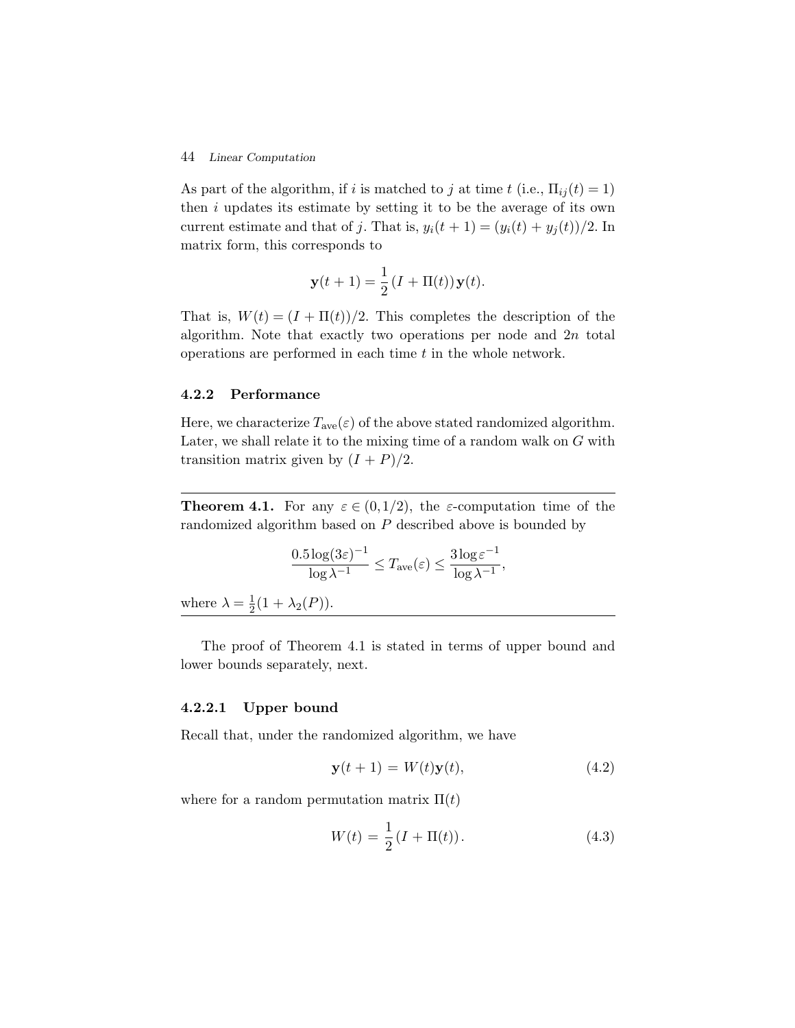As part of the algorithm, if i is matched to j at time t (i.e.,  $\Pi_{ii}(t) = 1$ ) then  $i$  updates its estimate by setting it to be the average of its own current estimate and that of j. That is,  $y_i(t + 1) = (y_i(t) + y_j(t))/2$ . In matrix form, this corresponds to

$$
\mathbf{y}(t+1) = \frac{1}{2} \left( I + \Pi(t) \right) \mathbf{y}(t).
$$

That is,  $W(t) = (I + \Pi(t))/2$ . This completes the description of the algorithm. Note that exactly two operations per node and 2n total operations are performed in each time  $t$  in the whole network.

#### **4.2.2 Performance**

Here, we characterize  $T_{ave}(\varepsilon)$  of the above stated randomized algorithm. Later, we shall relate it to the mixing time of a random walk on G with transition matrix given by  $(I + P)/2$ .

**Theorem 4.1.** For any  $\varepsilon \in (0,1/2)$ , the  $\varepsilon$ -computation time of the randomized algorithm based on  $P$  described above is bounded by

$$
\frac{0.5\log(3\varepsilon)^{-1}}{\log \lambda^{-1}} \leq T_{\text{ave}}(\varepsilon) \leq \frac{3\log \varepsilon^{-1}}{\log \lambda^{-1}},
$$

where  $\lambda = \frac{1}{2}(1 + \lambda_2(P)).$ 

The proof of Theorem 4.1 is stated in terms of upper bound and lower bounds separately, next.

#### **4.2.2.1 Upper bound**

Recall that, under the randomized algorithm, we have

$$
\mathbf{y}(t+1) = W(t)\mathbf{y}(t),\tag{4.2}
$$

where for a random permutation matrix  $\Pi(t)$ 

$$
W(t) = \frac{1}{2} (I + \Pi(t)).
$$
\n(4.3)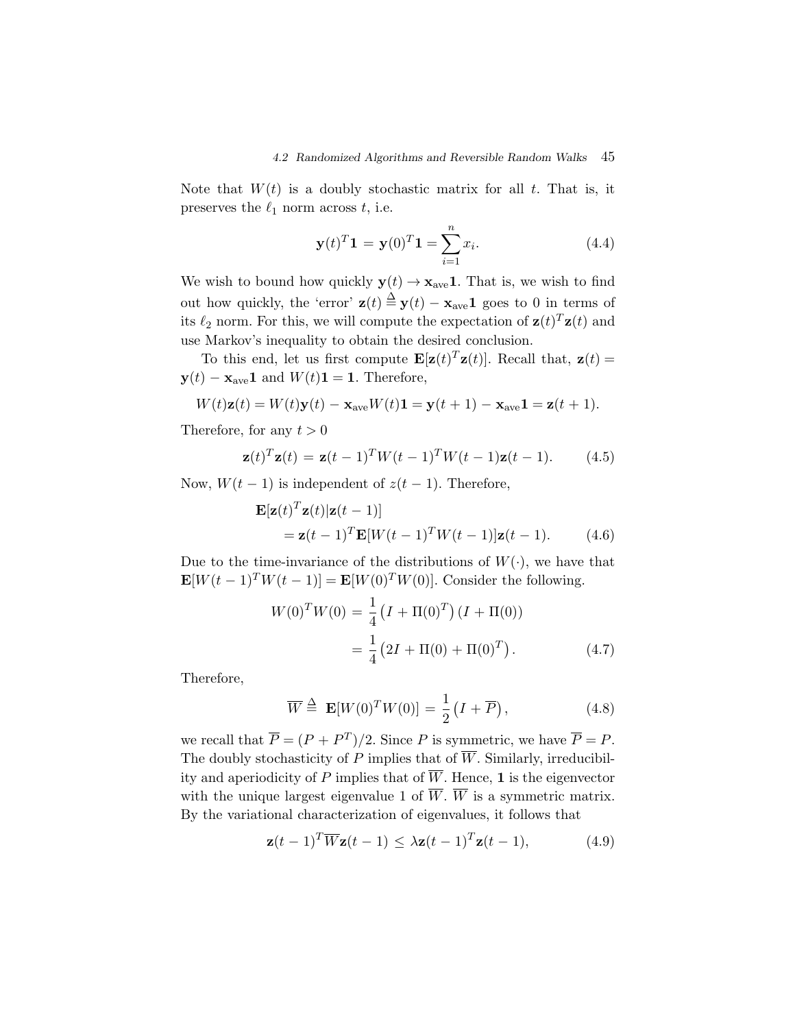Note that  $W(t)$  is a doubly stochastic matrix for all t. That is, it preserves the  $\ell_1$  norm across t, i.e.

$$
\mathbf{y}(t)^{T}\mathbf{1} = \mathbf{y}(0)^{T}\mathbf{1} = \sum_{i=1}^{n} x_{i}.
$$
 (4.4)

We wish to bound how quickly  $y(t) \rightarrow x_{ave}1$ . That is, we wish to find out how quickly, the 'error'  $z(t) \stackrel{\Delta}{=} y(t) - x_{ave}1$  goes to 0 in terms of its  $\ell_2$  norm. For this, we will compute the expectation of  $\mathbf{z}(t)^T \mathbf{z}(t)$  and use Markov's inequality to obtain the desired conclusion.

To this end, let us first compute  $\mathbf{E}[\mathbf{z}(t)^T \mathbf{z}(t)]$ . Recall that,  $\mathbf{z}(t) =$  $\mathbf{y}(t) - \mathbf{x}_{\text{ave}} \mathbf{1}$  and  $W(t) \mathbf{1} = \mathbf{1}$ . Therefore,

$$
W(t)\mathbf{z}(t) = W(t)\mathbf{y}(t) - \mathbf{x}_{ave}W(t)\mathbf{1} = \mathbf{y}(t+1) - \mathbf{x}_{ave}\mathbf{1} = \mathbf{z}(t+1).
$$

Therefore, for any  $t > 0$ 

$$
\mathbf{z}(t)^T \mathbf{z}(t) = \mathbf{z}(t-1)^T W(t-1)^T W(t-1) \mathbf{z}(t-1).
$$
 (4.5)

Now,  $W(t-1)$  is independent of  $z(t-1)$ . Therefore,

$$
\mathbf{E}[\mathbf{z}(t)^T \mathbf{z}(t) | \mathbf{z}(t-1)]
$$
  
=  $\mathbf{z}(t-1)^T \mathbf{E}[W(t-1)^T W(t-1)] \mathbf{z}(t-1).$  (4.6)

Due to the time-invariance of the distributions of  $W(\cdot)$ , we have that  $\mathbf{E}[W(t-1)^TW(t-1)] = \mathbf{E}[W(0)^TW(0)].$  Consider the following.

$$
W(0)TW(0) = \frac{1}{4} (I + \Pi(0)T) (I + \Pi(0))
$$
  
=  $\frac{1}{4} (2I + \Pi(0) + \Pi(0)T)$ . (4.7)

Therefore,

$$
\overline{W} \stackrel{\Delta}{=} \mathbf{E}[W(0)^T W(0)] = \frac{1}{2} \left( I + \overline{P} \right), \tag{4.8}
$$

we recall that  $\overline{P} = (P + P^T)/2$ . Since P is symmetric, we have  $\overline{P} = P$ . The doubly stochasticity of P implies that of  $\overline{W}$ . Similarly, irreducibility and aperiodicity of P implies that of  $\overline{W}$ . Hence, **1** is the eigenvector with the unique largest eigenvalue 1 of  $\overline{W}$ .  $\overline{W}$  is a symmetric matrix. By the variational characterization of eigenvalues, it follows that

$$
\mathbf{z}(t-1)^{T}\overline{W}\mathbf{z}(t-1) \leq \lambda \mathbf{z}(t-1)^{T}\mathbf{z}(t-1), \qquad (4.9)
$$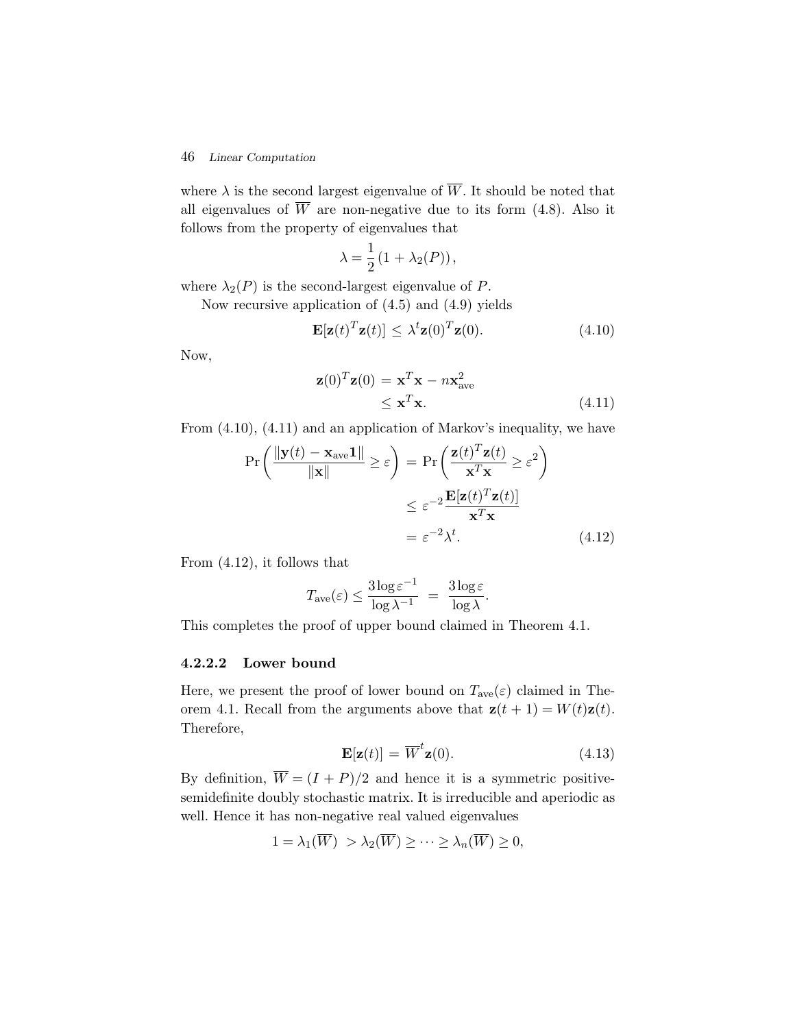where  $\lambda$  is the second largest eigenvalue of  $\overline{W}$ . It should be noted that all eigenvalues of  $\overline{W}$  are non-negative due to its form (4.8). Also it follows from the property of eigenvalues that

$$
\lambda = \frac{1}{2} (1 + \lambda_2(P)),
$$

where  $\lambda_2(P)$  is the second-largest eigenvalue of P.

Now recursive application of (4.5) and (4.9) yields

$$
\mathbf{E}[\mathbf{z}(t)^T \mathbf{z}(t)] \leq \lambda^t \mathbf{z}(0)^T \mathbf{z}(0).
$$
 (4.10)

Now,

$$
\mathbf{z}(0)^{T}\mathbf{z}(0) = \mathbf{x}^{T}\mathbf{x} - n\mathbf{x}_{ave}^{2}
$$
  
\n
$$
\leq \mathbf{x}^{T}\mathbf{x}.
$$
 (4.11)

From (4.10), (4.11) and an application of Markov's inequality, we have

$$
\Pr\left(\frac{\|\mathbf{y}(t) - \mathbf{x}_{\text{ave}}\mathbf{1}\|}{\|\mathbf{x}\|} \ge \varepsilon\right) = \Pr\left(\frac{\mathbf{z}(t)^T \mathbf{z}(t)}{\mathbf{x}^T \mathbf{x}} \ge \varepsilon^2\right)
$$

$$
\le \varepsilon^{-2} \frac{\mathbf{E}[\mathbf{z}(t)^T \mathbf{z}(t)]}{\mathbf{x}^T \mathbf{x}}
$$

$$
= \varepsilon^{-2} \lambda^t. \tag{4.12}
$$

From (4.12), it follows that

$$
T_{\rm ave}(\varepsilon)\leq \frac{3\log \varepsilon^{-1}}{\log \lambda^{-1}}\;=\;\frac{3\log \varepsilon}{\log \lambda}.
$$

This completes the proof of upper bound claimed in Theorem 4.1.

#### **4.2.2.2 Lower bound**

Here, we present the proof of lower bound on  $T_{ave}(\varepsilon)$  claimed in Theorem 4.1. Recall from the arguments above that  $\mathbf{z}(t + 1) = W(t)\mathbf{z}(t)$ . Therefore,

$$
\mathbf{E}[\mathbf{z}(t)] = \overline{W}^t \mathbf{z}(0). \tag{4.13}
$$

By definition,  $\overline{W} = (I + P)/2$  and hence it is a symmetric positivesemidefinite doubly stochastic matrix. It is irreducible and aperiodic as well. Hence it has non-negative real valued eigenvalues

$$
1 = \lambda_1(\overline{W}) > \lambda_2(\overline{W}) \ge \cdots \ge \lambda_n(\overline{W}) \ge 0,
$$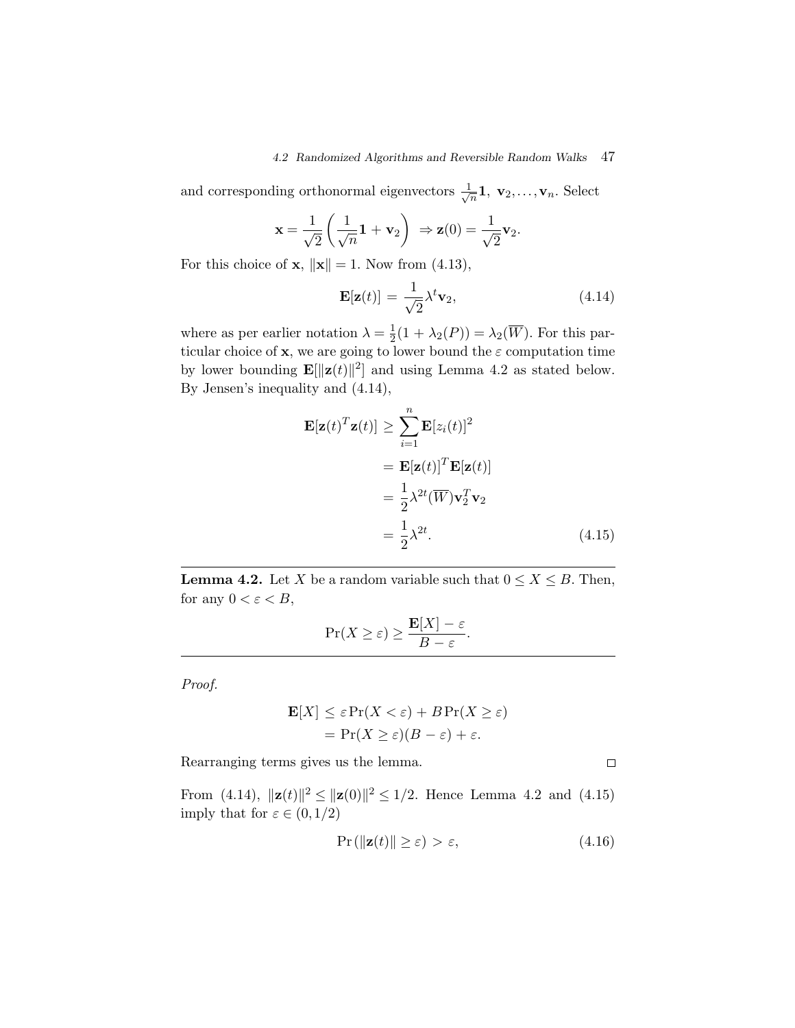and corresponding orthonormal eigenvectors  $\frac{1}{\sqrt{n}}$ **1**, **v**<sub>2</sub>,...,**v**<sub>n</sub>. Select

$$
\mathbf{x} = \frac{1}{\sqrt{2}} \left( \frac{1}{\sqrt{n}} \mathbf{1} + \mathbf{v}_2 \right) \Rightarrow \mathbf{z}(0) = \frac{1}{\sqrt{2}} \mathbf{v}_2.
$$

For this choice of **x**,  $\|\mathbf{x}\| = 1$ . Now from (4.13),

$$
\mathbf{E}[\mathbf{z}(t)] = \frac{1}{\sqrt{2}} \lambda^t \mathbf{v}_2, \tag{4.14}
$$

where as per earlier notation  $\lambda = \frac{1}{2}(1 + \lambda_2(P)) = \lambda_2(\overline{W})$ . For this particular choice of **x**, we are going to lower bound the  $\varepsilon$  computation time by lower bounding  $\mathbf{E}[\|\mathbf{z}(t)\|^2]$  and using Lemma 4.2 as stated below. By Jensen's inequality and (4.14),

$$
\mathbf{E}[\mathbf{z}(t)^T \mathbf{z}(t)] \geq \sum_{i=1}^n \mathbf{E}[z_i(t)]^2
$$
  
=  $\mathbf{E}[\mathbf{z}(t)]^T \mathbf{E}[\mathbf{z}(t)]$   
=  $\frac{1}{2} \lambda^{2t} (\overline{W}) \mathbf{v}_2^T \mathbf{v}_2$   
=  $\frac{1}{2} \lambda^{2t}$ . (4.15)

**Lemma 4.2.** Let X be a random variable such that  $0 \le X \le B$ . Then, for any  $0 < \varepsilon < B$ ,

$$
\Pr(X \ge \varepsilon) \ge \frac{\mathbf{E}[X] - \varepsilon}{B - \varepsilon}.
$$

*Proof.*

$$
\mathbf{E}[X] \le \varepsilon \Pr(X < \varepsilon) + B \Pr(X \ge \varepsilon)
$$
\n
$$
= \Pr(X \ge \varepsilon)(B - \varepsilon) + \varepsilon.
$$

Rearranging terms gives us the lemma.

From (4.14),  $\|\mathbf{z}(t)\|^2 \leq \|\mathbf{z}(0)\|^2 \leq 1/2$ . Hence Lemma 4.2 and (4.15) imply that for  $\varepsilon \in (0,1/2)$ 

$$
\Pr\left(\|\mathbf{z}(t)\| \ge \varepsilon\right) > \varepsilon,\tag{4.16}
$$

 $\Box$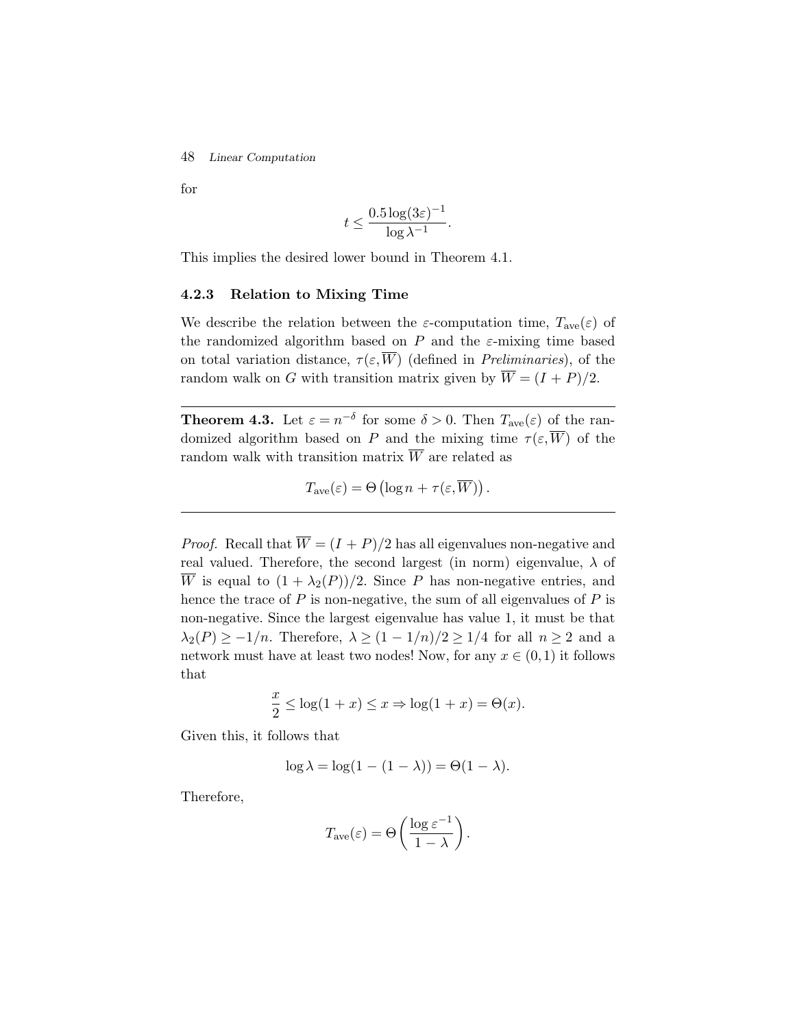for

$$
t \le \frac{0.5 \log(3\varepsilon)^{-1}}{\log \lambda^{-1}}.
$$

This implies the desired lower bound in Theorem 4.1.

#### **4.2.3 Relation to Mixing Time**

We describe the relation between the  $\varepsilon$ -computation time,  $T_{ave}(\varepsilon)$  of the randomized algorithm based on P and the  $\varepsilon$ -mixing time based on total variation distance,  $\tau(\varepsilon,\overline{W})$  (defined in *Preliminaries*), of the random walk on G with transition matrix given by  $\overline{W} = (I + P)/2$ .

**Theorem 4.3.** Let  $\varepsilon = n^{-\delta}$  for some  $\delta > 0$ . Then  $T_{ave}(\varepsilon)$  of the randomized algorithm based on P and the mixing time  $\tau(\varepsilon,\overline{W})$  of the random walk with transition matrix  $\overline{W}$  are related as

$$
T_{\text{ave}}(\varepsilon) = \Theta\left(\log n + \tau(\varepsilon, \overline{W})\right).
$$

*Proof.* Recall that  $\overline{W} = (I + P)/2$  has all eigenvalues non-negative and real valued. Therefore, the second largest (in norm) eigenvalue,  $\lambda$  of  $\overline{W}$  is equal to  $(1 + \lambda_2(P))/2$ . Since P has non-negative entries, and hence the trace of  $P$  is non-negative, the sum of all eigenvalues of  $P$  is non-negative. Since the largest eigenvalue has value 1, it must be that  $\lambda_2(P) \geq -1/n$ . Therefore,  $\lambda \geq (1 - 1/n)/2 \geq 1/4$  for all  $n \geq 2$  and a network must have at least two nodes! Now, for any  $x \in (0,1)$  it follows that

$$
\frac{x}{2} \le \log(1+x) \le x \Rightarrow \log(1+x) = \Theta(x).
$$

Given this, it follows that

$$
\log \lambda = \log(1 - (1 - \lambda)) = \Theta(1 - \lambda).
$$

Therefore,

$$
T_{\text{ave}}(\varepsilon) = \Theta\left(\frac{\log \varepsilon^{-1}}{1-\lambda}\right).
$$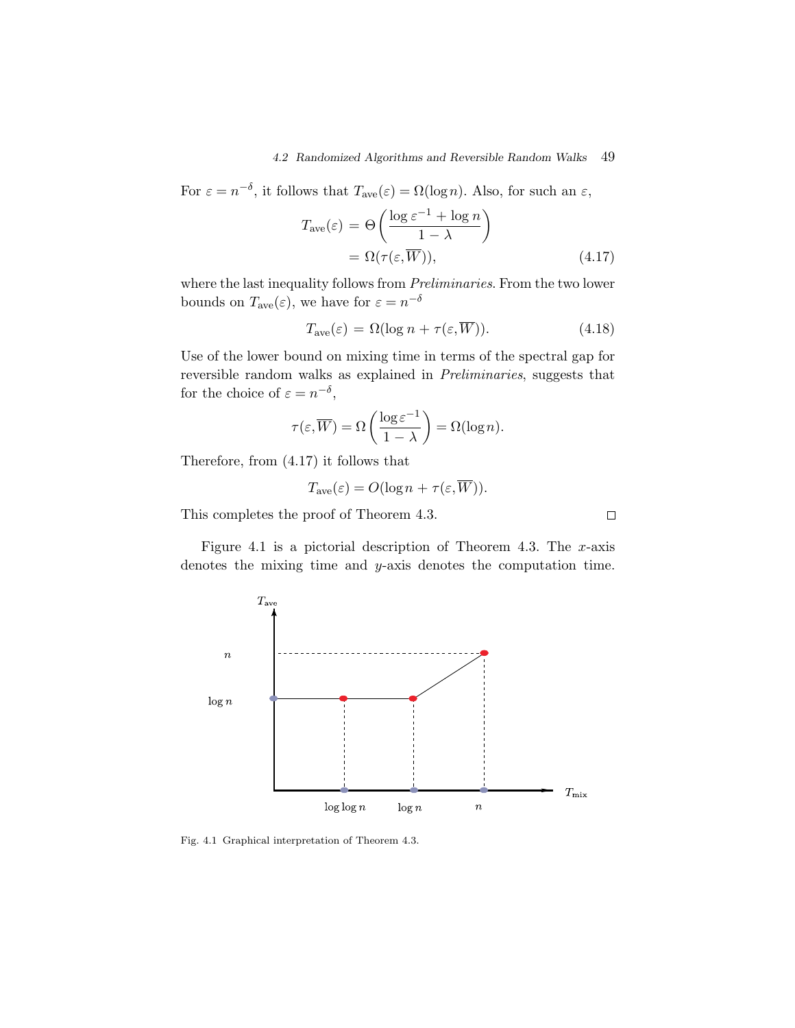For  $\varepsilon = n^{-\delta}$ , it follows that  $T_{ave}(\varepsilon) = \Omega(\log n)$ . Also, for such an  $\varepsilon$ ,

$$
T_{\text{ave}}(\varepsilon) = \Theta\left(\frac{\log \varepsilon^{-1} + \log n}{1 - \lambda}\right)
$$
  
=  $\Omega(\tau(\varepsilon, \overline{W})),$  (4.17)

where the last inequality follows from *Preliminaries*. From the two lower bounds on  $T_{\text{ave}}(\varepsilon)$ , we have for  $\varepsilon = n^{-\delta}$ 

$$
T_{\text{ave}}(\varepsilon) = \Omega(\log n + \tau(\varepsilon, \overline{W})).\tag{4.18}
$$

Use of the lower bound on mixing time in terms of the spectral gap for reversible random walks as explained in *Preliminaries*, suggests that for the choice of  $\varepsilon = n^{-\delta}$ ,

$$
\tau(\varepsilon,\overline{W}) = \Omega\left(\frac{\log \varepsilon^{-1}}{1-\lambda}\right) = \Omega(\log n).
$$

Therefore, from (4.17) it follows that

$$
T_{\text{ave}}(\varepsilon) = O(\log n + \tau(\varepsilon, \overline{W})).
$$

This completes the proof of Theorem 4.3.

Figure 4.1 is a pictorial description of Theorem 4.3. The  $x$ -axis denotes the mixing time and y-axis denotes the computation time.



Fig. 4.1 Graphical interpretation of Theorem 4.3.

 $\Box$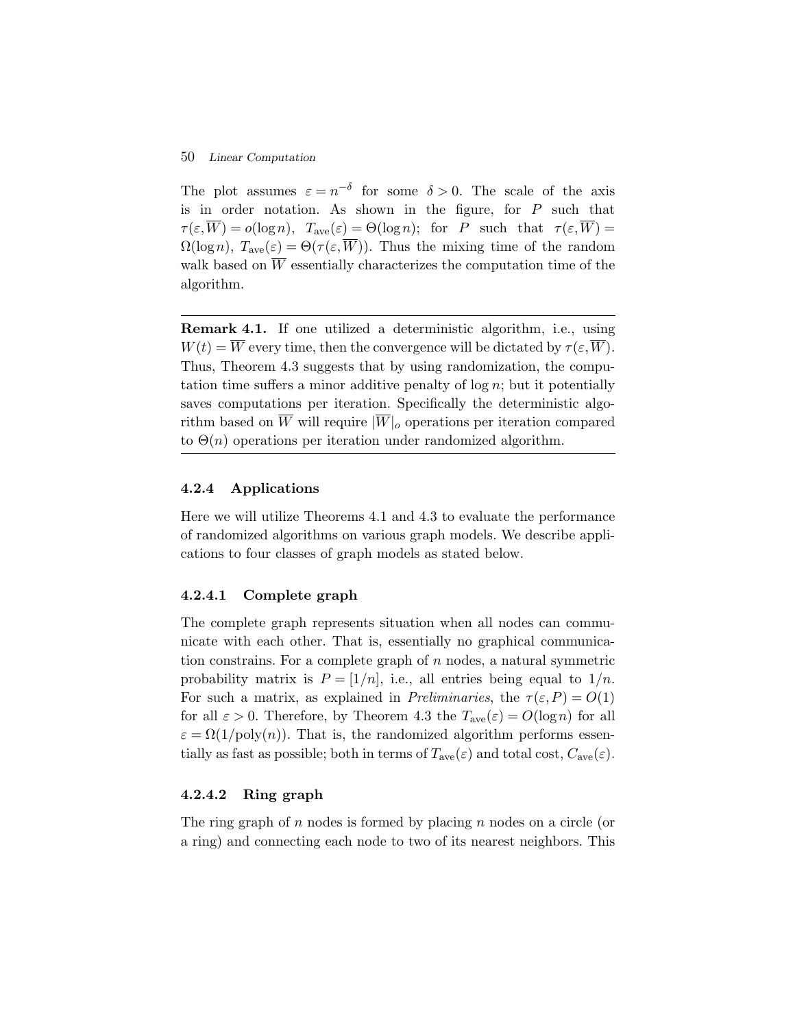The plot assumes  $\varepsilon = n^{-\delta}$  for some  $\delta > 0$ . The scale of the axis is in order notation. As shown in the figure, for  $P$  such that  $\tau(\varepsilon,\overline{W})=o(\log n), T_{ave}(\varepsilon)=\Theta(\log n);$  for P such that  $\tau(\varepsilon,\overline{W})=$  $\Omega(\log n)$ ,  $T_{ave}(\varepsilon) = \Theta(\tau(\varepsilon,\overline{W}))$ . Thus the mixing time of the random walk based on  $\overline{W}$  essentially characterizes the computation time of the algorithm.

**Remark 4.1.** If one utilized a deterministic algorithm, i.e., using  $W(t) = \overline{W}$  every time, then the convergence will be dictated by  $\tau(\varepsilon,\overline{W})$ . Thus, Theorem 4.3 suggests that by using randomization, the computation time suffers a minor additive penalty of  $log n$ ; but it potentially saves computations per iteration. Specifically the deterministic algorithm based on  $\overline{W}$  will require  $|\overline{W}|_o$  operations per iteration compared to  $\Theta(n)$  operations per iteration under randomized algorithm.

#### **4.2.4 Applications**

Here we will utilize Theorems 4.1 and 4.3 to evaluate the performance of randomized algorithms on various graph models. We describe applications to four classes of graph models as stated below.

#### **4.2.4.1 Complete graph**

The complete graph represents situation when all nodes can communicate with each other. That is, essentially no graphical communication constrains. For a complete graph of  $n$  nodes, a natural symmetric probability matrix is  $P = \frac{1}{n}$ , i.e., all entries being equal to  $\frac{1}{n}$ . For such a matrix, as explained in *Preliminaries*, the  $\tau(\varepsilon, P) = O(1)$ for all  $\varepsilon > 0$ . Therefore, by Theorem 4.3 the  $T_{ave}(\varepsilon) = O(\log n)$  for all  $\varepsilon = \Omega(1/\text{poly}(n))$ . That is, the randomized algorithm performs essentially as fast as possible; both in terms of  $T_{\text{ave}}(\varepsilon)$  and total cost,  $C_{\text{ave}}(\varepsilon)$ .

#### **4.2.4.2 Ring graph**

The ring graph of n nodes is formed by placing n nodes on a circle (or a ring) and connecting each node to two of its nearest neighbors. This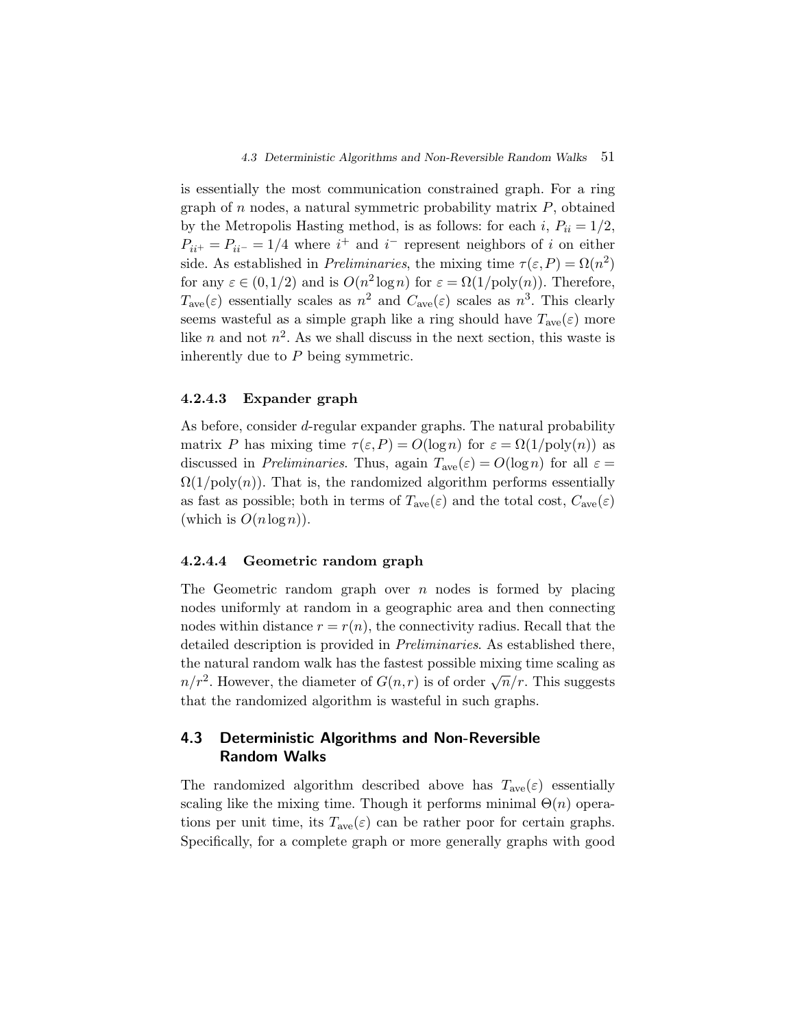is essentially the most communication constrained graph. For a ring graph of n nodes, a natural symmetric probability matrix  $P$ , obtained by the Metropolis Hasting method, is as follows: for each i,  $P_{ii} = 1/2$ ,  $P_{ii^+} = P_{ii^-} = 1/4$  where  $i^+$  and  $i^-$  represent neighbors of i on either side. As established in *Preliminaries*, the mixing time  $\tau(\varepsilon, P) = \Omega(n^2)$ for any  $\varepsilon \in (0,1/2)$  and is  $O(n^2 \log n)$  for  $\varepsilon = \Omega(1/\text{poly}(n))$ . Therefore,  $T_{\text{ave}}(\varepsilon)$  essentially scales as  $n^2$  and  $C_{\text{ave}}(\varepsilon)$  scales as  $n^3$ . This clearly seems wasteful as a simple graph like a ring should have  $T_{ave}(\varepsilon)$  more like n and not  $n^2$ . As we shall discuss in the next section, this waste is inherently due to  $P$  being symmetric.

#### **4.2.4.3 Expander graph**

As before, consider d-regular expander graphs. The natural probability matrix P has mixing time  $\tau(\varepsilon,P) = O(\log n)$  for  $\varepsilon = \Omega(1/\text{poly}(n))$  as discussed in *Preliminaries*. Thus, again  $T_{ave}(\varepsilon) = O(\log n)$  for all  $\varepsilon =$  $\Omega(1/\text{poly}(n))$ . That is, the randomized algorithm performs essentially as fast as possible; both in terms of  $T_{ave}(\varepsilon)$  and the total cost,  $C_{ave}(\varepsilon)$ (which is  $O(n \log n)$ ).

#### **4.2.4.4 Geometric random graph**

The Geometric random graph over  $n$  nodes is formed by placing nodes uniformly at random in a geographic area and then connecting nodes within distance  $r = r(n)$ , the connectivity radius. Recall that the detailed description is provided in *Preliminaries*. As established there, the natural random walk has the fastest possible mixing time scaling as  $n/r^2$ . However, the diameter of  $G(n,r)$  is of order  $\sqrt{n}/r$ . This suggests that the randomized algorithm is wasteful in such graphs.

# **4.3 Deterministic Algorithms and Non-Reversible Random Walks**

The randomized algorithm described above has  $T_{ave}(\varepsilon)$  essentially scaling like the mixing time. Though it performs minimal  $\Theta(n)$  operations per unit time, its  $T_{ave}(\varepsilon)$  can be rather poor for certain graphs. Specifically, for a complete graph or more generally graphs with good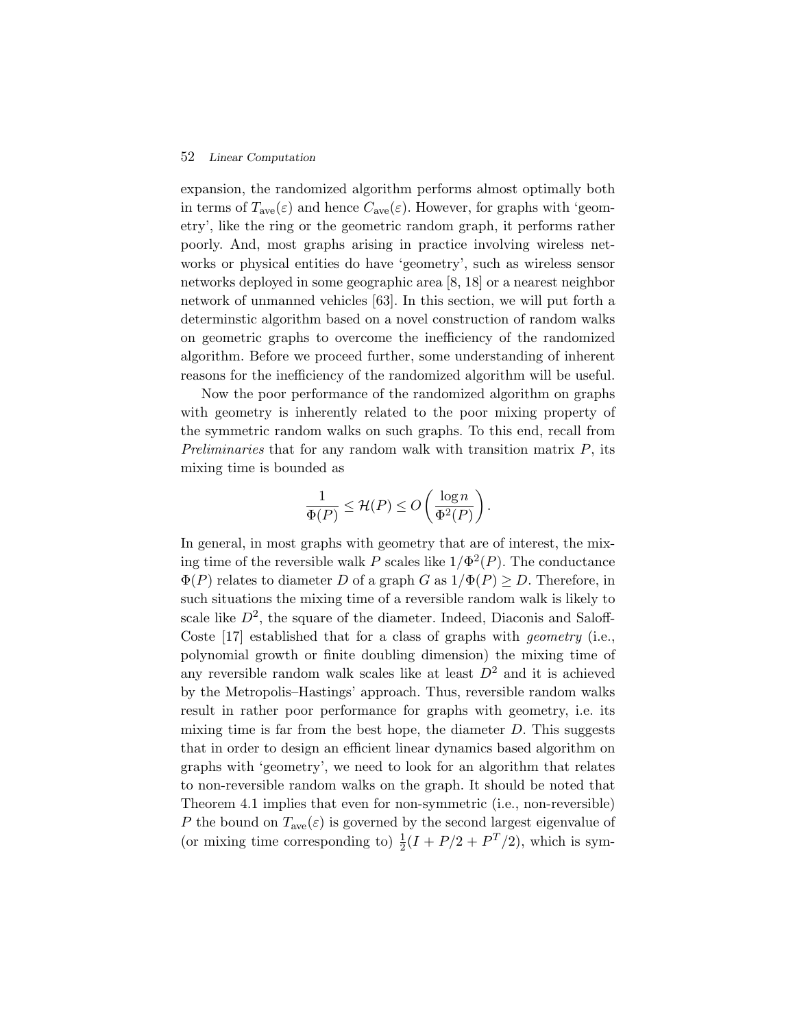expansion, the randomized algorithm performs almost optimally both in terms of  $T_{\text{ave}}(\varepsilon)$  and hence  $C_{\text{ave}}(\varepsilon)$ . However, for graphs with 'geometry', like the ring or the geometric random graph, it performs rather poorly. And, most graphs arising in practice involving wireless networks or physical entities do have 'geometry', such as wireless sensor networks deployed in some geographic area [8, 18] or a nearest neighbor network of unmanned vehicles [63]. In this section, we will put forth a determinstic algorithm based on a novel construction of random walks on geometric graphs to overcome the inefficiency of the randomized algorithm. Before we proceed further, some understanding of inherent reasons for the inefficiency of the randomized algorithm will be useful.

Now the poor performance of the randomized algorithm on graphs with geometry is inherently related to the poor mixing property of the symmetric random walks on such graphs. To this end, recall from *Preliminaries* that for any random walk with transition matrix P, its mixing time is bounded as

$$
\frac{1}{\Phi(P)} \le \mathcal{H}(P) \le O\left(\frac{\log n}{\Phi^2(P)}\right).
$$

In general, in most graphs with geometry that are of interest, the mixing time of the reversible walk P scales like  $1/\Phi^2(P)$ . The conductance  $\Phi(P)$  relates to diameter D of a graph G as  $1/\Phi(P) \geq D$ . Therefore, in such situations the mixing time of a reversible random walk is likely to scale like  $D^2$ , the square of the diameter. Indeed, Diaconis and Saloff-Coste [17] established that for a class of graphs with *geometry* (i.e., polynomial growth or finite doubling dimension) the mixing time of any reversible random walk scales like at least  $D<sup>2</sup>$  and it is achieved by the Metropolis–Hastings' approach. Thus, reversible random walks result in rather poor performance for graphs with geometry, i.e. its mixing time is far from the best hope, the diameter  $D$ . This suggests that in order to design an efficient linear dynamics based algorithm on graphs with 'geometry', we need to look for an algorithm that relates to non-reversible random walks on the graph. It should be noted that Theorem 4.1 implies that even for non-symmetric (i.e., non-reversible) P the bound on  $T_{ave}(\varepsilon)$  is governed by the second largest eigenvalue of (or mixing time corresponding to)  $\frac{1}{2}(I + P/2 + P^{T}/2)$ , which is sym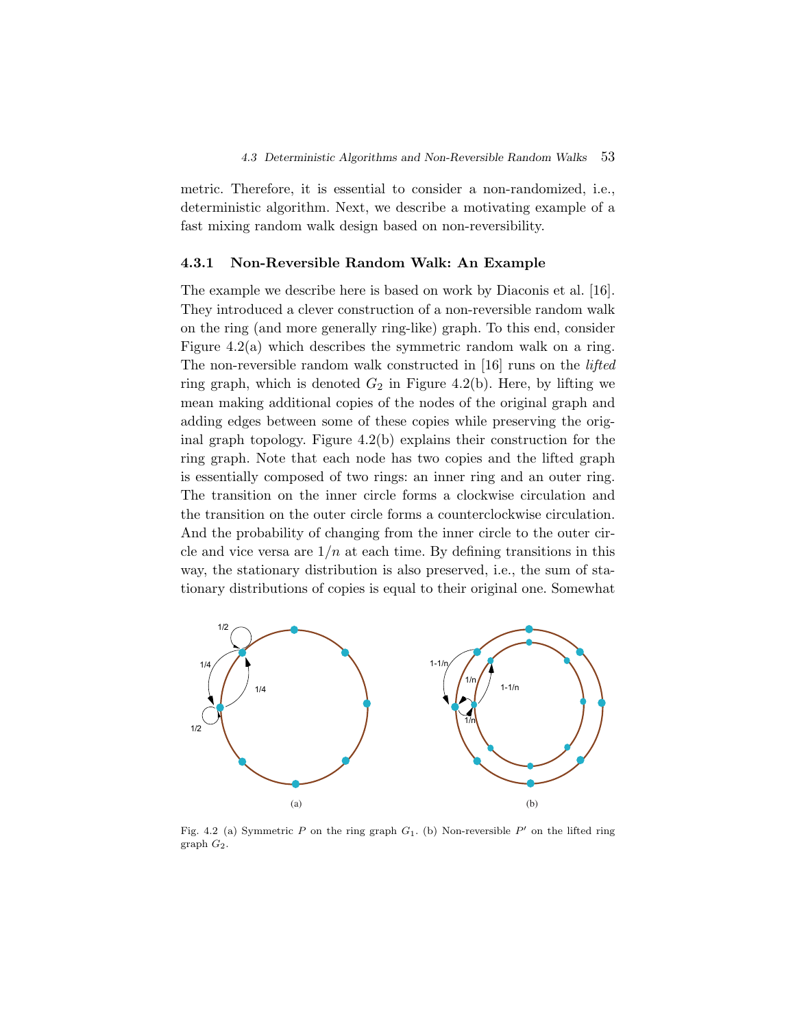metric. Therefore, it is essential to consider a non-randomized, i.e., deterministic algorithm. Next, we describe a motivating example of a fast mixing random walk design based on non-reversibility.

#### **4.3.1 Non-Reversible Random Walk: An Example**

The example we describe here is based on work by Diaconis et al. [16]. They introduced a clever construction of a non-reversible random walk on the ring (and more generally ring-like) graph. To this end, consider Figure 4.2(a) which describes the symmetric random walk on a ring. The non-reversible random walk constructed in [16] runs on the *lifted* ring graph, which is denoted  $G_2$  in Figure 4.2(b). Here, by lifting we mean making additional copies of the nodes of the original graph and adding edges between some of these copies while preserving the original graph topology. Figure 4.2(b) explains their construction for the ring graph. Note that each node has two copies and the lifted graph is essentially composed of two rings: an inner ring and an outer ring. The transition on the inner circle forms a clockwise circulation and the transition on the outer circle forms a counterclockwise circulation. And the probability of changing from the inner circle to the outer circle and vice versa are  $1/n$  at each time. By defining transitions in this way, the stationary distribution is also preserved, i.e., the sum of stationary distributions of copies is equal to their original one. Somewhat



Fig. 4.2 (a) Symmetric P on the ring graph  $G_1$ . (b) Non-reversible P' on the lifted ring  $graph G_2$ .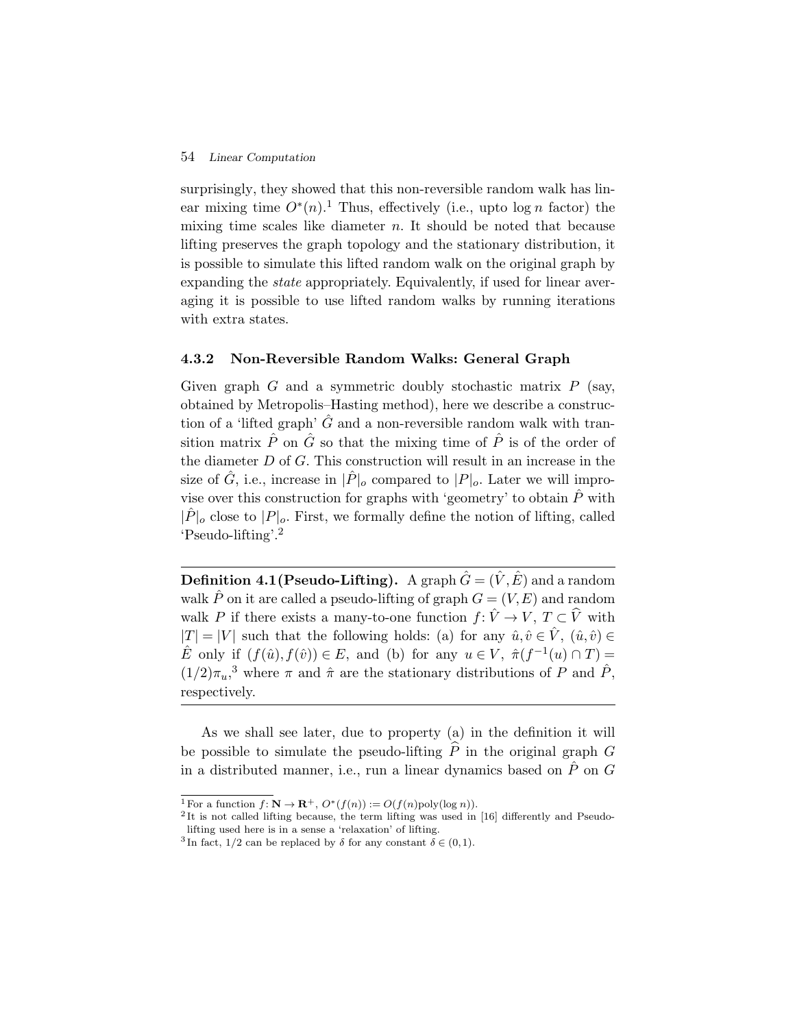surprisingly, they showed that this non-reversible random walk has linear mixing time  $O^*(n)$ .<sup>1</sup> Thus, effectively (i.e., upto  $\log n$  factor) the mixing time scales like diameter  $n$ . It should be noted that because lifting preserves the graph topology and the stationary distribution, it is possible to simulate this lifted random walk on the original graph by expanding the *state* appropriately. Equivalently, if used for linear averaging it is possible to use lifted random walks by running iterations with extra states.

#### **4.3.2 Non-Reversible Random Walks: General Graph**

Given graph  $G$  and a symmetric doubly stochastic matrix  $P$  (say, obtained by Metropolis–Hasting method), here we describe a construction of a 'lifted graph'  $\hat{G}$  and a non-reversible random walk with transition matrix  $\hat{P}$  on  $\hat{G}$  so that the mixing time of  $\hat{P}$  is of the order of the diameter  $D$  of  $G$ . This construction will result in an increase in the size of  $\hat{G}$ , i.e., increase in  $|\hat{P}|_o$  compared to  $|P|_o$ . Later we will improvise over this construction for graphs with 'geometry' to obtain  $\hat{P}$  with  $|\hat{P}|_o$  close to  $|P|_o$ . First, we formally define the notion of lifting, called 'Pseudo-lifting'.<sup>2</sup>

**Definition 4.1(Pseudo-Lifting).** A graph  $\hat{G} = (\hat{V}, \hat{E})$  and a random walk  $\hat{P}$  on it are called a pseudo-lifting of graph  $G = (V, E)$  and random walk P if there exists a many-to-one function  $f: \hat{V} \to V, T \subset \hat{V}$  with  $|T| = |V|$  such that the following holds: (a) for any  $\hat{u}, \hat{v} \in \hat{V}$ ,  $(\hat{u}, \hat{v}) \in$  $\hat{E}$  only if  $(f(\hat{u}),f(\hat{v})) \in E$ , and (b) for any  $u \in V$ ,  $\hat{\pi}(f^{-1}(u) \cap T) =$  $(1/2)\pi_u$ <sup>3</sup> where  $\pi$  and  $\hat{\pi}$  are the stationary distributions of P and  $\hat{P}$ , respectively.

As we shall see later, due to property (a) in the definition it will be possible to simulate the pseudo-lifting  $\hat{P}$  in the original graph G in a distributed manner, i.e., run a linear dynamics based on  $\hat{P}$  on  $G$ 

<sup>&</sup>lt;sup>1</sup> For a function  $f: \mathbb{N} \to \mathbb{R}^+$ ,  $O^*(f(n)) := O(f(n) \text{poly}(\log n))$ .

<sup>&</sup>lt;sup>2</sup>It is not called lifting because, the term lifting was used in [16] differently and Pseudolifting used here is in a sense a 'relaxation' of lifting.

<sup>&</sup>lt;sup>3</sup> In fact, 1/2 can be replaced by  $\delta$  for any constant  $\delta \in (0,1)$ .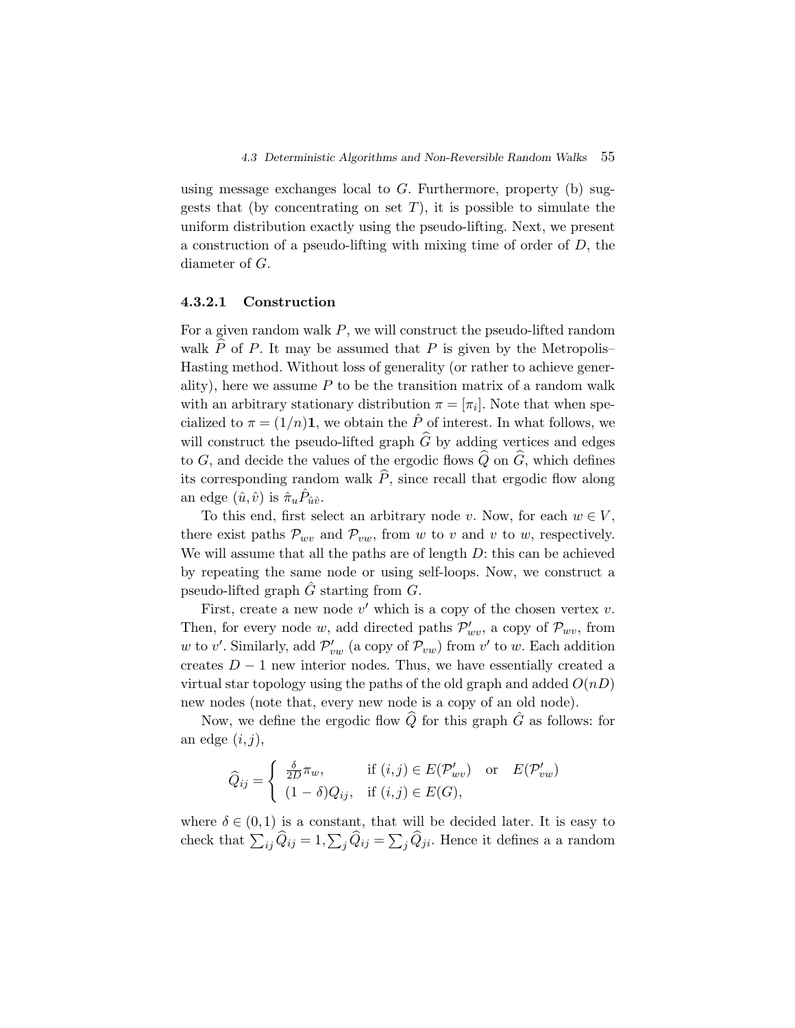using message exchanges local to  $G$ . Furthermore, property (b) suggests that (by concentrating on set  $T$ ), it is possible to simulate the uniform distribution exactly using the pseudo-lifting. Next, we present a construction of a pseudo-lifting with mixing time of order of  $D$ , the diameter of G.

#### **4.3.2.1 Construction**

For a given random walk  $P$ , we will construct the pseudo-lifted random walk  $\tilde{P}$  of P. It may be assumed that P is given by the Metropolis– Hasting method. Without loss of generality (or rather to achieve generality), here we assume  $P$  to be the transition matrix of a random walk with an arbitrary stationary distribution  $\pi = [\pi_i]$ . Note that when specialized to  $\pi = (1/n)\mathbf{1}$ , we obtain the  $\hat{P}$  of interest. In what follows, we will construct the pseudo-lifted graph  $\hat{G}$  by adding vertices and edges to G, and decide the values of the ergodic flows  $\widehat{Q}$  on  $\widehat{G}$ , which defines its corresponding random walk  $\hat{P}$ , since recall that ergodic flow along an edge  $(\hat{u}, \hat{v})$  is  $\hat{\pi}_u P_{\hat{u}\hat{v}}$ .

To this end, first select an arbitrary node v. Now, for each  $w \in V$ , there exist paths  $\mathcal{P}_{wv}$  and  $\mathcal{P}_{vw}$ , from w to v and v to w, respectively. We will assume that all the paths are of length  $D$ : this can be achieved by repeating the same node or using self-loops. Now, we construct a pseudo-lifted graph  $\ddot{G}$  starting from  $G$ .

First, create a new node  $v'$  which is a copy of the chosen vertex v. Then, for every node w, add directed paths  $\mathcal{P}'_{wv}$ , a copy of  $\mathcal{P}_{wv}$ , from w to v'. Similarly, add  $\mathcal{P}'_{vw}$  (a copy of  $\mathcal{P}_{vw}$ ) from v' to w. Each addition creates  $D-1$  new interior nodes. Thus, we have essentially created a virtual star topology using the paths of the old graph and added  $O(nD)$ new nodes (note that, every new node is a copy of an old node).

Now, we define the ergodic flow  $\widehat{Q}$  for this graph  $\widehat{G}$  as follows: for an edge  $(i, j)$ ,

$$
\widehat{Q}_{ij} = \begin{cases}\n\frac{\delta}{2D} \pi_w, & \text{if } (i,j) \in E(\mathcal{P}'_{wv}) \text{ or } E(\mathcal{P}'_{vw}) \\
(1 - \delta) Q_{ij}, & \text{if } (i,j) \in E(G),\n\end{cases}
$$

where  $\delta \in (0,1)$  is a constant, that will be decided later. It is easy to check that  $\sum_{ij} Q_{ij} = 1, \sum_j Q_{ij} = \sum_j Q_{ji}$ . Hence it defines a a random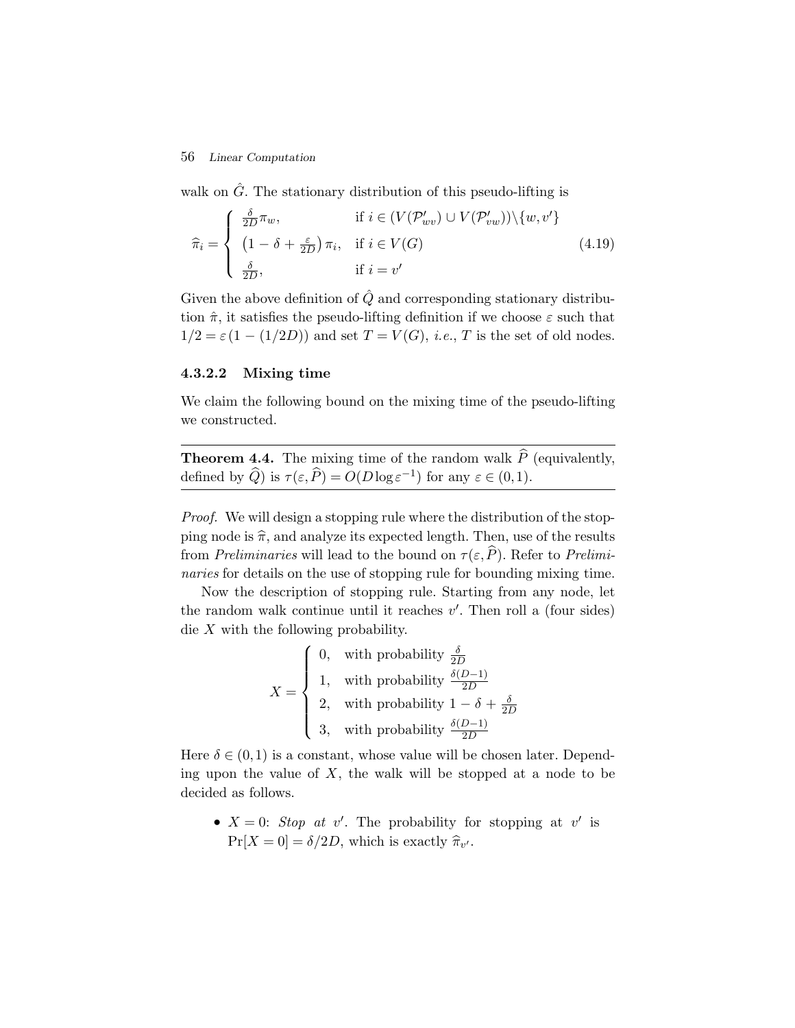walk on  $\hat{G}$ . The stationary distribution of this pseudo-lifting is

$$
\widehat{\pi}_i = \begin{cases}\n\frac{\delta}{2D} \pi_w, & \text{if } i \in (V(\mathcal{P}'_{wv}) \cup V(\mathcal{P}'_{vw})) \setminus \{w, v'\} \\
(1 - \delta + \frac{\varepsilon}{2D}) \pi_i, & \text{if } i \in V(G) \\
\frac{\delta}{2D}, & \text{if } i = v'\n\end{cases}
$$
\n(4.19)

Given the above definition of  $\hat{Q}$  and corresponding stationary distribution  $\hat{\pi}$ , it satisfies the pseudo-lifting definition if we choose  $\varepsilon$  such that  $1/2 = \varepsilon(1 - (1/2D))$  and set  $T = V(G)$ , *i.e.*, T is the set of old nodes.

#### **4.3.2.2 Mixing time**

We claim the following bound on the mixing time of the pseudo-lifting we constructed.

**Theorem 4.4.** The mixing time of the random walk  $\widehat{P}$  (equivalently, defined by  $\widehat{Q}$ ) is  $\tau(\varepsilon,\widehat{P}) = O(D \log \varepsilon^{-1})$  for any  $\varepsilon \in (0,1)$ .

*Proof.* We will design a stopping rule where the distribution of the stopping node is  $\hat{\pi}$ , and analyze its expected length. Then, use of the results from *Preliminaries* will lead to the bound on  $\tau(\varepsilon, \hat{P})$ . Refer to *Preliminaries* for details on the use of stopping rule for bounding mixing time.

Now the description of stopping rule. Starting from any node, let the random walk continue until it reaches  $v'$ . Then roll a (four sides) die  $X$  with the following probability.

$$
X = \begin{cases} 0, & \text{with probability } \frac{\delta}{2D} \\ 1, & \text{with probability } \frac{\delta(D-1)}{2D} \\ 2, & \text{with probability } 1 - \delta + \frac{\delta}{2D} \\ 3, & \text{with probability } \frac{\delta(D-1)}{2D} \end{cases}
$$

Here  $\delta \in (0,1)$  is a constant, whose value will be chosen later. Depending upon the value of  $X$ , the walk will be stopped at a node to be decided as follows.

•  $X = 0$ : *Stop at v'*. The probability for stopping at v' is  $\Pr[X=0] = \delta/2D$ , which is exactly  $\hat{\pi}_{v'}$ .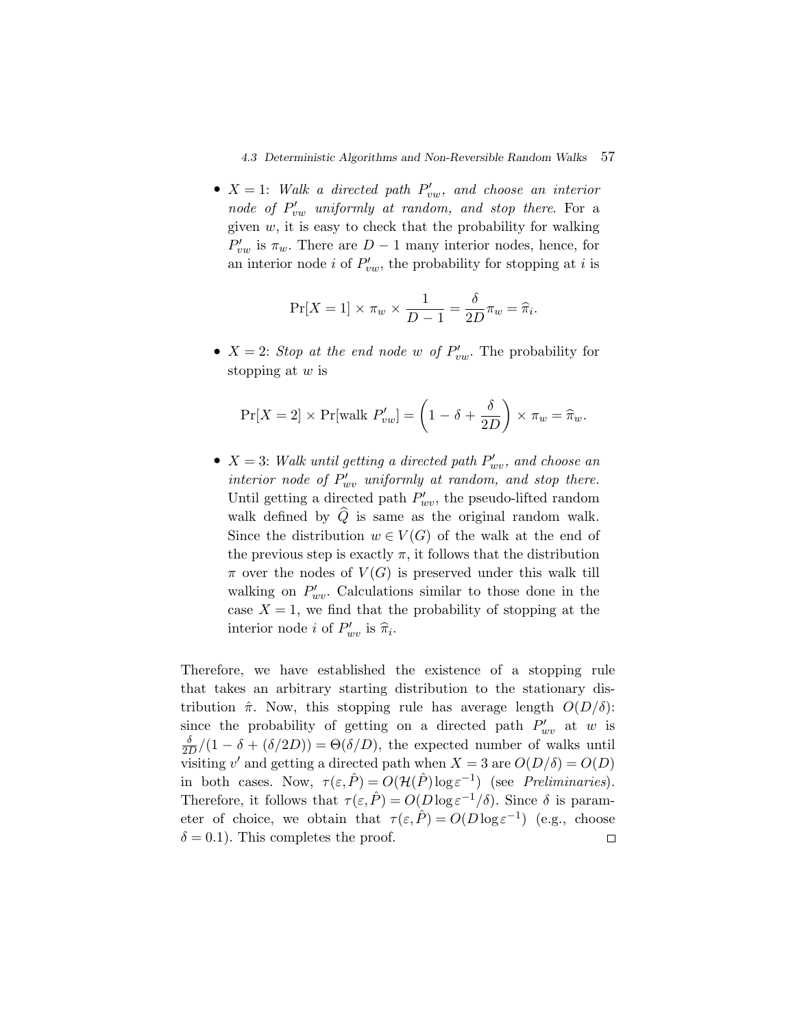•  $X = 1$ : Walk a directed path  $P'_{vw}$ , and choose an interior node of  $P'_{vw}$  *uniformly at random, and stop there.* For a given  $w$ , it is easy to check that the probability for walking  $P'_{vw}$  is  $\pi_w$ . There are  $D-1$  many interior nodes, hence, for an interior node *i* of  $P'_{vw}$ , the probability for stopping at *i* is

$$
\Pr[X=1] \times \pi_w \times \frac{1}{D-1} = \frac{\delta}{2D} \pi_w = \hat{\pi}_i.
$$

•  $X = 2$ : *Stop at the end node w of*  $P'_{vw}$ . The probability for stopping at  $w$  is

$$
\Pr[X=2] \times \Pr[\text{walk } P'_{vw}] = \left(1 - \delta + \frac{\delta}{2D}\right) \times \pi_w = \widehat{\pi}_w.
$$

•  $X = 3$ : Walk until getting a directed path  $P'_{wv}$ , and choose an *interior node of*  $P'_{wv}$  *uniformly at random, and stop there.* Until getting a directed path  $P'_{wv}$ , the pseudo-lifted random walk defined by  $Q$  is same as the original random walk. Since the distribution  $w \in V(G)$  of the walk at the end of the previous step is exactly  $\pi$ , it follows that the distribution  $\pi$  over the nodes of  $V(G)$  is preserved under this walk till walking on  $P'_{ww}$ . Calculations similar to those done in the case  $X = 1$ , we find that the probability of stopping at the interior node *i* of  $P'_{wv}$  is  $\hat{\pi}_i$ .

Therefore, we have established the existence of a stopping rule that takes an arbitrary starting distribution to the stationary distribution  $\hat{\pi}$ . Now, this stopping rule has average length  $O(D/\delta)$ : since the probability of getting on a directed path  $P'_{wv}$  at w is  $\frac{\delta}{2D}/(1-\delta+(\delta/2D)) = \Theta(\delta/D)$ , the expected number of walks until visiting v' and getting a directed path when  $X = 3$  are  $O(D/\delta) = O(D)$ in both cases. Now,  $\tau(\varepsilon,\hat{P}) = O(\mathcal{H}(\hat{P})\log \varepsilon^{-1})$  (see *Preliminaries*). Therefore, it follows that  $\tau(\varepsilon,\hat{P}) = O(D \log \varepsilon^{-1}/\delta)$ . Since  $\delta$  is parameter of choice, we obtain that  $\tau(\varepsilon,\hat{P}) = O(D \log \varepsilon^{-1})$  (e.g., choose  $\delta = 0.1$ ). This completes the proof.  $\Box$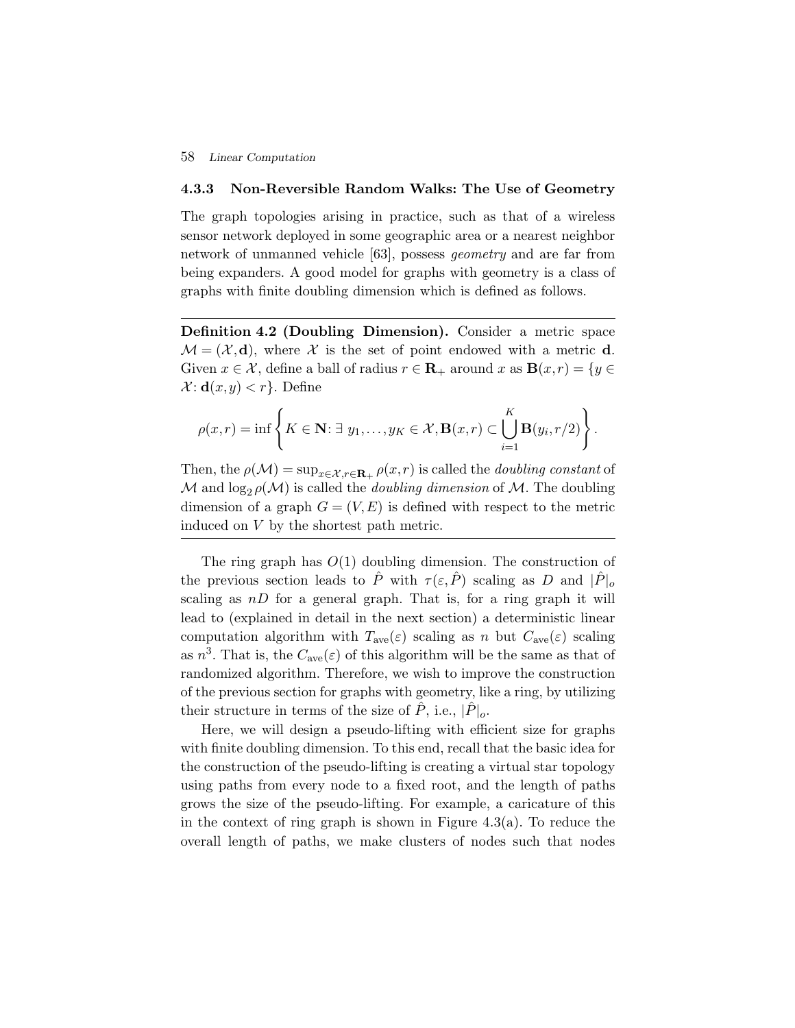#### **4.3.3 Non-Reversible Random Walks: The Use of Geometry**

The graph topologies arising in practice, such as that of a wireless sensor network deployed in some geographic area or a nearest neighbor network of unmanned vehicle [63], possess *geometry* and are far from being expanders. A good model for graphs with geometry is a class of graphs with finite doubling dimension which is defined as follows.

**Definition 4.2 (Doubling Dimension).** Consider a metric space  $\mathcal{M} = (\mathcal{X}, \mathbf{d})$ , where  $\mathcal{X}$  is the set of point endowed with a metric **d**. Given  $x \in \mathcal{X}$ , define a ball of radius  $r \in \mathbb{R}_+$  around x as  $\mathbf{B}(x,r) = \{y \in \mathbb{R}\}$  $\mathcal{X}: \mathbf{d}(x,y) < r$ . Define

$$
\rho(x,r)=\inf\left\{K\in\mathbf{N}\colon \exists\ y_1,\ldots,y_K\in\mathcal{X},\mathbf{B}(x,r)\subset\bigcup_{i=1}^K\mathbf{B}(y_i,r/2)\right\}.
$$

Then, the  $\rho(\mathcal{M}) = \sup_{x \in \mathcal{X}, r \in \mathbf{R}_+} \rho(x,r)$  is called the *doubling constant* of  $\mathcal M$  and  $\log_2 \rho(\mathcal M)$  is called the *doubling dimension* of  $\mathcal M$ . The doubling dimension of a graph  $G = (V, E)$  is defined with respect to the metric induced on V by the shortest path metric.

The ring graph has  $O(1)$  doubling dimension. The construction of the previous section leads to  $\hat{P}$  with  $\tau(\varepsilon,\hat{P})$  scaling as D and  $|\hat{P}|_o$ scaling as  $nD$  for a general graph. That is, for a ring graph it will lead to (explained in detail in the next section) a deterministic linear computation algorithm with  $T_{ave}(\varepsilon)$  scaling as n but  $C_{ave}(\varepsilon)$  scaling as  $n^3$ . That is, the  $C_{ave}(\varepsilon)$  of this algorithm will be the same as that of randomized algorithm. Therefore, we wish to improve the construction of the previous section for graphs with geometry, like a ring, by utilizing their structure in terms of the size of  $\ddot{P}$ , i.e.,  $|\ddot{P}|_o$ .

Here, we will design a pseudo-lifting with efficient size for graphs with finite doubling dimension. To this end, recall that the basic idea for the construction of the pseudo-lifting is creating a virtual star topology using paths from every node to a fixed root, and the length of paths grows the size of the pseudo-lifting. For example, a caricature of this in the context of ring graph is shown in Figure 4.3(a). To reduce the overall length of paths, we make clusters of nodes such that nodes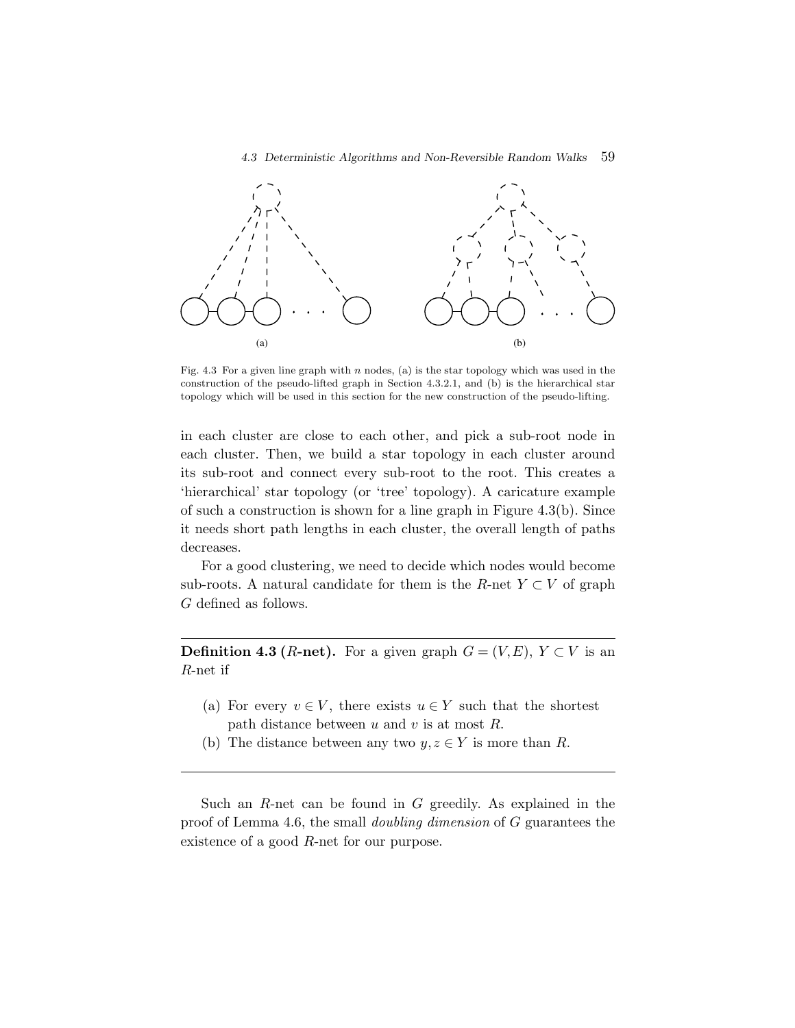#### *4.3 Deterministic Algorithms and Non-Reversible Random Walks* 59



Fig. 4.3 For a given line graph with n nodes, (a) is the star topology which was used in the construction of the pseudo-lifted graph in Section 4.3.2.1, and (b) is the hierarchical star topology which will be used in this section for the new construction of the pseudo-lifting.

in each cluster are close to each other, and pick a sub-root node in each cluster. Then, we build a star topology in each cluster around its sub-root and connect every sub-root to the root. This creates a 'hierarchical' star topology (or 'tree' topology). A caricature example of such a construction is shown for a line graph in Figure 4.3(b). Since it needs short path lengths in each cluster, the overall length of paths decreases.

For a good clustering, we need to decide which nodes would become sub-roots. A natural candidate for them is the R-net  $Y \subset V$  of graph G defined as follows.

**Definition 4.3 (***R***-net).** For a given graph  $G = (V, E)$ ,  $Y \subset V$  is an R-net if

- (a) For every  $v \in V$ , there exists  $u \in Y$  such that the shortest path distance between  $u$  and  $v$  is at most  $R$ .
- (b) The distance between any two  $y, z \in Y$  is more than R.

Such an  $R$ -net can be found in  $G$  greedily. As explained in the proof of Lemma 4.6, the small *doubling dimension* of G guarantees the existence of a good R-net for our purpose.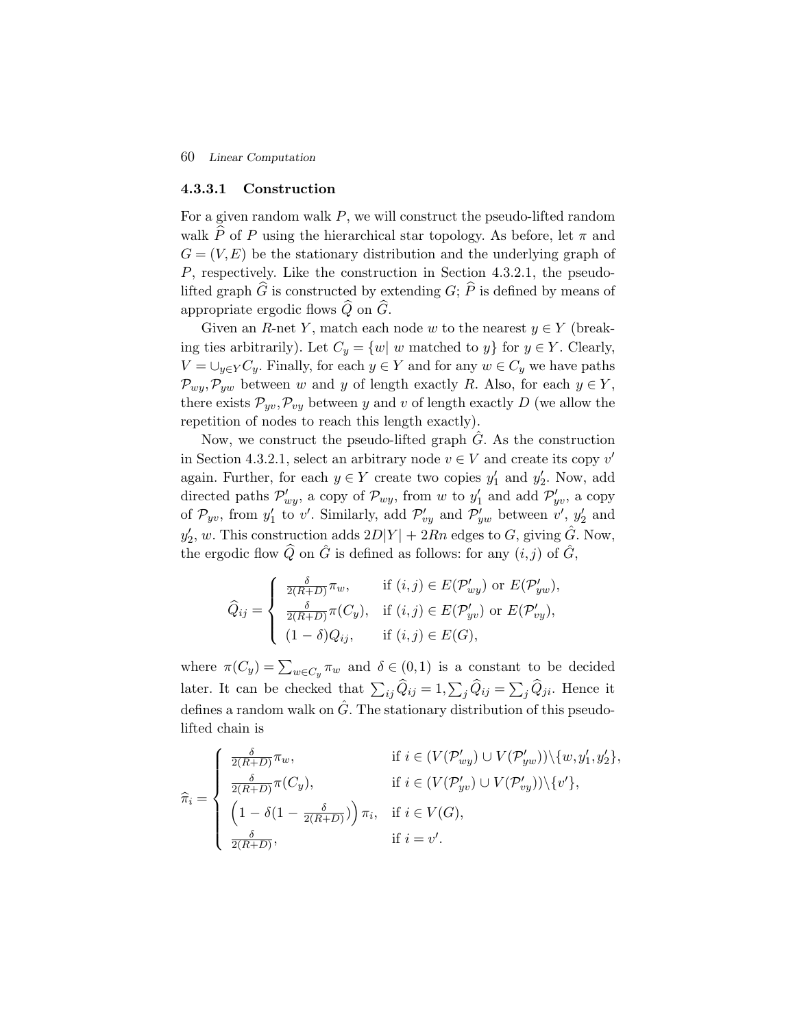#### **4.3.3.1 Construction**

For a given random walk  $P$ , we will construct the pseudo-lifted random walk  $\widehat{P}$  of P using the hierarchical star topology. As before, let  $\pi$  and  $G = (V, E)$  be the stationary distribution and the underlying graph of P, respectively. Like the construction in Section 4.3.2.1, the pseudolifted graph  $\widehat{G}$  is constructed by extending  $G$ ;  $\widehat{P}$  is defined by means of appropriate ergodic flows  $\widehat{Q}$  on  $\widehat{G}$ .

Given an R-net Y, match each node w to the nearest  $y \in Y$  (breaking ties arbitrarily). Let  $C_y = \{w | w \text{ matched to } y\}$  for  $y \in Y$ . Clearly,  $V = \bigcup_{y \in Y} C_y$ . Finally, for each  $y \in Y$  and for any  $w \in C_y$  we have paths  $\mathcal{P}_{wy}, \mathcal{P}_{yw}$  between w and y of length exactly R. Also, for each  $y \in Y$ , there exists  $\mathcal{P}_{yv}, \mathcal{P}_{vy}$  between y and v of length exactly D (we allow the repetition of nodes to reach this length exactly).

Now, we construct the pseudo-lifted graph  $G$ . As the construction in Section 4.3.2.1, select an arbitrary node  $v \in V$  and create its copy v' again. Further, for each  $y \in Y$  create two copies  $y'_1$  and  $y'_2$ . Now, add directed paths  $\mathcal{P}'_{wy}$ , a copy of  $\mathcal{P}_{wy}$ , from w to  $y'_1$  and add  $\mathcal{P}'_{yv}$ , a copy of  $\mathcal{P}_{yv}$ , from  $y'_1$  to v'. Similarly, add  $\mathcal{P}'_{vy}$  and  $\mathcal{P}'_{yw}$  between v',  $y'_2$  and  $y_2^{\prime}$ , w. This construction adds  $2D|Y| + 2Rn$  edges to G, giving  $\hat{G}$ . Now, the ergodic flow  $\widehat{Q}$  on  $\widehat{G}$  is defined as follows: for any  $(i, j)$  of  $\widehat{G}$ ,

$$
\widehat{Q}_{ij} = \begin{cases}\n\frac{\delta}{2(R+D)} \pi_w, & \text{if } (i,j) \in E(\mathcal{P}'_{wy}) \text{ or } E(\mathcal{P}'_{yw}), \\
\frac{\delta}{2(R+D)} \pi(C_y), & \text{if } (i,j) \in E(\mathcal{P}'_{yv}) \text{ or } E(\mathcal{P}'_{vy}), \\
(1-\delta)Q_{ij}, & \text{if } (i,j) \in E(G),\n\end{cases}
$$

where  $\pi(C_y) = \sum_{w \in C_y} \pi_w$  and  $\delta \in (0,1)$  is a constant to be decided later. It can be checked that  $\sum_{ij} Q_{ij} = 1, \sum_j Q_{ij} = \sum_j Q_{ji}$ . Hence it defines a random walk on  $\hat{G}$ . The stationary distribution of this pseudolifted chain is

$$
\widehat{\pi}_i = \begin{cases}\n\frac{\delta}{2(R+D)} \pi_w, & \text{if } i \in (V(\mathcal{P}'_{wy}) \cup V(\mathcal{P}'_{yw})) \setminus \{w, y'_1, y'_2\}, \\
\frac{\delta}{2(R+D)} \pi(C_y), & \text{if } i \in (V(\mathcal{P}'_{yv}) \cup V(\mathcal{P}'_{vy})) \setminus \{v'\}, \\
\left(1 - \delta(1 - \frac{\delta}{2(R+D)})\right) \pi_i, & \text{if } i \in V(G), \\
\frac{\delta}{2(R+D)}, & \text{if } i = v'.\n\end{cases}
$$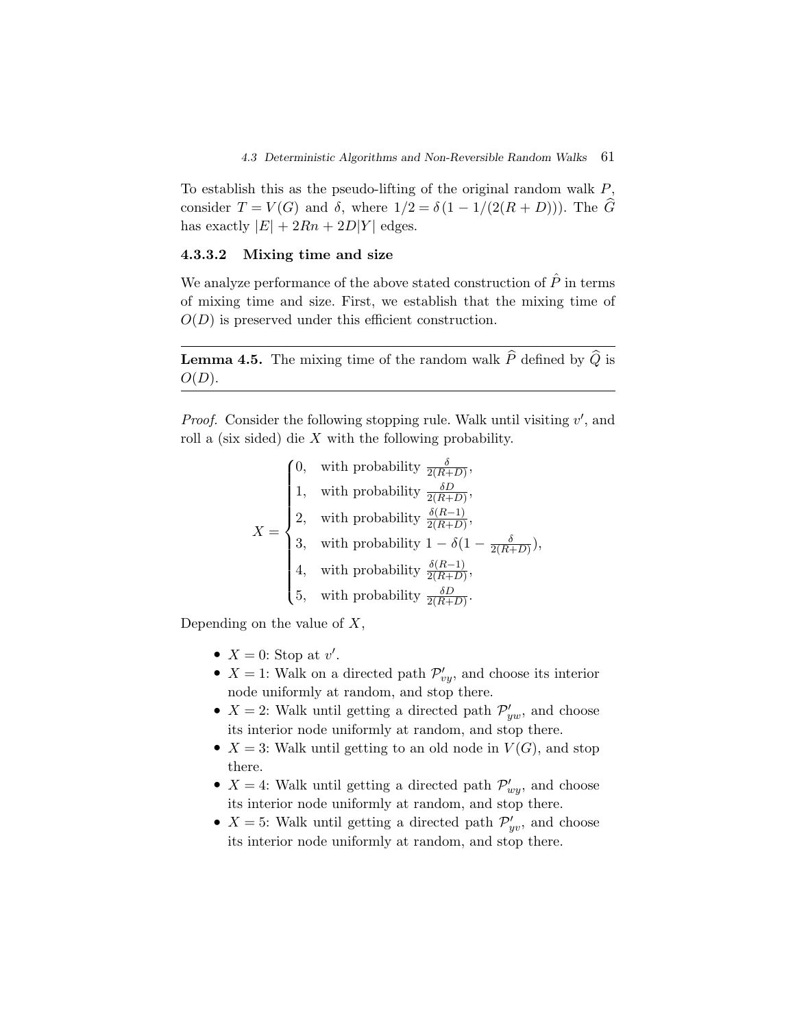To establish this as the pseudo-lifting of the original random walk  $P$ , consider  $T = V(G)$  and  $\delta$ , where  $1/2 = \delta(1 - 1/(2(R + D)))$ . The  $\widehat{G}$ has exactly  $|E| + 2Rn + 2D|Y|$  edges.

### **4.3.3.2 Mixing time and size**

We analyze performance of the above stated construction of  $\hat{P}$  in terms of mixing time and size. First, we establish that the mixing time of  $O(D)$  is preserved under this efficient construction.

**Lemma 4.5.** The mixing time of the random walk  $\widehat{P}$  defined by  $\widehat{Q}$  is  $O(D).$ 

Proof. Consider the following stopping rule. Walk until visiting v', and roll a (six sided) die X with the following probability.

$$
X = \begin{cases} 0, & \text{with probability } \frac{\delta}{2(R+D)}, \\ 1, & \text{with probability } \frac{\delta D}{2(R+D)}, \\ 2, & \text{with probability } \frac{\delta(R-1)}{2(R+D)}, \\ 3, & \text{with probability } 1 - \delta(1 - \frac{\delta}{2(R+D)}), \\ 4, & \text{with probability } \frac{\delta(R-1)}{2(R+D)}, \\ 5, & \text{with probability } \frac{\delta D}{2(R+D)}. \end{cases}
$$

Depending on the value of  $X$ ,

- $X = 0$ : Stop at v'.
- $X = 1$ : Walk on a directed path  $\mathcal{P}'_{vv}$ , and choose its interior node uniformly at random, and stop there.
- $X = 2$ : Walk until getting a directed path  $\mathcal{P}'_{ww}$ , and choose its interior node uniformly at random, and stop there.
- $X = 3$ : Walk until getting to an old node in  $V(G)$ , and stop there.
- $X = 4$ : Walk until getting a directed path  $\mathcal{P}'_{w,v}$ , and choose its interior node uniformly at random, and stop there.
- $X = 5$ : Walk until getting a directed path  $\mathcal{P}'_{uv}$ , and choose its interior node uniformly at random, and stop there.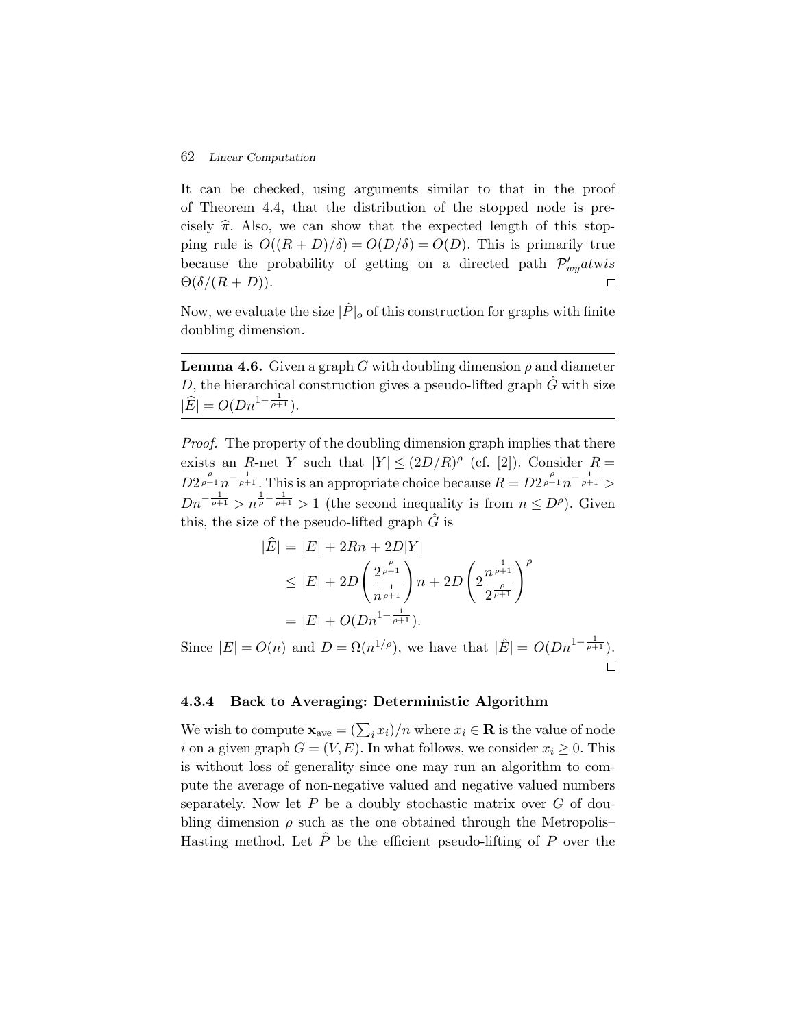It can be checked, using arguments similar to that in the proof of Theorem 4.4, that the distribution of the stopped node is precisely  $\hat{\pi}$ . Also, we can show that the expected length of this stopping rule is  $O((R + D)/\delta) = O(D/\delta) = O(D)$ . This is primarily true because the probability of getting on a directed path  $\mathcal{P}'_{wu}$  at wis  $\Theta(\delta/(R+D)).$  $\Box$ 

Now, we evaluate the size  $|\hat{P}|_o$  of this construction for graphs with finite doubling dimension.

**Lemma 4.6.** Given a graph G with doubling dimension  $\rho$  and diameter D, the hierarchical construction gives a pseudo-lifted graph  $\hat{G}$  with size  $|\widehat{E}| = O(Dn^{1-\frac{1}{\rho+1}}).$ 

*Proof.* The property of the doubling dimension graph implies that there exists an R-net Y such that  $|Y| \leq (2D/R)^{\rho}$  (cf. [2]). Consider R =  $D2^{\frac{\rho}{\rho+1}}n^{-\frac{1}{\rho+1}}$ . This is an appropriate choice because  $R = D2^{\frac{\rho}{\rho+1}}n^{-\frac{1}{\rho+1}} >$  $Dn^{-\frac{1}{\rho+1}} > n^{\frac{1}{\rho} - \frac{1}{\rho+1}} > 1$  (the second inequality is from  $n \leq D^{\rho}$ ). Given this, the size of the pseudo-lifted graph  $\hat{G}$  is

$$
|E| = |E| + 2Rn + 2D|Y|
$$
  
\n
$$
\leq |E| + 2D\left(\frac{2^{\frac{\rho}{\rho+1}}}{n^{\frac{1}{\rho+1}}}\right)n + 2D\left(2\frac{n^{\frac{1}{\rho+1}}}{2^{\frac{\rho}{\rho+1}}}\right)^{\rho}
$$
  
\n
$$
= |E| + O(Dn^{1-\frac{1}{\rho+1}}).
$$

Since  $|E| = O(n)$  and  $D = \Omega(n^{1/\rho})$ , we have that  $|\hat{E}| = O(Dn^{1-\frac{1}{\rho+1}})$ . П

#### **4.3.4 Back to Averaging: Deterministic Algorithm**

We wish to compute  $\mathbf{x}_{ave} = (\sum_i x_i)/n$  where  $x_i \in \mathbf{R}$  is the value of node i on a given graph  $G = (V, E)$ . In what follows, we consider  $x_i \geq 0$ . This is without loss of generality since one may run an algorithm to compute the average of non-negative valued and negative valued numbers separately. Now let  $P$  be a doubly stochastic matrix over  $G$  of doubling dimension  $\rho$  such as the one obtained through the Metropolis– Hasting method. Let  $\hat{P}$  be the efficient pseudo-lifting of P over the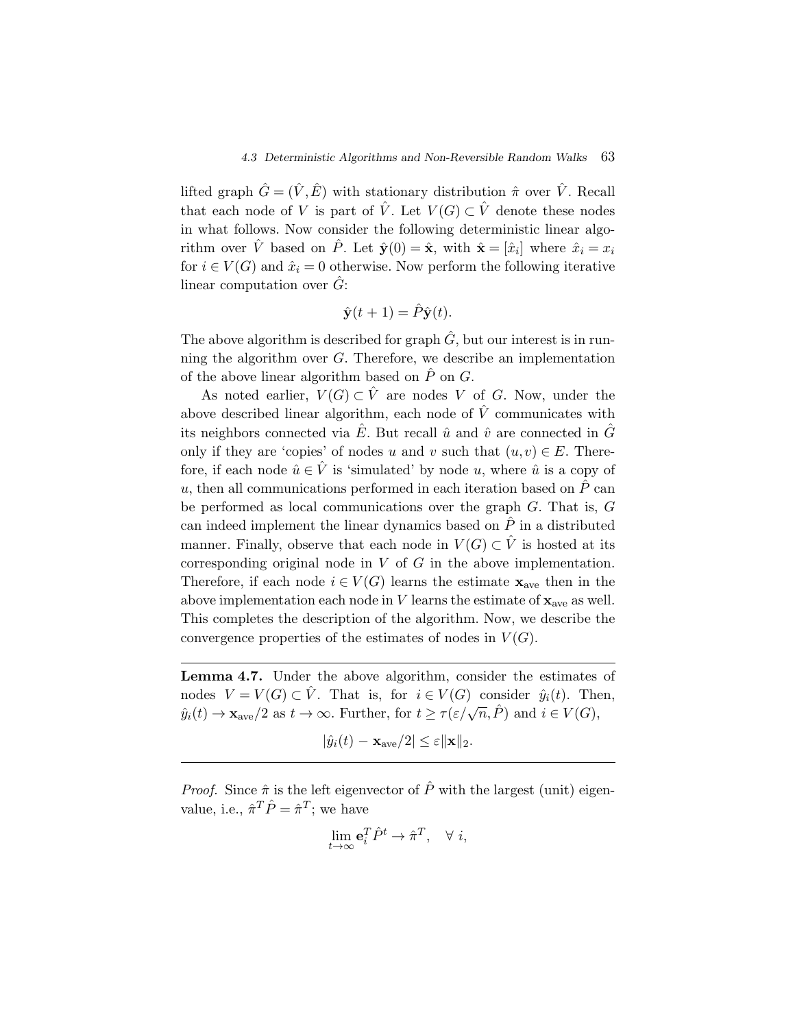lifted graph  $\hat{G} = (\hat{V}, \hat{E})$  with stationary distribution  $\hat{\pi}$  over  $\hat{V}$ . Recall that each node of V is part of  $\hat{V}$ . Let  $V(G) \subset \hat{V}$  denote these nodes in what follows. Now consider the following deterministic linear algorithm over  $\hat{V}$  based on  $\hat{P}$ . Let  $\hat{\mathbf{y}}(0) = \hat{\mathbf{x}}$ , with  $\hat{\mathbf{x}} = [\hat{x}_i]$  where  $\hat{x}_i = x_i$ for  $i \in V(G)$  and  $\hat{x}_i = 0$  otherwise. Now perform the following iterative linear computation over  $\hat{G}$ :

$$
\hat{\mathbf{y}}(t+1) = \hat{P}\hat{\mathbf{y}}(t).
$$

The above algorithm is described for graph  $\hat{G}$ , but our interest is in running the algorithm over G. Therefore, we describe an implementation of the above linear algorithm based on  $\hat{P}$  on  $G$ .

As noted earlier,  $V(G) \subset \hat{V}$  are nodes V of G. Now, under the above described linear algorithm, each node of  $\hat{V}$  communicates with its neighbors connected via  $\hat{E}$ . But recall  $\hat{u}$  and  $\hat{v}$  are connected in  $\hat{G}$ only if they are 'copies' of nodes u and v such that  $(u, v) \in E$ . Therefore, if each node  $\hat{u} \in \hat{V}$  is 'simulated' by node u, where  $\hat{u}$  is a copy of u, then all communications performed in each iteration based on  $\hat{P}$  can be performed as local communications over the graph G. That is, G can indeed implement the linear dynamics based on  $\hat{P}$  in a distributed manner. Finally, observe that each node in  $V(G) \subset \hat{V}$  is hosted at its corresponding original node in  $V$  of  $G$  in the above implementation. Therefore, if each node  $i \in V(G)$  learns the estimate **x**<sub>ave</sub> then in the above implementation each node in  $V$  learns the estimate of  $\mathbf{x}_{ave}$  as well. This completes the description of the algorithm. Now, we describe the convergence properties of the estimates of nodes in  $V(G)$ .

**Lemma 4.7.** Under the above algorithm, consider the estimates of nodes  $V = V(G) \subset \hat{V}$ . That is, for  $i \in V(G)$  consider  $\hat{y}_i(t)$ . Then,  $\hat{y}_i(t) \to \mathbf{x}_{\text{ave}}/2$  as  $t \to \infty$ . Further, for  $t \ge \tau(\varepsilon/\sqrt{n}, \hat{P})$  and  $i \in V(G)$ ,

$$
|\hat{y}_i(t) - \mathbf{x}_{\text{ave}}/2| \le \varepsilon ||\mathbf{x}||_2.
$$

*Proof.* Since  $\hat{\pi}$  is the left eigenvector of  $\hat{P}$  with the largest (unit) eigenvalue, i.e.,  $\hat{\pi}^T \hat{P} = \hat{\pi}^T$ ; we have

$$
\lim_{t\to\infty} \mathbf{e}_i^T \hat{P}^t \to \hat{\pi}^T, \quad \forall \ i,
$$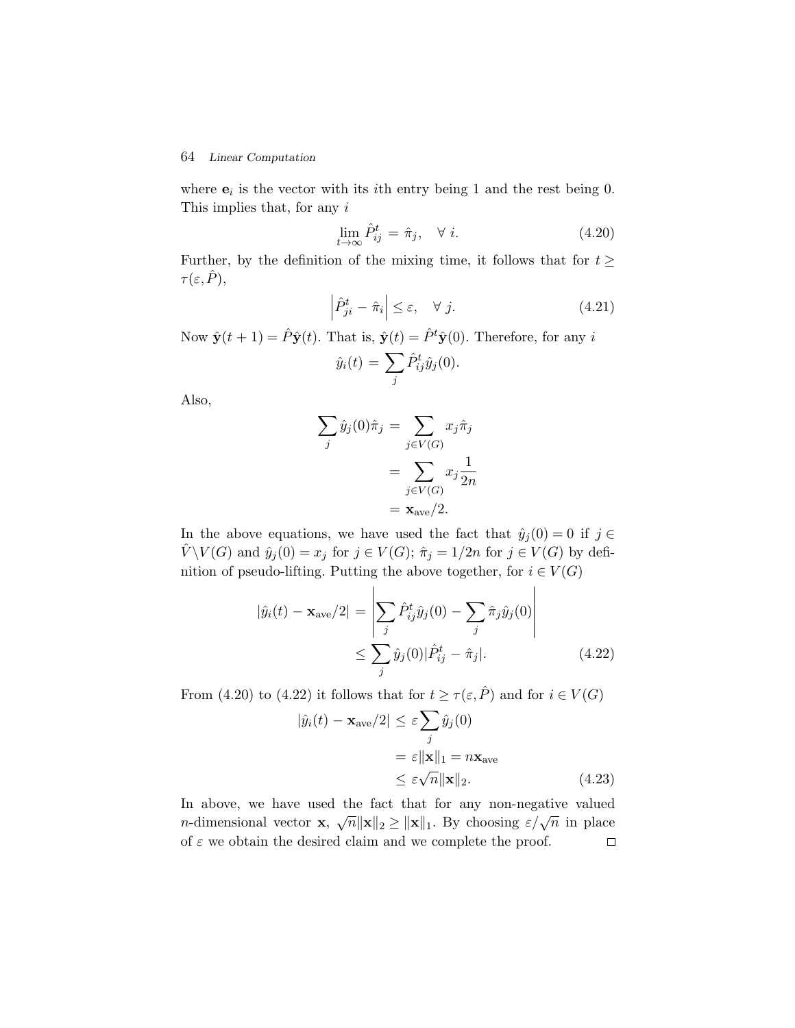where  $\mathbf{e}_i$  is the vector with its *i*th entry being 1 and the rest being 0. This implies that, for any i

$$
\lim_{t \to \infty} \hat{P}_{ij}^t = \hat{\pi}_j, \quad \forall \ i.
$$
\n(4.20)

Further, by the definition of the mixing time, it follows that for  $t \geq$  $\tau(\varepsilon,\hat{P}),$ 

$$
\left|\hat{P}_{ji}^{t} - \hat{\pi}_{i}\right| \leq \varepsilon, \quad \forall j.
$$
\n(4.21)

Now  $\hat{\mathbf{y}}(t+1) = \hat{P}\hat{\mathbf{y}}(t)$ . That is,  $\hat{\mathbf{y}}(t) = \hat{P}^t\hat{\mathbf{y}}(0)$ . Therefore, for any i

$$
\hat{y}_i(t) = \sum_j \hat{P}_{ij}^t \hat{y}_j(0).
$$

Also,

$$
\sum_{j} \hat{y}_{j}(0)\hat{\pi}_{j} = \sum_{j \in V(G)} x_{j}\hat{\pi}_{j}
$$

$$
= \sum_{j \in V(G)} x_{j}\frac{1}{2n}
$$

$$
= \mathbf{x}_{ave}/2.
$$

In the above equations, we have used the fact that  $\hat{y}_j(0) = 0$  if  $j \in$  $V \setminus V(G)$  and  $\hat{y}_j(0) = x_j$  for  $j \in V(G)$ ;  $\hat{\pi}_j = 1/2n$  for  $j \in V(G)$  by definition of pseudo-lifting. Putting the above together, for  $i \in V(G)$ 

$$
|\hat{y}_i(t) - \mathbf{x}_{\text{ave}}/2| = \left| \sum_j \hat{P}_{ij}^t \hat{y}_j(0) - \sum_j \hat{\pi}_j \hat{y}_j(0) \right|
$$
  
 
$$
\leq \sum_j \hat{y}_j(0) |\hat{P}_{ij}^t - \hat{\pi}_j|. \tag{4.22}
$$

From (4.20) to (4.22) it follows that for  $t \ge \tau(\varepsilon, \hat{P})$  and for  $i \in V(G)$ 

$$
|\hat{y}_i(t) - \mathbf{x}_{\text{ave}}/2| \le \varepsilon \sum_j \hat{y}_j(0)
$$
  
=  $\varepsilon ||\mathbf{x}||_1 = n\mathbf{x}_{\text{ave}}$   
 $\le \varepsilon \sqrt{n} ||\mathbf{x}||_2.$  (4.23)

In above, we have used the fact that for any non-negative valued m above, we have used the fact that for any non-negative valued n-dimensional vector **x**,  $\sqrt{n} ||\mathbf{x}||_2 \ge ||\mathbf{x}||_1$ . By choosing  $\varepsilon/\sqrt{n}$  in place of  $\varepsilon$  we obtain the desired claim and we complete the proof.  $\Box$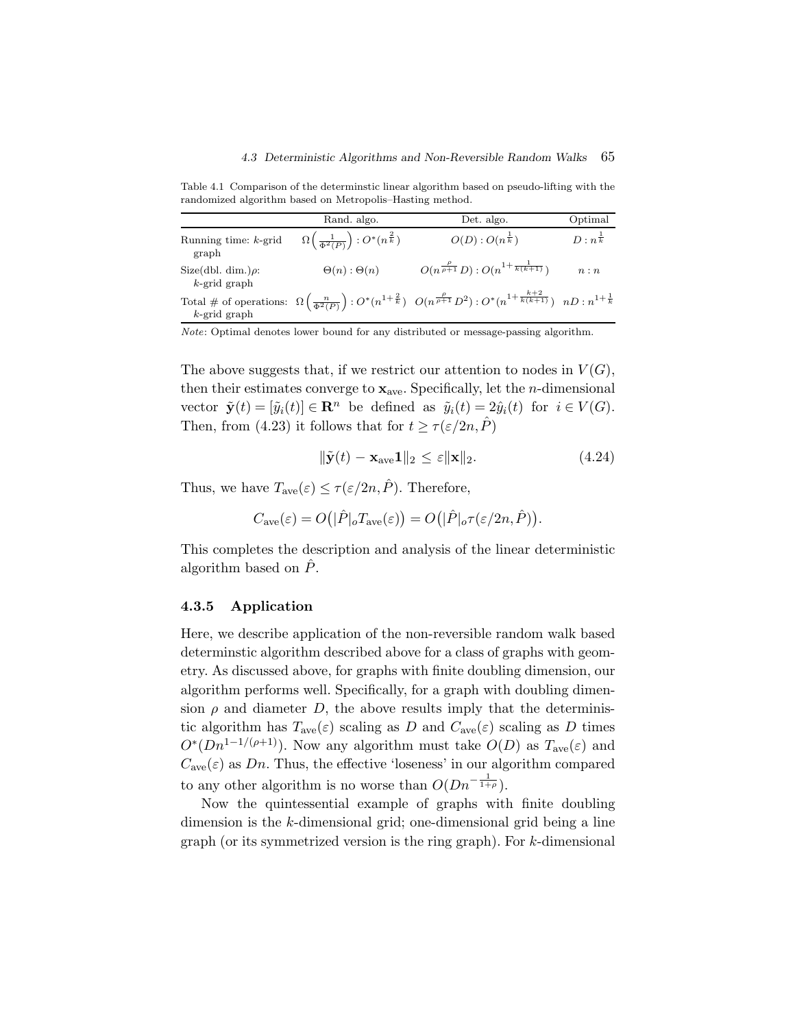Table 4.1 Comparison of the determinstic linear algorithm based on pseudo-lifting with the randomized algorithm based on Metropolis–Hasting method.

|                                             | Rand. algo.                                                   | Det. algo.                                                                                                                                                                      | Optimal              |
|---------------------------------------------|---------------------------------------------------------------|---------------------------------------------------------------------------------------------------------------------------------------------------------------------------------|----------------------|
| Running time: $k$ -grid<br>graph            | $\Omega\left(\frac{1}{\Phi^2(P)}\right):O^*(n^{\frac{2}{k}})$ | $O(D):O(n^{\frac{1}{k}})$                                                                                                                                                       | $D: n^{\frac{1}{k}}$ |
| Size(dbl. dim.) $\rho$ :<br>$k$ -grid graph | $\Theta(n):\Theta(n)$                                         | $O(n^{\frac{\rho}{\rho+1}}D)$ : $O(n^{1+\frac{1}{k(k+1)}})$                                                                                                                     | n:n                  |
| $k$ -grid graph                             |                                                               | Total # of operations: $\Omega\left(\frac{n}{\Phi^2(P)}\right):O^*(n^{1+\frac{2}{k}}) \ \ O(n^{\frac{\rho}{\rho+1}}D^2):O^*(n^{1+\frac{k+2}{k(k+1)}}) \ \ nD:n^{1+\frac{1}{k}}$ |                      |

Note: Optimal denotes lower bound for any distributed or message-passing algorithm.

The above suggests that, if we restrict our attention to nodes in  $V(G)$ , then their estimates converge to  $\mathbf{x}_{ave}$ . Specifically, let the *n*-dimensional vector  $\tilde{\mathbf{y}}(t) = [\tilde{y}_i(t)] \in \mathbb{R}^n$  be defined as  $\tilde{y}_i(t) = 2\hat{y}_i(t)$  for  $i \in V(G)$ . Then, from (4.23) it follows that for  $t \ge \tau(\varepsilon/2n, P)$ 

$$
\|\tilde{\mathbf{y}}(t) - \mathbf{x}_{\text{ave}} \mathbf{1}\|_{2} \le \varepsilon \|\mathbf{x}\|_{2}.
$$
\n(4.24)

Thus, we have  $T_{ave}(\varepsilon) \leq \tau(\varepsilon/2n, \hat{P})$ . Therefore,

$$
C_{\rm ave}(\varepsilon)=O(|\hat P|_oT_{\rm ave}(\varepsilon))=O(|\hat P|_o\tau(\varepsilon/2n,\hat P)).
$$

This completes the description and analysis of the linear deterministic algorithm based on  $\ddot{P}$ .

#### **4.3.5 Application**

Here, we describe application of the non-reversible random walk based determinstic algorithm described above for a class of graphs with geometry. As discussed above, for graphs with finite doubling dimension, our algorithm performs well. Specifically, for a graph with doubling dimension  $\rho$  and diameter D, the above results imply that the deterministic algorithm has  $T_{ave}(\varepsilon)$  scaling as D and  $C_{ave}(\varepsilon)$  scaling as D times  $O<sup>*</sup>(Dn<sup>1-1/(\rho+1)</sup>)$ . Now any algorithm must take  $O(D)$  as  $T_{ave}(\varepsilon)$  and  $C_{\text{ave}}(\varepsilon)$  as Dn. Thus, the effective 'loseness' in our algorithm compared to any other algorithm is no worse than  $O(Dn^{-\frac{1}{1+\rho}})$ .

Now the quintessential example of graphs with finite doubling dimension is the k-dimensional grid; one-dimensional grid being a line graph (or its symmetrized version is the ring graph). For k-dimensional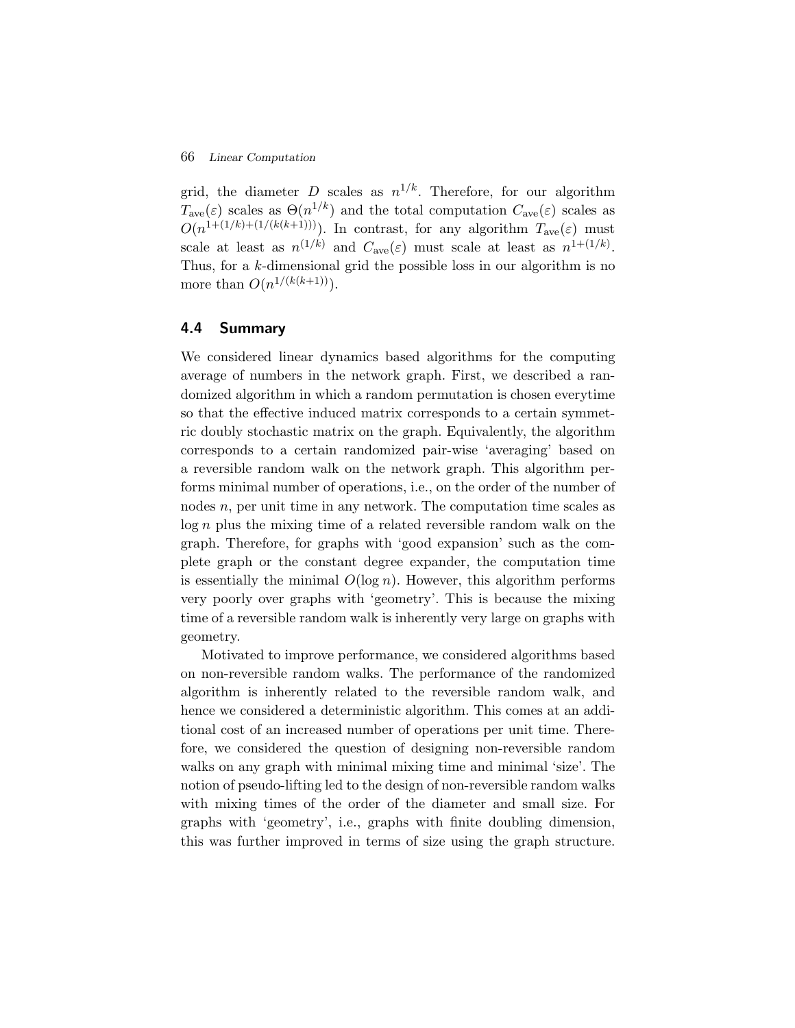grid, the diameter D scales as  $n^{1/k}$ . Therefore, for our algorithm  $T_{\text{ave}}(\varepsilon)$  scales as  $\Theta(n^{1/k})$  and the total computation  $C_{\text{ave}}(\varepsilon)$  scales as  $O(n^{1+(1/k)+(1/(k(k+1)))})$ . In contrast, for any algorithm  $T_{ave}(\varepsilon)$  must scale at least as  $n^{(1/k)}$  and  $C_{\text{ave}}(\varepsilon)$  must scale at least as  $n^{1+(1/k)}$ . Thus, for a k-dimensional grid the possible loss in our algorithm is no more than  $O(n^{1/(k(k+1))})$ .

## **4.4 Summary**

We considered linear dynamics based algorithms for the computing average of numbers in the network graph. First, we described a randomized algorithm in which a random permutation is chosen everytime so that the effective induced matrix corresponds to a certain symmetric doubly stochastic matrix on the graph. Equivalently, the algorithm corresponds to a certain randomized pair-wise 'averaging' based on a reversible random walk on the network graph. This algorithm performs minimal number of operations, i.e., on the order of the number of nodes n, per unit time in any network. The computation time scales as log n plus the mixing time of a related reversible random walk on the graph. Therefore, for graphs with 'good expansion' such as the complete graph or the constant degree expander, the computation time is essentially the minimal  $O(\log n)$ . However, this algorithm performs very poorly over graphs with 'geometry'. This is because the mixing time of a reversible random walk is inherently very large on graphs with geometry.

Motivated to improve performance, we considered algorithms based on non-reversible random walks. The performance of the randomized algorithm is inherently related to the reversible random walk, and hence we considered a deterministic algorithm. This comes at an additional cost of an increased number of operations per unit time. Therefore, we considered the question of designing non-reversible random walks on any graph with minimal mixing time and minimal 'size'. The notion of pseudo-lifting led to the design of non-reversible random walks with mixing times of the order of the diameter and small size. For graphs with 'geometry', i.e., graphs with finite doubling dimension, this was further improved in terms of size using the graph structure.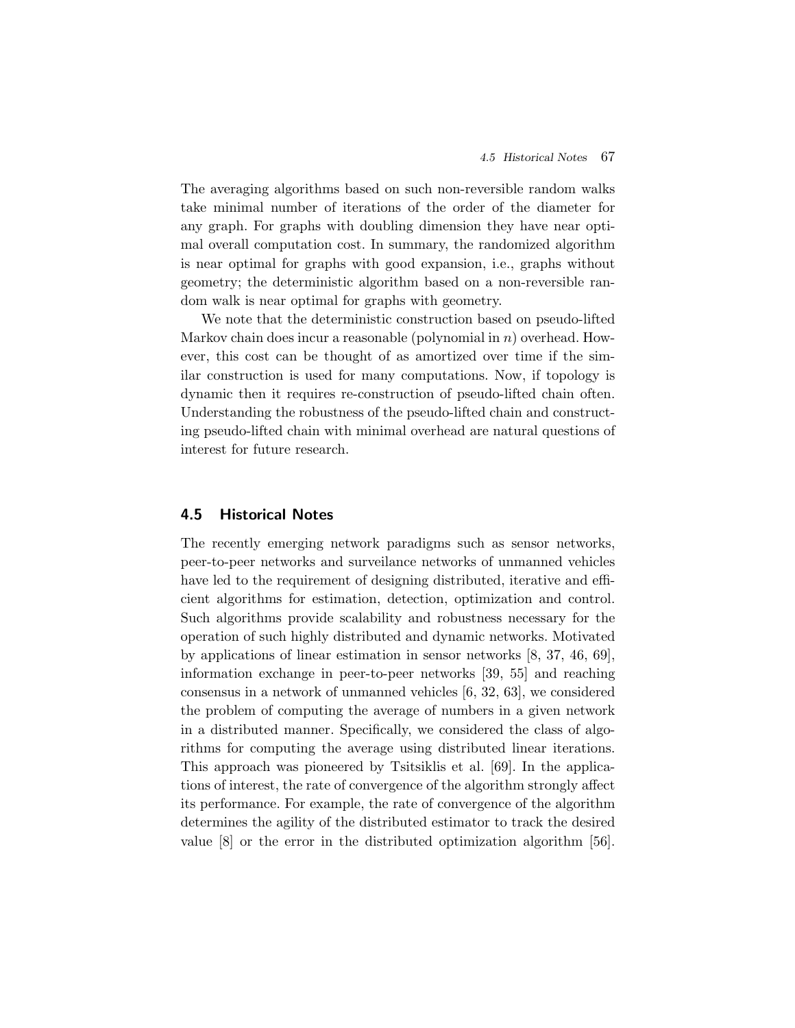The averaging algorithms based on such non-reversible random walks take minimal number of iterations of the order of the diameter for any graph. For graphs with doubling dimension they have near optimal overall computation cost. In summary, the randomized algorithm is near optimal for graphs with good expansion, i.e., graphs without geometry; the deterministic algorithm based on a non-reversible random walk is near optimal for graphs with geometry.

We note that the deterministic construction based on pseudo-lifted Markov chain does incur a reasonable (polynomial in  $n$ ) overhead. However, this cost can be thought of as amortized over time if the similar construction is used for many computations. Now, if topology is dynamic then it requires re-construction of pseudo-lifted chain often. Understanding the robustness of the pseudo-lifted chain and constructing pseudo-lifted chain with minimal overhead are natural questions of interest for future research.

# **4.5 Historical Notes**

The recently emerging network paradigms such as sensor networks, peer-to-peer networks and surveilance networks of unmanned vehicles have led to the requirement of designing distributed, iterative and efficient algorithms for estimation, detection, optimization and control. Such algorithms provide scalability and robustness necessary for the operation of such highly distributed and dynamic networks. Motivated by applications of linear estimation in sensor networks [8, 37, 46, 69], information exchange in peer-to-peer networks [39, 55] and reaching consensus in a network of unmanned vehicles [6, 32, 63], we considered the problem of computing the average of numbers in a given network in a distributed manner. Specifically, we considered the class of algorithms for computing the average using distributed linear iterations. This approach was pioneered by Tsitsiklis et al. [69]. In the applications of interest, the rate of convergence of the algorithm strongly affect its performance. For example, the rate of convergence of the algorithm determines the agility of the distributed estimator to track the desired value [8] or the error in the distributed optimization algorithm [56].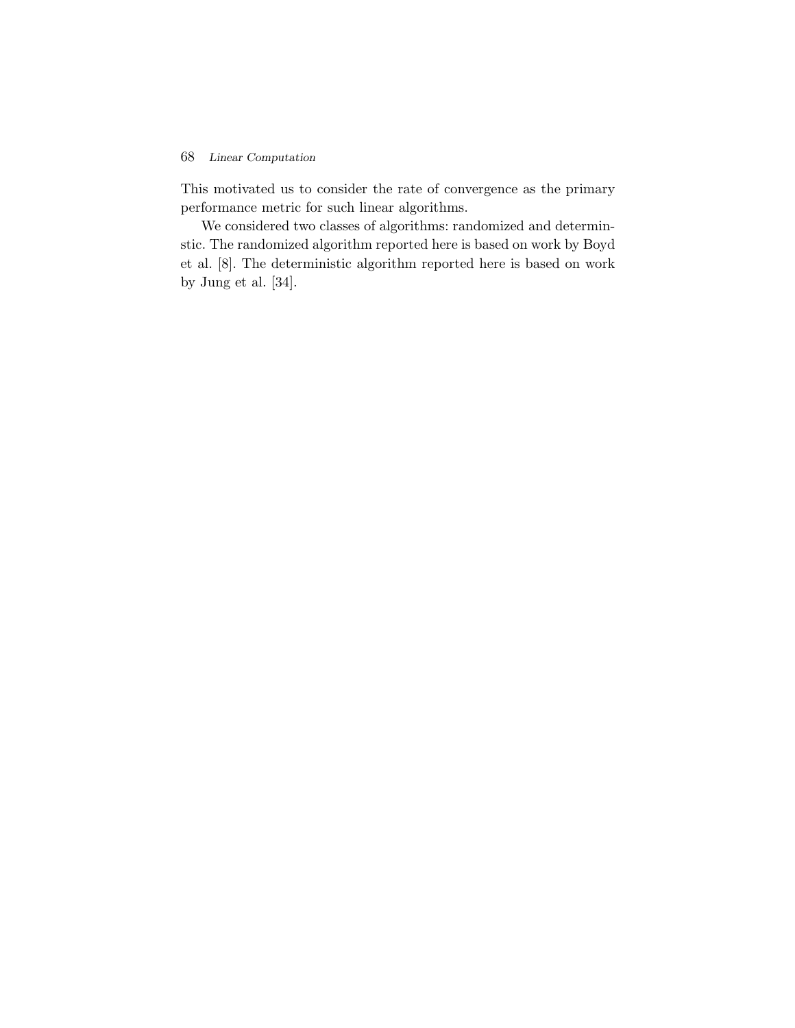This motivated us to consider the rate of convergence as the primary performance metric for such linear algorithms.

We considered two classes of algorithms: randomized and determinstic. The randomized algorithm reported here is based on work by Boyd et al. [8]. The deterministic algorithm reported here is based on work by Jung et al. [34].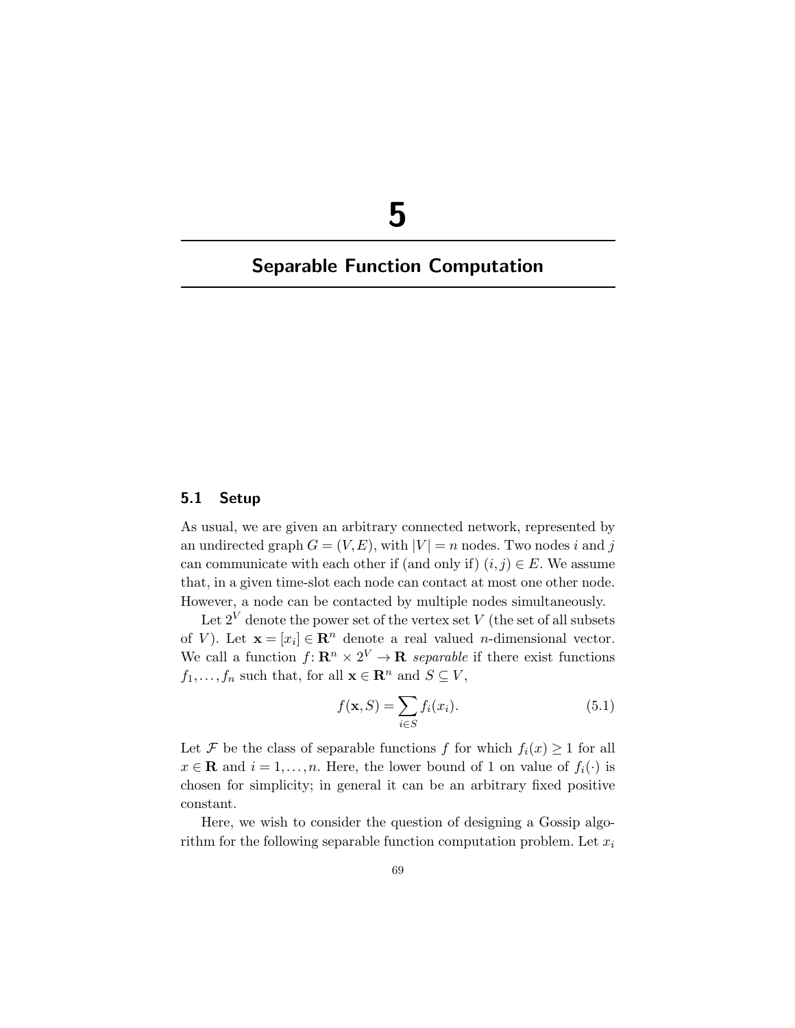# **5**

# **Separable Function Computation**

#### **5.1 Setup**

As usual, we are given an arbitrary connected network, represented by an undirected graph  $G = (V, E)$ , with  $|V| = n$  nodes. Two nodes i and j can communicate with each other if (and only if)  $(i, j) \in E$ . We assume that, in a given time-slot each node can contact at most one other node. However, a node can be contacted by multiple nodes simultaneously.

Let  $2^V$  denote the power set of the vertex set V (the set of all subsets of V). Let  $\mathbf{x} = [x_i] \in \mathbb{R}^n$  denote a real valued *n*-dimensional vector. We call a function  $f: \mathbb{R}^n \times 2^V \to \mathbb{R}$  *separable* if there exist functions  $f_1, \ldots, f_n$  such that, for all  $\mathbf{x} \in \mathbb{R}^n$  and  $S \subseteq V$ ,

$$
f(\mathbf{x}, S) = \sum_{i \in S} f_i(x_i). \tag{5.1}
$$

Let F be the class of separable functions f for which  $f_i(x) \geq 1$  for all  $x \in \mathbf{R}$  and  $i = 1, ..., n$ . Here, the lower bound of 1 on value of  $f_i(\cdot)$  is chosen for simplicity; in general it can be an arbitrary fixed positive constant.

Here, we wish to consider the question of designing a Gossip algorithm for the following separable function computation problem. Let  $x_i$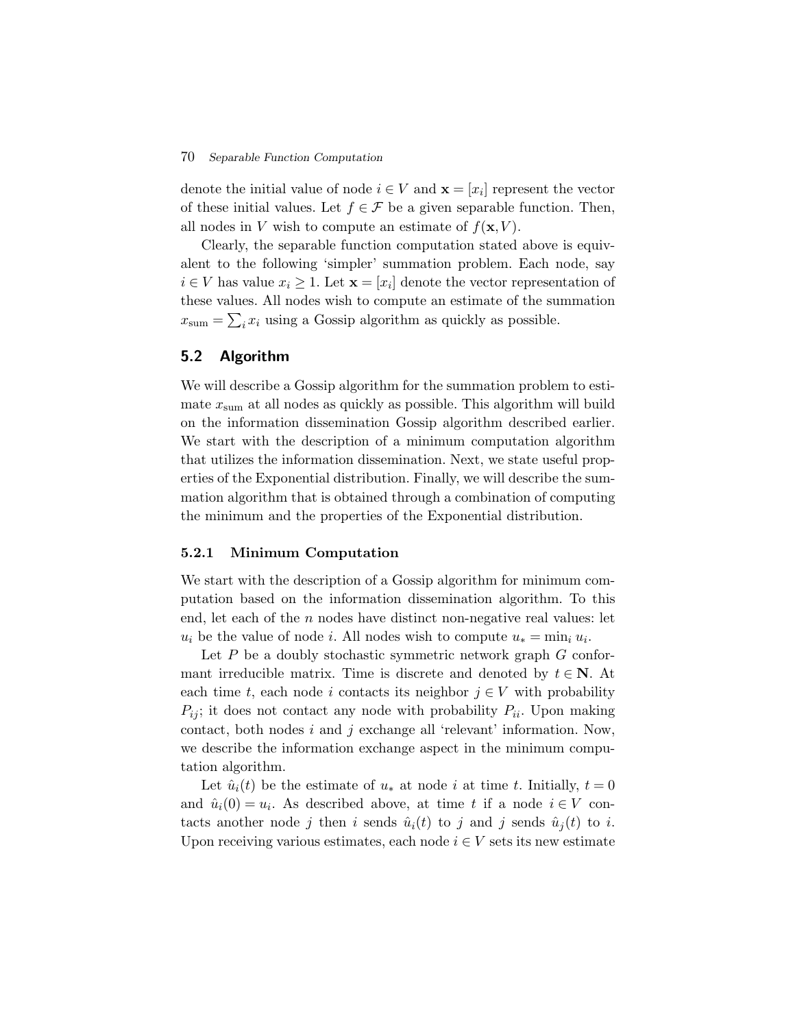#### 70 *Separable Function Computation*

denote the initial value of node  $i \in V$  and  $\mathbf{x} = [x_i]$  represent the vector of these initial values. Let  $f \in \mathcal{F}$  be a given separable function. Then, all nodes in V wish to compute an estimate of  $f(\mathbf{x}, V)$ .

Clearly, the separable function computation stated above is equivalent to the following 'simpler' summation problem. Each node, say  $i \in V$  has value  $x_i \geq 1$ . Let  $\mathbf{x} = [x_i]$  denote the vector representation of these values. All nodes wish to compute an estimate of the summation  $x_{\text{sum}} = \sum_i x_i$  using a Gossip algorithm as quickly as possible.

# **5.2 Algorithm**

We will describe a Gossip algorithm for the summation problem to estimate  $x_{\text{sum}}$  at all nodes as quickly as possible. This algorithm will build on the information dissemination Gossip algorithm described earlier. We start with the description of a minimum computation algorithm that utilizes the information dissemination. Next, we state useful properties of the Exponential distribution. Finally, we will describe the summation algorithm that is obtained through a combination of computing the minimum and the properties of the Exponential distribution.

#### **5.2.1 Minimum Computation**

We start with the description of a Gossip algorithm for minimum computation based on the information dissemination algorithm. To this end, let each of the  $n$  nodes have distinct non-negative real values: let  $u_i$  be the value of node i. All nodes wish to compute  $u_* = \min_i u_i$ .

Let  $P$  be a doubly stochastic symmetric network graph  $G$  conformant irreducible matrix. Time is discrete and denoted by  $t \in \mathbb{N}$ . At each time t, each node i contacts its neighbor  $j \in V$  with probability  $P_{ij}$ ; it does not contact any node with probability  $P_{ii}$ . Upon making contact, both nodes  $i$  and  $j$  exchange all 'relevant' information. Now, we describe the information exchange aspect in the minimum computation algorithm.

Let  $\hat{u}_i(t)$  be the estimate of  $u_*$  at node i at time t. Initially,  $t = 0$ and  $\hat{u}_i(0) = u_i$ . As described above, at time t if a node  $i \in V$  contacts another node j then i sends  $\hat{u}_i(t)$  to j and j sends  $\hat{u}_i(t)$  to i. Upon receiving various estimates, each node  $i \in V$  sets its new estimate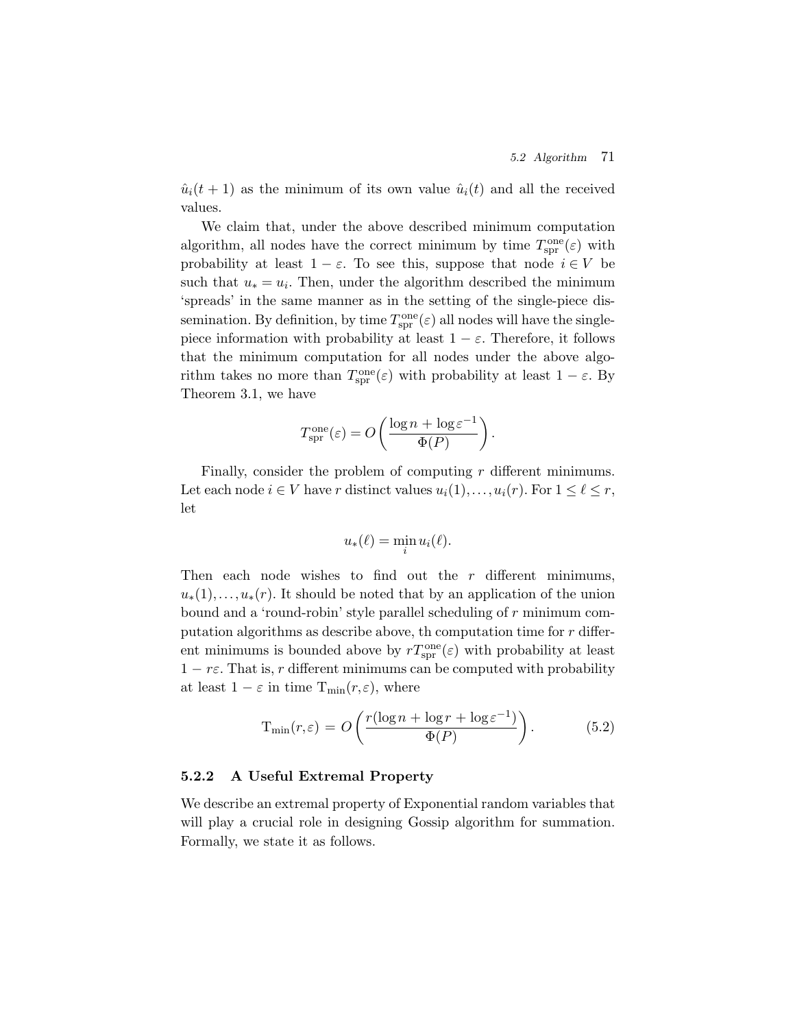$\hat{u}_i(t+1)$  as the minimum of its own value  $\hat{u}_i(t)$  and all the received values.

We claim that, under the above described minimum computation algorithm, all nodes have the correct minimum by time  $T_{spr}^{one}(\varepsilon)$  with probability at least  $1 - \varepsilon$ . To see this, suppose that node  $i \in V$  be such that  $u_* = u_i$ . Then, under the algorithm described the minimum 'spreads' in the same manner as in the setting of the single-piece dissemination. By definition, by time  $T_{spr}^{one}(\varepsilon)$  all nodes will have the singlepiece information with probability at least  $1 - \varepsilon$ . Therefore, it follows that the minimum computation for all nodes under the above algorithm takes no more than  $T_{spr}^{one}(\varepsilon)$  with probability at least  $1 - \varepsilon$ . By Theorem 3.1, we have

$$
T_{\rm spr}^{\rm one}(\varepsilon) = O\left(\frac{\log n + \log \varepsilon^{-1}}{\Phi(P)}\right).
$$

Finally, consider the problem of computing r different minimums. Let each node  $i \in V$  have r distinct values  $u_i(1), \ldots, u_i(r)$ . For  $1 \leq \ell \leq r$ , let

$$
u_*(\ell) = \min_i u_i(\ell).
$$

Then each node wishes to find out the  $r$  different minimums,  $u_*(1),\ldots,u_*(r)$ . It should be noted that by an application of the union bound and a 'round-robin' style parallel scheduling of r minimum computation algorithms as describe above, the computation time for  $r$  different minimums is bounded above by  $rT_{\rm spr}^{\rm one}(\varepsilon)$  with probability at least  $1 - r\varepsilon$ . That is, r different minimums can be computed with probability at least  $1 - \varepsilon$  in time  $T_{\min}(r, \varepsilon)$ , where

$$
T_{\min}(r,\varepsilon) = O\left(\frac{r(\log n + \log r + \log \varepsilon^{-1})}{\Phi(P)}\right). \tag{5.2}
$$

## **5.2.2 A Useful Extremal Property**

We describe an extremal property of Exponential random variables that will play a crucial role in designing Gossip algorithm for summation. Formally, we state it as follows.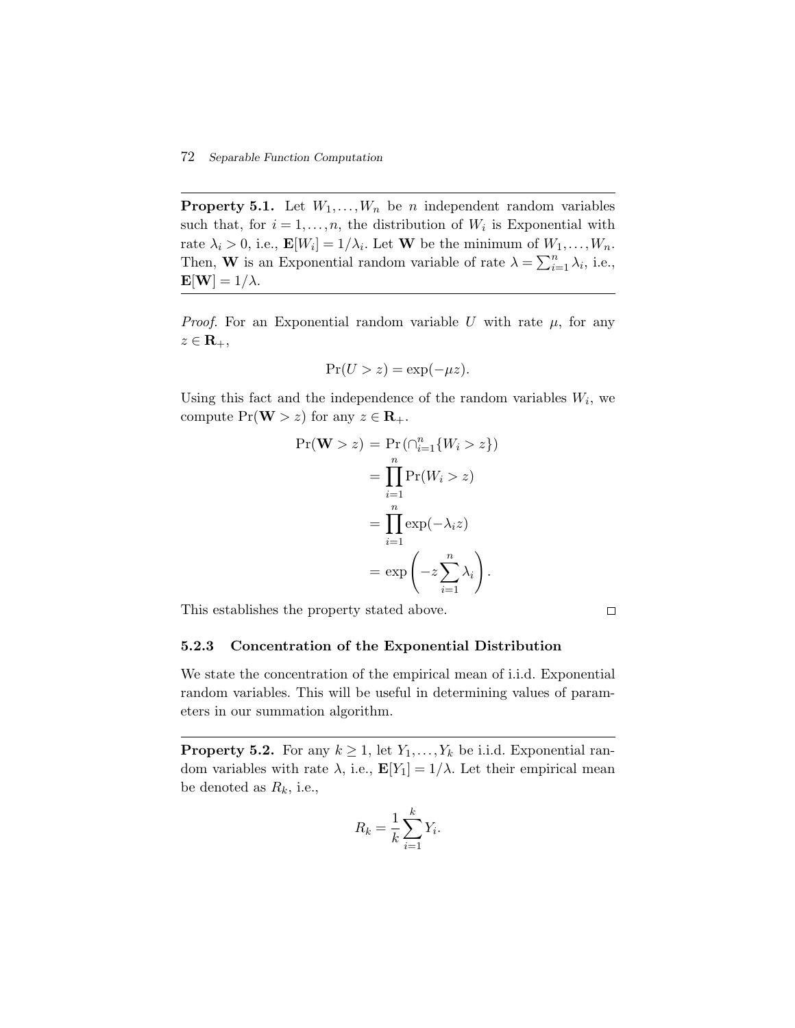**Property 5.1.** Let  $W_1, \ldots, W_n$  be *n* independent random variables such that, for  $i = 1, ..., n$ , the distribution of  $W_i$  is Exponential with rate  $\lambda_i > 0$ , i.e.,  $\mathbf{E}[W_i] = 1/\lambda_i$ . Let **W** be the minimum of  $W_1, \ldots, W_n$ . Then, **W** is an Exponential random variable of rate  $\lambda = \sum_{i=1}^{n} \lambda_i$ , i.e.,  $\mathbf{E}[\mathbf{W}]=1/\lambda.$ 

*Proof.* For an Exponential random variable  $U$  with rate  $\mu$ , for any  $z \in \mathbf{R}_+,$ 

$$
\Pr(U > z) = \exp(-\mu z).
$$

Using this fact and the independence of the random variables  $W_i$ , we compute  $Pr(\mathbf{W} > z)$  for any  $z \in \mathbf{R}_+$ .

$$
\Pr(\mathbf{W} > z) = \Pr(\bigcap_{i=1}^{n} \{W_i > z\})
$$

$$
= \prod_{i=1}^{n} \Pr(W_i > z)
$$

$$
= \prod_{i=1}^{n} \exp(-\lambda_i z)
$$

$$
= \exp\left(-z \sum_{i=1}^{n} \lambda_i\right).
$$

This establishes the property stated above.

 $\Box$ 

## **5.2.3 Concentration of the Exponential Distribution**

We state the concentration of the empirical mean of i.i.d. Exponential random variables. This will be useful in determining values of parameters in our summation algorithm.

**Property 5.2.** For any  $k \geq 1$ , let  $Y_1, \ldots, Y_k$  be i.i.d. Exponential random variables with rate  $\lambda$ , i.e.,  $\mathbf{E}[Y_1]=1/\lambda$ . Let their empirical mean be denoted as  $R_k$ , i.e.,

$$
R_k = \frac{1}{k} \sum_{i=1}^k Y_i.
$$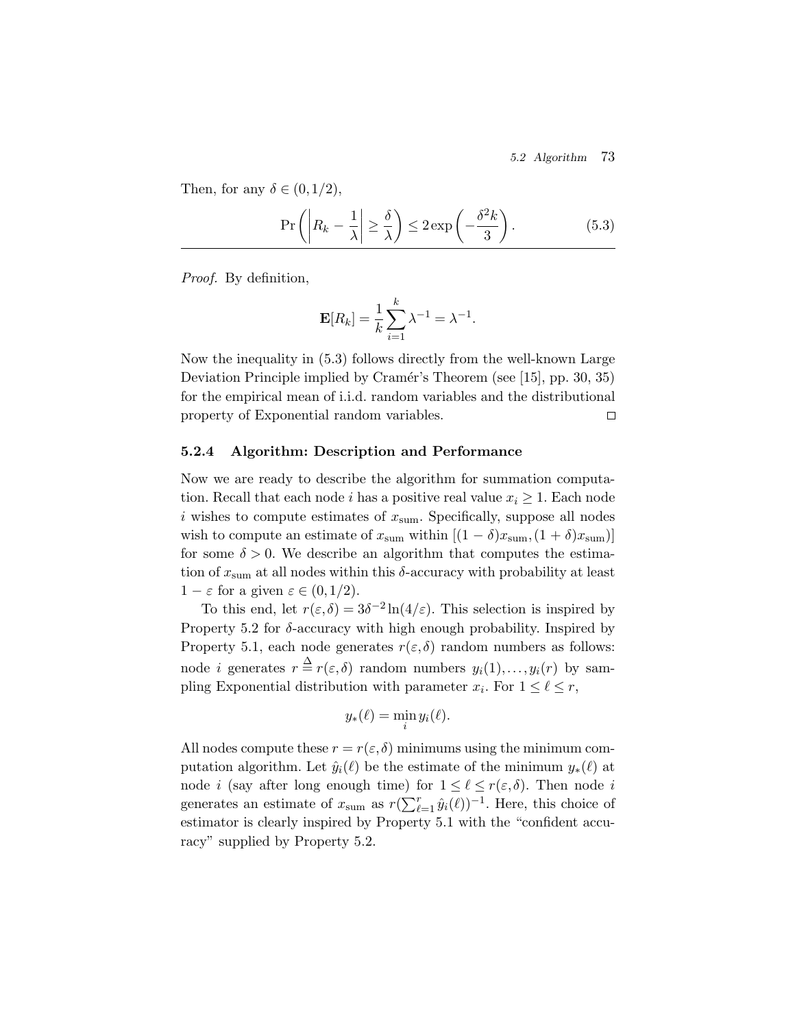*5.2 Algorithm* 73

Then, for any  $\delta \in (0,1/2)$ ,

$$
\Pr\left(\left|R_k - \frac{1}{\lambda}\right| \ge \frac{\delta}{\lambda}\right) \le 2\exp\left(-\frac{\delta^2 k}{3}\right). \tag{5.3}
$$

*Proof.* By definition,

$$
\mathbf{E}[R_k] = \frac{1}{k} \sum_{i=1}^k \lambda^{-1} = \lambda^{-1}.
$$

Now the inequality in (5.3) follows directly from the well-known Large Deviation Principle implied by Cramér's Theorem (see [15], pp. 30, 35) for the empirical mean of i.i.d. random variables and the distributional property of Exponential random variables.  $\Box$ 

#### **5.2.4 Algorithm: Description and Performance**

Now we are ready to describe the algorithm for summation computation. Recall that each node *i* has a positive real value  $x_i \geq 1$ . Each node i wishes to compute estimates of  $x_{\text{sum}}$ . Specifically, suppose all nodes wish to compute an estimate of  $x_{\text{sum}}$  within  $[(1 - \delta)x_{\text{sum}}, (1 + \delta)x_{\text{sum}})]$ for some  $\delta > 0$ . We describe an algorithm that computes the estimation of  $x_{\text{sum}}$  at all nodes within this  $\delta$ -accuracy with probability at least  $1 - \varepsilon$  for a given  $\varepsilon \in (0, 1/2)$ .

To this end, let  $r(\varepsilon,\delta)=3\delta^{-2}\ln(4/\varepsilon)$ . This selection is inspired by Property 5.2 for  $\delta$ -accuracy with high enough probability. Inspired by Property 5.1, each node generates  $r(\varepsilon, \delta)$  random numbers as follows: node *i* generates  $r \stackrel{\Delta}{=} r(\varepsilon,\delta)$  random numbers  $y_i(1),...,y_i(r)$  by sampling Exponential distribution with parameter  $x_i$ . For  $1 \leq \ell \leq r$ ,

$$
y_*(\ell) = \min_i y_i(\ell).
$$

All nodes compute these  $r = r(\varepsilon, \delta)$  minimums using the minimum computation algorithm. Let  $\hat{y}_i(\ell)$  be the estimate of the minimum  $y_*(\ell)$  at node *i* (say after long enough time) for  $1 \leq \ell \leq r(\varepsilon, \delta)$ . Then node *i* generates an estimate of  $x_{\text{sum}}$  as  $r(\sum_{\ell=1}^r \hat{y}_i(\ell))^{-1}$ . Here, this choice of estimator is clearly inspired by Property 5.1 with the "confident accuracy" supplied by Property 5.2.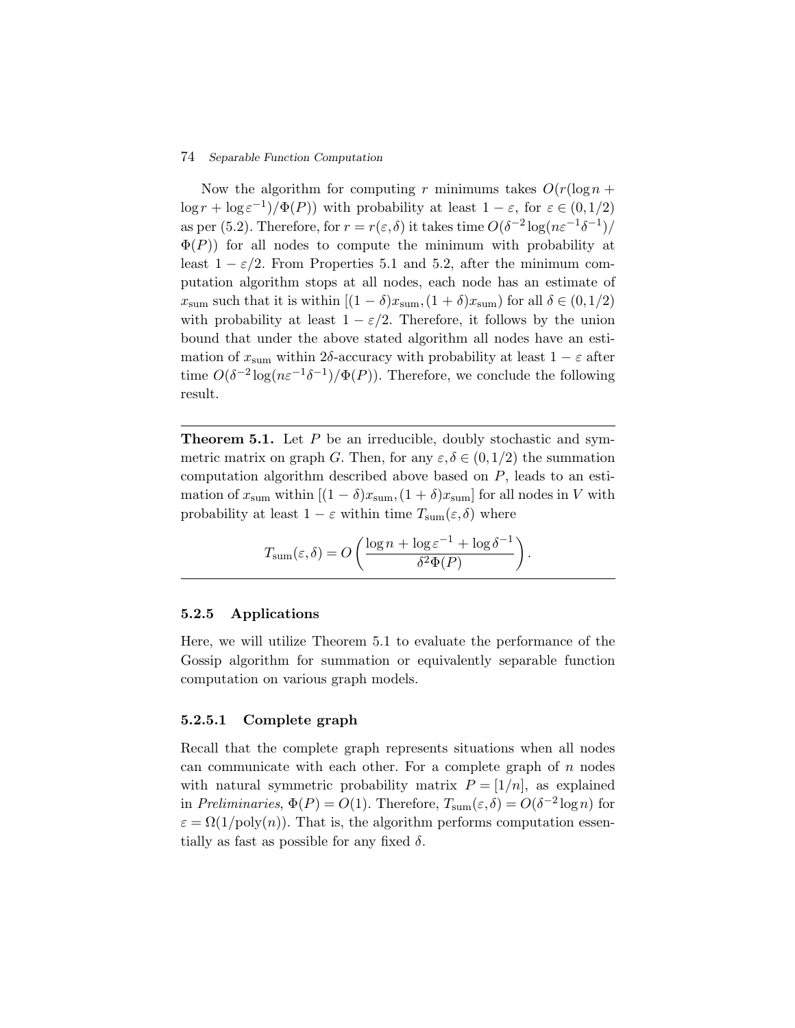## 74 *Separable Function Computation*

Now the algorithm for computing r minimums takes  $O(r(\log n +$  $\log r + \log \epsilon^{-1}$ / $\Phi(P)$ ) with probability at least  $1 - \epsilon$ , for  $\epsilon \in (0, 1/2)$ as per (5.2). Therefore, for  $r = r(\varepsilon, \delta)$  it takes time  $O(\delta^{-2} \log(n\varepsilon^{-1}\delta^{-1})/$  $\Phi(P)$ ) for all nodes to compute the minimum with probability at least  $1 - \varepsilon/2$ . From Properties 5.1 and 5.2, after the minimum computation algorithm stops at all nodes, each node has an estimate of  $x_{\text{sum}}$  such that it is within  $[(1 - \delta)x_{\text{sum}}, (1 + \delta)x_{\text{sum}})$  for all  $\delta \in (0, 1/2)$ with probability at least  $1 - \varepsilon/2$ . Therefore, it follows by the union bound that under the above stated algorithm all nodes have an estimation of  $x_{\text{sum}}$  within 2δ-accuracy with probability at least  $1 - \varepsilon$  after time  $O(\delta^{-2} \log(n\varepsilon^{-1}\delta^{-1})/\Phi(P))$ . Therefore, we conclude the following result.

**Theorem 5.1.** Let P be an irreducible, doubly stochastic and symmetric matrix on graph G. Then, for any  $\varepsilon, \delta \in (0, 1/2)$  the summation computation algorithm described above based on P, leads to an estimation of  $x_{\text{sum}}$  within  $[(1 - \delta)x_{\text{sum}}, (1 + \delta)x_{\text{sum}}]$  for all nodes in V with probability at least  $1 - \varepsilon$  within time  $T_{\text{sum}}(\varepsilon, \delta)$  where

$$
T_{\text{sum}}(\varepsilon,\delta) = O\left(\frac{\log n + \log \varepsilon^{-1} + \log \delta^{-1}}{\delta^2 \Phi(P)}\right).
$$

#### **5.2.5 Applications**

Here, we will utilize Theorem 5.1 to evaluate the performance of the Gossip algorithm for summation or equivalently separable function computation on various graph models.

## **5.2.5.1 Complete graph**

Recall that the complete graph represents situations when all nodes can communicate with each other. For a complete graph of  $n$  nodes with natural symmetric probability matrix  $P = \frac{1}{n}$ , as explained in *Preliminaries*,  $\Phi(P) = O(1)$ . Therefore,  $T_{\text{sum}}(\varepsilon, \delta) = O(\delta^{-2} \log n)$  for  $\varepsilon = \Omega(1/\text{poly}(n))$ . That is, the algorithm performs computation essentially as fast as possible for any fixed  $\delta$ .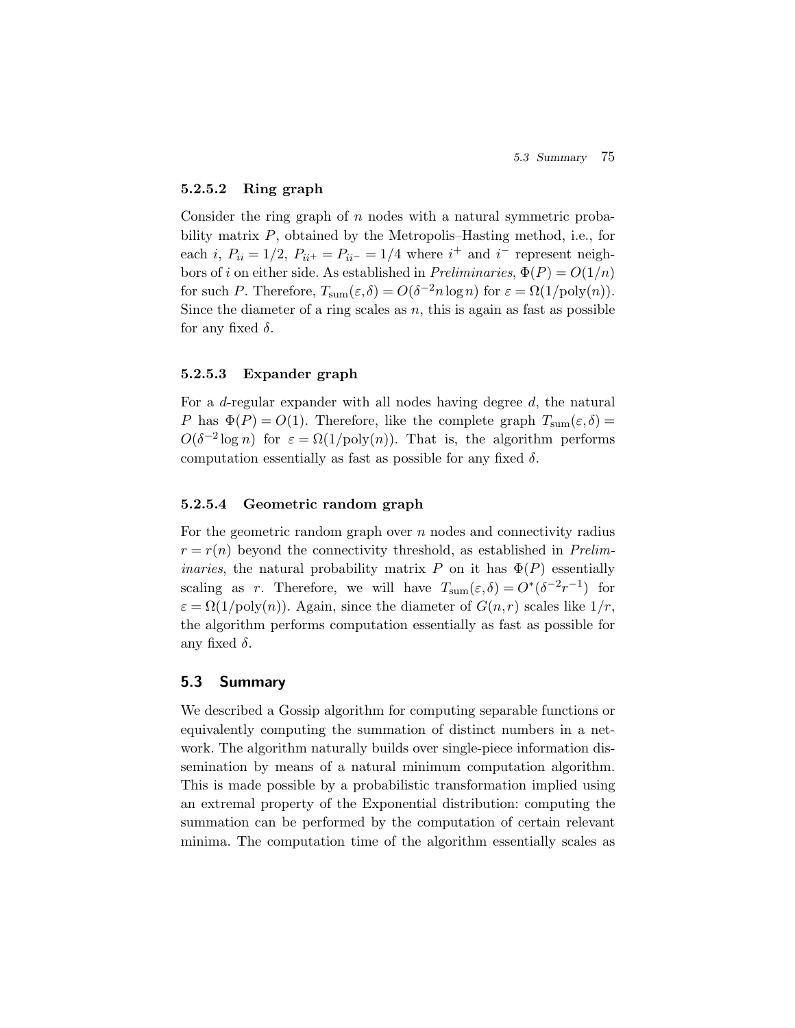## **5.2.5.2 Ring graph**

Consider the ring graph of  $n$  nodes with a natural symmetric probability matrix P, obtained by the Metropolis–Hasting method, i.e., for each *i*,  $P_{ii} = 1/2$ ,  $P_{ii^+} = P_{ii^-} = 1/4$  where  $i^+$  and  $i^-$  represent neighbors of i on either side. As established in *Preliminaries*,  $\Phi(P) = O(1/n)$ for such P. Therefore,  $T_{\text{sum}}(\varepsilon, \delta) = O(\delta^{-2} n \log n)$  for  $\varepsilon = \Omega(1/\text{poly}(n)).$ Since the diameter of a ring scales as  $n$ , this is again as fast as possible for any fixed  $\delta$ .

#### **5.2.5.3 Expander graph**

For a  $d$ -regular expander with all nodes having degree  $d$ , the natural P has  $\Phi(P) = O(1)$ . Therefore, like the complete graph  $T_{sum}(\varepsilon,\delta) =$  $O(\delta^{-2} \log n)$  for  $\varepsilon = \Omega(1/\text{poly}(n))$ . That is, the algorithm performs computation essentially as fast as possible for any fixed  $\delta$ .

## **5.2.5.4 Geometric random graph**

For the geometric random graph over  $n$  nodes and connectivity radius  $r = r(n)$  beyond the connectivity threshold, as established in *Preliminaries*, the natural probability matrix P on it has  $\Phi(P)$  essentially scaling as r. Therefore, we will have  $T_{\text{sum}}(\varepsilon,\delta) = O^*(\delta^{-2}r^{-1})$  for  $\varepsilon = \Omega(1/\text{poly}(n))$ . Again, since the diameter of  $G(n,r)$  scales like  $1/r$ , the algorithm performs computation essentially as fast as possible for any fixed  $\delta$ .

## **5.3 Summary**

We described a Gossip algorithm for computing separable functions or equivalently computing the summation of distinct numbers in a network. The algorithm naturally builds over single-piece information dissemination by means of a natural minimum computation algorithm. This is made possible by a probabilistic transformation implied using an extremal property of the Exponential distribution: computing the summation can be performed by the computation of certain relevant minima. The computation time of the algorithm essentially scales as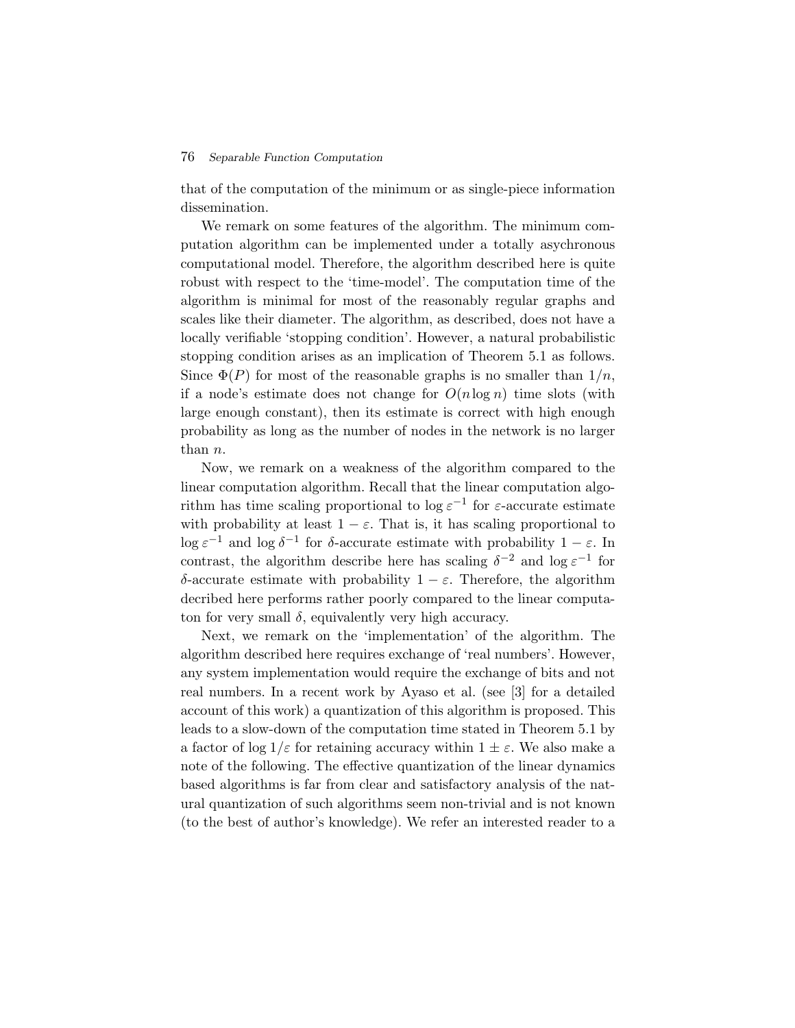### 76 *Separable Function Computation*

that of the computation of the minimum or as single-piece information dissemination.

We remark on some features of the algorithm. The minimum computation algorithm can be implemented under a totally asychronous computational model. Therefore, the algorithm described here is quite robust with respect to the 'time-model'. The computation time of the algorithm is minimal for most of the reasonably regular graphs and scales like their diameter. The algorithm, as described, does not have a locally verifiable 'stopping condition'. However, a natural probabilistic stopping condition arises as an implication of Theorem 5.1 as follows. Since  $\Phi(P)$  for most of the reasonable graphs is no smaller than  $1/n$ , if a node's estimate does not change for  $O(n \log n)$  time slots (with large enough constant), then its estimate is correct with high enough probability as long as the number of nodes in the network is no larger than n.

Now, we remark on a weakness of the algorithm compared to the linear computation algorithm. Recall that the linear computation algorithm has time scaling proportional to log  $\varepsilon^{-1}$  for  $\varepsilon$ -accurate estimate with probability at least  $1 - \varepsilon$ . That is, it has scaling proportional to  $\log \varepsilon^{-1}$  and  $\log \delta^{-1}$  for δ-accurate estimate with probability  $1 - \varepsilon$ . In contrast, the algorithm describe here has scaling  $\delta^{-2}$  and log  $\varepsilon^{-1}$  for δ-accurate estimate with probability 1 − ε. Therefore, the algorithm decribed here performs rather poorly compared to the linear computaton for very small  $\delta$ , equivalently very high accuracy.

Next, we remark on the 'implementation' of the algorithm. The algorithm described here requires exchange of 'real numbers'. However, any system implementation would require the exchange of bits and not real numbers. In a recent work by Ayaso et al. (see [3] for a detailed account of this work) a quantization of this algorithm is proposed. This leads to a slow-down of the computation time stated in Theorem 5.1 by a factor of log  $1/\varepsilon$  for retaining accuracy within  $1 \pm \varepsilon$ . We also make a note of the following. The effective quantization of the linear dynamics based algorithms is far from clear and satisfactory analysis of the natural quantization of such algorithms seem non-trivial and is not known (to the best of author's knowledge). We refer an interested reader to a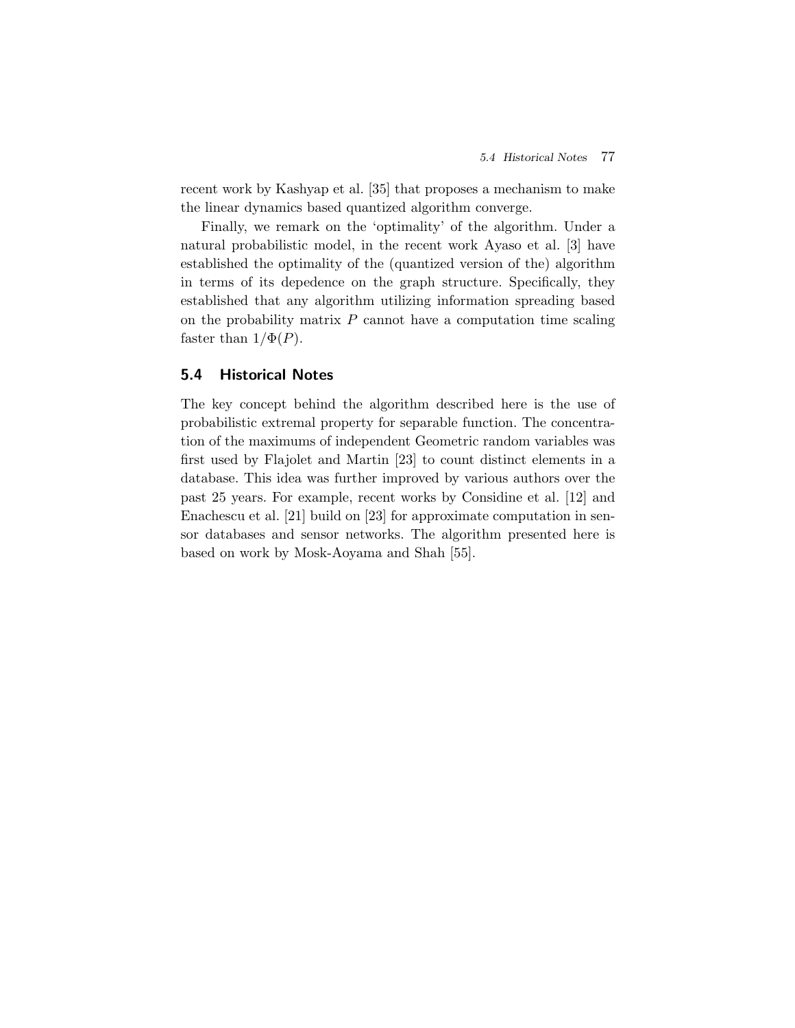recent work by Kashyap et al. [35] that proposes a mechanism to make the linear dynamics based quantized algorithm converge.

Finally, we remark on the 'optimality' of the algorithm. Under a natural probabilistic model, in the recent work Ayaso et al. [3] have established the optimality of the (quantized version of the) algorithm in terms of its depedence on the graph structure. Specifically, they established that any algorithm utilizing information spreading based on the probability matrix  $P$  cannot have a computation time scaling faster than  $1/\Phi(P)$ .

## **5.4 Historical Notes**

The key concept behind the algorithm described here is the use of probabilistic extremal property for separable function. The concentration of the maximums of independent Geometric random variables was first used by Flajolet and Martin [23] to count distinct elements in a database. This idea was further improved by various authors over the past 25 years. For example, recent works by Considine et al. [12] and Enachescu et al. [21] build on [23] for approximate computation in sensor databases and sensor networks. The algorithm presented here is based on work by Mosk-Aoyama and Shah [55].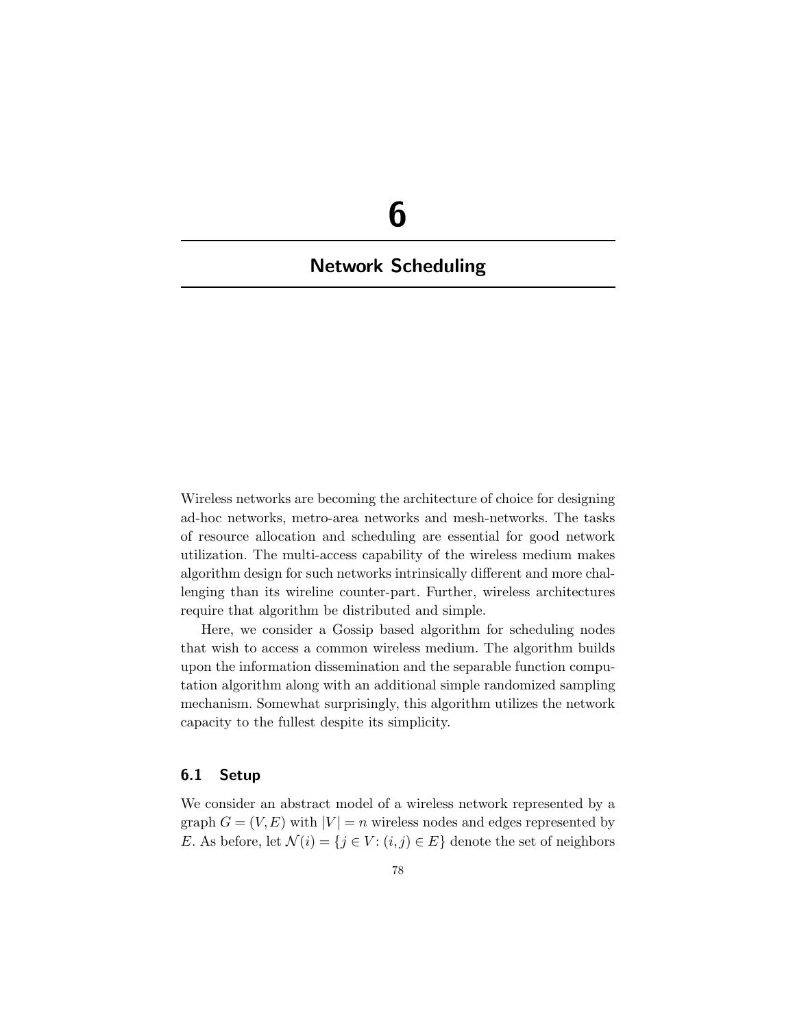# **6**

## **Network Scheduling**

Wireless networks are becoming the architecture of choice for designing ad-hoc networks, metro-area networks and mesh-networks. The tasks of resource allocation and scheduling are essential for good network utilization. The multi-access capability of the wireless medium makes algorithm design for such networks intrinsically different and more challenging than its wireline counter-part. Further, wireless architectures require that algorithm be distributed and simple.

Here, we consider a Gossip based algorithm for scheduling nodes that wish to access a common wireless medium. The algorithm builds upon the information dissemination and the separable function computation algorithm along with an additional simple randomized sampling mechanism. Somewhat surprisingly, this algorithm utilizes the network capacity to the fullest despite its simplicity.

## **6.1 Setup**

We consider an abstract model of a wireless network represented by a graph  $G = (V, E)$  with  $|V| = n$  wireless nodes and edges represented by E. As before, let  $\mathcal{N}(i) = \{j \in V : (i,j) \in E\}$  denote the set of neighbors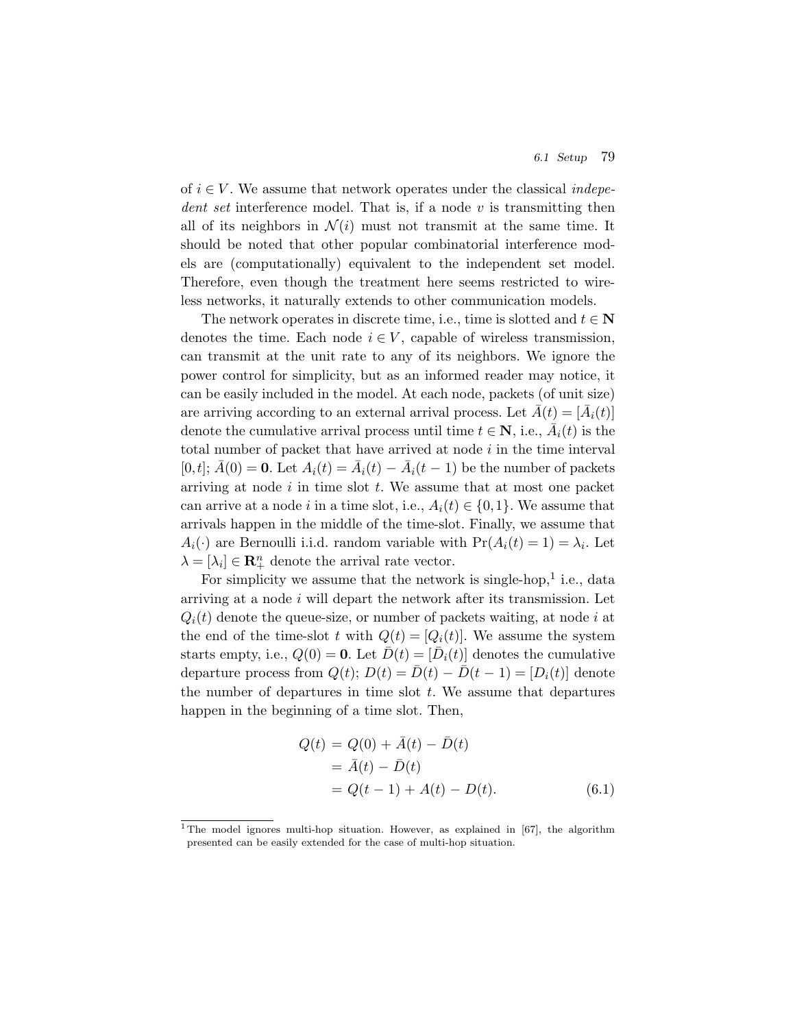of  $i \in V$ . We assume that network operates under the classical *indepedent set* interference model. That is, if a node v is transmitting then all of its neighbors in  $\mathcal{N}(i)$  must not transmit at the same time. It should be noted that other popular combinatorial interference models are (computationally) equivalent to the independent set model. Therefore, even though the treatment here seems restricted to wireless networks, it naturally extends to other communication models.

The network operates in discrete time, i.e., time is slotted and  $t \in \mathbb{N}$ denotes the time. Each node  $i \in V$ , capable of wireless transmission, can transmit at the unit rate to any of its neighbors. We ignore the power control for simplicity, but as an informed reader may notice, it can be easily included in the model. At each node, packets (of unit size) are arriving according to an external arrival process. Let  $A(t)=[A_i(t)]$ denote the cumulative arrival process until time  $t \in \mathbb{N}$ , i.e.,  $A_i(t)$  is the total number of packet that have arrived at node  $i$  in the time interval  $[0, t]; \overline{A}(0) = \mathbf{0}$ . Let  $A_i(t) = \overline{A}_i(t) - \overline{A}_i(t-1)$  be the number of packets arriving at node  $i$  in time slot  $t$ . We assume that at most one packet can arrive at a node *i* in a time slot, i.e.,  $A_i(t) \in \{0,1\}$ . We assume that arrivals happen in the middle of the time-slot. Finally, we assume that  $A_i(\cdot)$  are Bernoulli i.i.d. random variable with  $Pr(A_i(t) = 1) = \lambda_i$ . Let  $\lambda = [\lambda_i] \in \mathbb{R}^n_+$  denote the arrival rate vector.

For simplicity we assume that the network is single-hop,<sup>1</sup> i.e., data arriving at a node  $i$  will depart the network after its transmission. Let  $Q_i(t)$  denote the queue-size, or number of packets waiting, at node i at the end of the time-slot t with  $Q(t)=[Q_i(t)]$ . We assume the system starts empty, i.e.,  $Q(0) = \mathbf{0}$ . Let  $D(t) = [D_i(t)]$  denotes the cumulative departure process from  $Q(t)$ ;  $D(t) = \overline{D}(t) - \overline{D}(t-1) = [D_i(t)]$  denote the number of departures in time slot  $t$ . We assume that departures happen in the beginning of a time slot. Then,

$$
Q(t) = Q(0) + \bar{A}(t) - \bar{D}(t)
$$
  
=  $\bar{A}(t) - \bar{D}(t)$   
=  $Q(t - 1) + A(t) - D(t)$ . (6.1)

<sup>&</sup>lt;sup>1</sup>The model ignores multi-hop situation. However, as explained in [67], the algorithm presented can be easily extended for the case of multi-hop situation.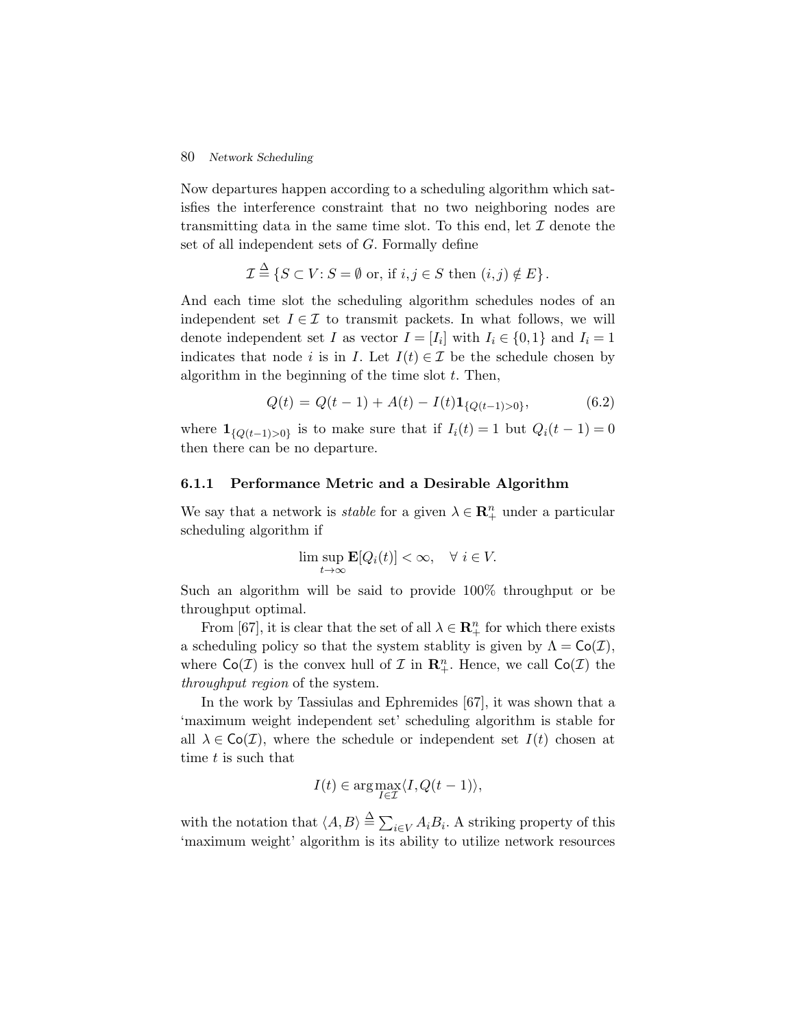## 80 *Network Scheduling*

Now departures happen according to a scheduling algorithm which satisfies the interference constraint that no two neighboring nodes are transmitting data in the same time slot. To this end, let  $\mathcal I$  denote the set of all independent sets of G. Formally define

$$
\mathcal{I} \stackrel{\Delta}{=} \{ S \subset V : S = \emptyset \text{ or, if } i, j \in S \text{ then } (i, j) \notin E \}.
$$

And each time slot the scheduling algorithm schedules nodes of an independent set  $I \in \mathcal{I}$  to transmit packets. In what follows, we will denote independent set I as vector  $I = [I_i]$  with  $I_i \in \{0,1\}$  and  $I_i = 1$ indicates that node i is in I. Let  $I(t) \in \mathcal{I}$  be the schedule chosen by algorithm in the beginning of the time slot  $t$ . Then,

$$
Q(t) = Q(t-1) + A(t) - I(t) \mathbf{1}_{\{Q(t-1) > 0\}},\tag{6.2}
$$

where  $\mathbf{1}_{\{Q(t-1)>0\}}$  is to make sure that if  $I_i(t) = 1$  but  $Q_i(t-1) = 0$ then there can be no departure.

## **6.1.1 Performance Metric and a Desirable Algorithm**

We say that a network is *stable* for a given  $\lambda \in \mathbb{R}^n_+$  under a particular scheduling algorithm if

$$
\limsup_{t \to \infty} \mathbf{E}[Q_i(t)] < \infty, \quad \forall \ i \in V.
$$

Such an algorithm will be said to provide 100% throughput or be throughput optimal.

From [67], it is clear that the set of all  $\lambda \in \mathbb{R}^n_+$  for which there exists a scheduling policy so that the system stablity is given by  $\Lambda = \mathsf{Co}(\mathcal{I}),$ where  $Co(\mathcal{I})$  is the convex hull of  $\mathcal{I}$  in  $\mathbb{R}^n_+$ . Hence, we call  $Co(\mathcal{I})$  the *throughput region* of the system.

In the work by Tassiulas and Ephremides [67], it was shown that a 'maximum weight independent set' scheduling algorithm is stable for all  $\lambda \in \mathsf{Co}(\mathcal{I})$ , where the schedule or independent set  $I(t)$  chosen at time t is such that

$$
I(t) \in \arg \max_{I \in \mathcal{I}} \langle I, Q(t-1) \rangle,
$$

with the notation that  $\langle A, B \rangle \stackrel{\Delta}{=} \sum_{i \in V} A_i B_i$ . A striking property of this 'maximum weight' algorithm is its ability to utilize network resources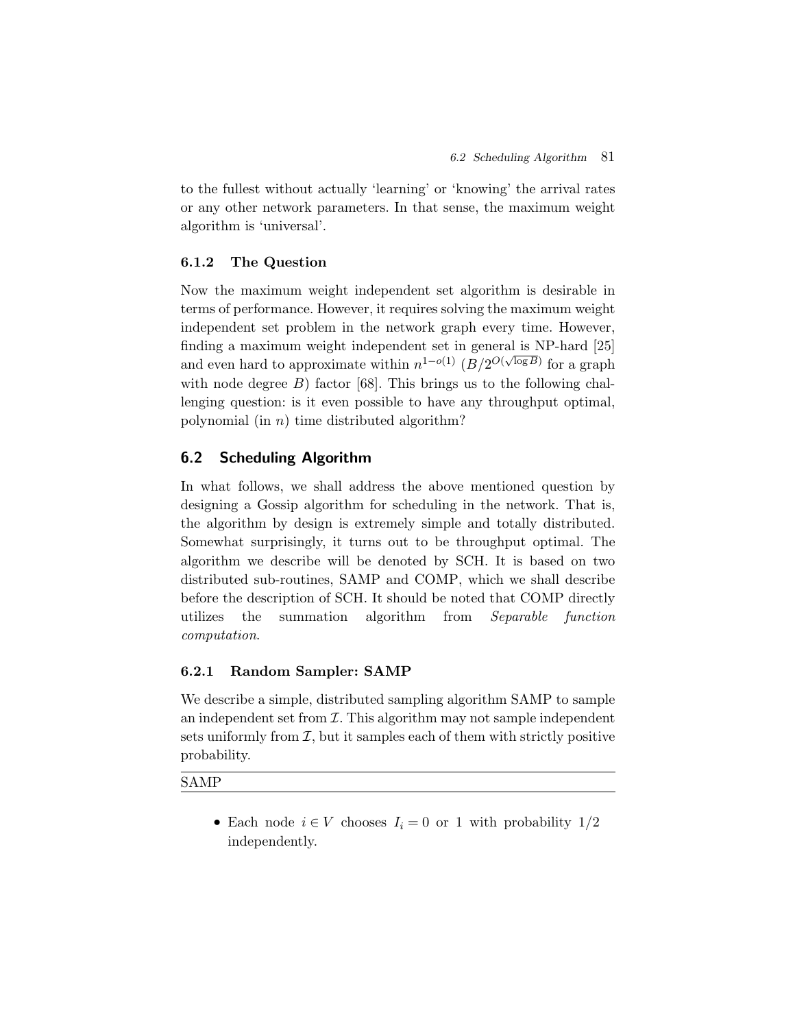to the fullest without actually 'learning' or 'knowing' the arrival rates or any other network parameters. In that sense, the maximum weight algorithm is 'universal'.

## **6.1.2 The Question**

Now the maximum weight independent set algorithm is desirable in terms of performance. However, it requires solving the maximum weight independent set problem in the network graph every time. However, finding a maximum weight independent set in general is NP-hard [25] and even hard to approximate within  $n^{1-o(1)}$   $(B/2^{O(\sqrt{\log B})})$  for a graph with node degree  $B$ ) factor [68]. This brings us to the following challenging question: is it even possible to have any throughput optimal, polynomial (in  $n$ ) time distributed algorithm?

## **6.2 Scheduling Algorithm**

In what follows, we shall address the above mentioned question by designing a Gossip algorithm for scheduling in the network. That is, the algorithm by design is extremely simple and totally distributed. Somewhat surprisingly, it turns out to be throughput optimal. The algorithm we describe will be denoted by SCH. It is based on two distributed sub-routines, SAMP and COMP, which we shall describe before the description of SCH. It should be noted that COMP directly utilizes the summation algorithm from *Separable function computation*.

## **6.2.1 Random Sampler: SAMP**

We describe a simple, distributed sampling algorithm SAMP to sample an independent set from  $\mathcal I$ . This algorithm may not sample independent sets uniformly from  $\mathcal{I}$ , but it samples each of them with strictly positive probability.

SAMP

• Each node  $i \in V$  chooses  $I_i = 0$  or 1 with probability  $1/2$ independently.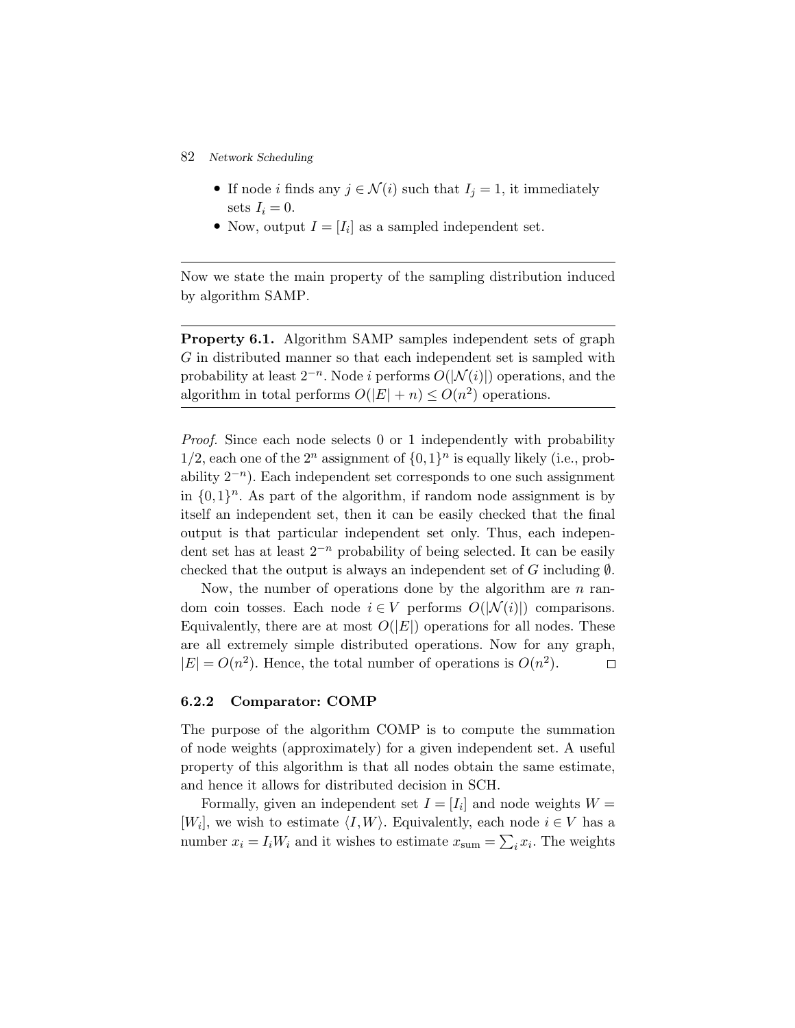- 82 *Network Scheduling*
	- If node *i* finds any  $j \in \mathcal{N}(i)$  such that  $I_j = 1$ , it immediately sets  $I_i = 0$ .
	- Now, output  $I = [I_i]$  as a sampled independent set.

Now we state the main property of the sampling distribution induced by algorithm SAMP.

**Property 6.1.** Algorithm SAMP samples independent sets of graph G in distributed manner so that each independent set is sampled with probability at least  $2^{-n}$ . Node *i* performs  $O(|\mathcal{N}(i)|)$  operations, and the algorithm in total performs  $O(|E| + n) \le O(n^2)$  operations.

*Proof.* Since each node selects 0 or 1 independently with probability  $1/2$ , each one of the  $2^n$  assignment of  $\{0,1\}^n$  is equally likely (i.e., probability  $2^{-n}$ ). Each independent set corresponds to one such assignment in  $\{0,1\}^n$ . As part of the algorithm, if random node assignment is by itself an independent set, then it can be easily checked that the final output is that particular independent set only. Thus, each independent set has at least  $2^{-n}$  probability of being selected. It can be easily checked that the output is always an independent set of G including  $\emptyset$ .

Now, the number of operations done by the algorithm are  $n$  random coin tosses. Each node  $i \in V$  performs  $O(|\mathcal{N}(i)|)$  comparisons. Equivalently, there are at most  $O(|E|)$  operations for all nodes. These are all extremely simple distributed operations. Now for any graph,  $|E| = O(n^2)$ . Hence, the total number of operations is  $O(n^2)$ .  $\Box$ 

#### **6.2.2 Comparator: COMP**

The purpose of the algorithm COMP is to compute the summation of node weights (approximately) for a given independent set. A useful property of this algorithm is that all nodes obtain the same estimate, and hence it allows for distributed decision in SCH.

Formally, given an independent set  $I = [I_i]$  and node weights  $W =$ [W<sub>i</sub>], we wish to estimate  $\langle I, W \rangle$ . Equivalently, each node  $i \in V$  has a number  $x_i = I_i W_i$  and it wishes to estimate  $x_{\text{sum}} = \sum_i x_i$ . The weights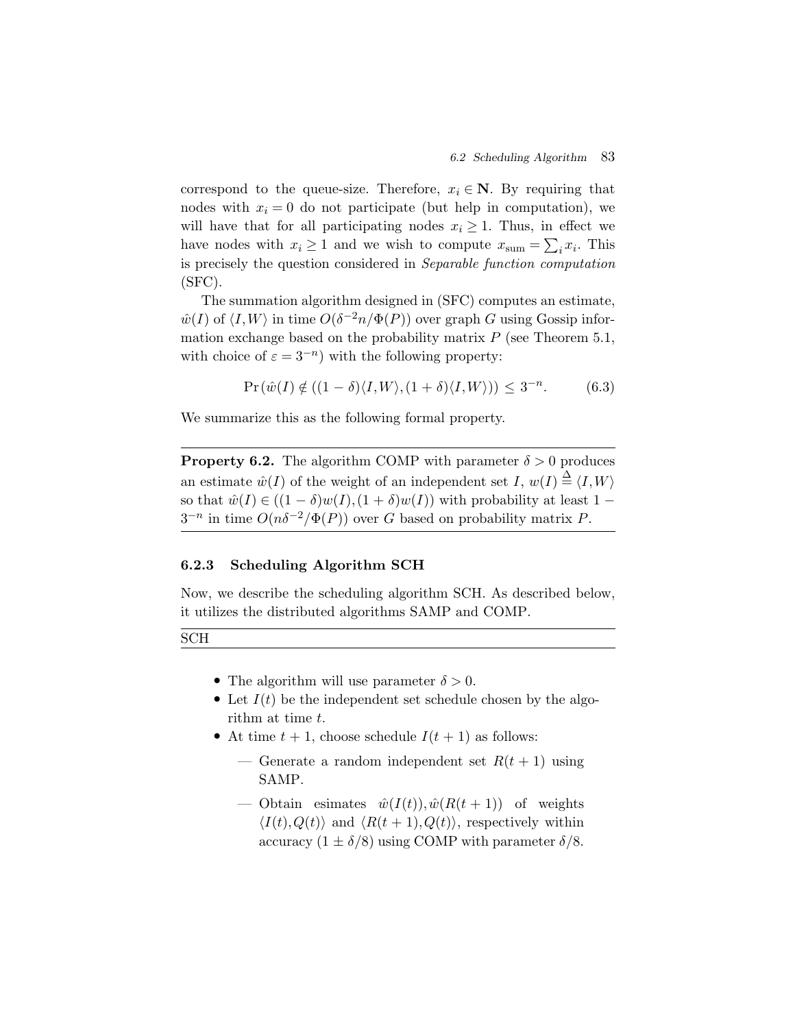correspond to the queue-size. Therefore,  $x_i \in \mathbb{N}$ . By requiring that nodes with  $x_i = 0$  do not participate (but help in computation), we will have that for all participating nodes  $x_i \geq 1$ . Thus, in effect we have nodes with  $x_i \geq 1$  and we wish to compute  $x_{\text{sum}} = \sum_i x_i$ . This is precisely the question considered in *Separable function computation* (SFC).

The summation algorithm designed in (SFC) computes an estimate,  $\hat{w}(I)$  of  $\langle I, W \rangle$  in time  $O(\delta^{-2}n/\Phi(P))$  over graph G using Gossip information exchange based on the probability matrix  $P$  (see Theorem 5.1, with choice of  $\varepsilon = 3^{-n}$ ) with the following property:

$$
\Pr(\hat{w}(I) \notin ((1 - \delta)\langle I, W \rangle, (1 + \delta)\langle I, W \rangle)) \le 3^{-n}.
$$
 (6.3)

We summarize this as the following formal property.

**Property 6.2.** The algorithm COMP with parameter  $\delta > 0$  produces an estimate  $\hat{w}(I)$  of the weight of an independent set I,  $w(I) \stackrel{\Delta}{=} \langle I, W \rangle$ so that  $\hat{w}(I) \in ((1 - \delta)w(I), (1 + \delta)w(I))$  with probability at least 1 –  $3^{-n}$  in time  $O(n\delta^{-2}/\Phi(P))$  over G based on probability matrix P.

## **6.2.3 Scheduling Algorithm SCH**

Now, we describe the scheduling algorithm SCH. As described below, it utilizes the distributed algorithms SAMP and COMP.

SCH

- The algorithm will use parameter  $\delta > 0$ .
- Let  $I(t)$  be the independent set schedule chosen by the algorithm at time t.
- At time  $t + 1$ , choose schedule  $I(t + 1)$  as follows:
	- Generate a random independent set  $R(t + 1)$  using SAMP.
	- Obtain esimates  $\hat{w}(I(t)), \hat{w}(R(t+1))$  of weights  $\langle I(t),Q(t)\rangle$  and  $\langle R(t+1),Q(t)\rangle$ , respectively within accuracy  $(1 \pm \delta/8)$  using COMP with parameter  $\delta/8$ .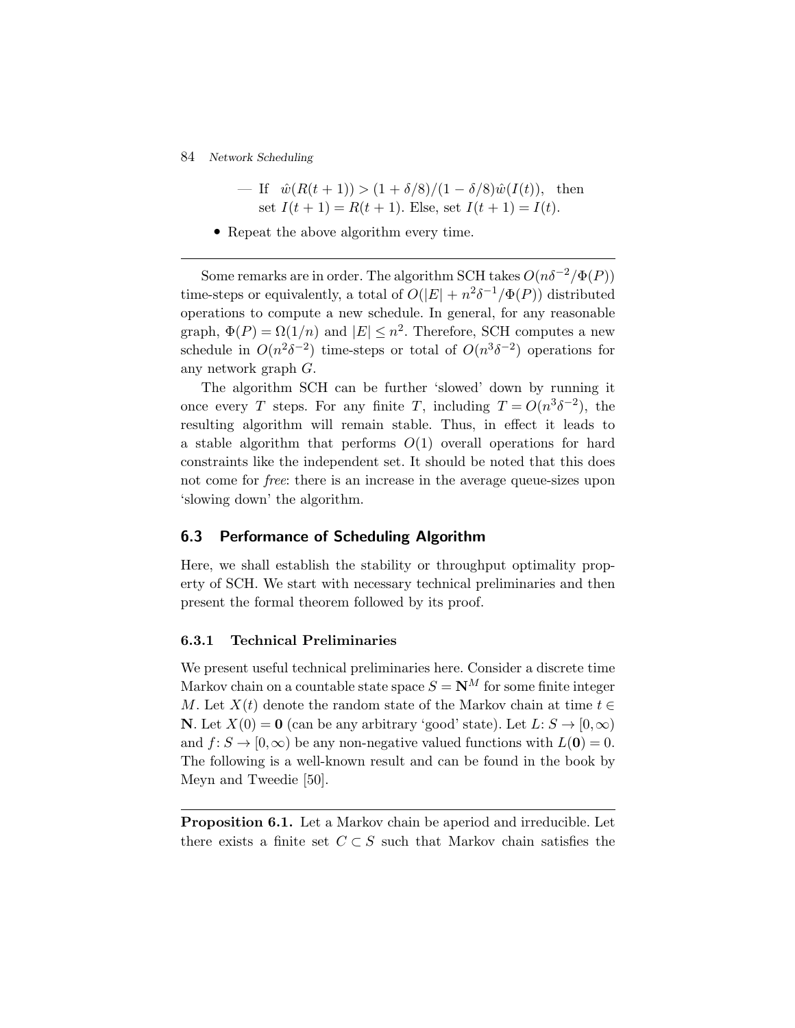84 *Network Scheduling*

$$
- \text{ If } \hat{w}(R(t+1)) > (1 + \delta/8)/(1 - \delta/8)\hat{w}(I(t)), \text{ then}
$$
  
set  $I(t+1) = R(t+1)$ . Else, set  $I(t+1) = I(t)$ .

• Repeat the above algorithm every time.

Some remarks are in order. The algorithm SCH takes  $O(n\delta^{-2}/\Phi(P))$ time-steps or equivalently, a total of  $O(|E| + n^2 \delta^{-1}/\Phi(P))$  distributed operations to compute a new schedule. In general, for any reasonable graph,  $\Phi(P) = \Omega(1/n)$  and  $|E| \leq n^2$ . Therefore, SCH computes a new schedule in  $O(n^2\delta^{-2})$  time-steps or total of  $O(n^3\delta^{-2})$  operations for any network graph G.

The algorithm SCH can be further 'slowed' down by running it once every T steps. For any finite T, including  $T = O(n^3 \delta^{-2})$ , the resulting algorithm will remain stable. Thus, in effect it leads to a stable algorithm that performs  $O(1)$  overall operations for hard constraints like the independent set. It should be noted that this does not come for *free*: there is an increase in the average queue-sizes upon 'slowing down' the algorithm.

## **6.3 Performance of Scheduling Algorithm**

Here, we shall establish the stability or throughput optimality property of SCH. We start with necessary technical preliminaries and then present the formal theorem followed by its proof.

## **6.3.1 Technical Preliminaries**

We present useful technical preliminaries here. Consider a discrete time Markov chain on a countable state space  $S = \mathbf{N}^M$  for some finite integer M. Let  $X(t)$  denote the random state of the Markov chain at time  $t \in$ **N**. Let  $X(0) = 0$  (can be any arbitrary 'good' state). Let  $L: S \to [0, \infty)$ and  $f: S \to [0, \infty)$  be any non-negative valued functions with  $L(\mathbf{0}) = 0$ . The following is a well-known result and can be found in the book by Meyn and Tweedie [50].

**Proposition 6.1.** Let a Markov chain be aperiod and irreducible. Let there exists a finite set  $C \subset S$  such that Markov chain satisfies the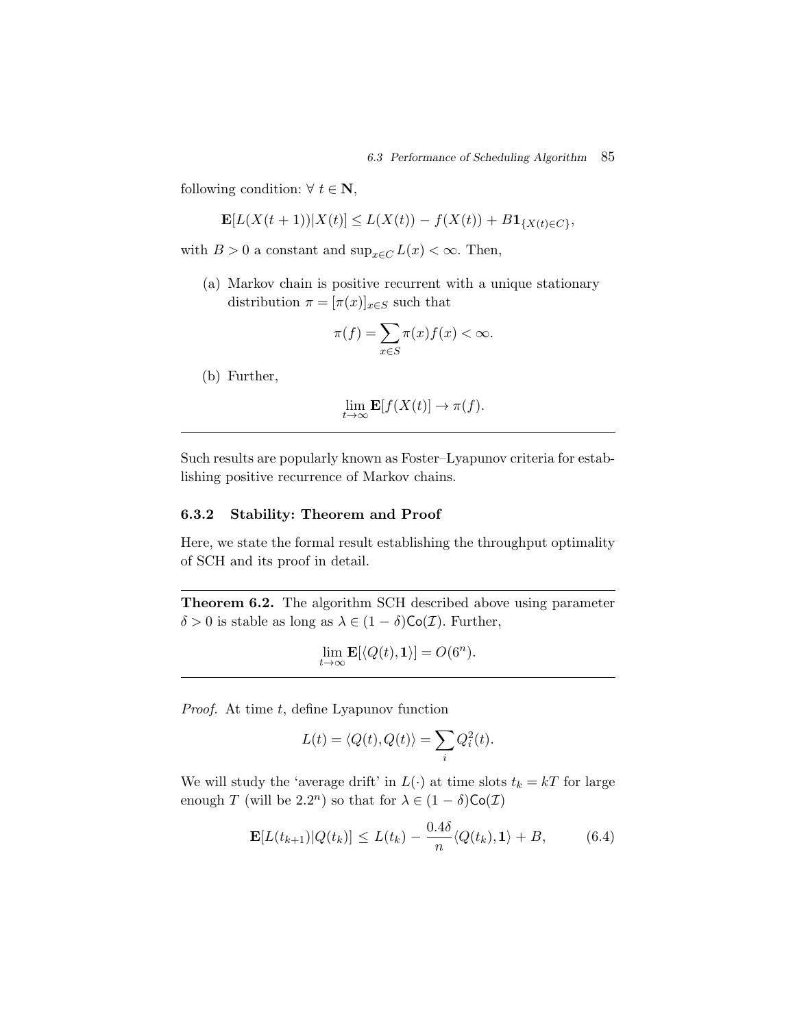following condition:  $\forall t \in \mathbb{N}$ ,

$$
\mathbf{E}[L(X(t+1))|X(t)] \le L(X(t)) - f(X(t)) + B\mathbf{1}_{\{X(t)\in C\}},
$$

with  $B > 0$  a constant and  $\sup_{x \in C} L(x) < \infty$ . Then,

(a) Markov chain is positive recurrent with a unique stationary distribution  $\pi = [\pi(x)]_{x \in S}$  such that

$$
\pi(f) = \sum_{x \in S} \pi(x) f(x) < \infty.
$$

(b) Further,

$$
\lim_{t \to \infty} \mathbf{E}[f(X(t)] \to \pi(f).
$$

Such results are popularly known as Foster–Lyapunov criteria for establishing positive recurrence of Markov chains.

## **6.3.2 Stability: Theorem and Proof**

Here, we state the formal result establishing the throughput optimality of SCH and its proof in detail.

**Theorem 6.2.** The algorithm SCH described above using parameter  $\delta > 0$  is stable as long as  $\lambda \in (1 - \delta) \text{Co}(\mathcal{I})$ . Further,

$$
\lim_{t \to \infty} \mathbf{E}[\langle Q(t), \mathbf{1} \rangle] = O(6^n).
$$

*Proof.* At time t, define Lyapunov function

$$
L(t) = \langle Q(t), Q(t) \rangle = \sum_{i} Q_i^2(t).
$$

We will study the 'average drift' in  $L(\cdot)$  at time slots  $t_k = kT$  for large enough T (will be 2.2<sup>n</sup>) so that for  $\lambda \in (1 - \delta) \mathsf{Co}(\mathcal{I})$ 

$$
\mathbf{E}[L(t_{k+1})|Q(t_k)] \le L(t_k) - \frac{0.4\delta}{n} \langle Q(t_k), \mathbf{1} \rangle + B,\tag{6.4}
$$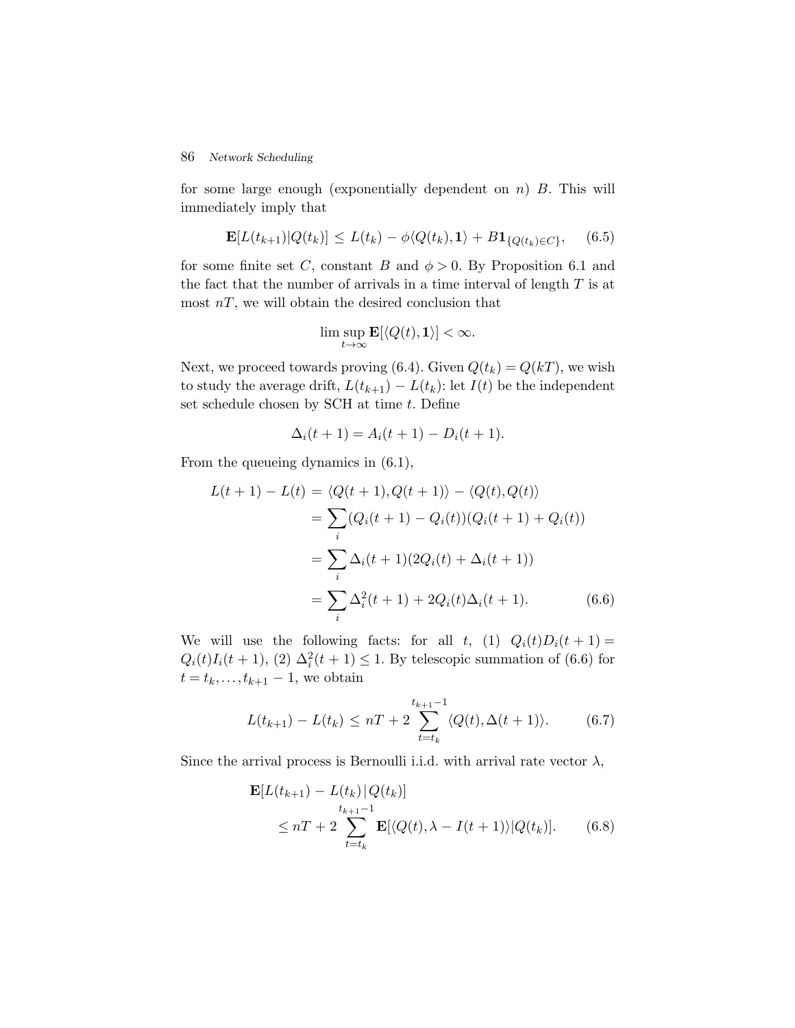### 86 *Network Scheduling*

for some large enough (exponentially dependent on  $n$ )  $B$ . This will immediately imply that

$$
\mathbf{E}[L(t_{k+1})|Q(t_k)] \le L(t_k) - \phi \langle Q(t_k), \mathbf{1} \rangle + B \mathbf{1}_{\{Q(t_k) \in C\}}, \quad (6.5)
$$

for some finite set C, constant B and  $\phi > 0$ . By Proposition 6.1 and the fact that the number of arrivals in a time interval of length  $T$  is at most  $nT$ , we will obtain the desired conclusion that

$$
\limsup_{t\to\infty} \mathbf{E}[\langle Q(t),\mathbf{1}\rangle] < \infty.
$$

Next, we proceed towards proving (6.4). Given  $Q(t_k) = Q(kT)$ , we wish to study the average drift,  $L(t_{k+1}) - L(t_k)$ : let  $I(t)$  be the independent set schedule chosen by SCH at time  $t$ . Define

$$
\Delta_i(t+1) = A_i(t+1) - D_i(t+1).
$$

From the queueing dynamics in (6.1),

$$
L(t+1) - L(t) = \langle Q(t+1), Q(t+1) \rangle - \langle Q(t), Q(t) \rangle
$$
  
= 
$$
\sum_{i} (Q_i(t+1) - Q_i(t))(Q_i(t+1) + Q_i(t))
$$
  
= 
$$
\sum_{i} \Delta_i(t+1)(2Q_i(t) + \Delta_i(t+1))
$$
  
= 
$$
\sum_{i} \Delta_i^2(t+1) + 2Q_i(t)\Delta_i(t+1).
$$
 (6.6)

We will use the following facts: for all t, (1)  $Q_i(t)D_i(t+1) =$  $Q_i(t)I_i(t+1), (2) \Delta_i^2(t+1) \leq 1$ . By telescopic summation of (6.6) for  $t = t_k, \ldots, t_{k+1} - 1$ , we obtain

$$
L(t_{k+1}) - L(t_k) \le nT + 2 \sum_{t=t_k}^{t_{k+1}-1} \langle Q(t), \Delta(t+1) \rangle.
$$
 (6.7)

Since the arrival process is Bernoulli i.i.d. with arrival rate vector  $\lambda$ ,

$$
\mathbf{E}[L(t_{k+1}) - L(t_k)|Q(t_k)]
$$
  
\n
$$
\leq nT + 2 \sum_{t=t_k}^{t_{k+1}-1} \mathbf{E}[\langle Q(t), \lambda - I(t+1) \rangle | Q(t_k)].
$$
 (6.8)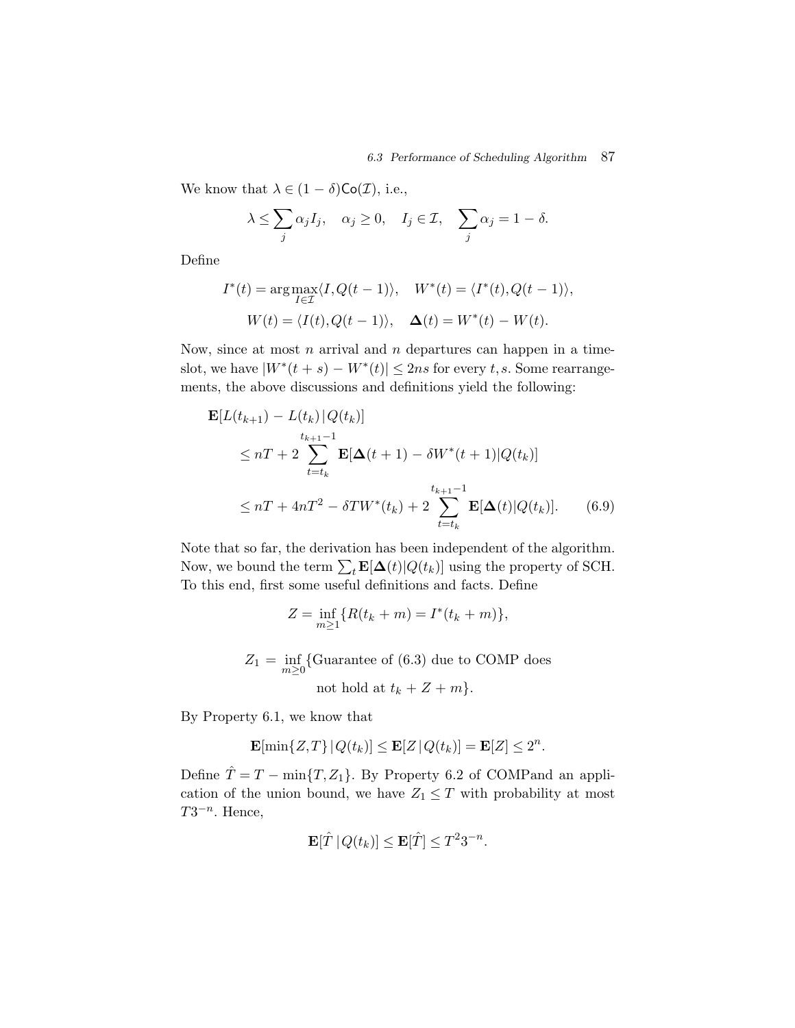We know that  $\lambda \in (1 - \delta) \text{Co}(\mathcal{I})$ , i.e.,

$$
\lambda \leq \sum_j \alpha_j I_j
$$
,  $\alpha_j \geq 0$ ,  $I_j \in \mathcal{I}$ ,  $\sum_j \alpha_j = 1 - \delta$ .

Define

$$
I^*(t) = \arg \max_{I \in \mathcal{I}} \langle I, Q(t-1) \rangle, \quad W^*(t) = \langle I^*(t), Q(t-1) \rangle,
$$
  

$$
W(t) = \langle I(t), Q(t-1) \rangle, \quad \Delta(t) = W^*(t) - W(t).
$$

Now, since at most  $n$  arrival and  $n$  departures can happen in a timeslot, we have  $|W^*(t + s) - W^*(t)| \leq 2ns$  for every t, s. Some rearrangements, the above discussions and definitions yield the following:

$$
\mathbf{E}[L(t_{k+1}) - L(t_k)|Q(t_k)]
$$
\n
$$
\leq nT + 2 \sum_{t=t_k}^{t_{k+1}-1} \mathbf{E}[\Delta(t+1) - \delta W^*(t+1)|Q(t_k)]
$$
\n
$$
\leq nT + 4nT^2 - \delta TW^*(t_k) + 2 \sum_{t=t_k}^{t_{k+1}-1} \mathbf{E}[\Delta(t)|Q(t_k)]. \tag{6.9}
$$

Note that so far, the derivation has been independent of the algorithm. Now, we bound the term  $\sum_{t} \mathbf{E}[\mathbf{\Delta}(t)|Q(t_k)]$  using the property of SCH. To this end, first some useful definitions and facts. Define

$$
Z = \inf_{m \ge 1} \{ R(t_k + m) = I^*(t_k + m) \},\
$$

$$
Z_1 = \inf_{m \ge 0} \{ \text{Guarantee of (6.3) due to COMP does}
$$
  
not hold at  $t_k + Z + m \}.$ 

By Property 6.1, we know that

$$
\mathbf{E}[\min\{Z,T\} | Q(t_k)] \leq \mathbf{E}[Z | Q(t_k)] = \mathbf{E}[Z] \leq 2^n.
$$

Define  $\hat{T} = T - \min\{T, Z_1\}$ . By Property 6.2 of COMPand an application of the union bound, we have  $Z_1 \leq T$  with probability at most  $T3^{-n}$ . Hence,

$$
\mathbf{E}[\hat{T} | Q(t_k)] \leq \mathbf{E}[\hat{T}] \leq T^2 3^{-n}.
$$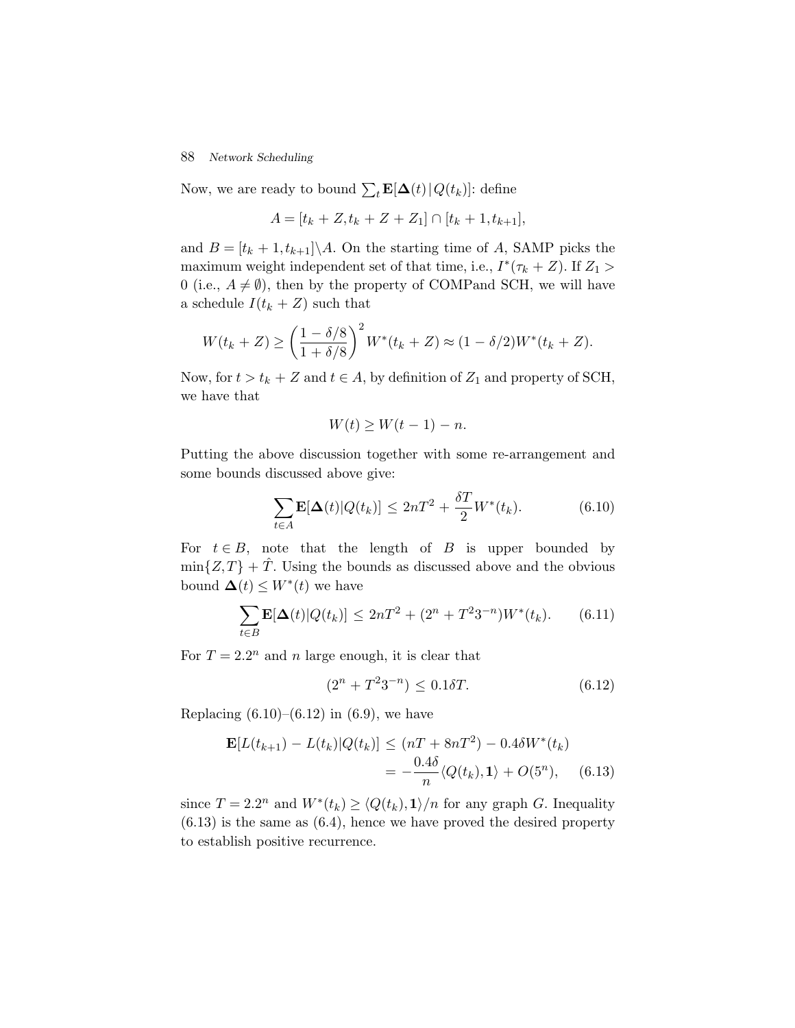## 88 *Network Scheduling*

Now, we are ready to bound  $\sum_{t} \mathbf{E}[\mathbf{\Delta}(t) | Q(t_k)]$ : define

$$
A = [t_k + Z, t_k + Z + Z_1] \cap [t_k + 1, t_{k+1}],
$$

and  $B = [t_k + 1, t_{k+1}]\setminus A$ . On the starting time of A, SAMP picks the maximum weight independent set of that time, i.e.,  $I^*(\tau_k + Z)$ . If  $Z_1 >$ 0 (i.e.,  $A \neq \emptyset$ ), then by the property of COMPand SCH, we will have a schedule  $I(t_k + Z)$  such that

$$
W(t_k + Z) \ge \left(\frac{1 - \delta/8}{1 + \delta/8}\right)^2 W^*(t_k + Z) \approx (1 - \delta/2)W^*(t_k + Z).
$$

Now, for  $t > t_k + Z$  and  $t \in A$ , by definition of  $Z_1$  and property of SCH, we have that

$$
W(t) \ge W(t-1) - n.
$$

Putting the above discussion together with some re-arrangement and some bounds discussed above give:

$$
\sum_{t \in A} \mathbf{E}[\Delta(t)|Q(t_k)] \le 2nT^2 + \frac{\delta T}{2}W^*(t_k). \tag{6.10}
$$

For  $t \in B$ , note that the length of B is upper bounded by  $\min\{Z,T\} + \hat{T}$ . Using the bounds as discussed above and the obvious bound  $\Delta(t) \leq W^*(t)$  we have

$$
\sum_{t \in B} \mathbf{E}[\Delta(t)|Q(t_k)] \le 2nT^2 + (2^n + T^2 3^{-n})W^*(t_k). \tag{6.11}
$$

For  $T = 2.2^n$  and n large enough, it is clear that

$$
(2n + T23-n) \le 0.1\delta T.
$$
 (6.12)

Replacing  $(6.10)$ – $(6.12)$  in  $(6.9)$ , we have

$$
\mathbf{E}[L(t_{k+1}) - L(t_k)|Q(t_k)] \le (nT + 8nT^2) - 0.4\delta W^*(t_k)
$$
  
=  $-\frac{0.4\delta}{n} \langle Q(t_k), 1 \rangle + O(5^n),$  (6.13)

since  $T = 2.2^n$  and  $W^*(t_k) \ge \langle Q(t_k), 1 \rangle/n$  for any graph G. Inequality  $(6.13)$  is the same as  $(6.4)$ , hence we have proved the desired property to establish positive recurrence.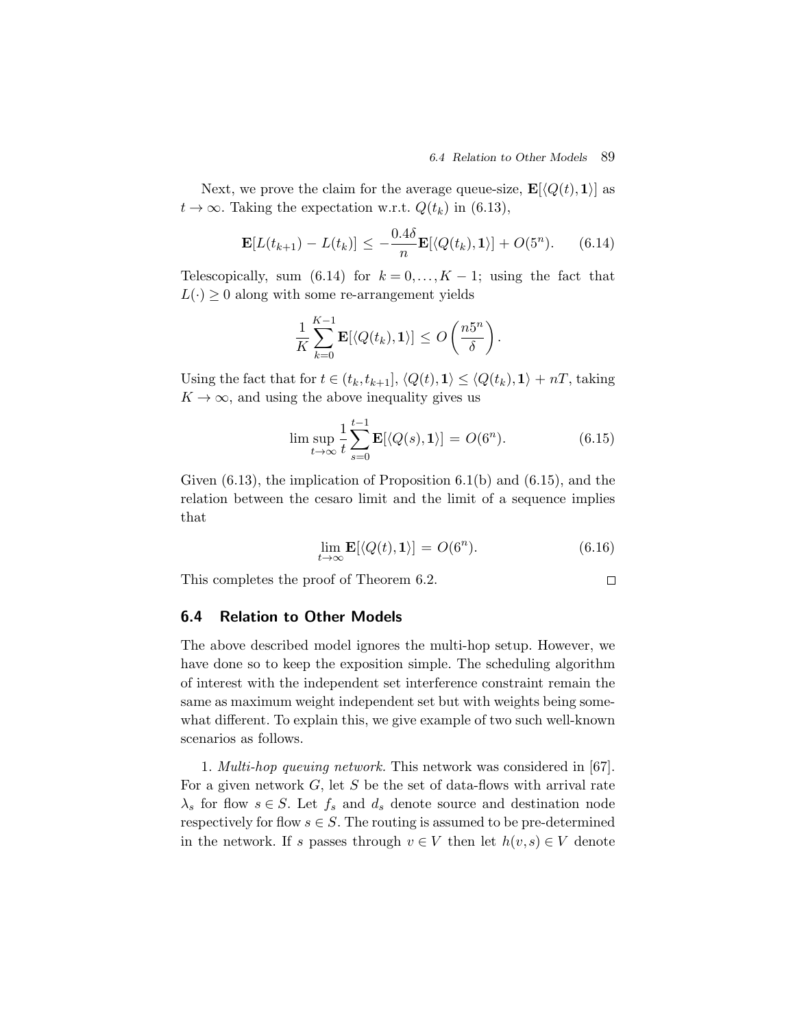Next, we prove the claim for the average queue-size,  $\mathbf{E}[\langle Q(t), \mathbf{1} \rangle]$  as  $t \to \infty$ . Taking the expectation w.r.t.  $Q(t_k)$  in (6.13),

$$
\mathbf{E}[L(t_{k+1}) - L(t_k)] \le -\frac{0.4\delta}{n} \mathbf{E}[\langle Q(t_k), \mathbf{1} \rangle] + O(5^n). \tag{6.14}
$$

Telescopically, sum (6.14) for  $k = 0, \ldots, K - 1$ ; using the fact that  $L(\cdot) \geq 0$  along with some re-arrangement yields

$$
\frac{1}{K}\sum_{k=0}^{K-1} \mathbf{E}[\langle Q(t_k), \mathbf{1} \rangle] \leq O\left(\frac{n5^n}{\delta}\right).
$$

Using the fact that for  $t \in (t_k, t_{k+1}], \langle Q(t), \mathbf{1} \rangle \leq \langle Q(t_k), \mathbf{1} \rangle + nT$ , taking  $K \to \infty$ , and using the above inequality gives us

$$
\limsup_{t \to \infty} \frac{1}{t} \sum_{s=0}^{t-1} \mathbf{E}[\langle Q(s), \mathbf{1} \rangle] = O(6^n). \tag{6.15}
$$

Given (6.13), the implication of Proposition 6.1(b) and (6.15), and the relation between the cesaro limit and the limit of a sequence implies that

$$
\lim_{t \to \infty} \mathbf{E}[\langle Q(t), \mathbf{1} \rangle] = O(6^n). \tag{6.16}
$$

This completes the proof of Theorem 6.2.

 $\Box$ 

## **6.4 Relation to Other Models**

The above described model ignores the multi-hop setup. However, we have done so to keep the exposition simple. The scheduling algorithm of interest with the independent set interference constraint remain the same as maximum weight independent set but with weights being somewhat different. To explain this, we give example of two such well-known scenarios as follows.

1. *Multi-hop queuing network.* This network was considered in [67]. For a given network  $G$ , let  $S$  be the set of data-flows with arrival rate  $\lambda_s$  for flow  $s \in S$ . Let  $f_s$  and  $d_s$  denote source and destination node respectively for flow  $s \in S$ . The routing is assumed to be pre-determined in the network. If s passes through  $v \in V$  then let  $h(v,s) \in V$  denote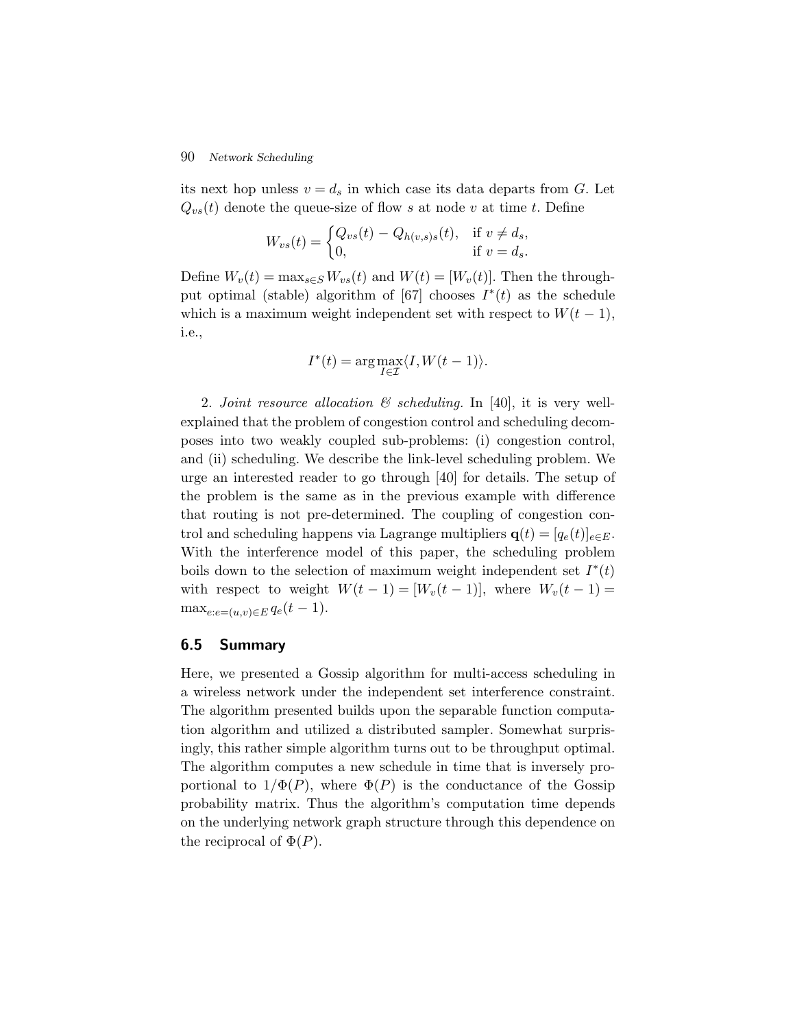## 90 *Network Scheduling*

its next hop unless  $v = d_s$  in which case its data departs from G. Let  $Q_{vs}(t)$  denote the queue-size of flow s at node v at time t. Define

$$
W_{vs}(t) = \begin{cases} Q_{vs}(t) - Q_{h(v,s)s}(t), & \text{if } v \neq d_s, \\ 0, & \text{if } v = d_s. \end{cases}
$$

Define  $W_v(t) = \max_{s \in S} W_{vs}(t)$  and  $W(t)=[W_v(t)]$ . Then the throughput optimal (stable) algorithm of [67] chooses  $I^*(t)$  as the schedule which is a maximum weight independent set with respect to  $W(t-1)$ , i.e.,

$$
I^*(t) = \arg \max_{I \in \mathcal{I}} \langle I, W(t-1) \rangle.
$$

2. *Joint resource allocation & scheduling.* In [40], it is very wellexplained that the problem of congestion control and scheduling decomposes into two weakly coupled sub-problems: (i) congestion control, and (ii) scheduling. We describe the link-level scheduling problem. We urge an interested reader to go through [40] for details. The setup of the problem is the same as in the previous example with difference that routing is not pre-determined. The coupling of congestion control and scheduling happens via Lagrange multipliers  $\mathbf{q}(t)=[q_e(t)]_{e\in E}$ . With the interference model of this paper, the scheduling problem boils down to the selection of maximum weight independent set  $I^*(t)$ with respect to weight  $W(t-1) = [W_v(t-1)]$ , where  $W_v(t-1) =$  $\max_{e:e=(u,v)\in E} q_e(t-1).$ 

## **6.5 Summary**

Here, we presented a Gossip algorithm for multi-access scheduling in a wireless network under the independent set interference constraint. The algorithm presented builds upon the separable function computation algorithm and utilized a distributed sampler. Somewhat surprisingly, this rather simple algorithm turns out to be throughput optimal. The algorithm computes a new schedule in time that is inversely proportional to  $1/\Phi(P)$ , where  $\Phi(P)$  is the conductance of the Gossip probability matrix. Thus the algorithm's computation time depends on the underlying network graph structure through this dependence on the reciprocal of  $\Phi(P)$ .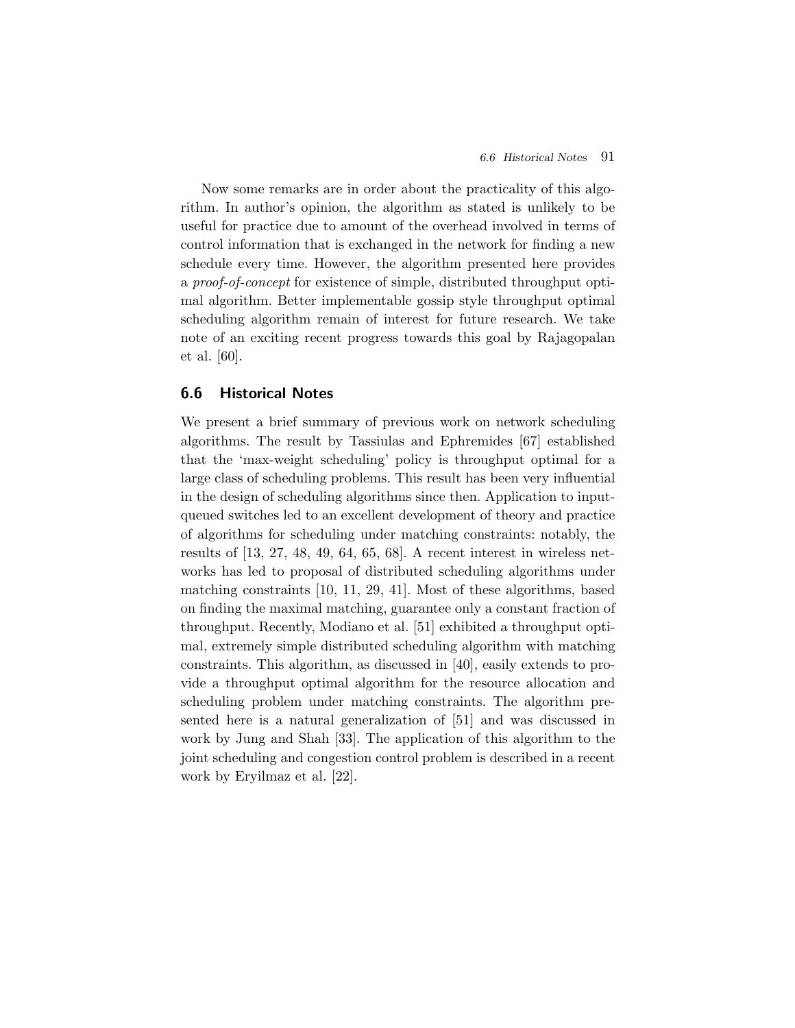Now some remarks are in order about the practicality of this algorithm. In author's opinion, the algorithm as stated is unlikely to be useful for practice due to amount of the overhead involved in terms of control information that is exchanged in the network for finding a new schedule every time. However, the algorithm presented here provides a *proof-of-concept* for existence of simple, distributed throughput optimal algorithm. Better implementable gossip style throughput optimal scheduling algorithm remain of interest for future research. We take note of an exciting recent progress towards this goal by Rajagopalan et al. [60].

## **6.6 Historical Notes**

We present a brief summary of previous work on network scheduling algorithms. The result by Tassiulas and Ephremides [67] established that the 'max-weight scheduling' policy is throughput optimal for a large class of scheduling problems. This result has been very influential in the design of scheduling algorithms since then. Application to inputqueued switches led to an excellent development of theory and practice of algorithms for scheduling under matching constraints: notably, the results of [13, 27, 48, 49, 64, 65, 68]. A recent interest in wireless networks has led to proposal of distributed scheduling algorithms under matching constraints [10, 11, 29, 41]. Most of these algorithms, based on finding the maximal matching, guarantee only a constant fraction of throughput. Recently, Modiano et al. [51] exhibited a throughput optimal, extremely simple distributed scheduling algorithm with matching constraints. This algorithm, as discussed in [40], easily extends to provide a throughput optimal algorithm for the resource allocation and scheduling problem under matching constraints. The algorithm presented here is a natural generalization of [51] and was discussed in work by Jung and Shah [33]. The application of this algorithm to the joint scheduling and congestion control problem is described in a recent work by Eryilmaz et al. [22].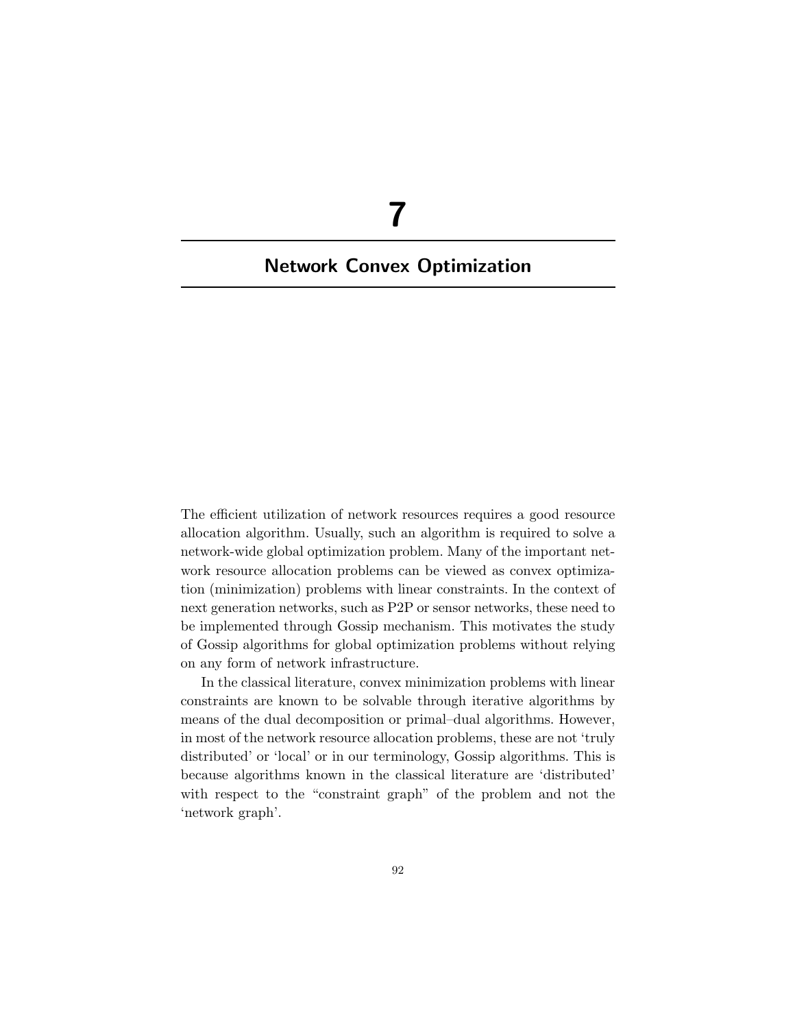# **7**

## **Network Convex Optimization**

The efficient utilization of network resources requires a good resource allocation algorithm. Usually, such an algorithm is required to solve a network-wide global optimization problem. Many of the important network resource allocation problems can be viewed as convex optimization (minimization) problems with linear constraints. In the context of next generation networks, such as P2P or sensor networks, these need to be implemented through Gossip mechanism. This motivates the study of Gossip algorithms for global optimization problems without relying on any form of network infrastructure.

In the classical literature, convex minimization problems with linear constraints are known to be solvable through iterative algorithms by means of the dual decomposition or primal–dual algorithms. However, in most of the network resource allocation problems, these are not 'truly distributed' or 'local' or in our terminology, Gossip algorithms. This is because algorithms known in the classical literature are 'distributed' with respect to the "constraint graph" of the problem and not the 'network graph'.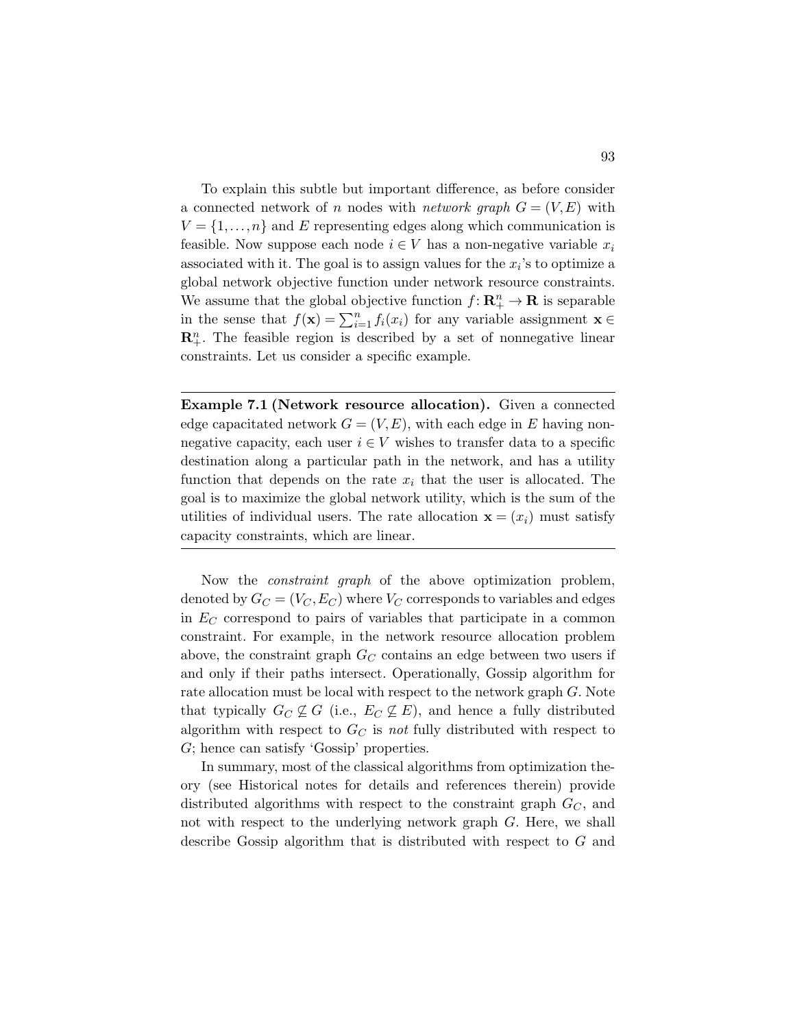To explain this subtle but important difference, as before consider a connected network of n nodes with *network graph*  $G = (V, E)$  with  $V = \{1, \ldots, n\}$  and E representing edges along which communication is feasible. Now suppose each node  $i \in V$  has a non-negative variable  $x_i$ associated with it. The goal is to assign values for the  $x_i$ 's to optimize a global network objective function under network resource constraints. We assume that the global objective function  $f: \mathbb{R}^n_+ \to \mathbb{R}$  is separable in the sense that  $f(\mathbf{x}) = \sum_{i=1}^{n} f_i(x_i)$  for any variable assignment **x** ∈  $\mathbf{R}_{+}^{n}$ . The feasible region is described by a set of nonnegative linear constraints. Let us consider a specific example.

**Example 7.1 (Network resource allocation).** Given a connected edge capacitated network  $G = (V, E)$ , with each edge in E having nonnegative capacity, each user  $i \in V$  wishes to transfer data to a specific destination along a particular path in the network, and has a utility function that depends on the rate  $x_i$  that the user is allocated. The goal is to maximize the global network utility, which is the sum of the utilities of individual users. The rate allocation  $\mathbf{x} = (x_i)$  must satisfy capacity constraints, which are linear.

Now the *constraint graph* of the above optimization problem, denoted by  $G_C = (V_C, E_C)$  where  $V_C$  corresponds to variables and edges in  $E_C$  correspond to pairs of variables that participate in a common constraint. For example, in the network resource allocation problem above, the constraint graph  $G_C$  contains an edge between two users if and only if their paths intersect. Operationally, Gossip algorithm for rate allocation must be local with respect to the network graph G. Note that typically  $G_C \not\subseteq G$  (i.e.,  $E_C \not\subseteq E$ ), and hence a fully distributed algorithm with respect to  $G_C$  is *not* fully distributed with respect to G; hence can satisfy 'Gossip' properties.

In summary, most of the classical algorithms from optimization theory (see Historical notes for details and references therein) provide distributed algorithms with respect to the constraint graph  $G_C$ , and not with respect to the underlying network graph G. Here, we shall describe Gossip algorithm that is distributed with respect to G and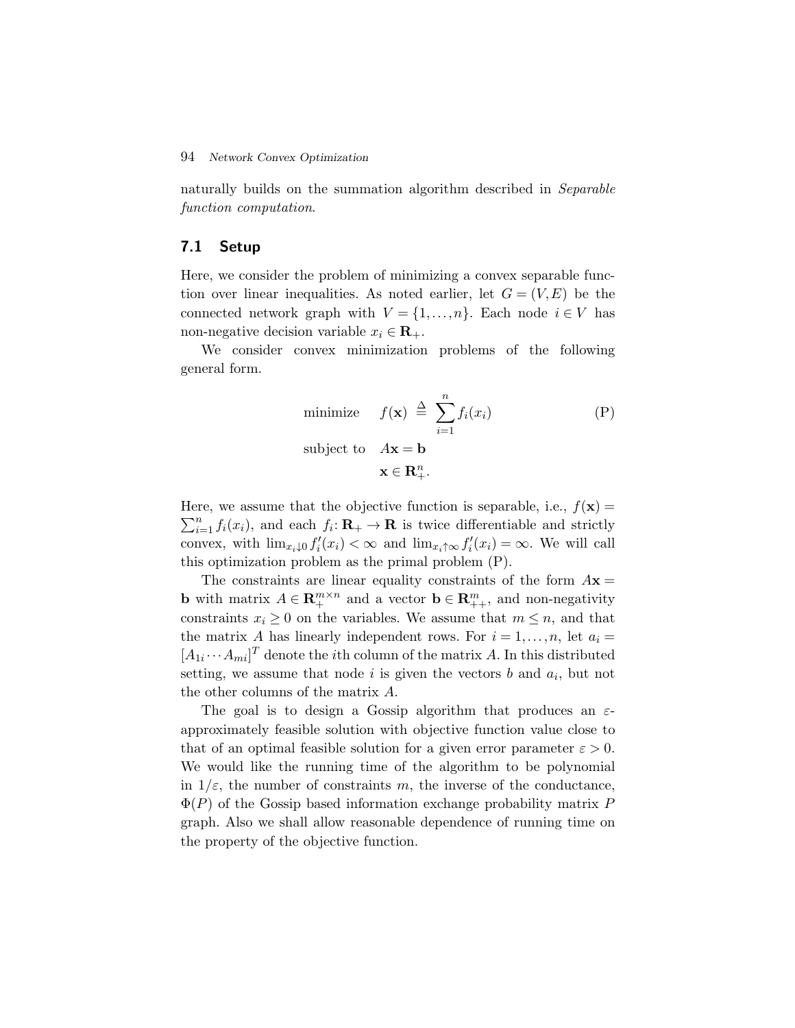### 94 *Network Convex Optimization*

naturally builds on the summation algorithm described in *Separable function computation*.

## **7.1 Setup**

Here, we consider the problem of minimizing a convex separable function over linear inequalities. As noted earlier, let  $G = (V, E)$  be the connected network graph with  $V = \{1, ..., n\}$ . Each node  $i \in V$  has non-negative decision variable  $x_i \in \mathbf{R}_+$ .

We consider convex minimization problems of the following general form.

minimize 
$$
f(\mathbf{x}) \stackrel{\Delta}{=} \sum_{i=1}^{n} f_i(x_i)
$$
  
\nsubject to  $A\mathbf{x} = \mathbf{b}$   
\n $\mathbf{x} \in \mathbf{R}_{+}^{n}$ . (P)

Here, we assume that the objective function is separable, i.e.,  $f(\mathbf{x}) =$  $\sum_{i=1}^{n} f_i(x_i)$ , and each  $f_i: \mathbf{R}_+ \to \mathbf{R}$  is twice differentiable and strictly convex, with  $\lim_{x_i \downarrow 0} f'_i(x_i) < \infty$  and  $\lim_{x_i \uparrow \infty} f'_i(x_i) = \infty$ . We will call this optimization problem as the primal problem (P).

The constraints are linear equality constraints of the form  $A\mathbf{x} =$ **b** with matrix  $A \in \mathbb{R}_+^{m \times n}$  and a vector  $\mathbf{b} \in \mathbb{R}_{++}^m$ , and non-negativity constraints  $x_i \geq 0$  on the variables. We assume that  $m \leq n$ , and that the matrix A has linearly independent rows. For  $i = 1, \ldots, n$ , let  $a_i =$  $[A_{1i} \cdots A_{mi}]^T$  denote the *i*th column of the matrix A. In this distributed setting, we assume that node i is given the vectors b and  $a_i$ , but not the other columns of the matrix A.

The goal is to design a Gossip algorithm that produces an  $\varepsilon$ approximately feasible solution with objective function value close to that of an optimal feasible solution for a given error parameter  $\varepsilon > 0$ . We would like the running time of the algorithm to be polynomial in  $1/\varepsilon$ , the number of constraints m, the inverse of the conductance,  $\Phi(P)$  of the Gossip based information exchange probability matrix P graph. Also we shall allow reasonable dependence of running time on the property of the objective function.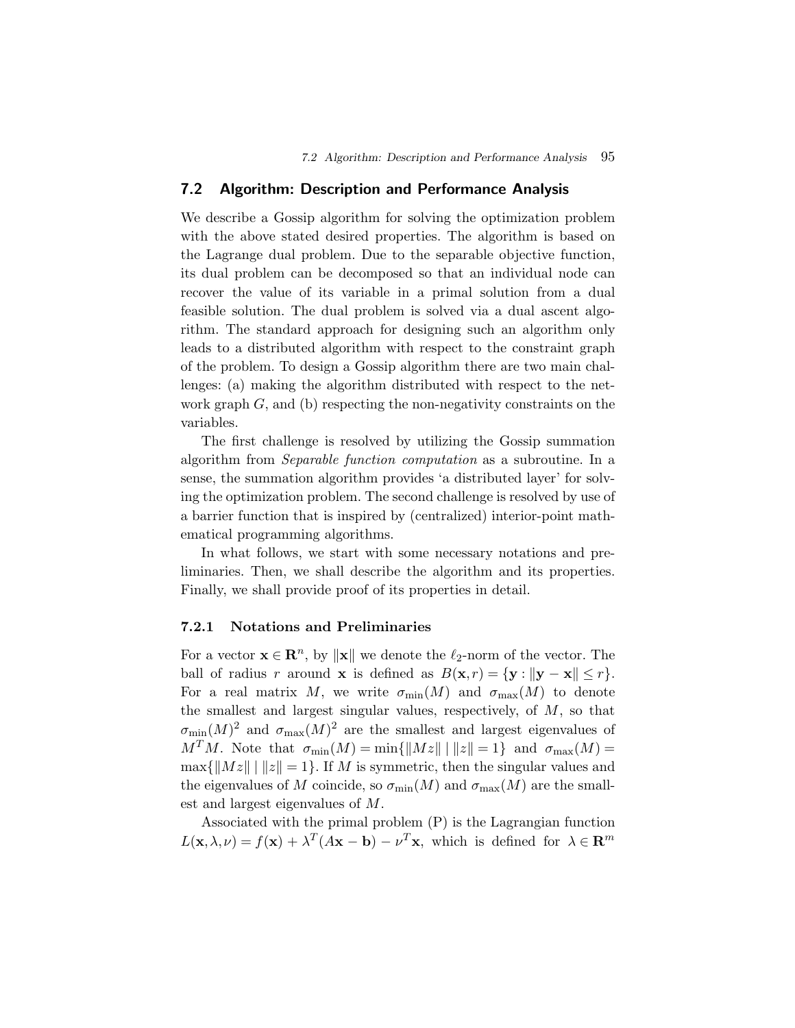## **7.2 Algorithm: Description and Performance Analysis**

We describe a Gossip algorithm for solving the optimization problem with the above stated desired properties. The algorithm is based on the Lagrange dual problem. Due to the separable objective function, its dual problem can be decomposed so that an individual node can recover the value of its variable in a primal solution from a dual feasible solution. The dual problem is solved via a dual ascent algorithm. The standard approach for designing such an algorithm only leads to a distributed algorithm with respect to the constraint graph of the problem. To design a Gossip algorithm there are two main challenges: (a) making the algorithm distributed with respect to the network graph  $G$ , and (b) respecting the non-negativity constraints on the variables.

The first challenge is resolved by utilizing the Gossip summation algorithm from *Separable function computation* as a subroutine. In a sense, the summation algorithm provides 'a distributed layer' for solving the optimization problem. The second challenge is resolved by use of a barrier function that is inspired by (centralized) interior-point mathematical programming algorithms.

In what follows, we start with some necessary notations and preliminaries. Then, we shall describe the algorithm and its properties. Finally, we shall provide proof of its properties in detail.

## **7.2.1 Notations and Preliminaries**

For a vector  $\mathbf{x} \in \mathbb{R}^n$ , by  $\|\mathbf{x}\|$  we denote the  $\ell_2$ -norm of the vector. The ball of radius r around **x** is defined as  $B(\mathbf{x}, r) = {\mathbf{y} : ||\mathbf{y} - \mathbf{x}|| \leq r}.$ For a real matrix M, we write  $\sigma_{\min}(M)$  and  $\sigma_{\max}(M)$  to denote the smallest and largest singular values, respectively, of  $M$ , so that  $\sigma_{\min}(M)^2$  and  $\sigma_{\max}(M)^2$  are the smallest and largest eigenvalues of  $M^{T}M$ . Note that  $\sigma_{\min}(M) = \min\{\|Mz\| \mid ||z|| = 1\}$  and  $\sigma_{\max}(M) =$  $\max\{\|Mz\| \mid ||z|| = 1\}.$  If M is symmetric, then the singular values and the eigenvalues of M coincide, so  $\sigma_{\min}(M)$  and  $\sigma_{\max}(M)$  are the smallest and largest eigenvalues of M.

Associated with the primal problem (P) is the Lagrangian function  $L(\mathbf{x}, \lambda, \nu) = f(\mathbf{x}) + \lambda^T (A\mathbf{x} - \mathbf{b}) - \nu^T \mathbf{x}$ , which is defined for  $\lambda \in \mathbb{R}^m$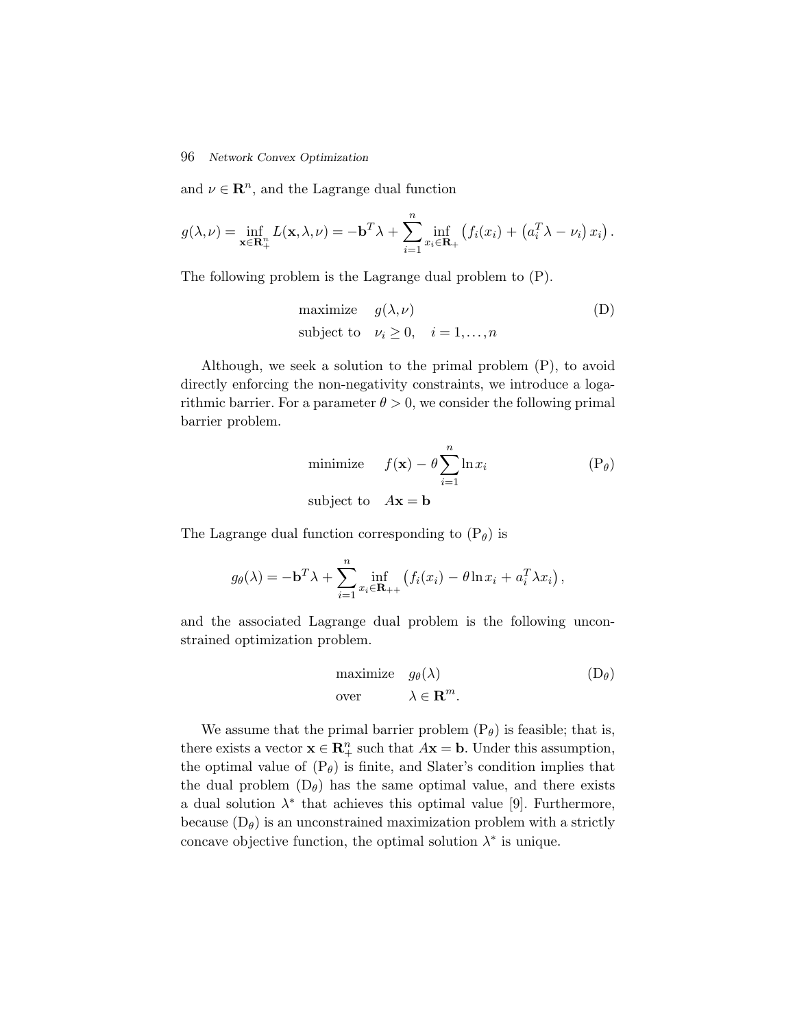#### 96 *Network Convex Optimization*

and  $\nu \in \mathbb{R}^n$ , and the Lagrange dual function

$$
g(\lambda, \nu) = \inf_{\mathbf{x} \in \mathbf{R}_+^n} L(\mathbf{x}, \lambda, \nu) = -\mathbf{b}^T \lambda + \sum_{i=1}^n \inf_{x_i \in \mathbf{R}_+} \left( f_i(x_i) + \left( a_i^T \lambda - \nu_i \right) x_i \right).
$$

The following problem is the Lagrange dual problem to (P).

maximize 
$$
g(\lambda, \nu)
$$
   
subject to  $\nu_i \geq 0, \quad i = 1, ..., n$   $(D)$ 

Although, we seek a solution to the primal problem (P), to avoid directly enforcing the non-negativity constraints, we introduce a logarithmic barrier. For a parameter  $\theta > 0$ , we consider the following primal barrier problem.

minimize 
$$
f(\mathbf{x}) - \theta \sum_{i=1}^{n} \ln x_i
$$
 (P <sub>$\theta$ )  
subject to  $A\mathbf{x} = \mathbf{b}$</sub> 

The Lagrange dual function corresponding to  $(P_{\theta})$  is

$$
g_{\theta}(\lambda) = -\mathbf{b}^T \lambda + \sum_{i=1}^n \inf_{x_i \in \mathbf{R}_{++}} \left( f_i(x_i) - \theta \ln x_i + a_i^T \lambda x_i \right),
$$

and the associated Lagrange dual problem is the following unconstrained optimization problem.

maximize 
$$
g_{\theta}(\lambda)
$$
  $(D_{\theta})$   
over  $\lambda \in \mathbf{R}^m$ .

We assume that the primal barrier problem  $(P_{\theta})$  is feasible; that is, there exists a vector  $\mathbf{x} \in \mathbb{R}_+^n$  such that  $A\mathbf{x} = \mathbf{b}$ . Under this assumption, the optimal value of  $(P_{\theta})$  is finite, and Slater's condition implies that the dual problem  $(D_{\theta})$  has the same optimal value, and there exists a dual solution  $\lambda^*$  that achieves this optimal value [9]. Furthermore, because  $(D_{\theta})$  is an unconstrained maximization problem with a strictly concave objective function, the optimal solution  $\lambda^*$  is unique.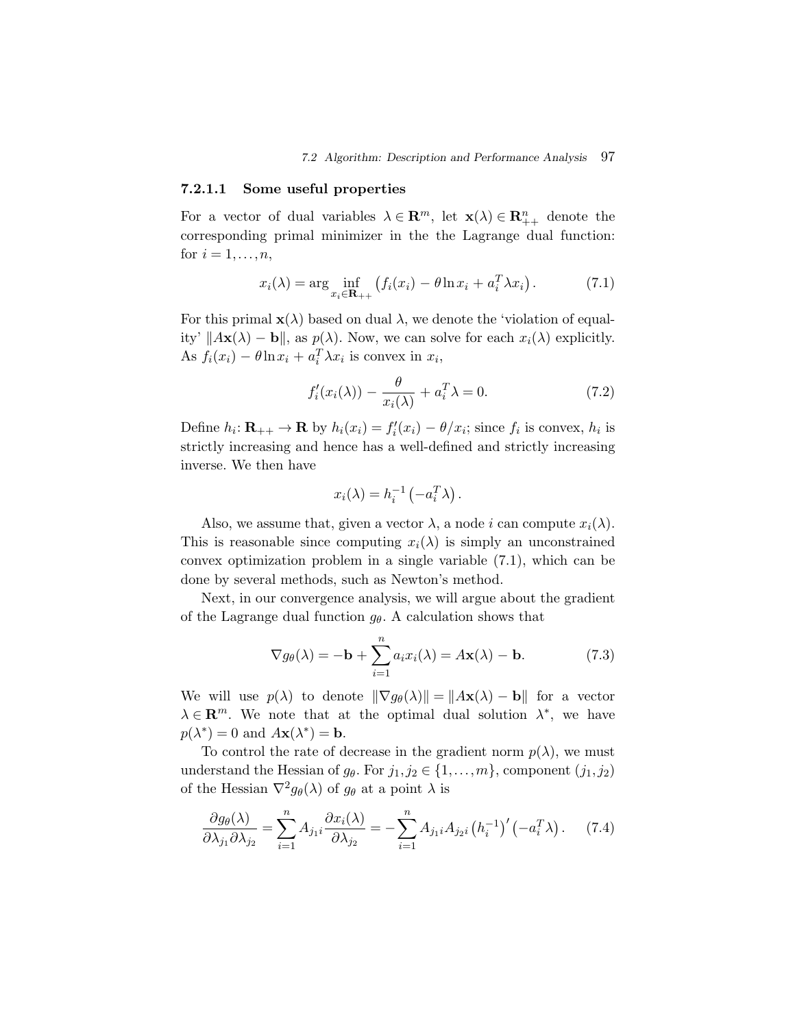## **7.2.1.1 Some useful properties**

For a vector of dual variables  $\lambda \in \mathbb{R}^m$ , let  $\mathbf{x}(\lambda) \in \mathbb{R}^n_{++}$  denote the corresponding primal minimizer in the the Lagrange dual function: for  $i = 1, \ldots, n$ ,

$$
x_i(\lambda) = \arg\inf_{x_i \in \mathbf{R}_{++}} \left( f_i(x_i) - \theta \ln x_i + a_i^T \lambda x_i \right). \tag{7.1}
$$

For this primal  $\mathbf{x}(\lambda)$  based on dual  $\lambda$ , we denote the 'violation of equality'  $||A\mathbf{x}(\lambda) - \mathbf{b}||$ , as  $p(\lambda)$ . Now, we can solve for each  $x_i(\lambda)$  explicitly. As  $f_i(x_i) - \theta \ln x_i + a_i^T \lambda x_i$  is convex in  $x_i$ ,

$$
f_i'(x_i(\lambda)) - \frac{\theta}{x_i(\lambda)} + a_i^T \lambda = 0.
$$
 (7.2)

Define  $h_i: \mathbf{R}_{++} \to \mathbf{R}$  by  $h_i(x_i) = f'_i(x_i) - \theta/x_i$ ; since  $f_i$  is convex,  $h_i$  is strictly increasing and hence has a well-defined and strictly increasing inverse. We then have

$$
x_i(\lambda) = h_i^{-1} \left( -a_i^T \lambda \right).
$$

Also, we assume that, given a vector  $\lambda$ , a node i can compute  $x_i(\lambda)$ . This is reasonable since computing  $x_i(\lambda)$  is simply an unconstrained convex optimization problem in a single variable (7.1), which can be done by several methods, such as Newton's method.

Next, in our convergence analysis, we will argue about the gradient of the Lagrange dual function  $g_{\theta}$ . A calculation shows that

$$
\nabla g_{\theta}(\lambda) = -\mathbf{b} + \sum_{i=1}^{n} a_i x_i(\lambda) = A\mathbf{x}(\lambda) - \mathbf{b}.
$$
 (7.3)

We will use  $p(\lambda)$  to denote  $\|\nabla g_{\theta}(\lambda)\| = \|A\mathbf{x}(\lambda) - \mathbf{b}\|$  for a vector  $\lambda \in \mathbb{R}^m$ . We note that at the optimal dual solution  $\lambda^*$ , we have  $p(\lambda^*) = 0$  and  $A$ **x**( $\lambda^*$ ) = **b**.

To control the rate of decrease in the gradient norm  $p(\lambda)$ , we must understand the Hessian of  $g_{\theta}$ . For  $j_1, j_2 \in \{1, ..., m\}$ , component  $(j_1, j_2)$ of the Hessian  $\nabla^2 g_{\theta}(\lambda)$  of  $g_{\theta}$  at a point  $\lambda$  is

$$
\frac{\partial g_{\theta}(\lambda)}{\partial \lambda_{j_1} \partial \lambda_{j_2}} = \sum_{i=1}^n A_{j_1 i} \frac{\partial x_i(\lambda)}{\partial \lambda_{j_2}} = -\sum_{i=1}^n A_{j_1 i} A_{j_2 i} (h_i^{-1})' (-a_i^T \lambda). \tag{7.4}
$$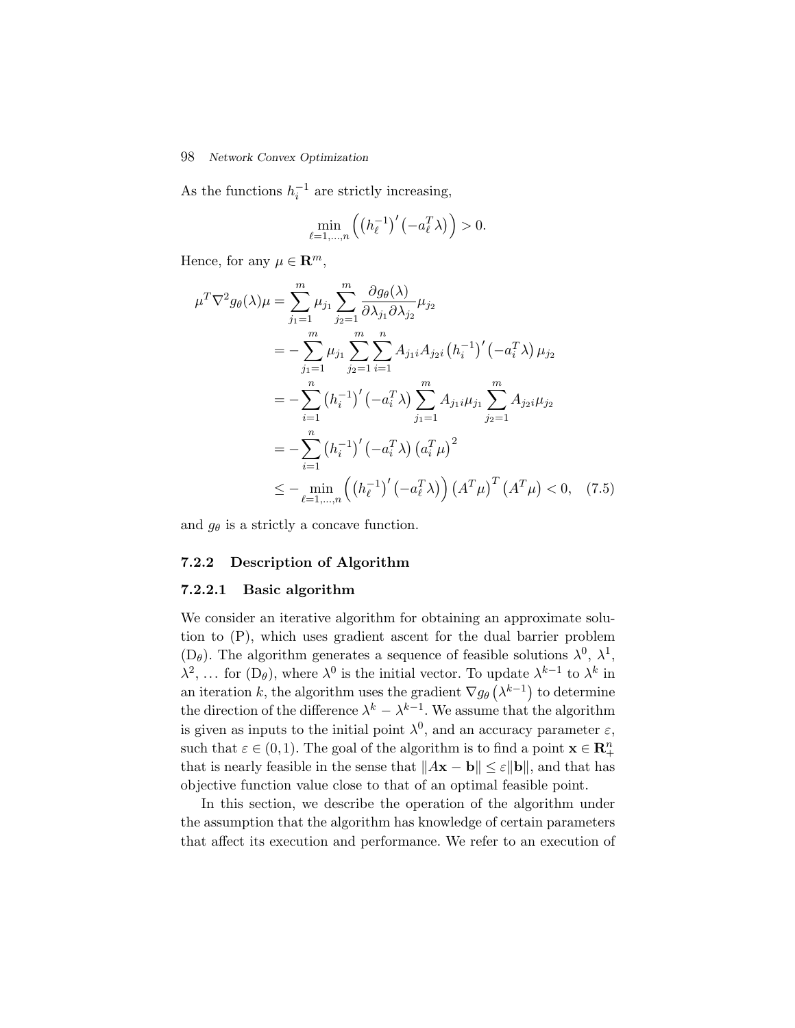#### 98 *Network Convex Optimization*

As the functions  $h_i^{-1}$  are strictly increasing,

$$
\min_{\ell=1,\dots,n} \left( \left( h_{\ell}^{-1} \right)' \left( -a_{\ell}^T \lambda \right) \right) > 0.
$$

Hence, for any  $\mu \in \mathbf{R}^m$ ,

$$
\mu^T \nabla^2 g_{\theta}(\lambda) \mu = \sum_{j_1=1}^m \mu_{j_1} \sum_{j_2=1}^m \frac{\partial g_{\theta}(\lambda)}{\partial \lambda_{j_1} \partial \lambda_{j_2}} \mu_{j_2}
$$
  
\n
$$
= -\sum_{j_1=1}^m \mu_{j_1} \sum_{j_2=1}^m \sum_{i=1}^n A_{j_1 i} A_{j_2 i} (h_i^{-1})' (-a_i^T \lambda) \mu_{j_2}
$$
  
\n
$$
= -\sum_{i=1}^n (h_i^{-1})' (-a_i^T \lambda) \sum_{j_1=1}^m A_{j_1 i} \mu_{j_1} \sum_{j_2=1}^m A_{j_2 i} \mu_{j_2}
$$
  
\n
$$
= -\sum_{i=1}^n (h_i^{-1})' (-a_i^T \lambda) (a_i^T \mu)^2
$$
  
\n
$$
\leq - \min_{\ell=1,\dots,n} ((h_{\ell}^{-1})' (-a_{\ell}^T \lambda)) (A^T \mu)^T (A^T \mu) < 0, \quad (7.5)
$$

and  $g_{\theta}$  is a strictly a concave function.

#### **7.2.2 Description of Algorithm**

#### **7.2.2.1 Basic algorithm**

We consider an iterative algorithm for obtaining an approximate solution to (P), which uses gradient ascent for the dual barrier problem  $(D_{\theta})$ . The algorithm generates a sequence of feasible solutions  $\lambda^{0}$ ,  $\lambda^{1}$ ,  $\lambda^2$ , ... for (D<sub>θ</sub>), where  $\lambda^0$  is the initial vector. To update  $\lambda^{k-1}$  to  $\lambda^k$  in an iteration k, the algorithm uses the gradient  $\nabla g_{\theta}(\lambda^{k-1})$  to determine the direction of the difference  $\lambda^k - \lambda^{k-1}$ . We assume that the algorithm is given as inputs to the initial point  $\lambda^0$ , and an accuracy parameter  $\varepsilon$ , such that  $\varepsilon \in (0,1)$ . The goal of the algorithm is to find a point  $\mathbf{x} \in \mathbb{R}_+^n$ that is nearly feasible in the sense that  $||A\mathbf{x} - \mathbf{b}|| \le \varepsilon ||\mathbf{b}||$ , and that has objective function value close to that of an optimal feasible point.

In this section, we describe the operation of the algorithm under the assumption that the algorithm has knowledge of certain parameters that affect its execution and performance. We refer to an execution of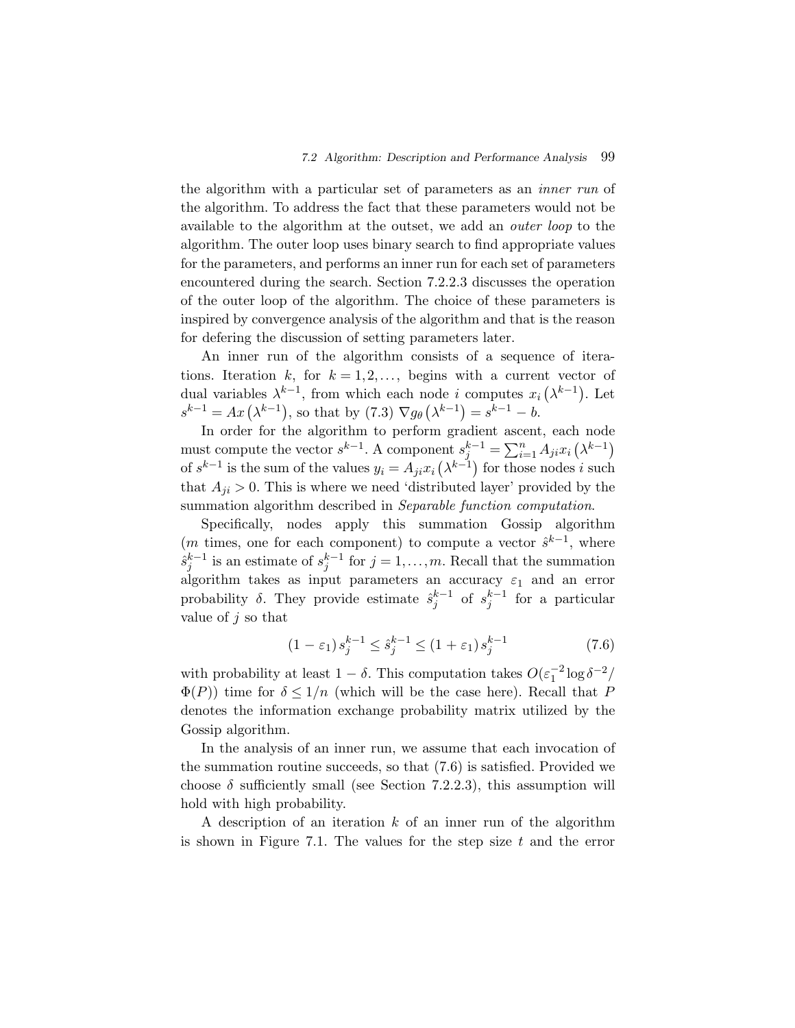the algorithm with a particular set of parameters as an *inner run* of the algorithm. To address the fact that these parameters would not be available to the algorithm at the outset, we add an *outer loop* to the algorithm. The outer loop uses binary search to find appropriate values for the parameters, and performs an inner run for each set of parameters encountered during the search. Section 7.2.2.3 discusses the operation of the outer loop of the algorithm. The choice of these parameters is inspired by convergence analysis of the algorithm and that is the reason for defering the discussion of setting parameters later.

An inner run of the algorithm consists of a sequence of iterations. Iteration k, for  $k = 1, 2, \ldots$ , begins with a current vector of dual variables  $\lambda^{k-1}$ , from which each node i computes  $x_i(\lambda^{k-1})$ . Let  $s^{k-1} = Ax(\lambda^{k-1}),$  so that by  $(7.3) \nabla g_{\theta}(\lambda^{k-1}) = s^{k-1} - b.$ 

In order for the algorithm to perform gradient ascent, each node must compute the vector  $s^{k-1}$ . A component  $s_j^{k-1} = \sum_{i=1}^n A_{ji} x_i (\lambda^{k-1})$ of  $s^{k-1}$  is the sum of the values  $y_i = A_{ji} x_i (\lambda^{k-1})$  for those nodes i such that  $A_{ji} > 0$ . This is where we need 'distributed layer' provided by the summation algorithm described in *Separable function computation*.

Specifically, nodes apply this summation Gossip algorithm (m times, one for each component) to compute a vector  $\hat{s}^{k-1}$ , where  $\hat{s}_j^{k-1}$  is an estimate of  $s_j^{k-1}$  for  $j = 1, \ldots, m$ . Recall that the summation algorithm takes as input parameters an accuracy  $\varepsilon_1$  and an error probability  $\delta$ . They provide estimate  $\hat{s}_i^{k-1}$  of  $s_i^{k-1}$  for a particular value of  $j$  so that

$$
(1 - \varepsilon_1) s_j^{k-1} \le \hat{s}_j^{k-1} \le (1 + \varepsilon_1) s_j^{k-1}
$$
 (7.6)

with probability at least  $1 - \delta$ . This computation takes  $O(\varepsilon_1^{-2} \log \delta^{-2})$  $\Phi(P)$ ) time for  $\delta \leq 1/n$  (which will be the case here). Recall that P denotes the information exchange probability matrix utilized by the Gossip algorithm.

In the analysis of an inner run, we assume that each invocation of the summation routine succeeds, so that (7.6) is satisfied. Provided we choose  $\delta$  sufficiently small (see Section 7.2.2.3), this assumption will hold with high probability.

A description of an iteration k of an inner run of the algorithm is shown in Figure 7.1. The values for the step size  $t$  and the error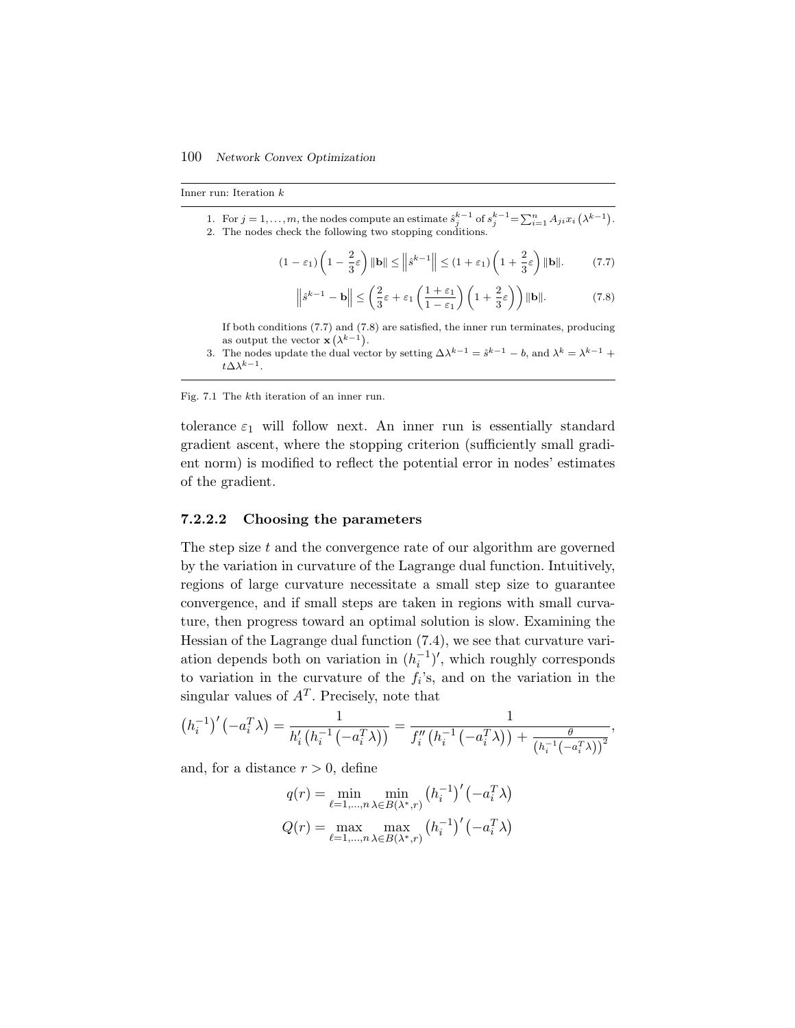Inner run: Iteration k

1. For  $j = 1, ..., m$ , the nodes compute an estimate  $\hat{s}_j^{k-1}$  of  $s_j^{k-1} = \sum_{i=1}^n A_{ji} x_i (\lambda^{k-1})$ . 2. The nodes check the following two stopping conditions.

$$
(1 - \varepsilon_1) \left( 1 - \frac{2}{3} \varepsilon \right) ||\mathbf{b}|| \le ||\hat{s}^{k-1}|| \le (1 + \varepsilon_1) \left( 1 + \frac{2}{3} \varepsilon \right) ||\mathbf{b}||. \tag{7.7}
$$

$$
\left\| \hat{s}^{k-1} - \mathbf{b} \right\| \le \left( \frac{2}{3} \varepsilon + \varepsilon_1 \left( \frac{1 + \varepsilon_1}{1 - \varepsilon_1} \right) \left( 1 + \frac{2}{3} \varepsilon \right) \right) \| \mathbf{b} \|. \tag{7.8}
$$

If both conditions (7.7) and (7.8) are satisfied, the inner run terminates, producing as output the vector  $\mathbf{x}(\lambda^{k-1})$ .

3. The nodes update the dual vector by setting  $\Delta \lambda^{k-1} = \hat{s}^{k-1} - b$ , and  $\lambda^k = \lambda^{k-1} +$  $t\Delta \lambda^{k-1}.$ 

#### Fig. 7.1 The kth iteration of an inner run.

tolerance  $\varepsilon_1$  will follow next. An inner run is essentially standard gradient ascent, where the stopping criterion (sufficiently small gradient norm) is modified to reflect the potential error in nodes' estimates of the gradient.

#### **7.2.2.2 Choosing the parameters**

The step size t and the convergence rate of our algorithm are governed by the variation in curvature of the Lagrange dual function. Intuitively, regions of large curvature necessitate a small step size to guarantee convergence, and if small steps are taken in regions with small curvature, then progress toward an optimal solution is slow. Examining the Hessian of the Lagrange dual function (7.4), we see that curvature variation depends both on variation in  $(h_i^{-1})'$ , which roughly corresponds to variation in the curvature of the  $f_i$ 's, and on the variation in the singular values of  $A<sup>T</sup>$ . Precisely, note that

$$
(h_i^{-1})'(-a_i^T \lambda) = \frac{1}{h_i'\left(h_i^{-1}(-a_i^T \lambda)\right)} = \frac{1}{f_i''\left(h_i^{-1}\left(-a_i^T \lambda\right)\right) + \frac{\theta}{\left(h_i^{-1}\left(-a_i^T \lambda\right)\right)^2}},
$$

and, for a distance  $r > 0$ , define

$$
q(r) = \min_{\ell=1,\dots,n} \min_{\lambda \in B(\lambda^*,r)} (h_i^{-1})'(-a_i^T \lambda)
$$

$$
Q(r) = \max_{\ell=1,\dots,n} \max_{\lambda \in B(\lambda^*,r)} (h_i^{-1})'(-a_i^T \lambda)
$$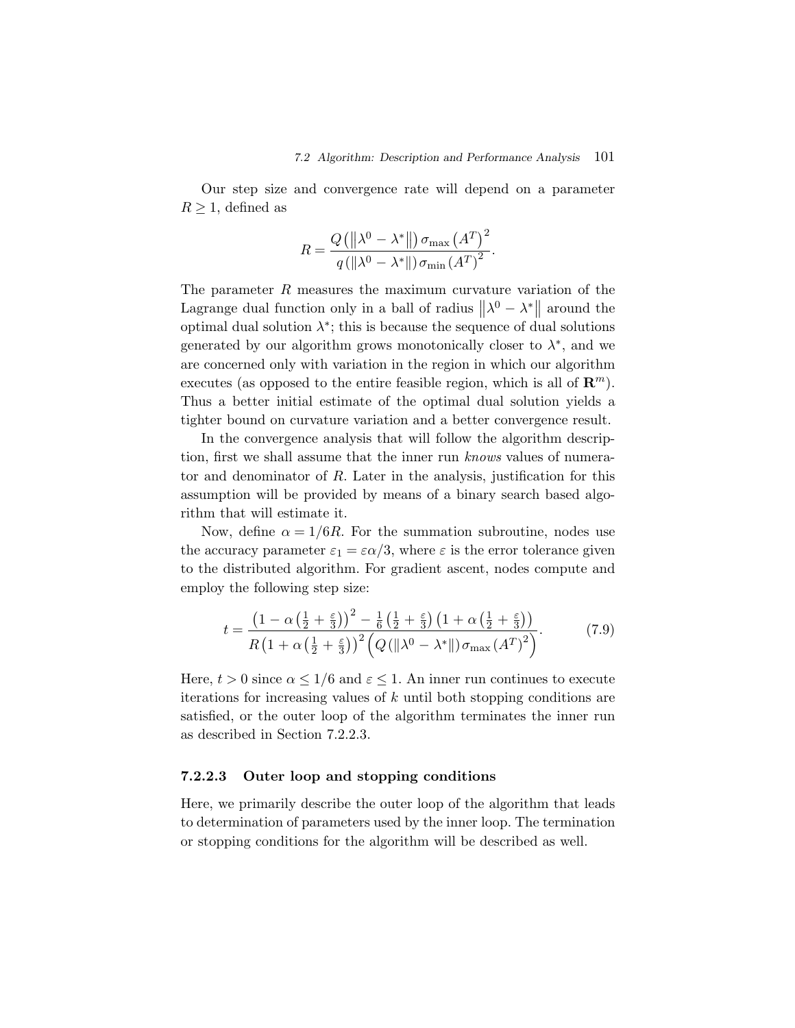Our step size and convergence rate will depend on a parameter  $R \geq 1$ , defined as

$$
R = \frac{Q\left(\left\|\lambda^{0} - \lambda^{*}\right\|\right)\sigma_{\max}\left(A^{T}\right)^{2}}{q\left(\left\|\lambda^{0} - \lambda^{*}\right\|\right)\sigma_{\min}\left(A^{T}\right)^{2}}.
$$

The parameter R measures the maximum curvature variation of the Lagrange dual function only in a ball of radius  $\|\lambda^0 - \lambda^*\|$  around the optimal dual solution  $\lambda^*$ ; this is because the sequence of dual solutions generated by our algorithm grows monotonically closer to  $\lambda^*$ , and we are concerned only with variation in the region in which our algorithm executes (as opposed to the entire feasible region, which is all of  $\mathbb{R}^m$ ). Thus a better initial estimate of the optimal dual solution yields a tighter bound on curvature variation and a better convergence result.

In the convergence analysis that will follow the algorithm description, first we shall assume that the inner run *knows* values of numerator and denominator of R. Later in the analysis, justification for this assumption will be provided by means of a binary search based algorithm that will estimate it.

Now, define  $\alpha = 1/6R$ . For the summation subroutine, nodes use the accuracy parameter  $\varepsilon_1 = \varepsilon \alpha/3$ , where  $\varepsilon$  is the error tolerance given to the distributed algorithm. For gradient ascent, nodes compute and employ the following step size:

$$
t = \frac{\left(1 - \alpha\left(\frac{1}{2} + \frac{\varepsilon}{3}\right)\right)^2 - \frac{1}{6}\left(\frac{1}{2} + \frac{\varepsilon}{3}\right)\left(1 + \alpha\left(\frac{1}{2} + \frac{\varepsilon}{3}\right)\right)}{R\left(1 + \alpha\left(\frac{1}{2} + \frac{\varepsilon}{3}\right)\right)^2 \left(Q\left(\left\|\lambda^0 - \lambda^*\right\|\right)\sigma_{\text{max}}\left(A^T\right)^2\right)}.\tag{7.9}
$$

Here,  $t > 0$  since  $\alpha \leq 1/6$  and  $\varepsilon \leq 1$ . An inner run continues to execute iterations for increasing values of k until both stopping conditions are satisfied, or the outer loop of the algorithm terminates the inner run as described in Section 7.2.2.3.

#### **7.2.2.3 Outer loop and stopping conditions**

Here, we primarily describe the outer loop of the algorithm that leads to determination of parameters used by the inner loop. The termination or stopping conditions for the algorithm will be described as well.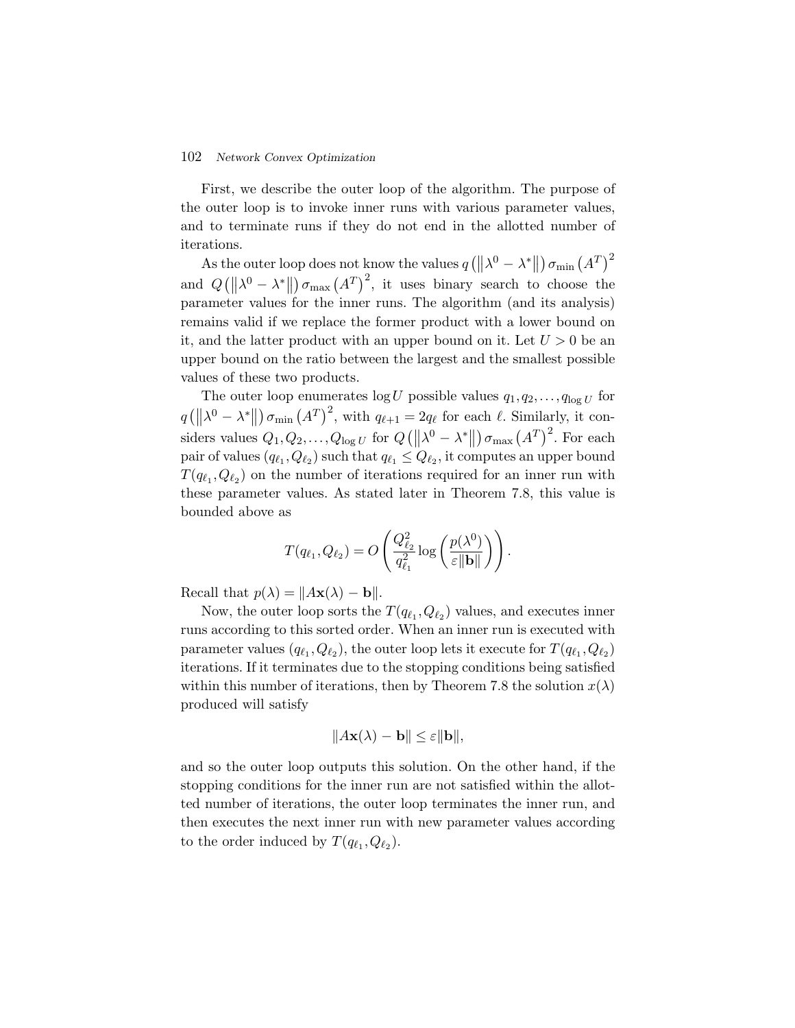### 102 *Network Convex Optimization*

First, we describe the outer loop of the algorithm. The purpose of the outer loop is to invoke inner runs with various parameter values, and to terminate runs if they do not end in the allotted number of iterations.

As the outer loop does not know the values  $q(\|\lambda^0 - \lambda^*\|) \sigma_{\min}(A^T)^2$ and  $Q([|\lambda^0 - \lambda^*|]) \sigma_{\max}(A^T)^2$ , it uses binary search to choose the parameter values for the inner runs. The algorithm (and its analysis) remains valid if we replace the former product with a lower bound on it, and the latter product with an upper bound on it. Let  $U > 0$  be an upper bound on the ratio between the largest and the smallest possible values of these two products.

The outer loop enumerates  $\log U$  possible values  $q_1, q_2, \ldots, q_{\log U}$  for  $q\left(\left\|\lambda^{0}-\lambda^{*}\right\|\right)\sigma_{\min}\left(A^{T}\right)^{2}$ , with  $q_{\ell+1}=2q_{\ell}$  for each  $\ell$ . Similarly, it con- $\parallel$ siders values  $Q_1, Q_2, \ldots, Q_{\log U}$  for  $Q([|\lambda^0 - \lambda^*|]) \sigma_{\max} (A^T)^2$ . For each  $\parallel$ pair of values  $(q_{\ell_1},Q_{\ell_2})$  such that  $q_{\ell_1} \leq Q_{\ell_2}$ , it computes an upper bound  $T(q_{\ell_1},Q_{\ell_2})$  on the number of iterations required for an inner run with these parameter values. As stated later in Theorem 7.8, this value is bounded above as

$$
T(q_{\ell_1}, Q_{\ell_2}) = O\left(\frac{Q_{\ell_2}^2}{q_{\ell_1}^2} \log\left(\frac{p(\lambda^0)}{\varepsilon \|\mathbf{b}\|}\right)\right).
$$

Recall that  $p(\lambda) = ||A\mathbf{x}(\lambda) - \mathbf{b}||.$ 

Now, the outer loop sorts the  $T(q_{\ell_1}, Q_{\ell_2})$  values, and executes inner runs according to this sorted order. When an inner run is executed with parameter values  $(q_{\ell_1}, Q_{\ell_2})$ , the outer loop lets it execute for  $T(q_{\ell_1}, Q_{\ell_2})$ iterations. If it terminates due to the stopping conditions being satisfied within this number of iterations, then by Theorem 7.8 the solution  $x(\lambda)$ produced will satisfy

$$
||A\mathbf{x}(\lambda) - \mathbf{b}|| \le \varepsilon ||\mathbf{b}||,
$$

and so the outer loop outputs this solution. On the other hand, if the stopping conditions for the inner run are not satisfied within the allotted number of iterations, the outer loop terminates the inner run, and then executes the next inner run with new parameter values according to the order induced by  $T(q_{\ell_1}, Q_{\ell_2})$ .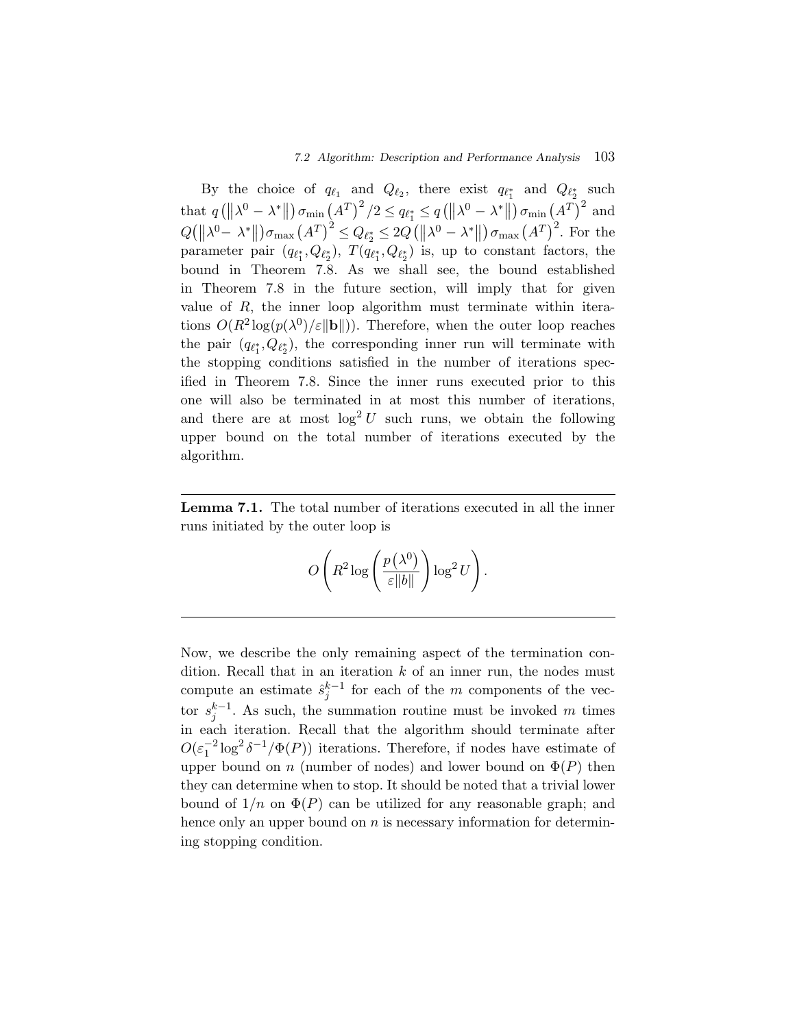By the choice of  $q_{\ell_1}$  and  $Q_{\ell_2}$ , there exist  $q_{\ell_1}$  and  $Q_{\ell_2}$  such that  $q(\|\lambda^0 - \lambda^*\|) \sigma_{\min}(A^T)^2/2 \le q_{\ell_1^*} \le q(\|\lambda^0 - \lambda^*\|) \sigma_{\min}(A^T)^2$  and  $Q(\|\lambda^0 - \lambda^*\|)\sigma_{\max}(A^T)^2 \leq Q_{\ell_2^*} \leq 2Q(\|\lambda^0 - \lambda^*\|)\sigma_{\max}(A^T)^2$ . For the parameter pair  $(q_{\ell_1^*}, Q_{\ell_2^*})$ ,  $T(q_{\ell_1^*}, Q_{\ell_2^*})$  is, up to constant factors, the bound in Theorem 7.8. As we shall see, the bound established in Theorem 7.8 in the future section, will imply that for given value of  $R$ , the inner loop algorithm must terminate within iterations  $O(R^2 \log(p(\lambda^0)/\varepsilon \|\mathbf{b}\|))$ . Therefore, when the outer loop reaches the pair  $(q_{\ell_1^*}, Q_{\ell_2^*})$ , the corresponding inner run will terminate with the stopping conditions satisfied in the number of iterations specified in Theorem 7.8. Since the inner runs executed prior to this one will also be terminated in at most this number of iterations, and there are at most  $\log^2 U$  such runs, we obtain the following upper bound on the total number of iterations executed by the algorithm.

**Lemma 7.1.** The total number of iterations executed in all the inner runs initiated by the outer loop is

$$
O\left(R^2\log\left(\frac{p(\lambda^0)}{\varepsilon\|b\|}\right)\log^2 U\right).
$$

Now, we describe the only remaining aspect of the termination condition. Recall that in an iteration  $k$  of an inner run, the nodes must compute an estimate  $\hat{s}_i^{k-1}$  for each of the m components of the vector  $s_j^{k-1}$ . As such, the summation routine must be invoked m times in each iteration. Recall that the algorithm should terminate after  $O(\varepsilon_1^{-2} \log^2 \delta^{-1} / \Phi(P))$  iterations. Therefore, if nodes have estimate of upper bound on n (number of nodes) and lower bound on  $\Phi(P)$  then they can determine when to stop. It should be noted that a trivial lower bound of  $1/n$  on  $\Phi(P)$  can be utilized for any reasonable graph; and hence only an upper bound on  $n$  is necessary information for determining stopping condition.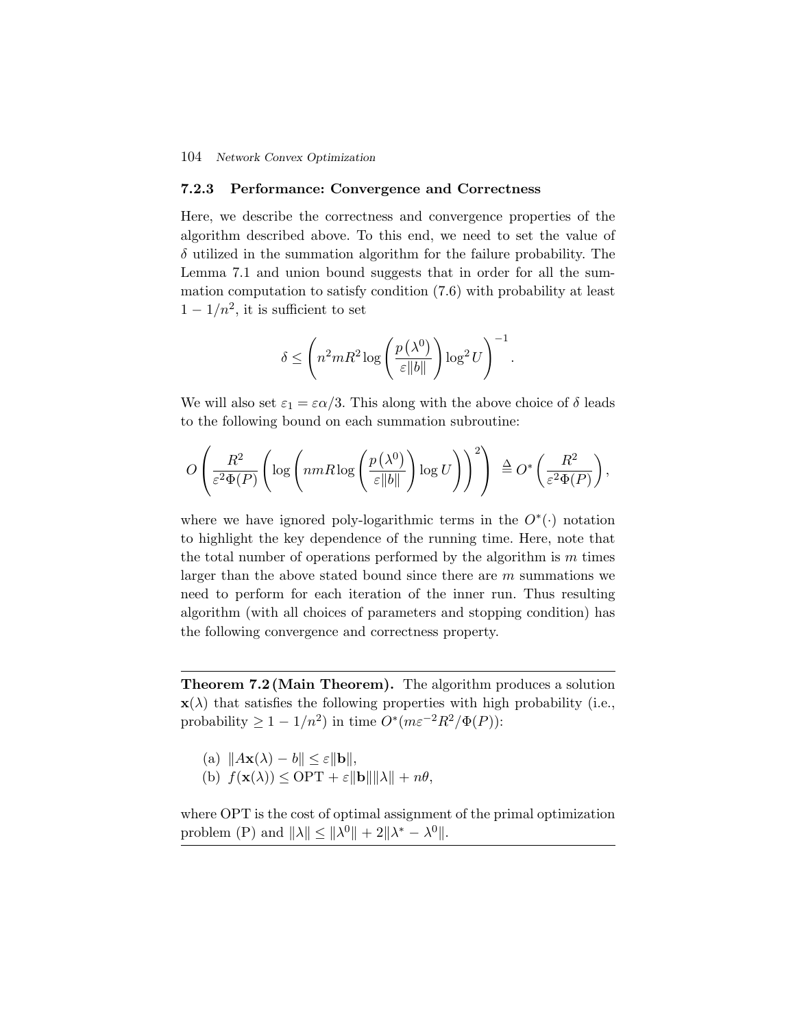#### 104 *Network Convex Optimization*

## **7.2.3 Performance: Convergence and Correctness**

Here, we describe the correctness and convergence properties of the algorithm described above. To this end, we need to set the value of  $\delta$  utilized in the summation algorithm for the failure probability. The Lemma 7.1 and union bound suggests that in order for all the summation computation to satisfy condition (7.6) with probability at least  $1 - 1/n^2$ , it is sufficient to set

$$
\delta \le \left( n^2 m R^2 \log \left( \frac{p(\lambda^0)}{\varepsilon \|b\|} \right) \log^2 U \right)^{-1}.
$$

We will also set  $\varepsilon_1 = \varepsilon \alpha/3$ . This along with the above choice of  $\delta$  leads to the following bound on each summation subroutine:

$$
O\left(\frac{R^2}{\varepsilon^2 \Phi(P)} \left( \log \left( n m R \log \left( \frac{p(\lambda^0)}{\varepsilon \|b\|} \right) \log U \right) \right)^2 \right) \stackrel{\Delta}{=} O^* \left( \frac{R^2}{\varepsilon^2 \Phi(P)} \right),
$$

where we have ignored poly-logarithmic terms in the  $O^*(.)$  notation to highlight the key dependence of the running time. Here, note that the total number of operations performed by the algorithm is  $m$  times larger than the above stated bound since there are m summations we need to perform for each iteration of the inner run. Thus resulting algorithm (with all choices of parameters and stopping condition) has the following convergence and correctness property.

**Theorem 7.2 (Main Theorem).** The algorithm produces a solution  $\mathbf{x}(\lambda)$  that satisfies the following properties with high probability (i.e., probability  $\geq 1 - 1/n^2$  in time  $O^*(m\varepsilon^{-2}R^2/\Phi(P))$ :

- (a)  $||A\mathbf{x}(\lambda) b|| \leq \varepsilon ||\mathbf{b}||$ ,
- (b)  $f(\mathbf{x}(\lambda)) \leq \text{OPT} + \varepsilon \|\mathbf{b}\| \|\lambda\| + n\theta$ ,

where OPT is the cost of optimal assignment of the primal optimization problem (P) and  $||\lambda|| \le ||\lambda^0|| + 2||\lambda^* - \lambda^0||$ .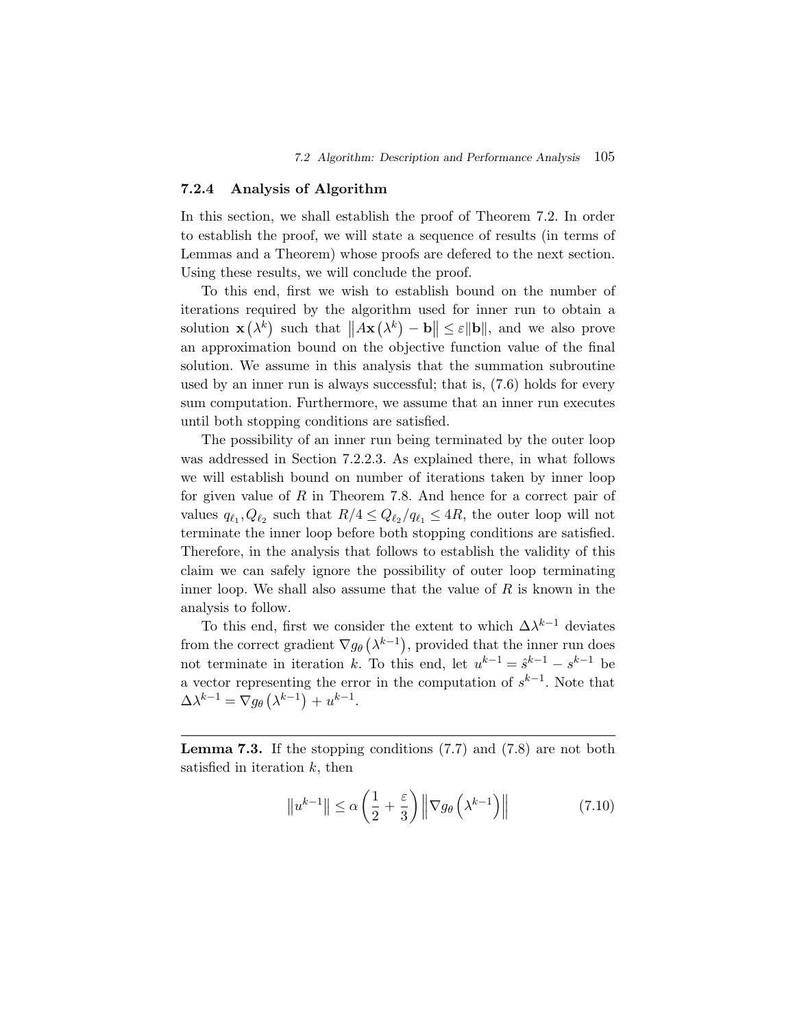## **7.2.4 Analysis of Algorithm**

In this section, we shall establish the proof of Theorem 7.2. In order to establish the proof, we will state a sequence of results (in terms of Lemmas and a Theorem) whose proofs are defered to the next section. Using these results, we will conclude the proof.

To this end, first we wish to establish bound on the number of iterations required by the algorithm used for inner run to obtain a solution  $\mathbf{x}(\lambda^k)$  such that  $||A\mathbf{x}(\lambda^k) - \mathbf{b}|| \le \varepsilon ||\mathbf{b}||$ , and we also prove an approximation bound on the objective function value of the final solution. We assume in this analysis that the summation subroutine used by an inner run is always successful; that is, (7.6) holds for every sum computation. Furthermore, we assume that an inner run executes until both stopping conditions are satisfied.

The possibility of an inner run being terminated by the outer loop was addressed in Section 7.2.2.3. As explained there, in what follows we will establish bound on number of iterations taken by inner loop for given value of  $R$  in Theorem 7.8. And hence for a correct pair of values  $q_{\ell_1}, Q_{\ell_2}$  such that  $R/4 \leq Q_{\ell_2}/q_{\ell_1} \leq 4R$ , the outer loop will not terminate the inner loop before both stopping conditions are satisfied. Therefore, in the analysis that follows to establish the validity of this claim we can safely ignore the possibility of outer loop terminating inner loop. We shall also assume that the value of  $R$  is known in the analysis to follow.

To this end, first we consider the extent to which  $\Delta \lambda^{k-1}$  deviates from the correct gradient  $\nabla g_{\theta}(\lambda^{k-1})$ , provided that the inner run does not terminate in iteration k. To this end, let  $u^{k-1} = \hat{s}^{k-1} - s^{k-1}$  be a vector representing the error in the computation of  $s^{k-1}$ . Note that  $\Delta \lambda^{k-1} = \nabla g_\theta \left( \lambda^{k-1} \right) + u^{k-1}.$ 

**Lemma 7.3.** If the stopping conditions (7.7) and (7.8) are not both satisfied in iteration  $k$ , then

$$
\|u^{k-1}\| \le \alpha \left(\frac{1}{2} + \frac{\varepsilon}{3}\right) \left\|\nabla g_{\theta}\left(\lambda^{k-1}\right)\right\| \tag{7.10}
$$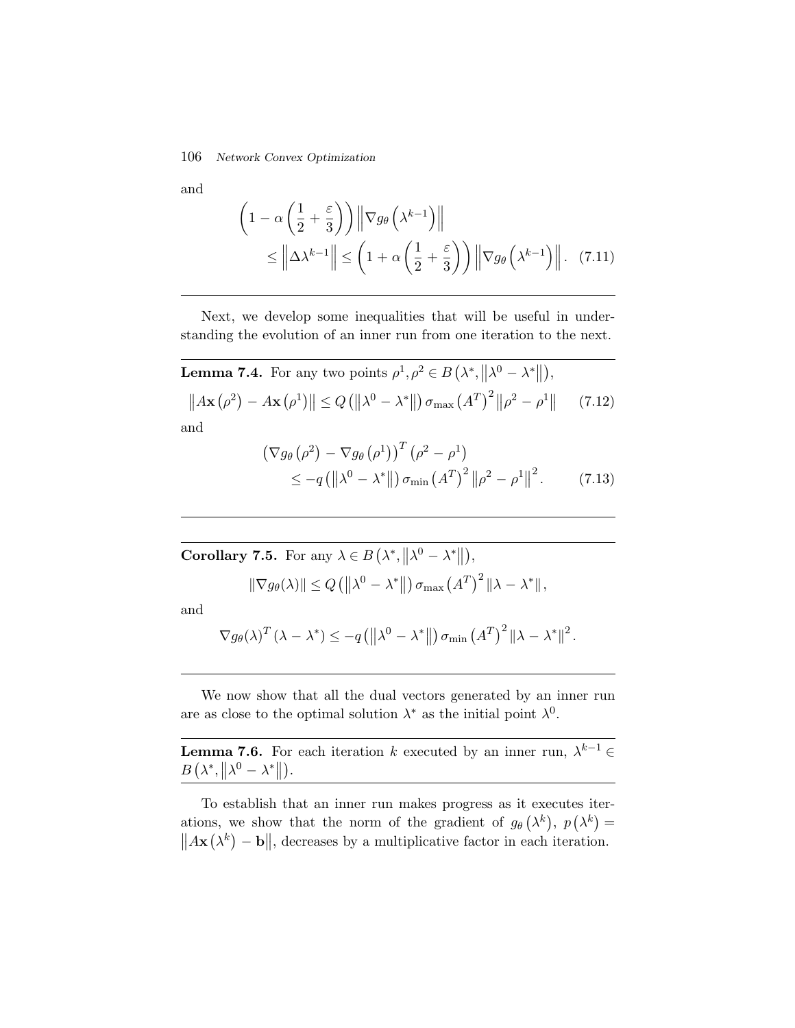#### 106 *Network Convex Optimization*

and

$$
\left(1 - \alpha \left(\frac{1}{2} + \frac{\varepsilon}{3}\right)\right) \|\nabla g_{\theta}\left(\lambda^{k-1}\right)\|
$$
  
\$\leq \left\|\Delta \lambda^{k-1}\right\| \leq \left(1 + \alpha \left(\frac{1}{2} + \frac{\varepsilon}{3}\right)\right) \|\nabla g\_{\theta}\left(\lambda^{k-1}\right)\|. (7.11)

Next, we develop some inequalities that will be useful in understanding the evolution of an inner run from one iteration to the next.

**Lemma 7.4.** For any two points 
$$
\rho^1, \rho^2 \in B(\lambda^*, ||\lambda^0 - \lambda^*||)
$$
,  
\n
$$
||A\mathbf{x}(\rho^2) - A\mathbf{x}(\rho^1)|| \le Q(||\lambda^0 - \lambda^*||) \sigma_{\max}(A^T)^2 ||\rho^2 - \rho^1||
$$
 (7.12)  
\nand

$$
\begin{aligned} \left(\nabla g_{\theta}\left(\rho^{2}\right)-\nabla g_{\theta}\left(\rho^{1}\right)\right)^{T}\left(\rho^{2}-\rho^{1}\right) \\ \leq-q\left(\left\|\lambda^{0}-\lambda^{*}\right\|\right)\sigma_{\min}\left(A^{T}\right)^{2}\left\|\rho^{2}-\rho^{1}\right\|^{2}.\end{aligned} \tag{7.13}
$$

**Corollary 7.5.** For any  $\lambda \in B(\lambda^*, ||\lambda^0 - \lambda^*||),$ 

$$
\|\nabla g_{\theta}(\lambda)\| \le Q\left(\left\|\lambda^{0}-\lambda^{*}\right\|\right)\sigma_{\max}\left(A^{T}\right)^{2}\left\|\lambda-\lambda^{*}\right\|,
$$

and

$$
\nabla g_{\theta}(\lambda)^{T}(\lambda - \lambda^{*}) \leq -q\left(\left\|\lambda^{0} - \lambda^{*}\right\|\right) \sigma_{\min} (A^{T})^{2} \left\|\lambda - \lambda^{*}\right\|^{2}.
$$

We now show that all the dual vectors generated by an inner run are as close to the optimal solution  $\lambda^*$  as the initial point  $\lambda^0$ .

**Lemma 7.6.** For each iteration k executed by an inner run,  $\lambda^{k-1} \in$  $B\left(\lambda^*,\left\|\lambda^0-\lambda^*\right\|\right).$ 

To establish that an inner run makes progress as it executes iterations, we show that the norm of the gradient of  $g_{\theta}(\lambda^{k}), p(\lambda^{k}) =$  $||A\mathbf{x}(\lambda^k) - \mathbf{b}||$ , decreases by a multiplicative factor in each iteration.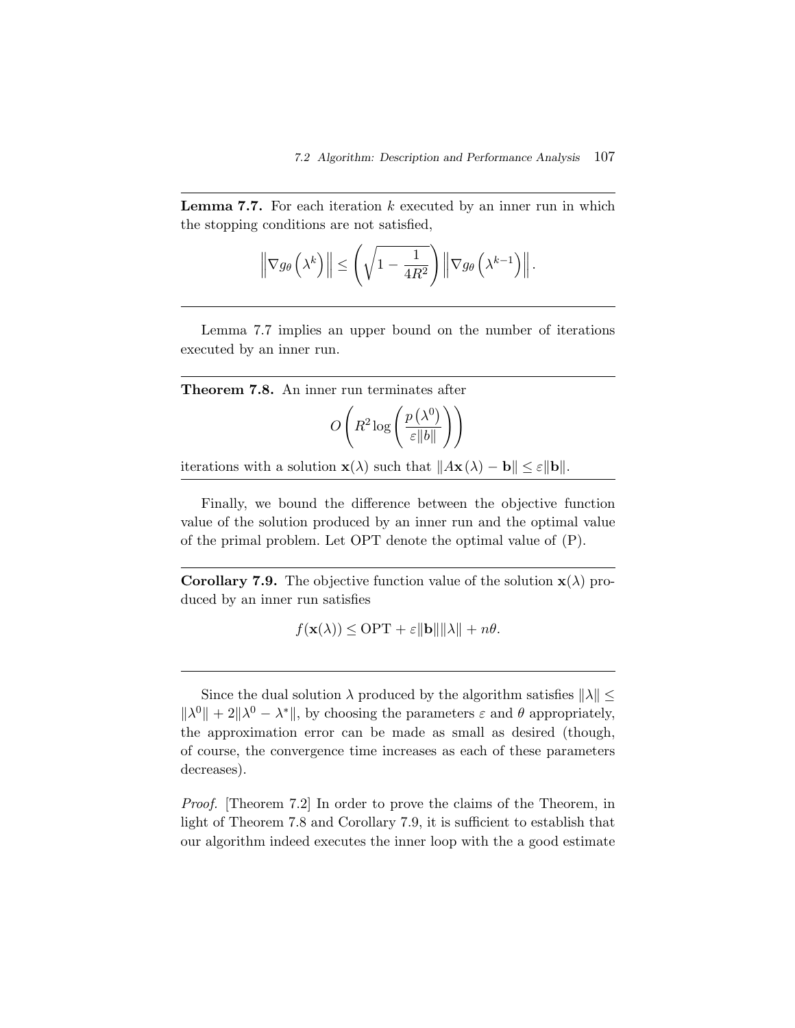**Lemma 7.7.** For each iteration  $k$  executed by an inner run in which the stopping conditions are not satisfied,

$$
\left\|\nabla g_{\theta}\left(\lambda^{k}\right)\right\| \leq \left(\sqrt{1-\frac{1}{4R^{2}}}\right)\left\|\nabla g_{\theta}\left(\lambda^{k-1}\right)\right\|.
$$

Lemma 7.7 implies an upper bound on the number of iterations executed by an inner run.

$$
O\left(R^2\log\left(\frac{p\left(\lambda^0\right)}{\varepsilon\|b\|}\right)\right)
$$

iterations with a solution  $\mathbf{x}(\lambda)$  such that  $||A\mathbf{x}(\lambda) - \mathbf{b}|| \leq \varepsilon ||\mathbf{b}||$ .

Finally, we bound the difference between the objective function value of the solution produced by an inner run and the optimal value of the primal problem. Let OPT denote the optimal value of (P).

**Corollary 7.9.** The objective function value of the solution  $\mathbf{x}(\lambda)$  produced by an inner run satisfies

$$
f(\mathbf{x}(\lambda)) \le \text{OPT} + \varepsilon \|\mathbf{b}\| \|\lambda\| + n\theta.
$$

Since the dual solution  $\lambda$  produced by the algorithm satisfies  $\|\lambda\|$  $\|\lambda^0\| + 2\|\lambda^0 - \lambda^*\|$ , by choosing the parameters  $\varepsilon$  and  $\theta$  appropriately, the approximation error can be made as small as desired (though, of course, the convergence time increases as each of these parameters decreases).

*Proof.* Theorem 7.2 In order to prove the claims of the Theorem, in light of Theorem 7.8 and Corollary 7.9, it is sufficient to establish that our algorithm indeed executes the inner loop with the a good estimate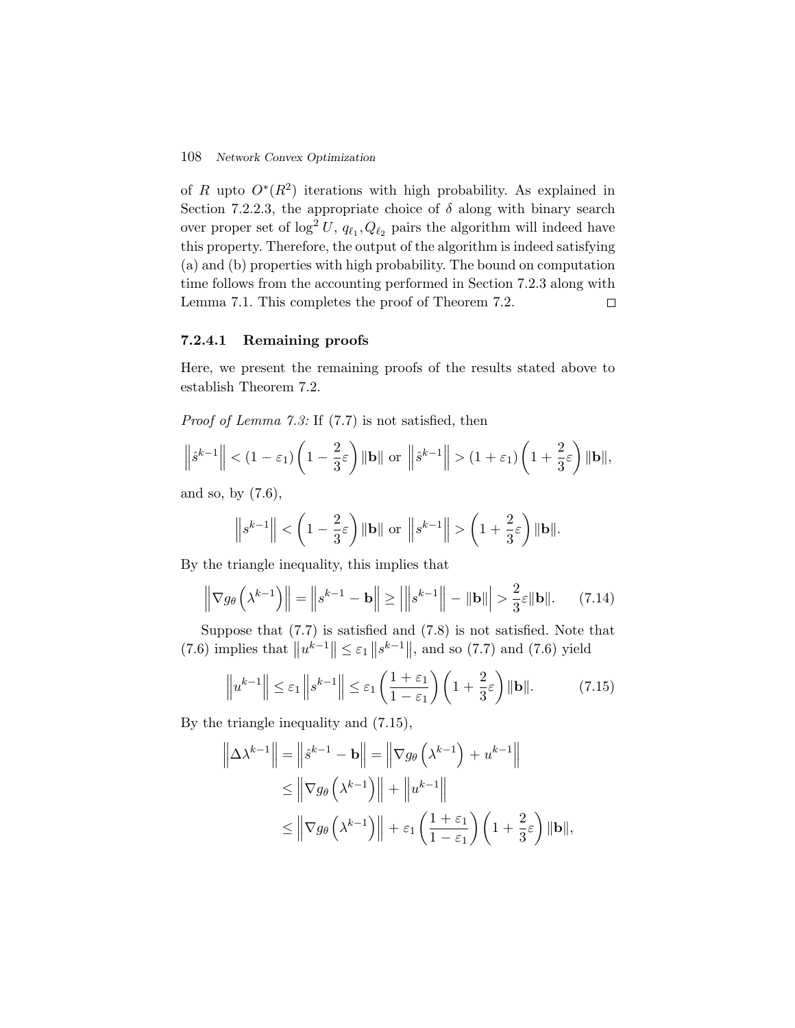of R upto  $O<sup>*</sup>(R<sup>2</sup>)$  iterations with high probability. As explained in Section 7.2.2.3, the appropriate choice of  $\delta$  along with binary search over proper set of  $\log^2 U$ ,  $q_{\ell_1}, Q_{\ell_2}$  pairs the algorithm will indeed have this property. Therefore, the output of the algorithm is indeed satisfying (a) and (b) properties with high probability. The bound on computation time follows from the accounting performed in Section 7.2.3 along with Lemma 7.1. This completes the proof of Theorem 7.2.  $\Box$ 

# **7.2.4.1 Remaining proofs**

Here, we present the remaining proofs of the results stated above to establish Theorem 7.2.

*Proof of Lemma 7.3:* If (7.7) is not satisfied, then

$$
\left\|\hat{s}^{k-1}\right\| < (1-\varepsilon_1)\left(1-\frac{2}{3}\varepsilon\right) \|\mathbf{b}\| \text{ or }\left\|\hat{s}^{k-1}\right\| > (1+\varepsilon_1)\left(1+\frac{2}{3}\varepsilon\right) \|\mathbf{b}\|,
$$

and so, by (7.6),

$$
\left\|s^{k-1}\right\| < \left(1 - \frac{2}{3}\varepsilon\right) \|\mathbf{b}\| \text{ or }\left\|s^{k-1}\right\| > \left(1 + \frac{2}{3}\varepsilon\right) \|\mathbf{b}\|.
$$

By the triangle inequality, this implies that

$$
\left\|\nabla g_{\theta}\left(\lambda^{k-1}\right)\right\| = \left\|s^{k-1} - \mathbf{b}\right\| \ge \left|\left\|s^{k-1}\right\| - \|\mathbf{b}\| \right| > \frac{2}{3}\varepsilon \|\mathbf{b}\|.\tag{7.14}
$$

Suppose that (7.7) is satisfied and (7.8) is not satisfied. Note that (7.6) implies that  $||u^{k-1}|| \leq \varepsilon_1 ||s^{k-1}||$ , and so (7.7) and (7.6) yield

$$
\left\| u^{k-1} \right\| \le \varepsilon_1 \left\| s^{k-1} \right\| \le \varepsilon_1 \left( \frac{1+\varepsilon_1}{1-\varepsilon_1} \right) \left( 1 + \frac{2}{3}\varepsilon \right) \|\mathbf{b}\|. \tag{7.15}
$$

By the triangle inequality and (7.15),

$$
\left\|\Delta\lambda^{k-1}\right\| = \left\|\hat{s}^{k-1} - \mathbf{b}\right\| = \left\|\nabla g_{\theta}\left(\lambda^{k-1}\right) + u^{k-1}\right\|
$$
  
\n
$$
\leq \left\|\nabla g_{\theta}\left(\lambda^{k-1}\right)\right\| + \left\|u^{k-1}\right\|
$$
  
\n
$$
\leq \left\|\nabla g_{\theta}\left(\lambda^{k-1}\right)\right\| + \varepsilon_1\left(\frac{1+\varepsilon_1}{1-\varepsilon_1}\right)\left(1+\frac{2}{3}\varepsilon\right)\|\mathbf{b}\|,
$$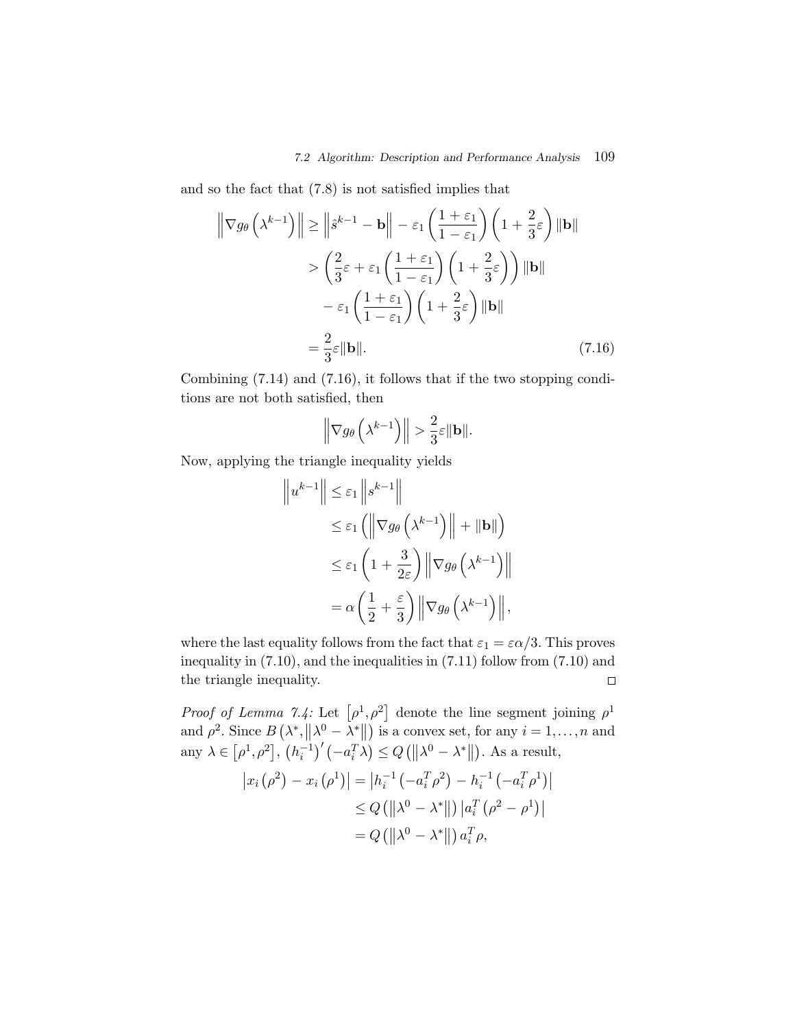and so the fact that (7.8) is not satisfied implies that

$$
\left\| \nabla g_{\theta} \left( \lambda^{k-1} \right) \right\| \ge \left\| \hat{s}^{k-1} - \mathbf{b} \right\| - \varepsilon_{1} \left( \frac{1 + \varepsilon_{1}}{1 - \varepsilon_{1}} \right) \left( 1 + \frac{2}{3} \varepsilon \right) \|\mathbf{b}\|
$$
  
> 
$$
\left( \frac{2}{3} \varepsilon + \varepsilon_{1} \left( \frac{1 + \varepsilon_{1}}{1 - \varepsilon_{1}} \right) \left( 1 + \frac{2}{3} \varepsilon \right) \right) \|\mathbf{b}\|
$$
  
- 
$$
\varepsilon_{1} \left( \frac{1 + \varepsilon_{1}}{1 - \varepsilon_{1}} \right) \left( 1 + \frac{2}{3} \varepsilon \right) \|\mathbf{b}\|
$$
  
= 
$$
\frac{2}{3} \varepsilon \|\mathbf{b}\|.
$$
 (7.16)

Combining (7.14) and (7.16), it follows that if the two stopping conditions are not both satisfied, then

$$
\left\|\nabla g_\theta\left(\lambda^{k-1}\right)\right\| > \frac{2}{3}\varepsilon \|\mathbf{b}\|.
$$

Now, applying the triangle inequality yields

$$
\|u^{k-1}\| \leq \varepsilon_1 \|s^{k-1}\|
$$
  
\n
$$
\leq \varepsilon_1 ( \|\nabla g_\theta \left(\lambda^{k-1}\right)\| + \|\mathbf{b}\| )
$$
  
\n
$$
\leq \varepsilon_1 \left(1 + \frac{3}{2\varepsilon}\right) \|\nabla g_\theta \left(\lambda^{k-1}\right)\|
$$
  
\n
$$
= \alpha \left(\frac{1}{2} + \frac{\varepsilon}{3}\right) \|\nabla g_\theta \left(\lambda^{k-1}\right)\|,
$$

where the last equality follows from the fact that  $\varepsilon_1 = \varepsilon \alpha/3$ . This proves inequality in (7.10), and the inequalities in (7.11) follow from (7.10) and the triangle inequality.  $\Box$ 

*Proof of Lemma 7.4:* Let  $[\rho^1, \rho^2]$  denote the line segment joining  $\rho^1$ and  $\rho^2$ . Since  $B(\lambda^*, ||\lambda^0 - \lambda^*||)$  is a convex set, for any  $i = 1, ..., n$  and any  $\lambda \in [\rho^1, \rho^2], (h_i^{-1})'(-a_i^T \lambda) \le Q(||\lambda^0 - \lambda^*||)$ . As a result,

$$
\begin{aligned} \left| x_i \left( \rho^2 \right) - x_i \left( \rho^1 \right) \right| &= \left| h_i^{-1} \left( -a_i^T \rho^2 \right) - h_i^{-1} \left( -a_i^T \rho^1 \right) \right| \\ &\le Q \left( \left\| \lambda^0 - \lambda^* \right\| \right) \left| a_i^T \left( \rho^2 - \rho^1 \right) \right| \\ &= Q \left( \left\| \lambda^0 - \lambda^* \right\| \right) a_i^T \rho, \end{aligned}
$$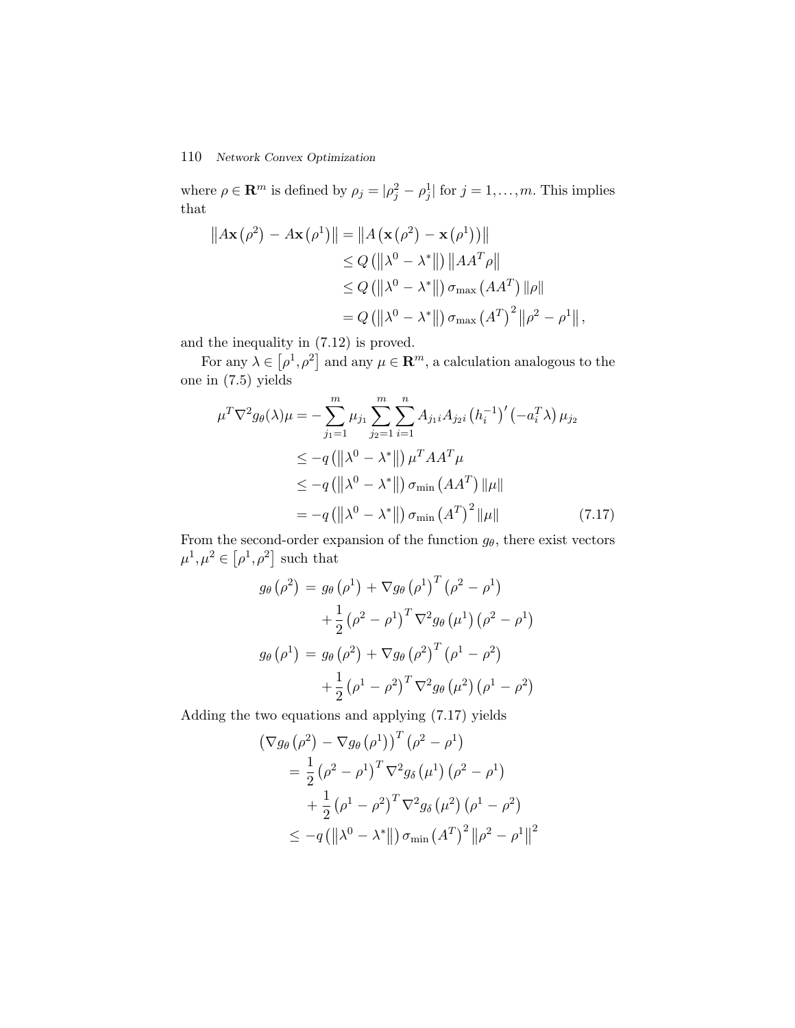where  $\rho \in \mathbb{R}^m$  is defined by  $\rho_j = |\rho_j^2 - \rho_j^1|$  for  $j = 1, ..., m$ . This implies that

$$
||A\mathbf{x}(\rho^2) - A\mathbf{x}(\rho^1)|| = ||A(\mathbf{x}(\rho^2) - \mathbf{x}(\rho^1))||
$$
  
\n
$$
\leq Q(||\lambda^0 - \lambda^*||) ||AA^T\rho||
$$
  
\n
$$
\leq Q(||\lambda^0 - \lambda^*||) \sigma_{\text{max}}(AA^T) ||\rho||
$$
  
\n
$$
= Q(||\lambda^0 - \lambda^*||) \sigma_{\text{max}}(A^T)^2 ||\rho^2 - \rho^1||,
$$

and the inequality in (7.12) is proved.

For any  $\lambda \in [\rho^1, \rho^2]$  and any  $\mu \in \mathbb{R}^m$ , a calculation analogous to the one in (7.5) yields

$$
\mu^T \nabla^2 g_{\theta}(\lambda) \mu = -\sum_{j_1=1}^m \mu_{j_1} \sum_{j_2=1}^m \sum_{i=1}^n A_{j_1 i} A_{j_2 i} (h_i^{-1})' (-a_i^T \lambda) \mu_{j_2}
$$
  
\n
$$
\leq -q (\|\lambda^0 - \lambda^*\|) \mu^T A A^T \mu
$$
  
\n
$$
\leq -q (\|\lambda^0 - \lambda^*\|) \sigma_{\min} (A A^T) \|\mu\|
$$
  
\n
$$
= -q (\|\lambda^0 - \lambda^*\|) \sigma_{\min} (A^T)^2 \|\mu\|
$$
 (7.17)

From the second-order expansion of the function  $g_{\theta}$ , there exist vectors  $\mu^1, \mu^2 \in [\rho^1, \rho^2]$  such that

$$
g_{\theta}(\rho^{2}) = g_{\theta}(\rho^{1}) + \nabla g_{\theta}(\rho^{1})^{T}(\rho^{2} - \rho^{1})
$$

$$
+ \frac{1}{2}(\rho^{2} - \rho^{1})^{T} \nabla^{2} g_{\theta}(\mu^{1}) (\rho^{2} - \rho^{1})
$$

$$
g_{\theta}(\rho^{1}) = g_{\theta}(\rho^{2}) + \nabla g_{\theta}(\rho^{2})^{T}(\rho^{1} - \rho^{2})
$$

$$
+ \frac{1}{2}(\rho^{1} - \rho^{2})^{T} \nabla^{2} g_{\theta}(\mu^{2}) (\rho^{1} - \rho^{2})
$$

Adding the two equations and applying (7.17) yields

$$
(\nabla g_{\theta} (\rho^{2}) - \nabla g_{\theta} (\rho^{1}))^{T} (\rho^{2} - \rho^{1})
$$
  
=  $\frac{1}{2} (\rho^{2} - \rho^{1})^{T} \nabla^{2} g_{\delta} (\mu^{1}) (\rho^{2} - \rho^{1})$   
+  $\frac{1}{2} (\rho^{1} - \rho^{2})^{T} \nabla^{2} g_{\delta} (\mu^{2}) (\rho^{1} - \rho^{2})$   
 $\leq -q (||\lambda^{0} - \lambda^{*}||) \sigma_{\min} (A^{T})^{2} ||\rho^{2} - \rho^{1}||^{2}$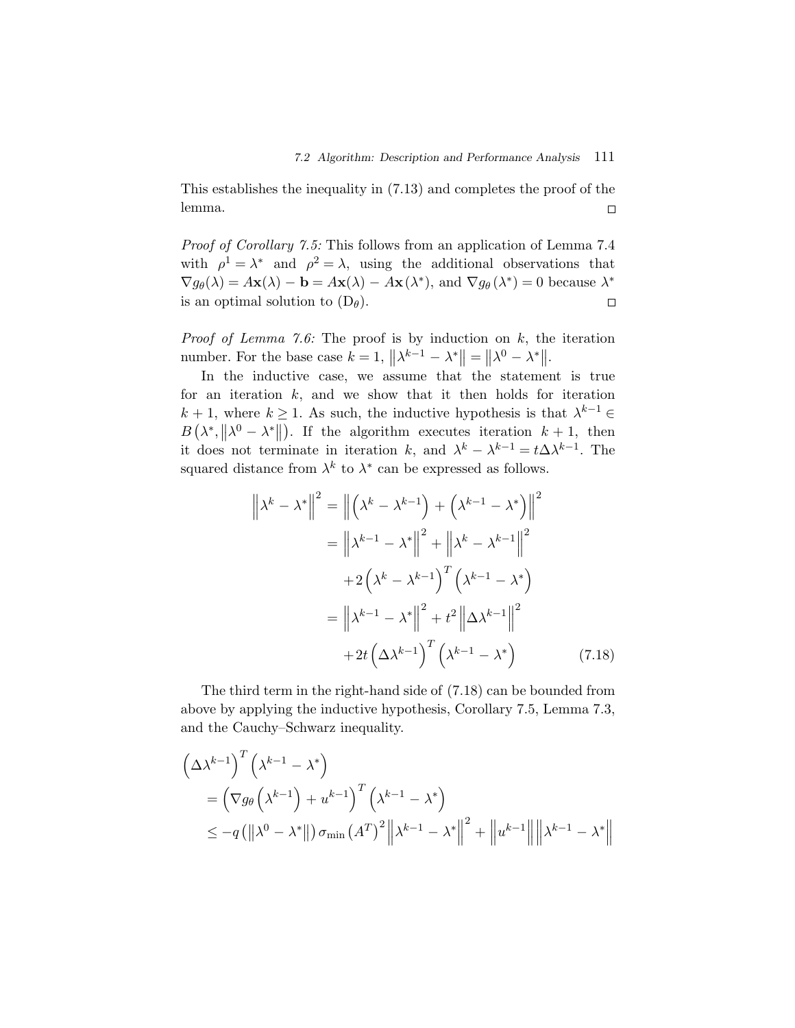This establishes the inequality in (7.13) and completes the proof of the lemma.  $\Box$ 

*Proof of Corollary 7.5:* This follows from an application of Lemma 7.4 with  $\rho^1 = \lambda^*$  and  $\rho^2 = \lambda$ , using the additional observations that  $\nabla g_{\theta}(\lambda) = A\mathbf{x}(\lambda) - \mathbf{b} = A\mathbf{x}(\lambda) - A\mathbf{x}(\lambda^*)$ , and  $\nabla g_{\theta}(\lambda^*) = 0$  because  $\lambda^*$ is an optimal solution to  $(D_\theta)$ .  $\Box$ 

*Proof of Lemma 7.6:* The proof is by induction on k, the iteration number. For the base case  $k = 1$ ,  $||\lambda^{k-1} - \lambda^*|| = ||\lambda^0 - \lambda^*||$ .

In the inductive case, we assume that the statement is true for an iteration  $k$ , and we show that it then holds for iteration  $k + 1$ , where  $k \ge 1$ . As such, the inductive hypothesis is that  $\lambda^{k-1} \in$  $B(\lambda^*, ||\lambda^0 - \lambda^*||)$ . If the algorithm executes iteration  $k+1$ , then  $D(\lambda, ||\lambda - \lambda ||)$ . If the algorithm executes iteration  $k + 1$ , then<br>it does not terminate in iteration k, and  $\lambda^k - \lambda^{k-1} = t\Delta \lambda^{k-1}$ . The squared distance from  $\lambda^k$  to  $\lambda^*$  can be expressed as follows.

$$
\left\| \lambda^{k} - \lambda^{*} \right\|^{2} = \left\| \left( \lambda^{k} - \lambda^{k-1} \right) + \left( \lambda^{k-1} - \lambda^{*} \right) \right\|^{2}
$$

$$
= \left\| \lambda^{k-1} - \lambda^{*} \right\|^{2} + \left\| \lambda^{k} - \lambda^{k-1} \right\|^{2}
$$

$$
+ 2 \left( \lambda^{k} - \lambda^{k-1} \right)^{T} \left( \lambda^{k-1} - \lambda^{*} \right)
$$

$$
= \left\| \lambda^{k-1} - \lambda^{*} \right\|^{2} + t^{2} \left\| \Delta \lambda^{k-1} \right\|^{2}
$$

$$
+ 2t \left( \Delta \lambda^{k-1} \right)^{T} \left( \lambda^{k-1} - \lambda^{*} \right) \tag{7.18}
$$

The third term in the right-hand side of (7.18) can be bounded from above by applying the inductive hypothesis, Corollary 7.5, Lemma 7.3, and the Cauchy–Schwarz inequality.

$$
\left(\Delta \lambda^{k-1}\right)^{T} \left(\lambda^{k-1} - \lambda^{*}\right)
$$
  
=  $\left(\nabla g_{\theta}\left(\lambda^{k-1}\right) + u^{k-1}\right)^{T} \left(\lambda^{k-1} - \lambda^{*}\right)$   

$$
\leq -q \left(\left\|\lambda^{0} - \lambda^{*}\right\|\right) \sigma_{\min} \left(A^{T}\right)^{2} \left\|\lambda^{k-1} - \lambda^{*}\right\|^{2} + \left\|u^{k-1}\right\| \left\|\lambda^{k-1} - \lambda^{*}\right\|^{2}
$$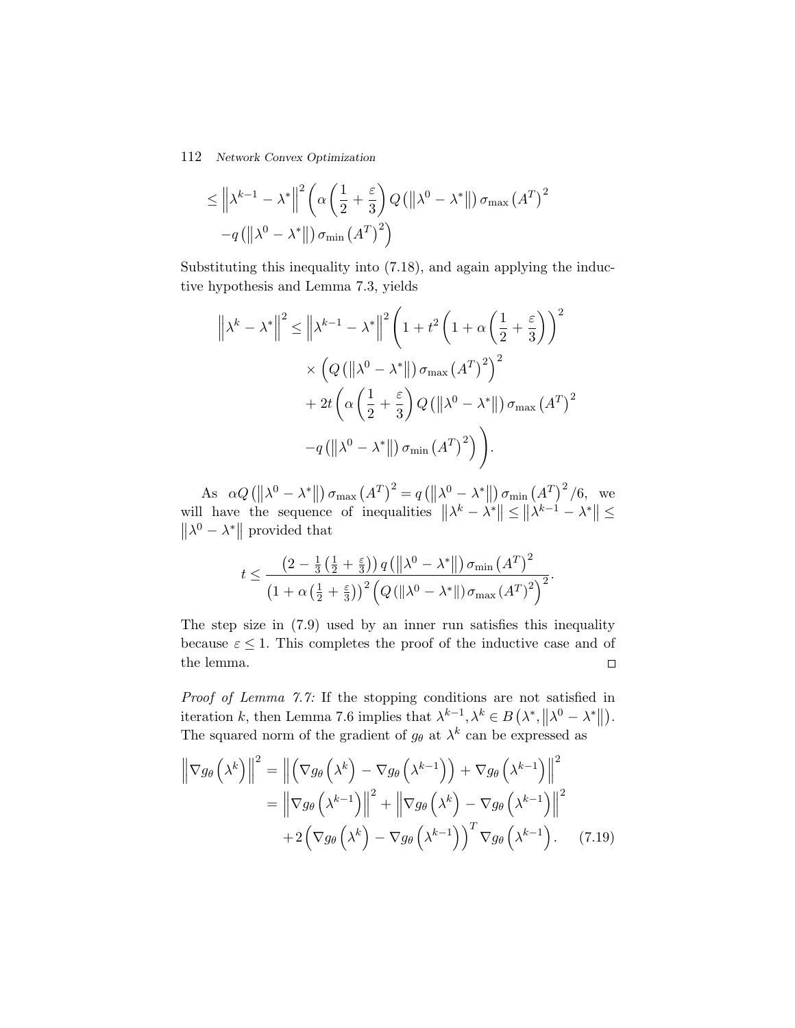$$
\leq \left\| \lambda^{k-1} - \lambda^* \right\|^2 \left( \alpha \left( \frac{1}{2} + \frac{\varepsilon}{3} \right) Q \left( \left\| \lambda^0 - \lambda^* \right\| \right) \sigma_{\max} \left( A^T \right)^2 - q \left( \left\| \lambda^0 - \lambda^* \right\| \right) \sigma_{\min} \left( A^T \right)^2 \right)
$$

Substituting this inequality into (7.18), and again applying the inductive hypothesis and Lemma 7.3, yields

$$
\left\| \lambda^{k} - \lambda^{*} \right\|^{2} \leq \left\| \lambda^{k-1} - \lambda^{*} \right\|^{2} \left( 1 + t^{2} \left( 1 + \alpha \left( \frac{1}{2} + \frac{\varepsilon}{3} \right) \right)^{2} \times \left( Q \left( \left\| \lambda^{0} - \lambda^{*} \right\| \right) \sigma_{\max} \left( A^{T} \right)^{2} \right)^{2} + 2t \left( \alpha \left( \frac{1}{2} + \frac{\varepsilon}{3} \right) Q \left( \left\| \lambda^{0} - \lambda^{*} \right\| \right) \sigma_{\max} \left( A^{T} \right)^{2} \right) - q \left( \left\| \lambda^{0} - \lambda^{*} \right\| \right) \sigma_{\min} \left( A^{T} \right)^{2} \right).
$$

As  $\alpha Q \left( \left\| \lambda^{0} - \lambda^{*} \right\| \right) \sigma_{\max} (A^{T})^{2} = q \left( \left\| \lambda^{0} - \lambda^{*} \right\| \right) \sigma_{\min} (A^{T})^{2} / 6$ , we will have the sequence of inequalities  $||\lambda^k - \lambda^*|| \le ||\lambda^{k-1} - \lambda^*|| \le ||\lambda^0 - \lambda^*||$  provided that

$$
t \leq \frac{\left(2 - \frac{1}{3}\left(\frac{1}{2} + \frac{\varepsilon}{3}\right)\right)q\left(\left\|\lambda^{0} - \lambda^{*}\right\|\right)\sigma_{\min}\left(A^{T}\right)^{2}}{\left(1 + \alpha\left(\frac{1}{2} + \frac{\varepsilon}{3}\right)\right)^{2}\left(Q\left(\left\|\lambda^{0} - \lambda^{*}\right\|\right)\sigma_{\max}\left(A^{T}\right)^{2}\right)^{2}}.
$$

The step size in (7.9) used by an inner run satisfies this inequality because  $\varepsilon \leq 1$ . This completes the proof of the inductive case and of the lemma.  $\Box$ 

*Proof of Lemma 7.7:* If the stopping conditions are not satisfied in iteration k, then Lemma 7.6 implies that  $\lambda^{k-1}, \lambda^k \in B(\lambda^*, ||\lambda^0 - \lambda^*||)$ . The squared norm of the gradient of  $g_{\theta}$  at  $\lambda^{k}$  can be expressed as

$$
\left\| \nabla g_{\theta} \left( \lambda^{k} \right) \right\|^{2} = \left\| \left( \nabla g_{\theta} \left( \lambda^{k} \right) - \nabla g_{\theta} \left( \lambda^{k-1} \right) \right) + \nabla g_{\theta} \left( \lambda^{k-1} \right) \right\|^{2}
$$

$$
= \left\| \nabla g_{\theta} \left( \lambda^{k-1} \right) \right\|^{2} + \left\| \nabla g_{\theta} \left( \lambda^{k} \right) - \nabla g_{\theta} \left( \lambda^{k-1} \right) \right\|^{2}
$$

$$
+ 2 \left( \nabla g_{\theta} \left( \lambda^{k} \right) - \nabla g_{\theta} \left( \lambda^{k-1} \right) \right)^{T} \nabla g_{\theta} \left( \lambda^{k-1} \right). \tag{7.19}
$$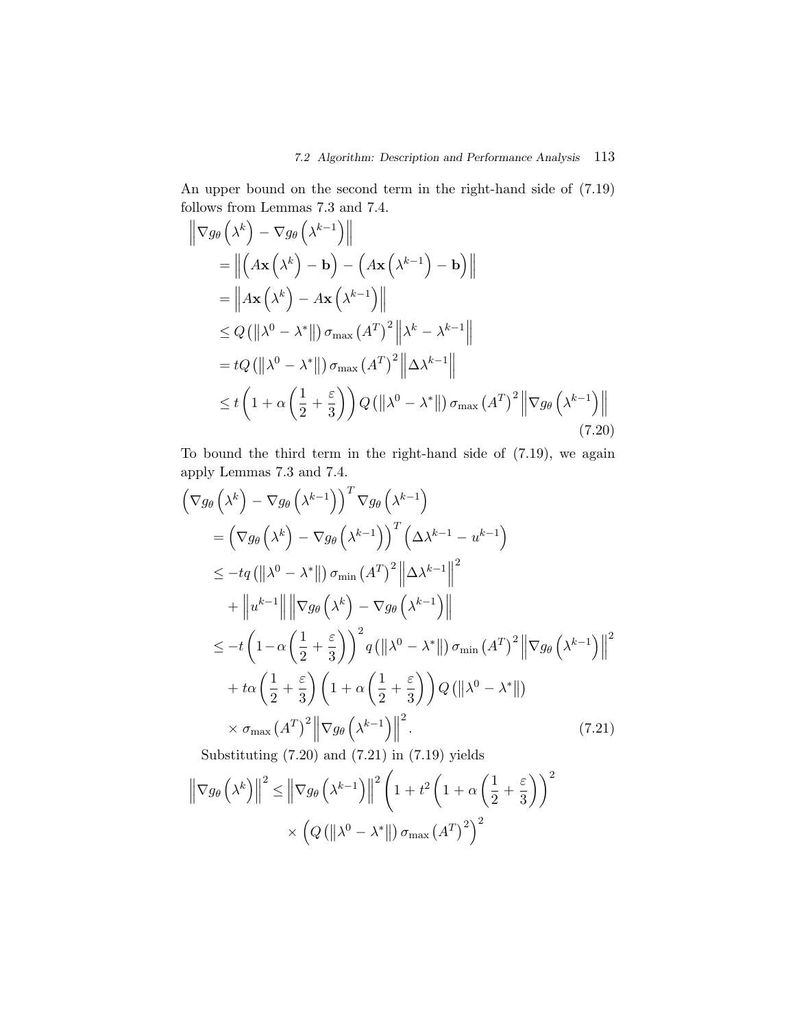An upper bound on the second term in the right-hand side of (7.19) follows from Lemmas 7.3 and 7.4.

$$
\|\nabla g_{\theta}\left(\lambda^{k}\right) - \nabla g_{\theta}\left(\lambda^{k-1}\right)\|
$$
\n
$$
= \left\|\left(A\mathbf{x}\left(\lambda^{k}\right) - \mathbf{b}\right) - \left(A\mathbf{x}\left(\lambda^{k-1}\right) - \mathbf{b}\right)\right\|
$$
\n
$$
= \left\|A\mathbf{x}\left(\lambda^{k}\right) - A\mathbf{x}\left(\lambda^{k-1}\right)\right\|
$$
\n
$$
\leq Q\left(\left\|\lambda^{0} - \lambda^{*}\right\|\right)\sigma_{\max}\left(A^{T}\right)^{2}\left\|\lambda^{k} - \lambda^{k-1}\right\|
$$
\n
$$
= tQ\left(\left\|\lambda^{0} - \lambda^{*}\right\|\right)\sigma_{\max}\left(A^{T}\right)^{2}\left\|\Delta\lambda^{k-1}\right\|
$$
\n
$$
\leq t\left(1 + \alpha\left(\frac{1}{2} + \frac{\varepsilon}{3}\right)\right)Q\left(\left\|\lambda^{0} - \lambda^{*}\right\|\right)\sigma_{\max}\left(A^{T}\right)^{2}\left\|\nabla g_{\theta}\left(\lambda^{k-1}\right)\right\|
$$
\n(7.20)

To bound the third term in the right-hand side of (7.19), we again apply Lemmas 7.3 and 7.4.

$$
\begin{split}\n\left(\nabla g_{\theta}\left(\lambda^{k}\right)-\nabla g_{\theta}\left(\lambda^{k-1}\right)\right)^{T} \nabla g_{\theta}\left(\lambda^{k-1}\right) \\
&=\left(\nabla g_{\theta}\left(\lambda^{k}\right)-\nabla g_{\theta}\left(\lambda^{k-1}\right)\right)^{T}\left(\Delta\lambda^{k-1}-u^{k-1}\right) \\
&\leq -t q\left(\left\|\lambda^{0}-\lambda^{*}\right\|\right)\sigma_{\min}\left(A^{T}\right)^{2}\left\|\Delta\lambda^{k-1}\right\|^{2} \\
&+\left\|u^{k-1}\right\|\left\|\nabla g_{\theta}\left(\lambda^{k}\right)-\nabla g_{\theta}\left(\lambda^{k-1}\right)\right\| \\
&\leq -t \left(1-\alpha\left(\frac{1}{2}+\frac{\varepsilon}{3}\right)\right)^{2} q\left(\left\|\lambda^{0}-\lambda^{*}\right\|\right)\sigma_{\min}\left(A^{T}\right)^{2}\left\|\nabla g_{\theta}\left(\lambda^{k-1}\right)\right\|^{2} \\
&+t\alpha\left(\frac{1}{2}+\frac{\varepsilon}{3}\right)\left(1+\alpha\left(\frac{1}{2}+\frac{\varepsilon}{3}\right)\right)Q\left(\left\|\lambda^{0}-\lambda^{*}\right\|\right) \\
&\times \sigma_{\max}\left(A^{T}\right)^{2}\left\|\nabla g_{\theta}\left(\lambda^{k-1}\right)\right\|^{2}.\n\end{split} \tag{7.21}
$$
\nSubstituting (7.20) and (7.21) in (7.19) yields

$$
\left\|\nabla g_{\theta}\left(\lambda^{k}\right)\right\|^{2} \leq \left\|\nabla g_{\theta}\left(\lambda^{k-1}\right)\right\|^{2}\left(1+t^{2}\left(1+\alpha\left(\frac{1}{2}+\frac{\varepsilon}{3}\right)\right)^{2} \times \left(Q\left(\left\|\lambda^{0}-\lambda^{*}\right\|\right)\sigma_{\max}\left(A^{T}\right)^{2}\right)^{2}\right)
$$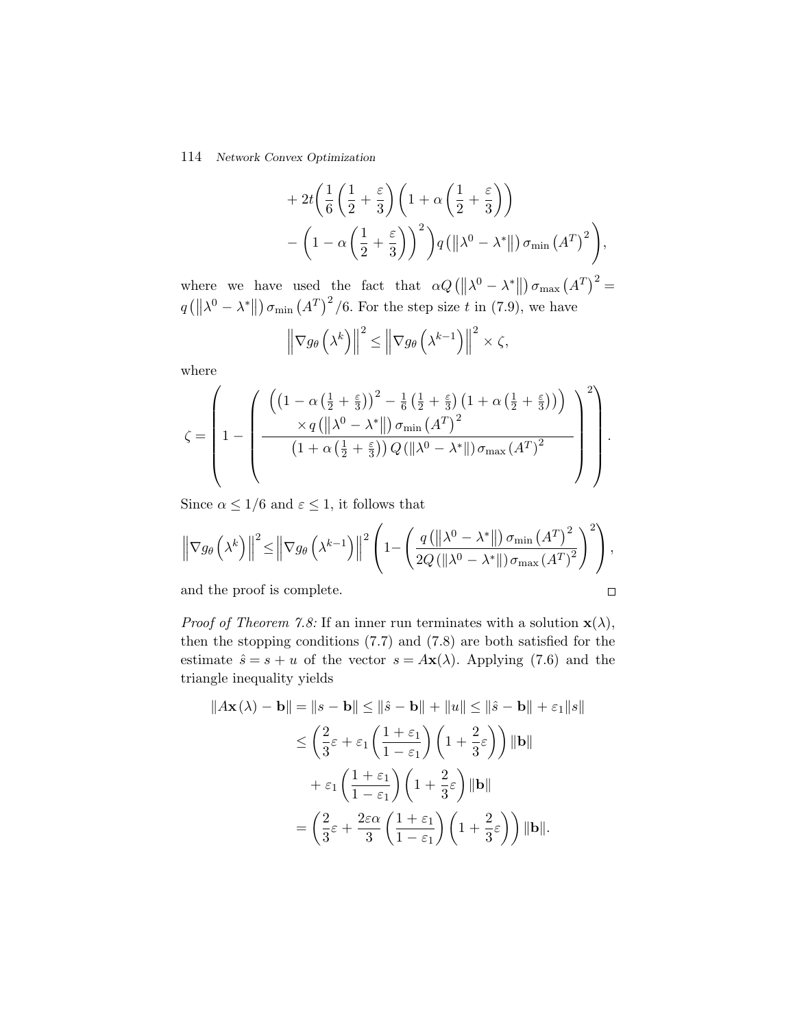+2t
$$
\left(\frac{1}{6}\left(\frac{1}{2}+\frac{\varepsilon}{3}\right)\left(1+\alpha\left(\frac{1}{2}+\frac{\varepsilon}{3}\right)\right)\right)
$$
  
-\left(1-\alpha\left(\frac{1}{2}+\frac{\varepsilon}{3}\right)\right)^2\right)q(||\lambda^0-\lambda^\*||)\sigma\_{\min}(A^T)^2},

where we have used the fact that  $\alpha Q(\|\lambda^0 - \lambda^*\|) \sigma_{\max}(A^T)^2 =$  $q\left(\left\|\lambda^{0}-\lambda^{*}\right\|\right)\sigma_{\min}\left(A^{T}\right)^{2}/6$ . For the step size t in (7.9), we have

$$
\left\|\nabla g_{\theta}\left(\lambda^{k}\right)\right\|^{2} \leq \left\|\nabla g_{\theta}\left(\lambda^{k-1}\right)\right\|^{2} \times \zeta,
$$

where

$$
\zeta = \left(1 - \left(\frac{\left(\left(1 - \alpha\left(\frac{1}{2} + \frac{\varepsilon}{3}\right)\right)^2 - \frac{1}{6}\left(\frac{1}{2} + \frac{\varepsilon}{3}\right)\left(1 + \alpha\left(\frac{1}{2} + \frac{\varepsilon}{3}\right)\right)\right)}{\left(1 + \alpha\left(\frac{1}{2} + \frac{\varepsilon}{3}\right)\right)Q(\|\lambda^0 - \lambda^*\|)\sigma_{\max}(A^T)^2}\right)^2\right).
$$

Since  $\alpha \leq 1/6$  and  $\varepsilon \leq 1$ , it follows that

$$
\left\|\nabla g_{\theta}\left(\lambda^{k}\right)\right\|^{2} \leq \left\|\nabla g_{\theta}\left(\lambda^{k-1}\right)\right\|^{2}\left(1-\left(\frac{q\left(\left\|\lambda^{0}-\lambda^{*}\right\|\right)\sigma_{\min}\left(A^{T}\right)^{2}}{2Q\left(\left\|\lambda^{0}-\lambda^{*}\right\|\right)\sigma_{\max}\left(A^{T}\right)^{2}}\right)^{2}\right),
$$

 $\Box$ 

and the proof is complete.

*Proof of Theorem 7.8:* If an inner run terminates with a solution  $\mathbf{x}(\lambda)$ , then the stopping conditions (7.7) and (7.8) are both satisfied for the estimate  $\hat{s} = s + u$  of the vector  $s = A\mathbf{x}(\lambda)$ . Applying (7.6) and the triangle inequality yields

$$
\|A\mathbf{x}(\lambda) - \mathbf{b}\| = \|s - \mathbf{b}\| \le \|\hat{s} - \mathbf{b}\| + \|u\| \le \|\hat{s} - \mathbf{b}\| + \varepsilon_1 \|s\|
$$
  
\n
$$
\le \left(\frac{2}{3}\varepsilon + \varepsilon_1 \left(\frac{1+\varepsilon_1}{1-\varepsilon_1}\right) \left(1 + \frac{2}{3}\varepsilon\right)\right) \|\mathbf{b}\|
$$
  
\n
$$
+ \varepsilon_1 \left(\frac{1+\varepsilon_1}{1-\varepsilon_1}\right) \left(1 + \frac{2}{3}\varepsilon\right) \|\mathbf{b}\|
$$
  
\n
$$
= \left(\frac{2}{3}\varepsilon + \frac{2\varepsilon\alpha}{3} \left(\frac{1+\varepsilon_1}{1-\varepsilon_1}\right) \left(1 + \frac{2}{3}\varepsilon\right)\right) \|\mathbf{b}\|.
$$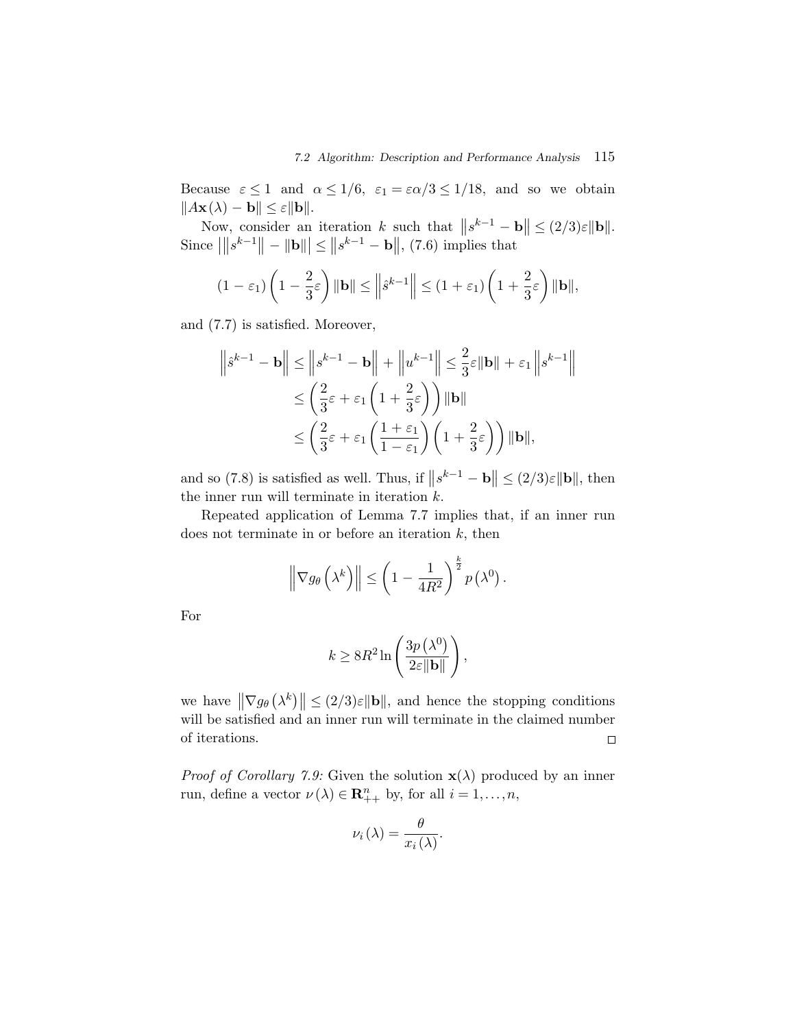Because  $\varepsilon \leq 1$  and  $\alpha \leq 1/6$ ,  $\varepsilon_1 = \varepsilon \alpha/3 \leq 1/18$ , and so we obtain  $||A\mathbf{x}(\lambda) - \mathbf{b}|| \leq \varepsilon ||\mathbf{b}||.$ 

Now, consider an iteration k such that  $||s^{k-1} - \mathbf{b}|| \leq (2/3)\varepsilon \|\mathbf{b}\|.$ Since  $\| |s^{k-1}|| - ||\mathbf{b}|| \le ||s^{k-1} - \mathbf{b}||,$  (7.6) implies that

$$
(1 - \varepsilon_1) \left( 1 - \frac{2}{3} \varepsilon \right) \| \mathbf{b} \| \le \left\| \hat{s}^{k-1} \right\| \le (1 + \varepsilon_1) \left( 1 + \frac{2}{3} \varepsilon \right) \| \mathbf{b} \|,
$$

and (7.7) is satisfied. Moreover,

$$
\|s^{k-1} - \mathbf{b}\| \le \|s^{k-1} - \mathbf{b}\| + \|u^{k-1}\| \le \frac{2}{3}\varepsilon \|\mathbf{b}\| + \varepsilon_1 \|s^{k-1}\|
$$
  

$$
\le \left(\frac{2}{3}\varepsilon + \varepsilon_1 \left(1 + \frac{2}{3}\varepsilon\right)\right) \|\mathbf{b}\|
$$
  

$$
\le \left(\frac{2}{3}\varepsilon + \varepsilon_1 \left(\frac{1 + \varepsilon_1}{1 - \varepsilon_1}\right) \left(1 + \frac{2}{3}\varepsilon\right)\right) \|\mathbf{b}\|,
$$

and so (7.8) is satisfied as well. Thus, if  $||s^{k-1} - \mathbf{b}|| \leq (2/3)\varepsilon ||\mathbf{b}||$ , then the inner run will terminate in iteration  $k$ .

Repeated application of Lemma 7.7 implies that, if an inner run does not terminate in or before an iteration  $k$ , then

$$
\left\|\nabla g_{\theta}\left(\lambda^{k}\right)\right\| \leq \left(1-\frac{1}{4R^{2}}\right)^{\frac{k}{2}} p\left(\lambda^{0}\right).
$$

For

$$
k \ge 8R^2 \ln \left( \frac{3p\left(\lambda^0\right)}{2\varepsilon \|\mathbf{b}\|} \right),\,
$$

we have  $\|\nabla g_{\theta}(\lambda^k)\| \leq (2/3)\varepsilon \|\mathbf{b}\|$ , and hence the stopping conditions will be satisfied and an inner run will terminate in the claimed number of iterations.  $\Box$ 

*Proof of Corollary 7.9:* Given the solution  $\mathbf{x}(\lambda)$  produced by an inner run, define a vector  $\nu(\lambda) \in \mathbb{R}_{++}^n$  by, for all  $i = 1, ..., n$ ,

$$
\nu_i(\lambda) = \frac{\theta}{x_i(\lambda)}.
$$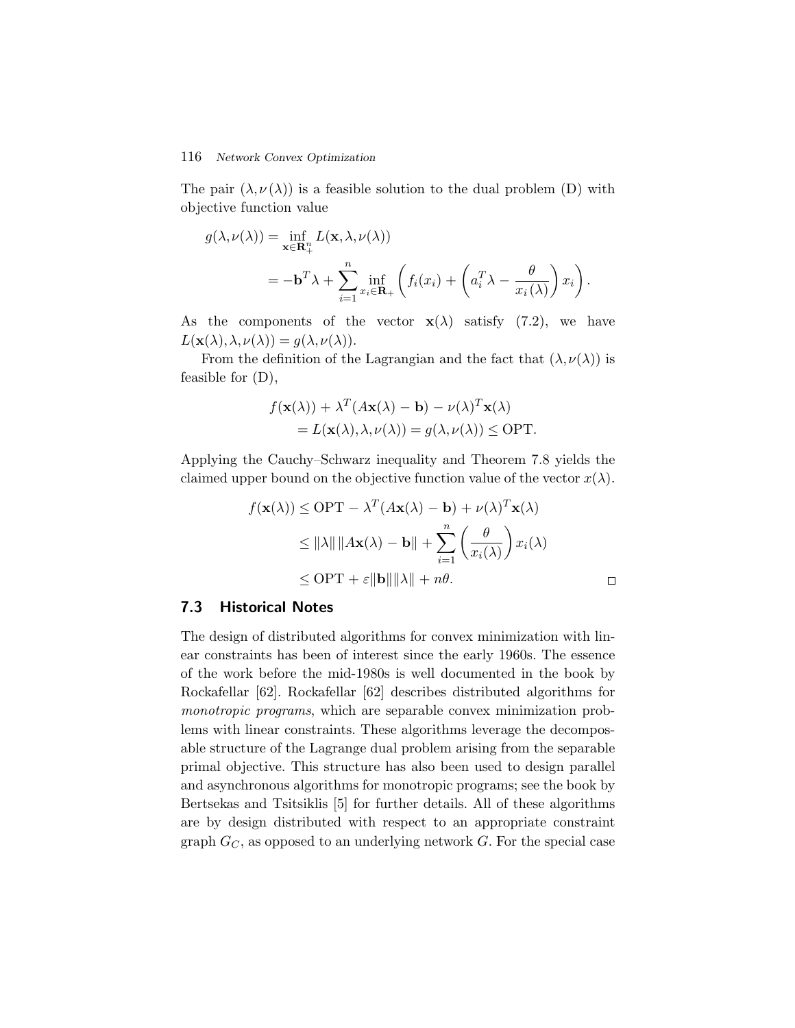The pair  $(\lambda, \nu(\lambda))$  is a feasible solution to the dual problem (D) with objective function value

$$
g(\lambda, \nu(\lambda)) = \inf_{\mathbf{x} \in \mathbf{R}_+^n} L(\mathbf{x}, \lambda, \nu(\lambda))
$$
  
=  $-\mathbf{b}^T \lambda + \sum_{i=1}^n \inf_{x_i \in \mathbf{R}_+} \left( f_i(x_i) + \left( a_i^T \lambda - \frac{\theta}{x_i(\lambda)} \right) x_i \right).$ 

As the components of the vector  $\mathbf{x}(\lambda)$  satisfy (7.2), we have  $L(\mathbf{x}(\lambda), \lambda, \nu(\lambda)) = g(\lambda, \nu(\lambda)).$ 

From the definition of the Lagrangian and the fact that  $(\lambda, \nu(\lambda))$  is feasible for (D),

$$
f(\mathbf{x}(\lambda)) + \lambda^T (A\mathbf{x}(\lambda) - \mathbf{b}) - \nu(\lambda)^T \mathbf{x}(\lambda)
$$
  
=  $L(\mathbf{x}(\lambda), \lambda, \nu(\lambda)) = g(\lambda, \nu(\lambda)) \le \text{OPT}.$ 

Applying the Cauchy–Schwarz inequality and Theorem 7.8 yields the claimed upper bound on the objective function value of the vector  $x(\lambda)$ .

$$
f(\mathbf{x}(\lambda)) \le \text{OPT} - \lambda^T (A\mathbf{x}(\lambda) - \mathbf{b}) + \nu(\lambda)^T \mathbf{x}(\lambda)
$$
  
\n
$$
\le ||\lambda|| ||A\mathbf{x}(\lambda) - \mathbf{b}|| + \sum_{i=1}^n \left(\frac{\theta}{x_i(\lambda)}\right) x_i(\lambda)
$$
  
\n
$$
\le \text{OPT} + \varepsilon ||\mathbf{b}|| ||\lambda|| + n\theta.
$$

# **7.3 Historical Notes**

The design of distributed algorithms for convex minimization with linear constraints has been of interest since the early 1960s. The essence of the work before the mid-1980s is well documented in the book by Rockafellar [62]. Rockafellar [62] describes distributed algorithms for *monotropic programs*, which are separable convex minimization problems with linear constraints. These algorithms leverage the decomposable structure of the Lagrange dual problem arising from the separable primal objective. This structure has also been used to design parallel and asynchronous algorithms for monotropic programs; see the book by Bertsekas and Tsitsiklis [5] for further details. All of these algorithms are by design distributed with respect to an appropriate constraint graph  $G_C$ , as opposed to an underlying network G. For the special case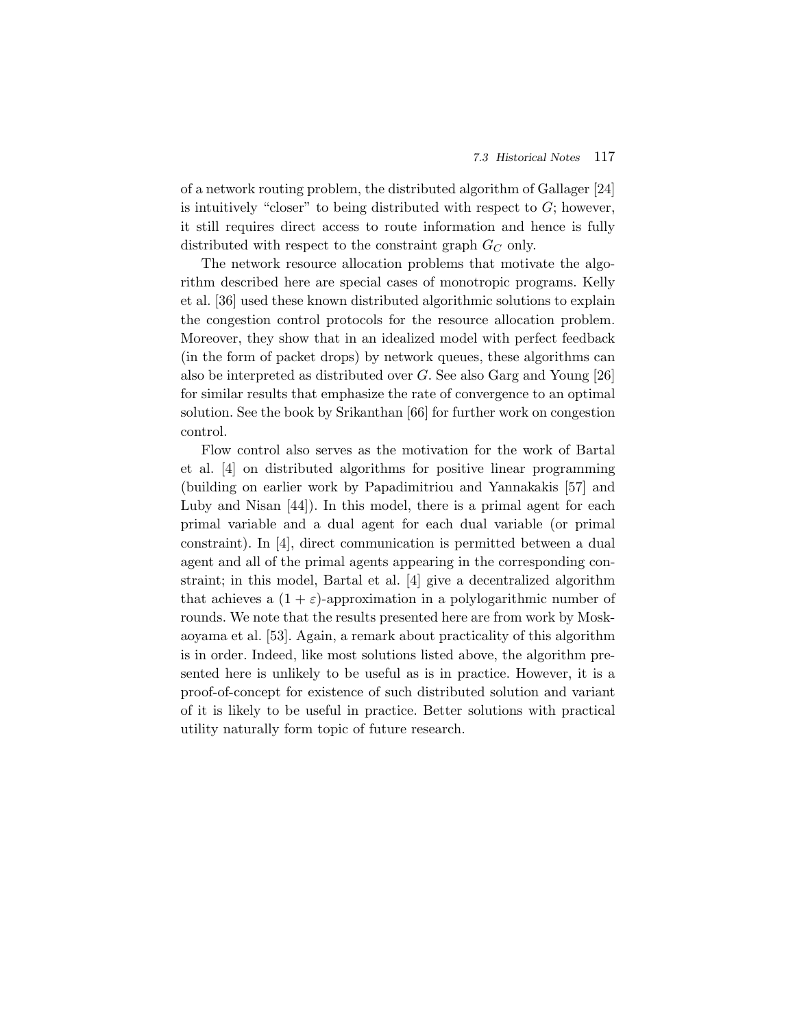of a network routing problem, the distributed algorithm of Gallager [24] is intuitively "closer" to being distributed with respect to  $G$ ; however, it still requires direct access to route information and hence is fully distributed with respect to the constraint graph  $G_C$  only.

The network resource allocation problems that motivate the algorithm described here are special cases of monotropic programs. Kelly et al. [36] used these known distributed algorithmic solutions to explain the congestion control protocols for the resource allocation problem. Moreover, they show that in an idealized model with perfect feedback (in the form of packet drops) by network queues, these algorithms can also be interpreted as distributed over G. See also Garg and Young [26] for similar results that emphasize the rate of convergence to an optimal solution. See the book by Srikanthan [66] for further work on congestion control.

Flow control also serves as the motivation for the work of Bartal et al. [4] on distributed algorithms for positive linear programming (building on earlier work by Papadimitriou and Yannakakis [57] and Luby and Nisan [44]). In this model, there is a primal agent for each primal variable and a dual agent for each dual variable (or primal constraint). In [4], direct communication is permitted between a dual agent and all of the primal agents appearing in the corresponding constraint; in this model, Bartal et al. [4] give a decentralized algorithm that achieves a  $(1 + \varepsilon)$ -approximation in a polylogarithmic number of rounds. We note that the results presented here are from work by Moskaoyama et al. [53]. Again, a remark about practicality of this algorithm is in order. Indeed, like most solutions listed above, the algorithm presented here is unlikely to be useful as is in practice. However, it is a proof-of-concept for existence of such distributed solution and variant of it is likely to be useful in practice. Better solutions with practical utility naturally form topic of future research.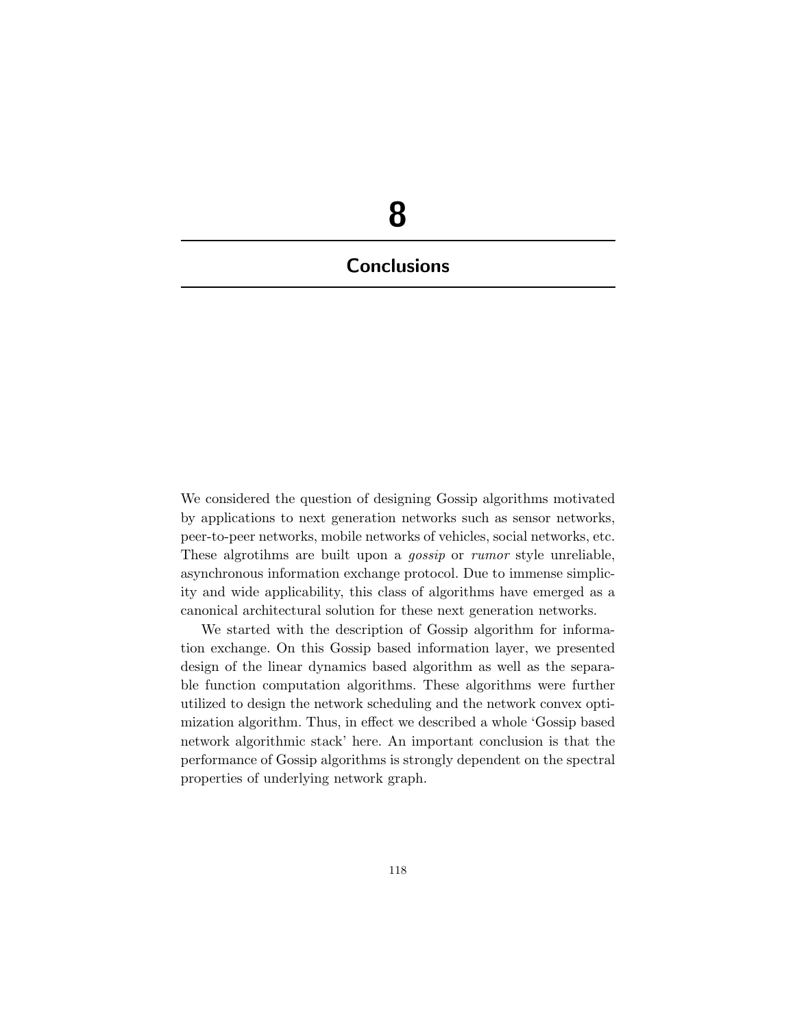# **8 Conclusions**

We considered the question of designing Gossip algorithms motivated by applications to next generation networks such as sensor networks, peer-to-peer networks, mobile networks of vehicles, social networks, etc. These algrotihms are built upon a *gossip* or *rumor* style unreliable, asynchronous information exchange protocol. Due to immense simplicity and wide applicability, this class of algorithms have emerged as a canonical architectural solution for these next generation networks.

We started with the description of Gossip algorithm for information exchange. On this Gossip based information layer, we presented design of the linear dynamics based algorithm as well as the separable function computation algorithms. These algorithms were further utilized to design the network scheduling and the network convex optimization algorithm. Thus, in effect we described a whole 'Gossip based network algorithmic stack' here. An important conclusion is that the performance of Gossip algorithms is strongly dependent on the spectral properties of underlying network graph.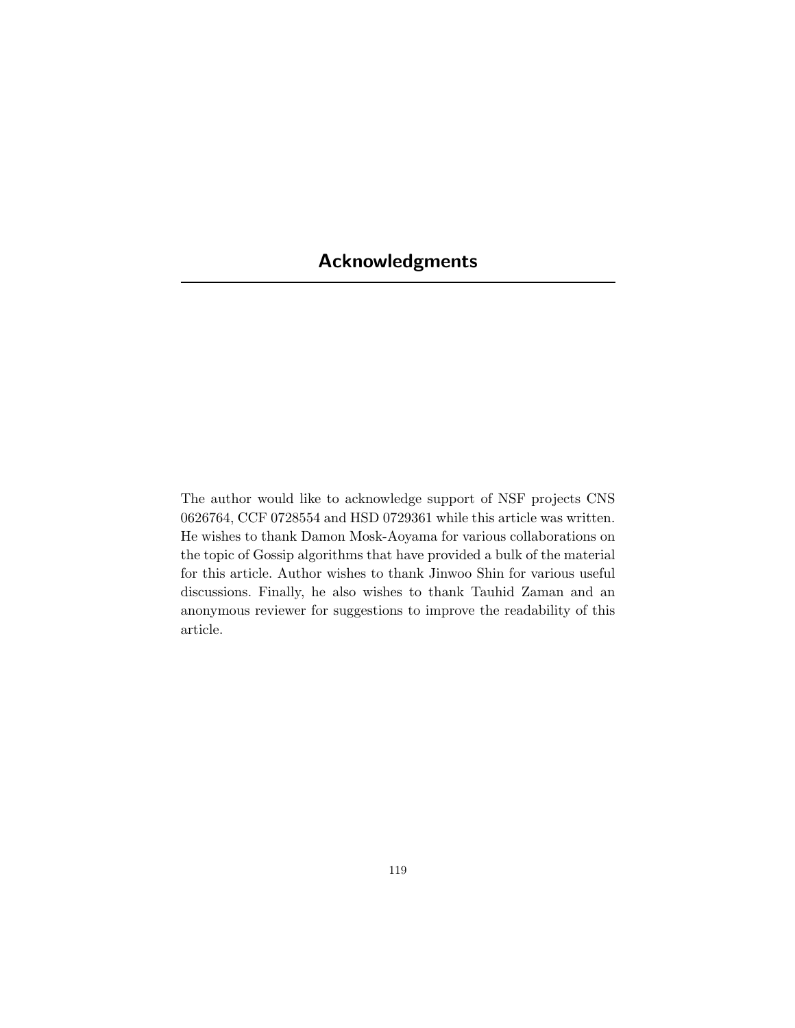# **Acknowledgments**

The author would like to acknowledge support of NSF projects CNS 0626764, CCF 0728554 and HSD 0729361 while this article was written. He wishes to thank Damon Mosk-Aoyama for various collaborations on the topic of Gossip algorithms that have provided a bulk of the material for this article. Author wishes to thank Jinwoo Shin for various useful discussions. Finally, he also wishes to thank Tauhid Zaman and an anonymous reviewer for suggestions to improve the readability of this article.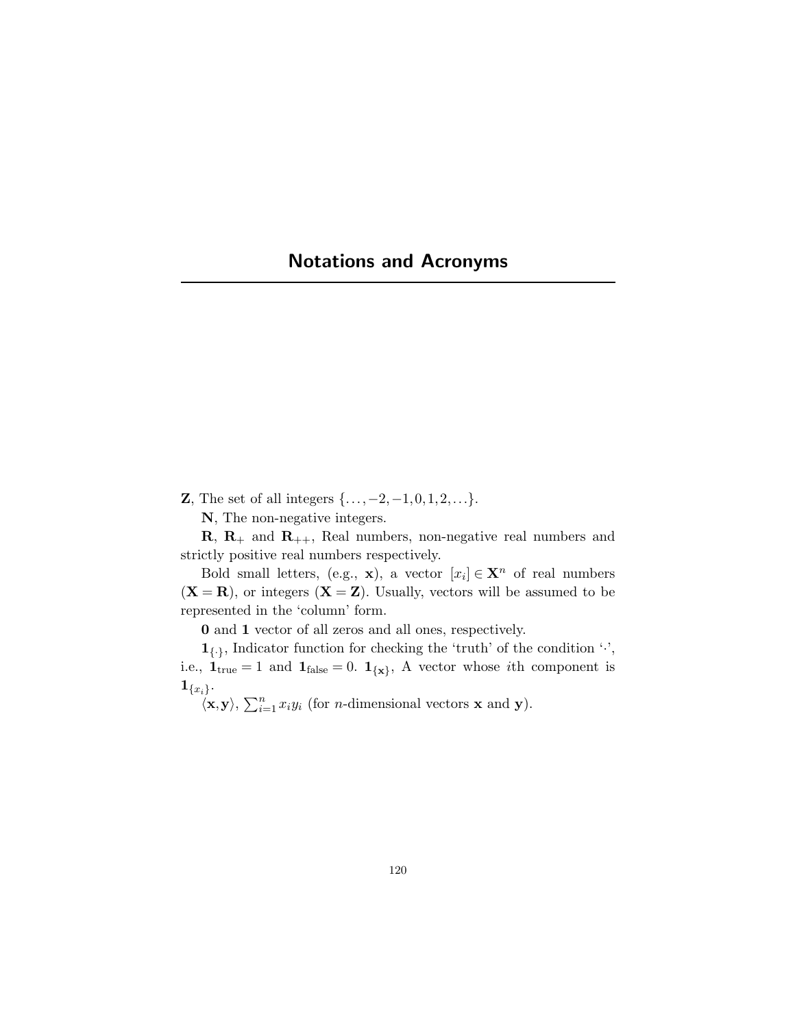# **Notations and Acronyms**

**Z**, The set of all integers  $\{..., -2, -1, 0, 1, 2, ...\}$ .

**N**, The non-negative integers.

 $\mathbf{R}, \mathbf{R}_+$  and  $\mathbf{R}_{++}$ , Real numbers, non-negative real numbers and strictly positive real numbers respectively.

Bold small letters, (e.g., **x**), a vector  $[x_i] \in \mathbf{X}^n$  of real numbers  $(X = R)$ , or integers  $(X = Z)$ . Usually, vectors will be assumed to be represented in the 'column' form.

**0** and **1** vector of all zeros and all ones, respectively.

 $\mathbf{1}_{\{.\}}$ , Indicator function for checking the 'truth' of the condition ' $\cdot$ ', i.e.,  $\mathbf{1}_{true} = 1$  and  $\mathbf{1}_{false} = 0$ .  $\mathbf{1}_{\{\mathbf{x}\}}$ , A vector whose *i*th component is  $\mathbf{1}_{\{x_i\}}.$ 

 $\langle \mathbf{x}, \mathbf{y} \rangle$ ,  $\sum_{i=1}^{n} x_i y_i$  (for *n*-dimensional vectors **x** and **y**).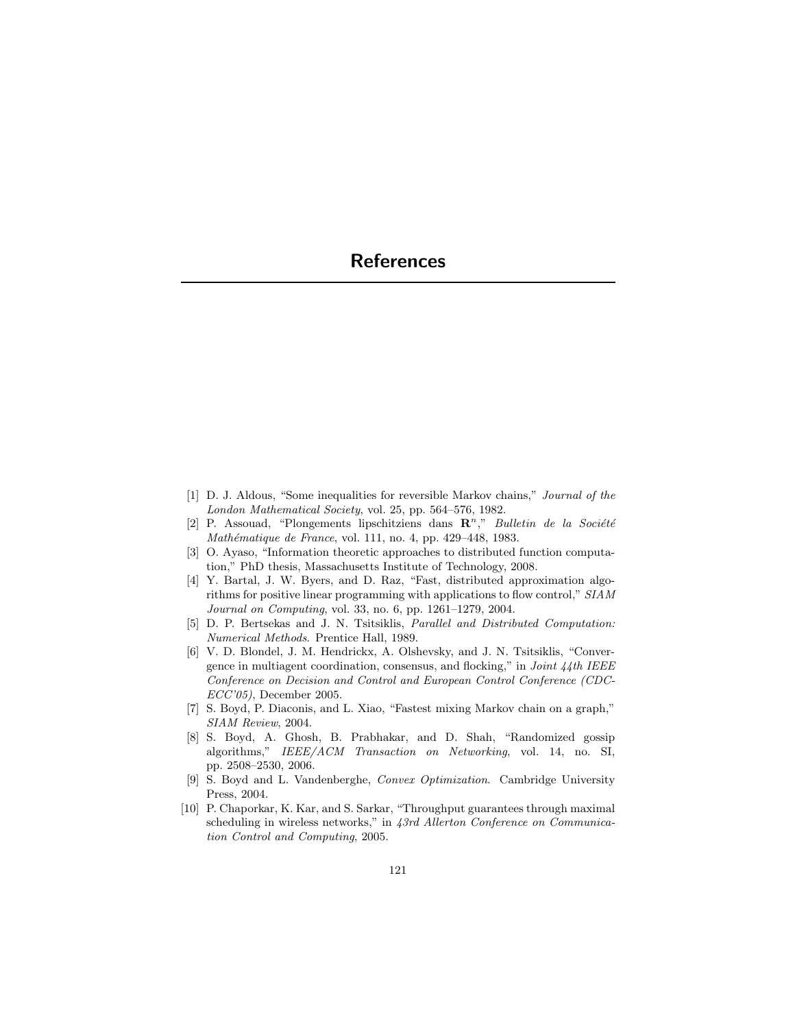# **References**

- [1] D. J. Aldous, "Some inequalities for reversible Markov chains," Journal of the London Mathematical Society, vol. 25, pp. 564–576, 1982.
- [2] P. Assouad, "Plongements lipschitziens dans  $\mathbb{R}^n$ ," Bulletin de la Société Mathématique de France, vol. 111, no. 4, pp. 429-448, 1983.
- [3] O. Ayaso, "Information theoretic approaches to distributed function computation," PhD thesis, Massachusetts Institute of Technology, 2008.
- [4] Y. Bartal, J. W. Byers, and D. Raz, "Fast, distributed approximation algorithms for positive linear programming with applications to flow control," SIAM Journal on Computing, vol. 33, no. 6, pp. 1261–1279, 2004.
- [5] D. P. Bertsekas and J. N. Tsitsiklis, Parallel and Distributed Computation: Numerical Methods. Prentice Hall, 1989.
- [6] V. D. Blondel, J. M. Hendrickx, A. Olshevsky, and J. N. Tsitsiklis, "Convergence in multiagent coordination, consensus, and flocking," in *Joint*  $44$ *th IEEE* Conference on Decision and Control and European Control Conference (CDC-ECC'05), December 2005.
- [7] S. Boyd, P. Diaconis, and L. Xiao, "Fastest mixing Markov chain on a graph," SIAM Review, 2004.
- [8] S. Boyd, A. Ghosh, B. Prabhakar, and D. Shah, "Randomized gossip algorithms," IEEE/ACM Transaction on Networking, vol. 14, no. SI, pp. 2508–2530, 2006.
- [9] S. Boyd and L. Vandenberghe, Convex Optimization. Cambridge University Press, 2004.
- [10] P. Chaporkar, K. Kar, and S. Sarkar, "Throughput guarantees through maximal scheduling in wireless networks," in 43rd Allerton Conference on Communication Control and Computing, 2005.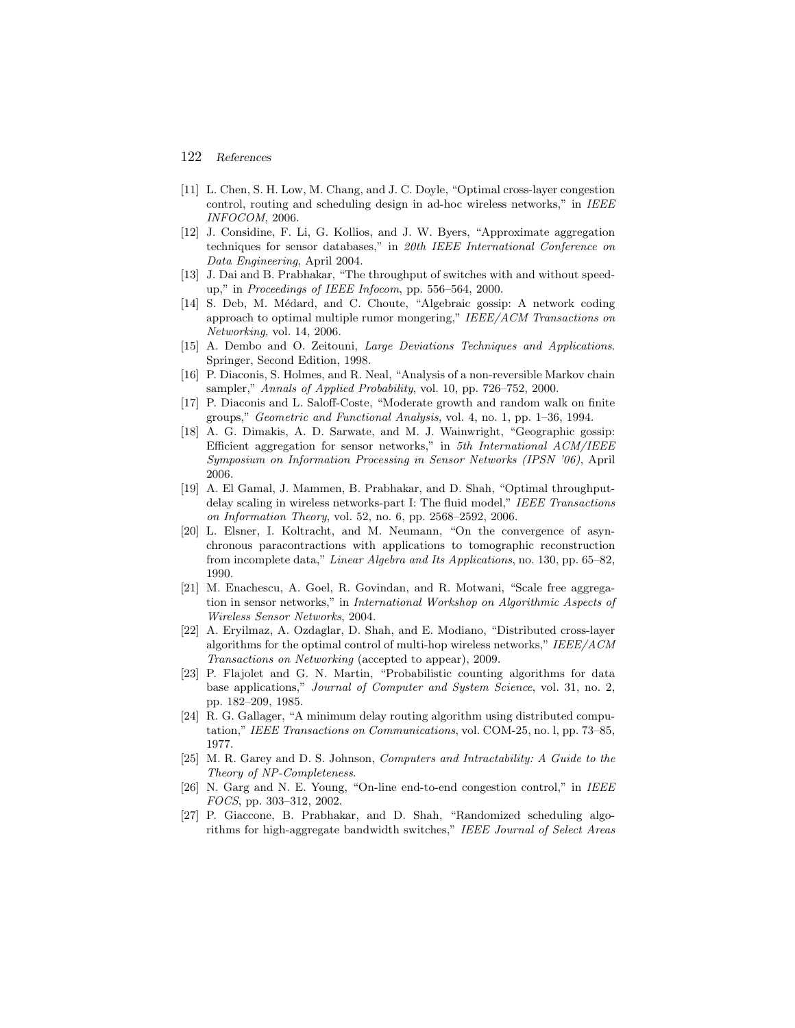## 122 *References*

- [11] L. Chen, S. H. Low, M. Chang, and J. C. Doyle, "Optimal cross-layer congestion control, routing and scheduling design in ad-hoc wireless networks," in IEEE INFOCOM, 2006.
- [12] J. Considine, F. Li, G. Kollios, and J. W. Byers, "Approximate aggregation techniques for sensor databases," in 20th IEEE International Conference on Data Engineering, April 2004.
- [13] J. Dai and B. Prabhakar, "The throughput of switches with and without speedup," in Proceedings of IEEE Infocom, pp. 556–564, 2000.
- [14] S. Deb, M. Médard, and C. Choute, "Algebraic gossip: A network coding approach to optimal multiple rumor mongering," IEEE/ACM Transactions on Networking, vol. 14, 2006.
- [15] A. Dembo and O. Zeitouni, Large Deviations Techniques and Applications. Springer, Second Edition, 1998.
- [16] P. Diaconis, S. Holmes, and R. Neal, "Analysis of a non-reversible Markov chain sampler," Annals of Applied Probability, vol. 10, pp. 726–752, 2000.
- [17] P. Diaconis and L. Saloff-Coste, "Moderate growth and random walk on finite groups," Geometric and Functional Analysis, vol. 4, no. 1, pp. 1–36, 1994.
- [18] A. G. Dimakis, A. D. Sarwate, and M. J. Wainwright, "Geographic gossip: Efficient aggregation for sensor networks," in 5th International ACM/IEEE Symposium on Information Processing in Sensor Networks (IPSN '06), April 2006.
- [19] A. El Gamal, J. Mammen, B. Prabhakar, and D. Shah, "Optimal throughputdelay scaling in wireless networks-part I: The fluid model," IEEE Transactions on Information Theory, vol. 52, no. 6, pp. 2568–2592, 2006.
- [20] L. Elsner, I. Koltracht, and M. Neumann, "On the convergence of asynchronous paracontractions with applications to tomographic reconstruction from incomplete data," Linear Algebra and Its Applications, no. 130, pp. 65–82, 1990.
- [21] M. Enachescu, A. Goel, R. Govindan, and R. Motwani, "Scale free aggregation in sensor networks," in International Workshop on Algorithmic Aspects of Wireless Sensor Networks, 2004.
- [22] A. Eryilmaz, A. Ozdaglar, D. Shah, and E. Modiano, "Distributed cross-layer algorithms for the optimal control of multi-hop wireless networks," IEEE/ACM Transactions on Networking (accepted to appear), 2009.
- [23] P. Flajolet and G. N. Martin, "Probabilistic counting algorithms for data base applications," Journal of Computer and System Science, vol. 31, no. 2, pp. 182–209, 1985.
- [24] R. G. Gallager, "A minimum delay routing algorithm using distributed computation," IEEE Transactions on Communications, vol. COM-25, no. l, pp. 73–85, 1977.
- [25] M. R. Garey and D. S. Johnson, Computers and Intractability: A Guide to the Theory of NP-Completeness.
- [26] N. Garg and N. E. Young, "On-line end-to-end congestion control," in IEEE FOCS, pp. 303–312, 2002.
- [27] P. Giaccone, B. Prabhakar, and D. Shah, "Randomized scheduling algorithms for high-aggregate bandwidth switches," IEEE Journal of Select Areas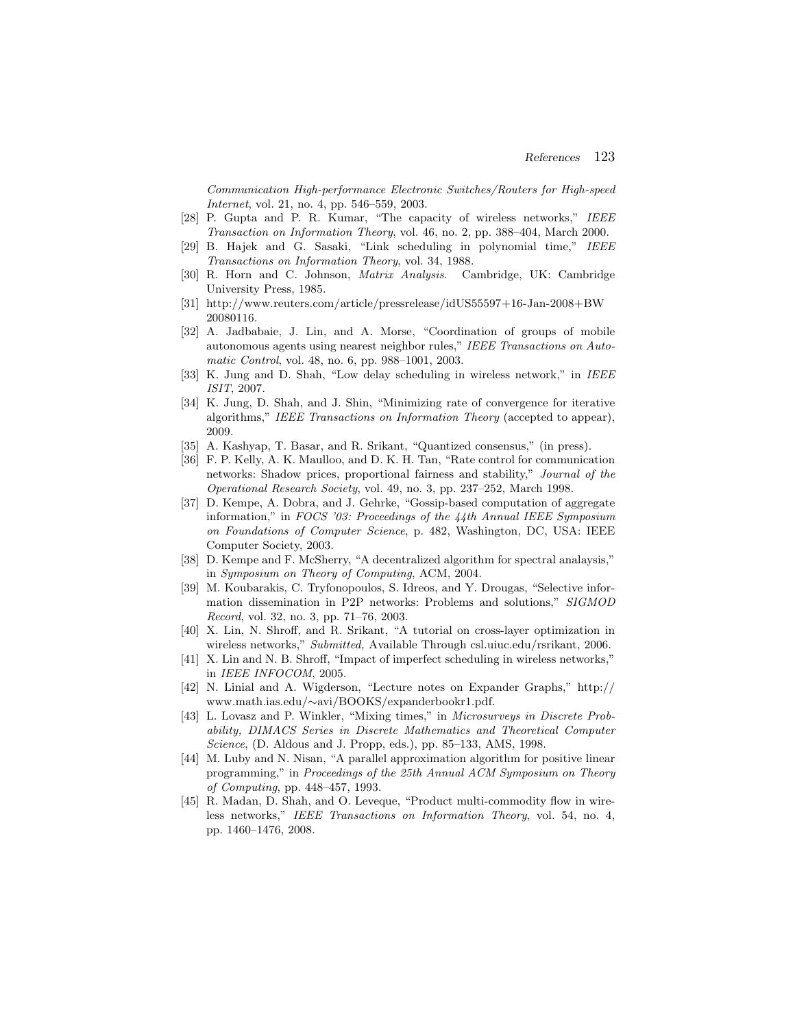Communication High-performance Electronic Switches/Routers for High-speed Internet, vol. 21, no. 4, pp. 546–559, 2003.

- [28] P. Gupta and P. R. Kumar, "The capacity of wireless networks," IEEE Transaction on Information Theory, vol. 46, no. 2, pp. 388–404, March 2000.
- [29] B. Hajek and G. Sasaki, "Link scheduling in polynomial time," IEEE Transactions on Information Theory, vol. 34, 1988.
- [30] R. Horn and C. Johnson, Matrix Analysis. Cambridge, UK: Cambridge University Press, 1985.
- [31] http://www.reuters.com/article/pressrelease/idUS55597+16-Jan-2008+BW 20080116.
- [32] A. Jadbabaie, J. Lin, and A. Morse, "Coordination of groups of mobile autonomous agents using nearest neighbor rules," IEEE Transactions on Automatic Control, vol. 48, no. 6, pp. 988–1001, 2003.
- [33] K. Jung and D. Shah, "Low delay scheduling in wireless network," in IEEE ISIT, 2007.
- [34] K. Jung, D. Shah, and J. Shin, "Minimizing rate of convergence for iterative algorithms," IEEE Transactions on Information Theory (accepted to appear), 2009.
- [35] A. Kashyap, T. Basar, and R. Srikant, "Quantized consensus," (in press).
- [36] F. P. Kelly, A. K. Maulloo, and D. K. H. Tan, "Rate control for communication networks: Shadow prices, proportional fairness and stability," Journal of the Operational Research Society, vol. 49, no. 3, pp. 237–252, March 1998.
- [37] D. Kempe, A. Dobra, and J. Gehrke, "Gossip-based computation of aggregate information," in FOCS '03: Proceedings of the  $44$ th Annual IEEE Symposium on Foundations of Computer Science, p. 482, Washington, DC, USA: IEEE Computer Society, 2003.
- [38] D. Kempe and F. McSherry, "A decentralized algorithm for spectral analaysis," in Symposium on Theory of Computing, ACM, 2004.
- [39] M. Koubarakis, C. Tryfonopoulos, S. Idreos, and Y. Drougas, "Selective information dissemination in P2P networks: Problems and solutions," SIGMOD Record, vol. 32, no. 3, pp. 71–76, 2003.
- [40] X. Lin, N. Shroff, and R. Srikant, "A tutorial on cross-layer optimization in wireless networks," Submitted, Available Through csl.uiuc.edu/rsrikant, 2006.
- [41] X. Lin and N. B. Shroff, "Impact of imperfect scheduling in wireless networks," in IEEE INFOCOM, 2005.
- [42] N. Linial and A. Wigderson, "Lecture notes on Expander Graphs," http:// www.math.ias.edu/∼avi/BOOKS/expanderbookr1.pdf.
- [43] L. Lovasz and P. Winkler, "Mixing times," in Microsurveys in Discrete Probability, DIMACS Series in Discrete Mathematics and Theoretical Computer Science, (D. Aldous and J. Propp, eds.), pp. 85–133, AMS, 1998.
- [44] M. Luby and N. Nisan, "A parallel approximation algorithm for positive linear programming," in Proceedings of the 25th Annual ACM Symposium on Theory of Computing, pp. 448–457, 1993.
- [45] R. Madan, D. Shah, and O. Leveque, "Product multi-commodity flow in wireless networks," IEEE Transactions on Information Theory, vol. 54, no. 4, pp. 1460–1476, 2008.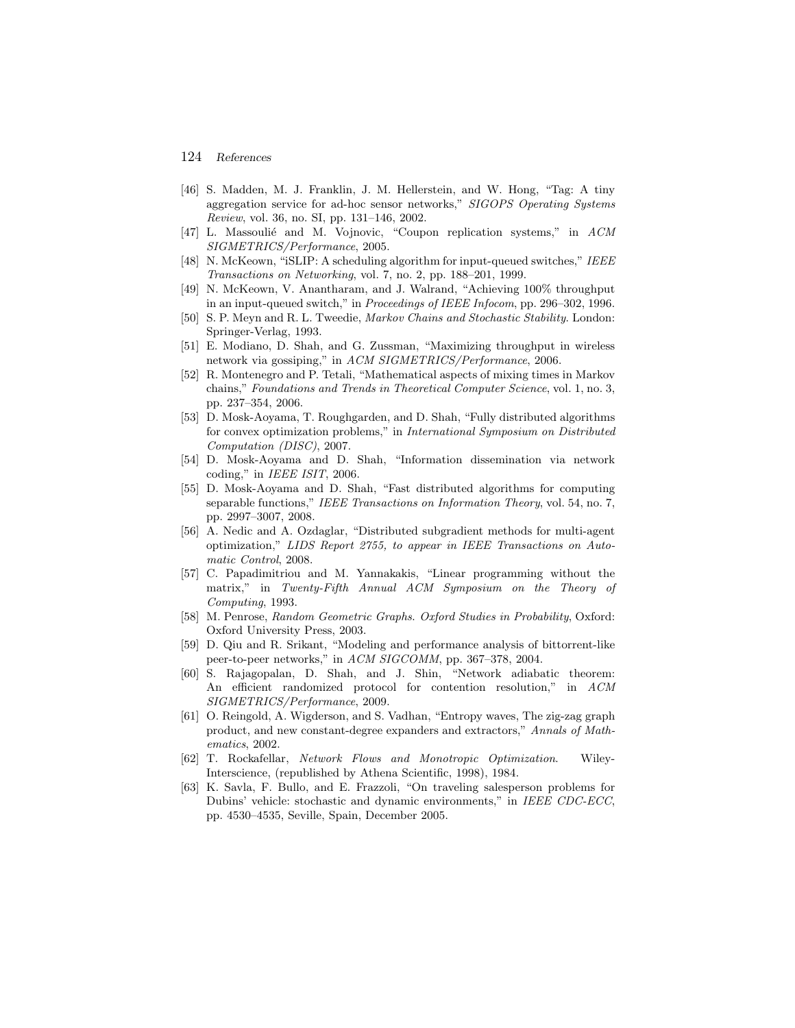## 124 *References*

- [46] S. Madden, M. J. Franklin, J. M. Hellerstein, and W. Hong, "Tag: A tiny aggregation service for ad-hoc sensor networks," SIGOPS Operating Systems Review, vol. 36, no. SI, pp. 131–146, 2002.
- [47] L. Massouli´e and M. Vojnovic, "Coupon replication systems," in ACM SIGMETRICS/Performance, 2005.
- [48] N. McKeown, "iSLIP: A scheduling algorithm for input-queued switches," IEEE Transactions on Networking, vol. 7, no. 2, pp. 188–201, 1999.
- [49] N. McKeown, V. Anantharam, and J. Walrand, "Achieving 100% throughput in an input-queued switch," in Proceedings of IEEE Infocom, pp. 296–302, 1996.
- [50] S. P. Meyn and R. L. Tweedie, Markov Chains and Stochastic Stability. London: Springer-Verlag, 1993.
- [51] E. Modiano, D. Shah, and G. Zussman, "Maximizing throughput in wireless network via gossiping," in ACM SIGMETRICS/Performance, 2006.
- [52] R. Montenegro and P. Tetali, "Mathematical aspects of mixing times in Markov chains," Foundations and Trends in Theoretical Computer Science, vol. 1, no. 3, pp. 237–354, 2006.
- [53] D. Mosk-Aoyama, T. Roughgarden, and D. Shah, "Fully distributed algorithms for convex optimization problems," in International Symposium on Distributed Computation (DISC), 2007.
- [54] D. Mosk-Aoyama and D. Shah, "Information dissemination via network coding," in IEEE ISIT, 2006.
- [55] D. Mosk-Aoyama and D. Shah, "Fast distributed algorithms for computing separable functions," IEEE Transactions on Information Theory, vol. 54, no. 7, pp. 2997–3007, 2008.
- [56] A. Nedic and A. Ozdaglar, "Distributed subgradient methods for multi-agent optimization," LIDS Report 2755, to appear in IEEE Transactions on Automatic Control, 2008.
- [57] C. Papadimitriou and M. Yannakakis, "Linear programming without the matrix," in Twenty-Fifth Annual ACM Symposium on the Theory of Computing, 1993.
- [58] M. Penrose, Random Geometric Graphs. Oxford Studies in Probability, Oxford: Oxford University Press, 2003.
- [59] D. Qiu and R. Srikant, "Modeling and performance analysis of bittorrent-like peer-to-peer networks," in ACM SIGCOMM, pp. 367–378, 2004.
- [60] S. Rajagopalan, D. Shah, and J. Shin, "Network adiabatic theorem: An efficient randomized protocol for contention resolution," in ACM SIGMETRICS/Performance, 2009.
- [61] O. Reingold, A. Wigderson, and S. Vadhan, "Entropy waves, The zig-zag graph product, and new constant-degree expanders and extractors," Annals of Mathematics, 2002.
- [62] T. Rockafellar, Network Flows and Monotropic Optimization. Wiley-Interscience, (republished by Athena Scientific, 1998), 1984.
- [63] K. Savla, F. Bullo, and E. Frazzoli, "On traveling salesperson problems for Dubins' vehicle: stochastic and dynamic environments," in IEEE CDC-ECC, pp. 4530–4535, Seville, Spain, December 2005.